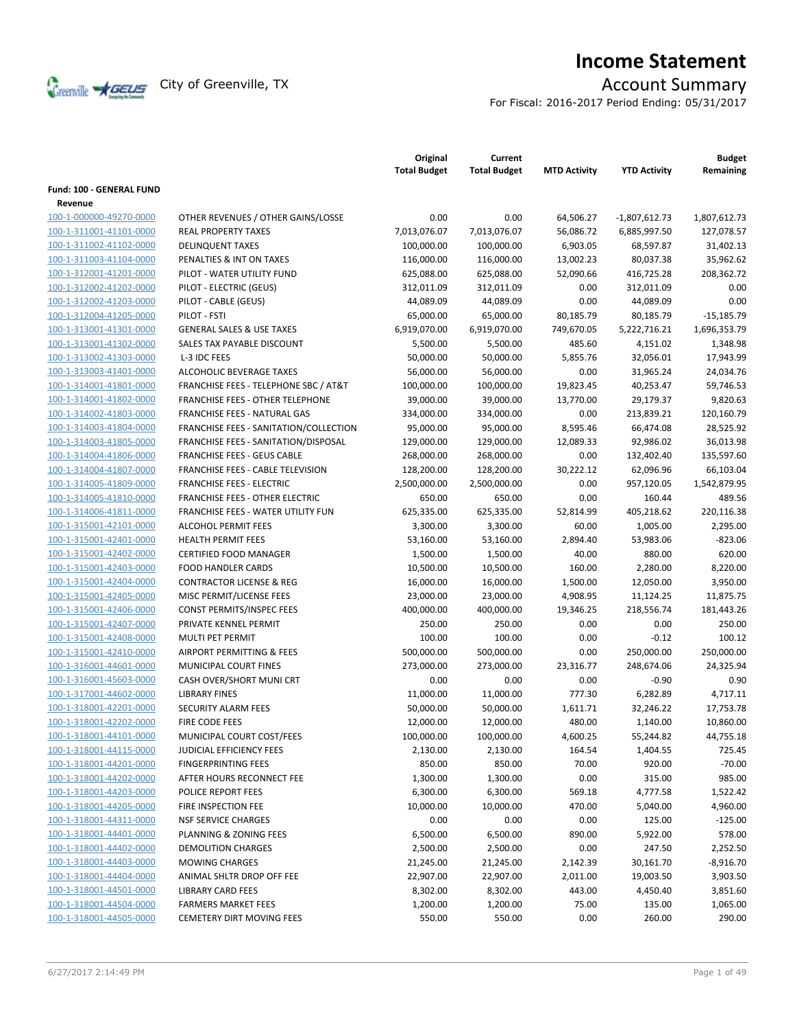

# **Income Statement**

For Fiscal: 2016-2017 Period Ending: 05/31/2017

|                          |                                        | Original<br><b>Total Budget</b> | Current<br><b>Total Budget</b> | <b>MTD Activity</b> | <b>YTD Activity</b>   | <b>Budget</b><br>Remaining |
|--------------------------|----------------------------------------|---------------------------------|--------------------------------|---------------------|-----------------------|----------------------------|
| Fund: 100 - GENERAL FUND |                                        |                                 |                                |                     |                       |                            |
| Revenue                  |                                        |                                 |                                |                     |                       |                            |
| 100-1-000000-49270-0000  | OTHER REVENUES / OTHER GAINS/LOSSE     | 0.00                            | 0.00                           | 64,506.27           | $-1,807,612.73$       | 1,807,612.73               |
| 100-1-311001-41101-0000  | <b>REAL PROPERTY TAXES</b>             | 7,013,076.07                    | 7,013,076.07                   | 56,086.72           | 6,885,997.50          | 127,078.57                 |
| 100-1-311002-41102-0000  | <b>DELINQUENT TAXES</b>                | 100,000.00                      | 100,000.00                     | 6,903.05            | 68,597.87             | 31,402.13                  |
| 100-1-311003-41104-0000  | PENALTIES & INT ON TAXES               | 116,000.00                      | 116,000.00                     | 13,002.23           | 80,037.38             | 35,962.62                  |
| 100-1-312001-41201-0000  | PILOT - WATER UTILITY FUND             | 625,088.00                      | 625,088.00                     | 52,090.66           | 416,725.28            | 208,362.72                 |
| 100-1-312002-41202-0000  | PILOT - ELECTRIC (GEUS)                | 312,011.09                      | 312,011.09                     | 0.00                | 312,011.09            | 0.00                       |
| 100-1-312002-41203-0000  | PILOT - CABLE (GEUS)                   | 44,089.09                       | 44,089.09                      | 0.00                | 44,089.09             | 0.00                       |
| 100-1-312004-41205-0000  | PILOT - FSTI                           | 65,000.00                       | 65,000.00                      | 80,185.79           | 80,185.79             | $-15,185.79$               |
| 100-1-313001-41301-0000  | <b>GENERAL SALES &amp; USE TAXES</b>   | 6,919,070.00                    | 6,919,070.00                   | 749,670.05          | 5,222,716.21          | 1,696,353.79               |
| 100-1-313001-41302-0000  | SALES TAX PAYABLE DISCOUNT             | 5,500.00                        | 5,500.00                       | 485.60              | 4,151.02              | 1,348.98                   |
| 100-1-313002-41303-0000  | L-3 IDC FEES                           | 50,000.00                       | 50,000.00                      | 5,855.76            | 32,056.01             | 17,943.99                  |
| 100-1-313003-41401-0000  | ALCOHOLIC BEVERAGE TAXES               | 56,000.00                       | 56,000.00                      | 0.00                | 31,965.24             | 24,034.76                  |
| 100-1-314001-41801-0000  | FRANCHISE FEES - TELEPHONE SBC / AT&T  | 100,000.00                      | 100,000.00                     | 19,823.45           | 40,253.47             | 59,746.53                  |
| 100-1-314001-41802-0000  | FRANCHISE FEES - OTHER TELEPHONE       | 39,000.00                       | 39,000.00                      | 13,770.00           | 29,179.37             | 9,820.63                   |
| 100-1-314002-41803-0000  | FRANCHISE FEES - NATURAL GAS           | 334,000.00                      | 334,000.00                     | 0.00                | 213,839.21            | 120,160.79                 |
| 100-1-314003-41804-0000  | FRANCHISE FEES - SANITATION/COLLECTION | 95,000.00                       | 95,000.00                      | 8,595.46            | 66,474.08             | 28,525.92                  |
| 100-1-314003-41805-0000  | FRANCHISE FEES - SANITATION/DISPOSAL   | 129,000.00                      | 129,000.00                     | 12,089.33           | 92,986.02             | 36,013.98                  |
| 100-1-314004-41806-0000  | <b>FRANCHISE FEES - GEUS CABLE</b>     | 268,000.00                      | 268,000.00                     | 0.00                | 132,402.40            | 135,597.60                 |
| 100-1-314004-41807-0000  | FRANCHISE FEES - CABLE TELEVISION      | 128,200.00                      | 128,200.00                     | 30,222.12           | 62,096.96             | 66,103.04                  |
| 100-1-314005-41809-0000  | <b>FRANCHISE FEES - ELECTRIC</b>       | 2,500,000.00                    | 2,500,000.00                   | 0.00                | 957,120.05            | 1,542,879.95               |
| 100-1-314005-41810-0000  | <b>FRANCHISE FEES - OTHER ELECTRIC</b> | 650.00                          | 650.00                         | 0.00                | 160.44                | 489.56                     |
| 100-1-314006-41811-0000  | FRANCHISE FEES - WATER UTILITY FUN     | 625,335.00                      | 625,335.00                     | 52,814.99           | 405,218.62            | 220,116.38                 |
| 100-1-315001-42101-0000  | ALCOHOL PERMIT FEES                    | 3,300.00                        | 3,300.00                       | 60.00               | 1,005.00              | 2,295.00                   |
| 100-1-315001-42401-0000  | <b>HEALTH PERMIT FEES</b>              | 53,160.00                       | 53,160.00                      | 2,894.40            | 53,983.06             | $-823.06$                  |
| 100-1-315001-42402-0000  | <b>CERTIFIED FOOD MANAGER</b>          | 1,500.00                        | 1,500.00                       | 40.00               | 880.00                | 620.00                     |
| 100-1-315001-42403-0000  | <b>FOOD HANDLER CARDS</b>              | 10,500.00                       | 10,500.00                      | 160.00              | 2,280.00              | 8,220.00                   |
| 100-1-315001-42404-0000  | <b>CONTRACTOR LICENSE &amp; REG</b>    | 16,000.00                       | 16,000.00                      | 1,500.00            | 12,050.00             | 3,950.00                   |
| 100-1-315001-42405-0000  | MISC PERMIT/LICENSE FEES               | 23,000.00                       | 23,000.00                      | 4,908.95            | 11,124.25             | 11,875.75                  |
| 100-1-315001-42406-0000  | <b>CONST PERMITS/INSPEC FEES</b>       | 400,000.00                      | 400,000.00                     | 19,346.25           | 218,556.74            | 181,443.26                 |
| 100-1-315001-42407-0000  | PRIVATE KENNEL PERMIT                  | 250.00                          | 250.00                         | 0.00                | 0.00                  | 250.00                     |
| 100-1-315001-42408-0000  | <b>MULTI PET PERMIT</b>                | 100.00                          | 100.00                         | 0.00                | $-0.12$               | 100.12                     |
| 100-1-315001-42410-0000  | AIRPORT PERMITTING & FEES              | 500,000.00                      | 500,000.00                     | 0.00                | 250,000.00            | 250,000.00                 |
| 100-1-316001-44601-0000  | <b>MUNICIPAL COURT FINES</b>           | 273,000.00                      | 273,000.00                     | 23,316.77           | 248,674.06            | 24,325.94                  |
| 100-1-316001-45603-0000  | CASH OVER/SHORT MUNI CRT               | 0.00                            | 0.00                           | 0.00                | $-0.90$               | 0.90                       |
| 100-1-317001-44602-0000  | <b>LIBRARY FINES</b>                   | 11,000.00                       | 11,000.00                      | 777.30              | 6,282.89              | 4,717.11                   |
| 100-1-318001-42201-0000  | <b>SECURITY ALARM FEES</b>             | 50,000.00                       | 50,000.00                      | 1,611.71            | 32,246.22             | 17,753.78                  |
| 100-1-318001-42202-0000  | FIRE CODE FEES                         | 12,000.00                       | 12,000.00                      | 480.00              | 1,140.00              | 10,860.00                  |
| 100-1-318001-44101-0000  | MUNICIPAL COURT COST/FEES              | 100,000.00                      | 100,000.00                     | 4,600.25            | 55,244.82             | 44,755.18                  |
| 100-1-318001-44115-0000  | JUDICIAL EFFICIENCY FEES               | 2,130.00                        | 2,130.00                       | 164.54              | 1,404.55              | 725.45                     |
| 100-1-318001-44201-0000  | <b>FINGERPRINTING FEES</b>             | 850.00                          | 850.00                         | 70.00               | 920.00                | $-70.00$                   |
| 100-1-318001-44202-0000  | AFTER HOURS RECONNECT FEE              | 1,300.00                        | 1,300.00                       | 0.00                | 315.00                | 985.00                     |
| 100-1-318001-44203-0000  | POLICE REPORT FEES                     | 6,300.00                        | 6,300.00                       | 569.18              | 4,777.58              | 1,522.42                   |
| 100-1-318001-44205-0000  | FIRE INSPECTION FEE                    | 10,000.00                       | 10,000.00                      | 470.00              | 5,040.00              | 4,960.00                   |
| 100-1-318001-44311-0000  | <b>NSF SERVICE CHARGES</b>             | 0.00                            | 0.00                           | 0.00                | 125.00                | $-125.00$                  |
| 100-1-318001-44401-0000  | PLANNING & ZONING FEES                 | 6,500.00                        | 6,500.00                       | 890.00              | 5,922.00              | 578.00                     |
| 100-1-318001-44402-0000  | <b>DEMOLITION CHARGES</b>              | 2,500.00                        | 2,500.00                       | 0.00                | 247.50                | 2,252.50                   |
| 100-1-318001-44403-0000  | <b>MOWING CHARGES</b>                  | 21,245.00                       | 21,245.00                      | 2,142.39            | 30,161.70             | $-8,916.70$                |
| 100-1-318001-44404-0000  | ANIMAL SHLTR DROP OFF FEE              | 22,907.00                       | 22,907.00                      |                     |                       | 3,903.50                   |
| 100-1-318001-44501-0000  | <b>LIBRARY CARD FEES</b>               | 8,302.00                        |                                | 2,011.00<br>443.00  | 19,003.50<br>4,450.40 |                            |
|                          |                                        |                                 | 8,302.00                       |                     |                       | 3,851.60                   |
| 100-1-318001-44504-0000  | <b>FARMERS MARKET FEES</b>             | 1,200.00                        | 1,200.00                       | 75.00               | 135.00                | 1,065.00                   |
| 100-1-318001-44505-0000  | <b>CEMETERY DIRT MOVING FEES</b>       | 550.00                          | 550.00                         | 0.00                | 260.00                | 290.00                     |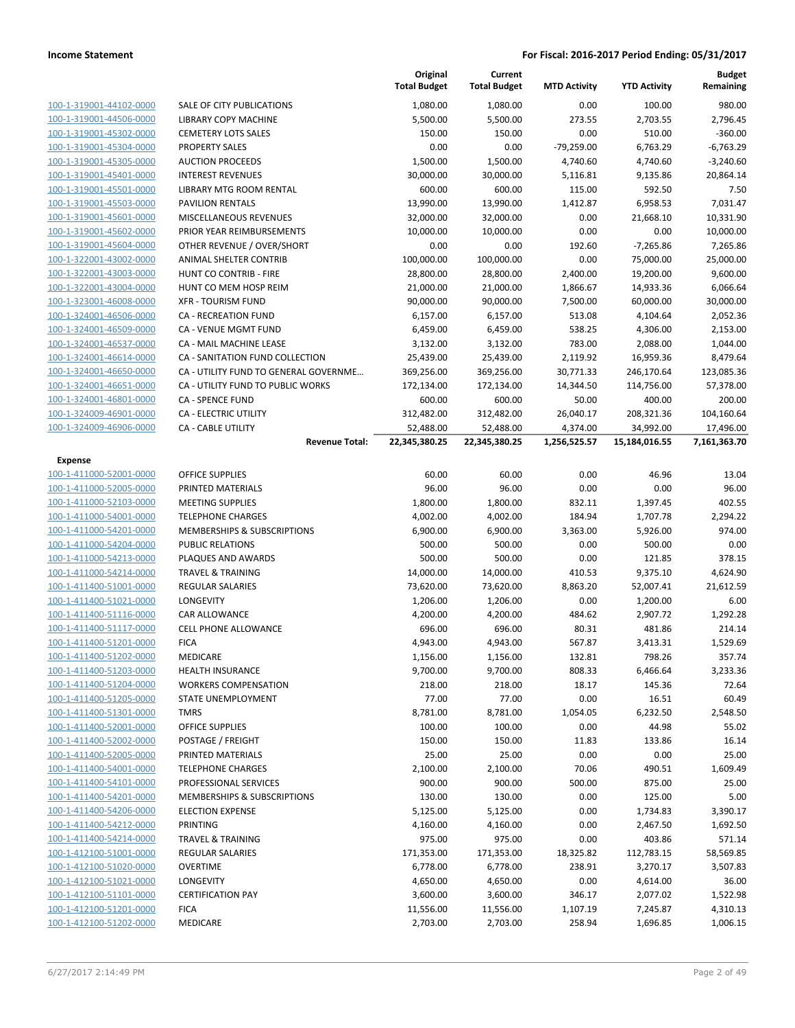|                         |                                        | Original<br><b>Total Budget</b> | Current<br><b>Total Budget</b> | <b>MTD Activity</b> | <b>YTD Activity</b> | <b>Budget</b><br>Remaining |
|-------------------------|----------------------------------------|---------------------------------|--------------------------------|---------------------|---------------------|----------------------------|
| 100-1-319001-44102-0000 | <b>SALE OF CITY PUBLICATIONS</b>       | 1,080.00                        | 1,080.00                       | 0.00                | 100.00              | 980.00                     |
| 100-1-319001-44506-0000 | LIBRARY COPY MACHINE                   | 5,500.00                        | 5,500.00                       | 273.55              | 2,703.55            | 2,796.45                   |
| 100-1-319001-45302-0000 | <b>CEMETERY LOTS SALES</b>             | 150.00                          | 150.00                         | 0.00                | 510.00              | $-360.00$                  |
| 100-1-319001-45304-0000 | <b>PROPERTY SALES</b>                  | 0.00                            | 0.00                           | $-79,259.00$        | 6,763.29            | $-6,763.29$                |
| 100-1-319001-45305-0000 | <b>AUCTION PROCEEDS</b>                | 1,500.00                        | 1,500.00                       | 4,740.60            | 4,740.60            | $-3,240.60$                |
| 100-1-319001-45401-0000 | <b>INTEREST REVENUES</b>               | 30,000.00                       | 30,000.00                      | 5,116.81            | 9,135.86            | 20,864.14                  |
| 100-1-319001-45501-0000 | LIBRARY MTG ROOM RENTAL                | 600.00                          | 600.00                         | 115.00              | 592.50              | 7.50                       |
| 100-1-319001-45503-0000 | <b>PAVILION RENTALS</b>                | 13,990.00                       | 13,990.00                      | 1,412.87            | 6,958.53            | 7,031.47                   |
| 100-1-319001-45601-0000 | MISCELLANEOUS REVENUES                 | 32,000.00                       | 32,000.00                      | 0.00                | 21,668.10           | 10,331.90                  |
| 100-1-319001-45602-0000 | PRIOR YEAR REIMBURSEMENTS              | 10,000.00                       | 10,000.00                      | 0.00                | 0.00                | 10,000.00                  |
| 100-1-319001-45604-0000 | OTHER REVENUE / OVER/SHORT             | 0.00                            | 0.00                           | 192.60              | $-7,265.86$         | 7,265.86                   |
| 100-1-322001-43002-0000 | ANIMAL SHELTER CONTRIB                 | 100,000.00                      | 100,000.00                     | 0.00                | 75,000.00           | 25,000.00                  |
| 100-1-322001-43003-0000 | HUNT CO CONTRIB - FIRE                 | 28,800.00                       | 28,800.00                      | 2,400.00            | 19,200.00           | 9,600.00                   |
| 100-1-322001-43004-0000 | HUNT CO MEM HOSP REIM                  | 21,000.00                       | 21,000.00                      | 1,866.67            | 14,933.36           | 6,066.64                   |
| 100-1-323001-46008-0000 | <b>XFR - TOURISM FUND</b>              | 90,000.00                       | 90,000.00                      | 7,500.00            | 60,000.00           | 30,000.00                  |
| 100-1-324001-46506-0000 | <b>CA - RECREATION FUND</b>            | 6,157.00                        | 6,157.00                       | 513.08              | 4,104.64            | 2,052.36                   |
| 100-1-324001-46509-0000 | <b>CA - VENUE MGMT FUND</b>            | 6,459.00                        | 6,459.00                       | 538.25              | 4,306.00            | 2,153.00                   |
| 100-1-324001-46537-0000 | CA - MAIL MACHINE LEASE                | 3,132.00                        | 3,132.00                       | 783.00              | 2,088.00            | 1,044.00                   |
| 100-1-324001-46614-0000 | CA - SANITATION FUND COLLECTION        | 25,439.00                       | 25,439.00                      | 2,119.92            | 16,959.36           | 8,479.64                   |
| 100-1-324001-46650-0000 | CA - UTILITY FUND TO GENERAL GOVERNME  | 369,256.00                      | 369,256.00                     | 30,771.33           | 246,170.64          | 123,085.36                 |
| 100-1-324001-46651-0000 | CA - UTILITY FUND TO PUBLIC WORKS      | 172,134.00                      | 172,134.00                     | 14,344.50           | 114,756.00          | 57,378.00                  |
| 100-1-324001-46801-0000 | <b>CA - SPENCE FUND</b>                | 600.00                          | 600.00                         | 50.00               | 400.00              | 200.00                     |
| 100-1-324009-46901-0000 | CA - ELECTRIC UTILITY                  | 312,482.00                      | 312,482.00                     | 26,040.17           | 208,321.36          | 104,160.64                 |
| 100-1-324009-46906-0000 | <b>CA - CABLE UTILITY</b>              | 52,488.00                       | 52,488.00                      | 4,374.00            | 34,992.00           | 17,496.00                  |
|                         | <b>Revenue Total:</b>                  | 22,345,380.25                   | 22,345,380.25                  | 1,256,525.57        | 15,184,016.55       | 7,161,363.70               |
| <b>Expense</b>          |                                        |                                 |                                |                     |                     |                            |
| 100-1-411000-52001-0000 | <b>OFFICE SUPPLIES</b>                 | 60.00                           | 60.00                          | 0.00                | 46.96               | 13.04                      |
| 100-1-411000-52005-0000 | PRINTED MATERIALS                      | 96.00                           | 96.00                          | 0.00                | 0.00                | 96.00                      |
| 100-1-411000-52103-0000 | <b>MEETING SUPPLIES</b>                | 1,800.00                        | 1,800.00                       | 832.11              | 1,397.45            | 402.55                     |
| 100-1-411000-54001-0000 | <b>TELEPHONE CHARGES</b>               | 4,002.00                        | 4,002.00                       | 184.94              | 1,707.78            | 2,294.22                   |
| 100-1-411000-54201-0000 | MEMBERSHIPS & SUBSCRIPTIONS            | 6,900.00                        | 6,900.00                       | 3,363.00            | 5,926.00            | 974.00                     |
| 100-1-411000-54204-0000 | <b>PUBLIC RELATIONS</b>                | 500.00                          | 500.00                         | 0.00                | 500.00              | 0.00                       |
| 100-1-411000-54213-0000 | PLAQUES AND AWARDS                     | 500.00                          | 500.00                         | 0.00                | 121.85              | 378.15                     |
| 100-1-411000-54214-0000 | <b>TRAVEL &amp; TRAINING</b>           | 14,000.00                       | 14,000.00                      | 410.53              | 9,375.10            | 4,624.90                   |
| 100-1-411400-51001-0000 | REGULAR SALARIES                       | 73,620.00                       | 73,620.00                      | 8,863.20            | 52,007.41           | 21,612.59                  |
| 100-1-411400-51021-0000 | LONGEVITY                              | 1,206.00                        | 1,206.00                       | 0.00                | 1,200.00            | 6.00                       |
| 100-1-411400-51116-0000 | <b>CAR ALLOWANCE</b>                   | 4,200.00                        | 4,200.00                       | 484.62              | 2,907.72            | 1,292.28                   |
| 100-1-411400-51117-0000 | <b>CELL PHONE ALLOWANCE</b>            | 696.00                          | 696.00                         | 80.31               | 481.86              | 214.14                     |
| 100-1-411400-51201-0000 | <b>FICA</b>                            | 4,943.00                        | 4,943.00                       | 567.87              | 3,413.31            | 1,529.69                   |
| 100-1-411400-51202-0000 | MEDICARE                               | 1,156.00                        | 1,156.00                       | 132.81              | 798.26              | 357.74                     |
| 100-1-411400-51203-0000 | <b>HEALTH INSURANCE</b>                | 9,700.00                        | 9,700.00                       | 808.33              | 6,466.64            | 3,233.36                   |
| 100-1-411400-51204-0000 | <b>WORKERS COMPENSATION</b>            | 218.00                          | 218.00                         | 18.17               | 145.36              | 72.64                      |
| 100-1-411400-51205-0000 | STATE UNEMPLOYMENT                     | 77.00                           | 77.00                          | 0.00                | 16.51               | 60.49                      |
| 100-1-411400-51301-0000 | <b>TMRS</b>                            | 8,781.00                        | 8,781.00                       | 1,054.05            | 6,232.50            | 2,548.50                   |
| 100-1-411400-52001-0000 | <b>OFFICE SUPPLIES</b>                 | 100.00                          | 100.00                         | 0.00                | 44.98               | 55.02                      |
| 100-1-411400-52002-0000 | POSTAGE / FREIGHT                      | 150.00                          | 150.00                         | 11.83               | 133.86              | 16.14                      |
| 100-1-411400-52005-0000 | PRINTED MATERIALS                      | 25.00                           | 25.00                          | 0.00                | 0.00                | 25.00                      |
| 100-1-411400-54001-0000 | <b>TELEPHONE CHARGES</b>               | 2,100.00                        | 2,100.00                       | 70.06               | 490.51              | 1,609.49                   |
| 100-1-411400-54101-0000 | PROFESSIONAL SERVICES                  | 900.00                          | 900.00                         | 500.00              | 875.00              | 25.00                      |
| 100-1-411400-54201-0000 | <b>MEMBERSHIPS &amp; SUBSCRIPTIONS</b> | 130.00                          | 130.00                         | 0.00                | 125.00              | 5.00                       |
| 100-1-411400-54206-0000 | <b>ELECTION EXPENSE</b>                | 5,125.00                        | 5,125.00                       | 0.00                | 1,734.83            | 3,390.17                   |
| 100-1-411400-54212-0000 | <b>PRINTING</b>                        | 4,160.00                        | 4,160.00                       | 0.00                | 2,467.50            | 1,692.50                   |
| 100-1-411400-54214-0000 | <b>TRAVEL &amp; TRAINING</b>           | 975.00                          | 975.00                         | 0.00                | 403.86              | 571.14                     |
| 100-1-412100-51001-0000 | <b>REGULAR SALARIES</b>                | 171,353.00                      | 171,353.00                     | 18,325.82           | 112,783.15          | 58,569.85                  |
| 100-1-412100-51020-0000 | <b>OVERTIME</b>                        | 6,778.00                        | 6,778.00                       | 238.91              | 3,270.17            | 3,507.83                   |
| 100-1-412100-51021-0000 | LONGEVITY                              | 4,650.00                        | 4,650.00                       | 0.00                | 4,614.00            | 36.00                      |
| 100-1-412100-51101-0000 | <b>CERTIFICATION PAY</b>               | 3,600.00                        | 3,600.00                       | 346.17              | 2,077.02            | 1,522.98                   |
| 100-1-412100-51201-0000 | <b>FICA</b>                            | 11,556.00                       | 11,556.00                      | 1,107.19            | 7,245.87            | 4,310.13                   |
| 100-1-412100-51202-0000 | MEDICARE                               | 2,703.00                        | 2,703.00                       | 258.94              | 1,696.85            | 1,006.15                   |
|                         |                                        |                                 |                                |                     |                     |                            |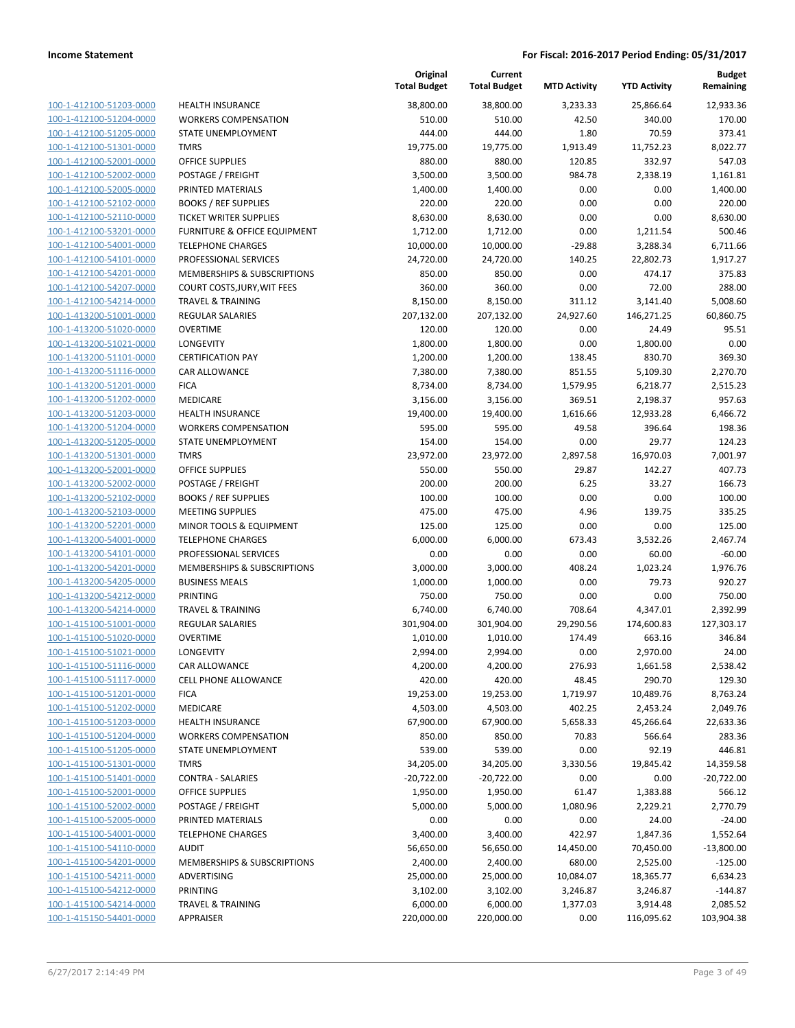| 100-1-412100-51203-0000        |
|--------------------------------|
| 100-1-412100-51204-0000        |
| 100-1-412100-51205-0000        |
| 100-1-412100-51301-0000        |
| 100-1-412100-52001-0000        |
| 100-1-412100-52002-0000        |
| 100-1-412100-52005-0000        |
| 100-1-412100-52102-0000        |
| 100-1-412100-52110-0000        |
| 100-1-412100-53201-0000        |
| 100-1-412100-54001-0000        |
| 100-1-412100-54101-0000        |
| 100-1-412100-54201-0000        |
| 100-1-412100-54207-0000        |
| 100-1-412100-54214-0000        |
| 100-1-413200-51001-0000        |
| 100-1-413200-51020-0000        |
| 100-1-413200-51021-0000        |
| 100-1-413200-51101-0000        |
| 100-1-413200-51116-0000        |
| 100-1-413200-51201-0000        |
| 100-1-413200-51202-0000        |
| 100-1-413200-51203-0000        |
| 100-1-413200-51204-0000        |
| 100-1-413200-51205-0000        |
| 100-1-413200-51301-0000        |
| 100-1-413200-52001-0000        |
| 100-1-413200-52002-0000        |
| 100-1-413200-52102-0000        |
|                                |
| 100-1-413200-52103-0000        |
| 100-1-413200-52201-0000        |
| 100-1-413200-54001-0000        |
| 100-1-413200-54101-0000        |
| 100-1-413200-54201-0000        |
| 100-1-413200-54205-0000        |
| 100-1-413200-54212-0000        |
| 100-1-413200-54214-0000        |
| 100-1-415100-51001-0000        |
| 100-1-415100-51020-0000        |
| 100-1-415100-51021-0000        |
| 100-1-415100-51116-0000        |
| <u>100-1-415100-51117-0000</u> |
| <u>100-1-415100-51201-0000</u> |
| 100-1-415100-51202-0000        |
| 100-1-415100-51203-0000        |
| 100-1-415100-51204-0000        |
| <u>100-1-415100-51205-0000</u> |
| 100-1-415100-51301-0000        |
| 100-1-415100-51401-0000        |
| <u>100-1-415100-52001-0000</u> |
| <u>100-1-415100-52002-0000</u> |
| <u>100-1-415100-52005-0000</u> |
| <u>100-1-415100-54001-0000</u> |
| 100-1-415100-54110-0000        |
| 100-1-415100-54201-0000        |
| <u>100-1-415100-54211-0000</u> |
| <u>100-1-415100-54212-0000</u> |
| <u>100-1-415100-54214-0000</u> |
| 100-1-415150-54401-0000        |
|                                |

|                         |                              | Original<br><b>Total Budget</b> | Current<br><b>Total Budget</b> | <b>MTD Activity</b> | <b>YTD Activity</b> | <b>Budget</b><br>Remaining |
|-------------------------|------------------------------|---------------------------------|--------------------------------|---------------------|---------------------|----------------------------|
| 100-1-412100-51203-0000 | <b>HEALTH INSURANCE</b>      | 38,800.00                       | 38,800.00                      | 3,233.33            | 25,866.64           | 12,933.36                  |
| 100-1-412100-51204-0000 | <b>WORKERS COMPENSATION</b>  | 510.00                          | 510.00                         | 42.50               | 340.00              | 170.00                     |
| 100-1-412100-51205-0000 | STATE UNEMPLOYMENT           | 444.00                          | 444.00                         | 1.80                | 70.59               | 373.41                     |
| 100-1-412100-51301-0000 | <b>TMRS</b>                  | 19,775.00                       | 19,775.00                      | 1,913.49            | 11,752.23           | 8,022.77                   |
| 100-1-412100-52001-0000 | <b>OFFICE SUPPLIES</b>       | 880.00                          | 880.00                         | 120.85              | 332.97              | 547.03                     |
| 100-1-412100-52002-0000 | POSTAGE / FREIGHT            | 3,500.00                        | 3,500.00                       | 984.78              | 2,338.19            | 1,161.81                   |
| 100-1-412100-52005-0000 | PRINTED MATERIALS            | 1,400.00                        | 1,400.00                       | 0.00                | 0.00                | 1,400.00                   |
| 100-1-412100-52102-0000 | <b>BOOKS / REF SUPPLIES</b>  | 220.00                          | 220.00                         | 0.00                | 0.00                | 220.00                     |
| 100-1-412100-52110-0000 | TICKET WRITER SUPPLIES       | 8,630.00                        | 8,630.00                       | 0.00                | 0.00                | 8,630.00                   |
| 100-1-412100-53201-0000 | FURNITURE & OFFICE EQUIPMENT | 1,712.00                        | 1,712.00                       | 0.00                | 1,211.54            | 500.46                     |
| 100-1-412100-54001-0000 | <b>TELEPHONE CHARGES</b>     | 10,000.00                       | 10,000.00                      | $-29.88$            | 3,288.34            | 6,711.66                   |
| 100-1-412100-54101-0000 | PROFESSIONAL SERVICES        | 24,720.00                       | 24,720.00                      | 140.25              | 22,802.73           | 1,917.27                   |
| 100-1-412100-54201-0000 | MEMBERSHIPS & SUBSCRIPTIONS  | 850.00                          | 850.00                         | 0.00                | 474.17              | 375.83                     |
| 100-1-412100-54207-0000 | COURT COSTS, JURY, WIT FEES  | 360.00                          | 360.00                         | 0.00                | 72.00               | 288.00                     |
| 100-1-412100-54214-0000 | TRAVEL & TRAINING            | 8,150.00                        | 8,150.00                       | 311.12              | 3,141.40            | 5,008.60                   |
| 100-1-413200-51001-0000 | REGULAR SALARIES             | 207,132.00                      | 207,132.00                     | 24,927.60           | 146,271.25          | 60,860.75                  |
| 100-1-413200-51020-0000 | <b>OVERTIME</b>              | 120.00                          | 120.00                         | 0.00                | 24.49               | 95.51                      |
| 100-1-413200-51021-0000 | LONGEVITY                    | 1,800.00                        | 1,800.00                       | 0.00                | 1,800.00            | 0.00                       |
| 100-1-413200-51101-0000 | <b>CERTIFICATION PAY</b>     | 1,200.00                        | 1,200.00                       | 138.45              | 830.70              | 369.30                     |
| 100-1-413200-51116-0000 | CAR ALLOWANCE                | 7,380.00                        | 7,380.00                       | 851.55              | 5,109.30            | 2,270.70                   |
| 100-1-413200-51201-0000 | <b>FICA</b>                  | 8,734.00                        | 8,734.00                       | 1,579.95            | 6,218.77            | 2,515.23                   |
| 100-1-413200-51202-0000 | MEDICARE                     | 3,156.00                        | 3,156.00                       | 369.51              | 2,198.37            | 957.63                     |
| 100-1-413200-51203-0000 | <b>HEALTH INSURANCE</b>      | 19,400.00                       | 19,400.00                      | 1,616.66            | 12,933.28           | 6,466.72                   |
| 100-1-413200-51204-0000 | <b>WORKERS COMPENSATION</b>  | 595.00                          | 595.00                         | 49.58               | 396.64              | 198.36                     |
| 100-1-413200-51205-0000 | <b>STATE UNEMPLOYMENT</b>    | 154.00                          | 154.00                         | 0.00                | 29.77               | 124.23                     |
| 100-1-413200-51301-0000 | <b>TMRS</b>                  | 23,972.00                       | 23,972.00                      | 2,897.58            | 16,970.03           | 7,001.97                   |
| 100-1-413200-52001-0000 | <b>OFFICE SUPPLIES</b>       | 550.00                          | 550.00                         | 29.87               | 142.27              | 407.73                     |
| 100-1-413200-52002-0000 | POSTAGE / FREIGHT            | 200.00                          | 200.00                         | 6.25                | 33.27               | 166.73                     |
| 100-1-413200-52102-0000 | <b>BOOKS / REF SUPPLIES</b>  | 100.00                          | 100.00                         | 0.00                | 0.00                | 100.00                     |
| 100-1-413200-52103-0000 | <b>MEETING SUPPLIES</b>      | 475.00                          | 475.00                         | 4.96                | 139.75              | 335.25                     |
| 100-1-413200-52201-0000 | MINOR TOOLS & EQUIPMENT      | 125.00                          | 125.00                         | 0.00                | 0.00                | 125.00                     |
| 100-1-413200-54001-0000 | <b>TELEPHONE CHARGES</b>     | 6,000.00                        | 6,000.00                       | 673.43              | 3,532.26            | 2,467.74                   |
| 100-1-413200-54101-0000 | PROFESSIONAL SERVICES        | 0.00                            | 0.00                           | 0.00                | 60.00               | $-60.00$                   |
| 100-1-413200-54201-0000 | MEMBERSHIPS & SUBSCRIPTIONS  | 3,000.00                        | 3,000.00                       | 408.24              | 1,023.24            | 1,976.76                   |
| 100-1-413200-54205-0000 | <b>BUSINESS MEALS</b>        | 1,000.00                        | 1,000.00                       | 0.00                | 79.73               | 920.27                     |
| 100-1-413200-54212-0000 | <b>PRINTING</b>              | 750.00                          | 750.00                         | 0.00                | 0.00                | 750.00                     |
| 100-1-413200-54214-0000 | <b>TRAVEL &amp; TRAINING</b> | 6,740.00                        | 6,740.00                       | 708.64              | 4,347.01            | 2,392.99                   |
| 100-1-415100-51001-0000 | REGULAR SALARIES             | 301,904.00                      | 301,904.00                     | 29,290.56           | 174,600.83          | 127,303.17                 |
| 100-1-415100-51020-0000 | <b>OVERTIME</b>              | 1,010.00                        | 1,010.00                       | 174.49              | 663.16              | 346.84                     |
| 100-1-415100-51021-0000 | <b>LONGEVITY</b>             | 2,994.00                        | 2,994.00                       | 0.00                | 2,970.00            | 24.00                      |
| 100-1-415100-51116-0000 | CAR ALLOWANCE                | 4,200.00                        | 4,200.00                       | 276.93              | 1,661.58            | 2,538.42                   |
| 100-1-415100-51117-0000 | <b>CELL PHONE ALLOWANCE</b>  | 420.00                          | 420.00                         | 48.45               | 290.70              | 129.30                     |
| 100-1-415100-51201-0000 | <b>FICA</b>                  | 19,253.00                       | 19,253.00                      | 1,719.97            | 10,489.76           | 8,763.24                   |
| 100-1-415100-51202-0000 | MEDICARE                     | 4,503.00                        | 4,503.00                       | 402.25              | 2,453.24            | 2,049.76                   |
| 100-1-415100-51203-0000 | HEALTH INSURANCE             | 67,900.00                       | 67,900.00                      | 5,658.33            | 45,266.64           | 22,633.36                  |
| 100-1-415100-51204-0000 | <b>WORKERS COMPENSATION</b>  | 850.00                          | 850.00                         | 70.83               | 566.64              | 283.36                     |
| 100-1-415100-51205-0000 | <b>STATE UNEMPLOYMENT</b>    | 539.00                          | 539.00                         | 0.00                | 92.19               | 446.81                     |
| 100-1-415100-51301-0000 | <b>TMRS</b>                  | 34,205.00                       | 34,205.00                      | 3,330.56            | 19,845.42           | 14,359.58                  |
| 100-1-415100-51401-0000 | <b>CONTRA - SALARIES</b>     | $-20,722.00$                    | $-20,722.00$                   | 0.00                | 0.00                | $-20,722.00$               |
| 100-1-415100-52001-0000 | <b>OFFICE SUPPLIES</b>       | 1,950.00                        | 1,950.00                       | 61.47               | 1,383.88            | 566.12                     |
| 100-1-415100-52002-0000 | POSTAGE / FREIGHT            | 5,000.00                        | 5,000.00                       | 1,080.96            | 2,229.21            | 2,770.79                   |
| 100-1-415100-52005-0000 | PRINTED MATERIALS            | 0.00                            | 0.00                           | 0.00                | 24.00               | $-24.00$                   |
| 100-1-415100-54001-0000 | <b>TELEPHONE CHARGES</b>     | 3,400.00                        | 3,400.00                       | 422.97              | 1,847.36            | 1,552.64                   |
| 100-1-415100-54110-0000 | <b>AUDIT</b>                 | 56,650.00                       | 56,650.00                      | 14,450.00           | 70,450.00           | $-13,800.00$               |
| 100-1-415100-54201-0000 | MEMBERSHIPS & SUBSCRIPTIONS  | 2,400.00                        | 2,400.00                       | 680.00              | 2,525.00            | $-125.00$                  |
| 100-1-415100-54211-0000 | ADVERTISING                  | 25,000.00                       | 25,000.00                      | 10,084.07           | 18,365.77           | 6,634.23                   |
| 100-1-415100-54212-0000 | PRINTING                     | 3,102.00                        | 3,102.00                       | 3,246.87            | 3,246.87            | $-144.87$                  |
| 100-1-415100-54214-0000 | <b>TRAVEL &amp; TRAINING</b> | 6,000.00                        | 6,000.00                       | 1,377.03            | 3,914.48            | 2,085.52                   |
| 100-1-415150-54401-0000 | APPRAISER                    | 220,000.00                      | 220,000.00                     | 0.00                | 116,095.62          | 103,904.38                 |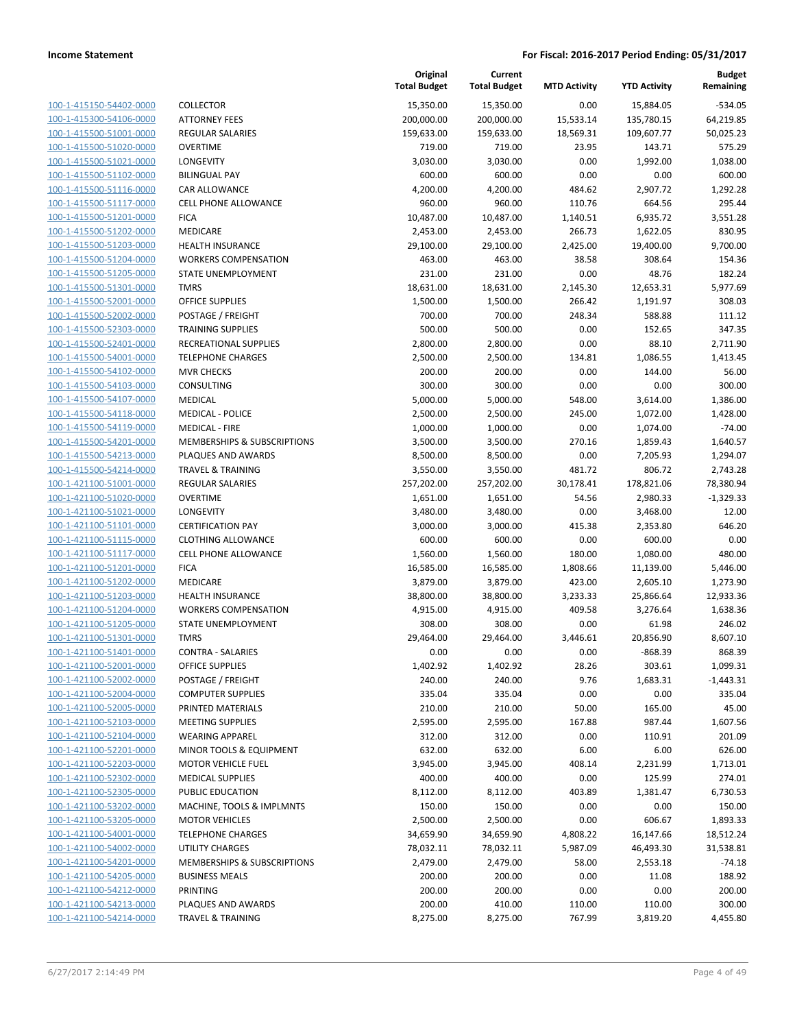| 100-1-415150-54402-0000                                          |
|------------------------------------------------------------------|
| 100-1-415300-54106-0000                                          |
| 100-1-415500-51001-0000                                          |
| <u>100-1-415500-51020-0000</u>                                   |
| 100-1-415500-51021-0000                                          |
| -415500-51102-0000<br>$100 - 1$                                  |
| 100-1-415500-51116-0000                                          |
| 100-1-415500-51117-0000                                          |
| <u>100-1-415500-51201-0000</u>                                   |
| 100-1-415500-51202-0000                                          |
| -415500-51203-0000<br>$100 - 1$                                  |
| 100-1-415500-51204-0000                                          |
|                                                                  |
| 100-1-415500-51205-0000                                          |
| <u>100-1-415500-51301-0000</u>                                   |
| 100-1-415500-52001-0000                                          |
| $100 - 1$<br>-415500-52002-0000                                  |
| 100-1-415500-52303-0000                                          |
| 100-1-415500-52401-0000                                          |
| <u>100-1-415500-54001-0000</u>                                   |
| 100-1-415500-54102-0000                                          |
| $100 - 1$<br>-415500-54103-0000                                  |
| 100-1-415500-54107-0000                                          |
| <u>100-1-415500-54118-0000</u>                                   |
| <u>100-1-415500-54119-0000</u>                                   |
| 100-1-415500-54201-0000                                          |
| $100 - 1$<br>-415500-54213-0000                                  |
| 100-1-415500-54214-0000                                          |
|                                                                  |
| <u>100-1-421100-51001-0000</u>                                   |
| <u>100-1-421100-51020-0000</u>                                   |
| 100-1-421100-51021-0000                                          |
| -421100-51101-0000<br>$100 - 1$                                  |
| 100-1-421100-51115-0000                                          |
| 100-1-421100-51117-0000                                          |
| <u>100-1-421100-51201-0000</u>                                   |
| 100-1-421100-51202-0000                                          |
| -421100-51203-0000<br>$100 - 1$                                  |
| 100-1-421100-51204-0000                                          |
| 100-1-421100-51205-0000                                          |
| 100-1-421100-51301-0000                                          |
| 100-1-421100-51401-0000                                          |
| -421100-52001-0000<br>$100 - 1$                                  |
| <u>100-1-421100-52002-0000</u>                                   |
| <u>100-1-421100-52004-0000</u>                                   |
| 100-1-421100-52005-0000                                          |
|                                                                  |
| 100-1-421100-52103-0000                                          |
| 100-1-421100-52104-0000                                          |
|                                                                  |
| <u>100-1-421100-52201-0000</u>                                   |
| 100-1-421100-52203-0000                                          |
| <u>100-1-421100-52302-0000</u>                                   |
| 100-1-421100-52305-0000                                          |
| 100-1-421100-53202-0000                                          |
| 100-1-421100-53205-0000                                          |
| <u>100-1-421100-54001-0000</u>                                   |
| <u>100-1-421100-54002-0000</u>                                   |
| <u>100-1-421100-54201-0000</u>                                   |
| <u>100-1-421100-54205-0000</u>                                   |
|                                                                  |
| 100-1-421100-54212-0000                                          |
| <u>100-1-421100-54213-0000</u><br><u>100-1-421100-54214-0000</u> |

|                                                    |                                                      | Original<br><b>Total Budget</b> | Current<br><b>Total Budget</b> | <b>MTD Activity</b> | <b>YTD Activity</b> | <b>Budget</b><br>Remaining |
|----------------------------------------------------|------------------------------------------------------|---------------------------------|--------------------------------|---------------------|---------------------|----------------------------|
| 100-1-415150-54402-0000                            | <b>COLLECTOR</b>                                     | 15,350.00                       | 15,350.00                      | 0.00                | 15,884.05           | $-534.05$                  |
| 100-1-415300-54106-0000                            | <b>ATTORNEY FEES</b>                                 | 200,000.00                      | 200,000.00                     | 15,533.14           | 135,780.15          | 64,219.85                  |
| 100-1-415500-51001-0000                            | <b>REGULAR SALARIES</b>                              | 159,633.00                      | 159,633.00                     | 18,569.31           | 109,607.77          | 50,025.23                  |
| 100-1-415500-51020-0000                            | <b>OVERTIME</b>                                      | 719.00                          | 719.00                         | 23.95               | 143.71              | 575.29                     |
| 100-1-415500-51021-0000                            | LONGEVITY                                            | 3,030.00                        | 3,030.00                       | 0.00                | 1,992.00            | 1,038.00                   |
| 100-1-415500-51102-0000                            | <b>BILINGUAL PAY</b>                                 | 600.00                          | 600.00                         | 0.00                | 0.00                | 600.00                     |
| 100-1-415500-51116-0000                            | CAR ALLOWANCE                                        | 4,200.00                        | 4,200.00                       | 484.62              | 2,907.72            | 1,292.28                   |
| 100-1-415500-51117-0000                            | <b>CELL PHONE ALLOWANCE</b>                          | 960.00                          | 960.00                         | 110.76              | 664.56              | 295.44                     |
| 100-1-415500-51201-0000                            | <b>FICA</b>                                          | 10,487.00                       | 10,487.00                      | 1,140.51            | 6,935.72            | 3,551.28                   |
| 100-1-415500-51202-0000                            | MEDICARE                                             | 2,453.00                        | 2,453.00                       | 266.73              | 1,622.05            | 830.95                     |
| 100-1-415500-51203-0000                            | <b>HEALTH INSURANCE</b>                              | 29,100.00                       | 29,100.00                      | 2,425.00            | 19,400.00           | 9,700.00                   |
| 100-1-415500-51204-0000                            | <b>WORKERS COMPENSATION</b>                          | 463.00                          | 463.00                         | 38.58               | 308.64              | 154.36                     |
| 100-1-415500-51205-0000                            | STATE UNEMPLOYMENT                                   | 231.00                          | 231.00                         | 0.00                | 48.76               | 182.24                     |
| 100-1-415500-51301-0000                            | <b>TMRS</b>                                          | 18,631.00                       | 18,631.00                      | 2,145.30            | 12,653.31           | 5,977.69                   |
| 100-1-415500-52001-0000                            | <b>OFFICE SUPPLIES</b>                               | 1,500.00                        | 1,500.00                       | 266.42              | 1,191.97            | 308.03                     |
| 100-1-415500-52002-0000                            | POSTAGE / FREIGHT                                    | 700.00                          | 700.00                         | 248.34              | 588.88              | 111.12                     |
| 100-1-415500-52303-0000                            | <b>TRAINING SUPPLIES</b>                             | 500.00                          | 500.00                         | 0.00                | 152.65              | 347.35                     |
| 100-1-415500-52401-0000                            | RECREATIONAL SUPPLIES                                | 2,800.00                        | 2,800.00                       | 0.00                | 88.10               | 2,711.90                   |
| 100-1-415500-54001-0000                            | <b>TELEPHONE CHARGES</b>                             | 2,500.00                        | 2,500.00                       | 134.81              | 1,086.55            | 1,413.45                   |
| 100-1-415500-54102-0000                            | <b>MVR CHECKS</b>                                    | 200.00                          | 200.00                         | 0.00                | 144.00              | 56.00                      |
| 100-1-415500-54103-0000                            | CONSULTING                                           | 300.00                          | 300.00                         | 0.00                | 0.00                | 300.00                     |
| 100-1-415500-54107-0000                            | MEDICAL                                              | 5,000.00                        | 5,000.00                       | 548.00              | 3,614.00            | 1,386.00                   |
| 100-1-415500-54118-0000                            | <b>MEDICAL - POLICE</b>                              | 2,500.00                        | 2,500.00                       | 245.00              | 1,072.00            | 1,428.00                   |
| 100-1-415500-54119-0000                            | <b>MEDICAL - FIRE</b>                                | 1,000.00                        | 1,000.00                       | 0.00                | 1,074.00            | $-74.00$                   |
| 100-1-415500-54201-0000                            | MEMBERSHIPS & SUBSCRIPTIONS                          | 3,500.00                        | 3,500.00                       | 270.16              | 1,859.43            | 1,640.57                   |
| 100-1-415500-54213-0000                            | PLAQUES AND AWARDS                                   | 8,500.00                        | 8,500.00                       | 0.00                | 7,205.93            | 1,294.07                   |
| 100-1-415500-54214-0000                            | <b>TRAVEL &amp; TRAINING</b>                         | 3,550.00                        | 3,550.00                       | 481.72              | 806.72              | 2,743.28                   |
| 100-1-421100-51001-0000                            | <b>REGULAR SALARIES</b>                              | 257,202.00                      | 257,202.00                     | 30,178.41           | 178,821.06          | 78,380.94                  |
| 100-1-421100-51020-0000                            | <b>OVERTIME</b>                                      | 1,651.00                        | 1,651.00                       | 54.56               | 2,980.33            | $-1,329.33$                |
| 100-1-421100-51021-0000                            | <b>LONGEVITY</b>                                     | 3,480.00                        | 3,480.00                       | 0.00                | 3,468.00            | 12.00                      |
| 100-1-421100-51101-0000                            | <b>CERTIFICATION PAY</b>                             | 3,000.00                        | 3,000.00                       | 415.38              | 2,353.80            | 646.20                     |
| 100-1-421100-51115-0000                            | <b>CLOTHING ALLOWANCE</b>                            | 600.00                          | 600.00                         | 0.00                | 600.00              | 0.00                       |
| 100-1-421100-51117-0000                            | <b>CELL PHONE ALLOWANCE</b>                          | 1,560.00                        | 1,560.00                       | 180.00              | 1,080.00            | 480.00                     |
| 100-1-421100-51201-0000                            | <b>FICA</b>                                          | 16,585.00                       | 16,585.00                      | 1,808.66            | 11,139.00           | 5,446.00                   |
| 100-1-421100-51202-0000                            | MEDICARE                                             | 3,879.00                        | 3,879.00                       | 423.00              | 2,605.10            | 1,273.90                   |
| 100-1-421100-51203-0000                            | <b>HEALTH INSURANCE</b>                              | 38,800.00                       | 38,800.00                      | 3,233.33            | 25,866.64           | 12,933.36                  |
| 100-1-421100-51204-0000                            | <b>WORKERS COMPENSATION</b>                          | 4,915.00                        | 4,915.00                       | 409.58              | 3,276.64            | 1,638.36                   |
| 100-1-421100-51205-0000                            | STATE UNEMPLOYMENT                                   | 308.00                          | 308.00                         | 0.00                | 61.98               | 246.02                     |
| 100-1-421100-51301-0000                            | <b>TMRS</b>                                          | 29,464.00                       | 29,464.00                      | 3,446.61            | 20,856.90           | 8,607.10                   |
| 100-1-421100-51401-0000                            | <b>CONTRA - SALARIES</b>                             | 0.00                            | 0.00                           | 0.00                | -868.39             | 868.39                     |
| 100-1-421100-52001-0000                            | <b>OFFICE SUPPLIES</b>                               | 1,402.92                        | 1,402.92                       | 28.26               | 303.61              | 1,099.31                   |
| 100-1-421100-52002-0000                            | POSTAGE / FREIGHT                                    | 240.00                          | 240.00                         | 9.76                | 1,683.31            | $-1,443.31$                |
| 100-1-421100-52004-0000                            | <b>COMPUTER SUPPLIES</b>                             | 335.04                          | 335.04                         | 0.00                | 0.00                | 335.04                     |
| 100-1-421100-52005-0000                            | PRINTED MATERIALS                                    | 210.00                          | 210.00                         | 50.00               | 165.00              | 45.00                      |
| 100-1-421100-52103-0000                            | MEETING SUPPLIES                                     | 2,595.00                        | 2,595.00                       | 167.88              | 987.44              | 1,607.56                   |
| 100-1-421100-52104-0000                            | <b>WEARING APPAREL</b>                               | 312.00                          | 312.00                         | 0.00                | 110.91              | 201.09                     |
| 100-1-421100-52201-0000                            | MINOR TOOLS & EQUIPMENT                              | 632.00                          | 632.00                         | 6.00                | 6.00                | 626.00                     |
| 100-1-421100-52203-0000                            | <b>MOTOR VEHICLE FUEL</b>                            | 3,945.00                        | 3,945.00                       | 408.14              | 2,231.99            | 1,713.01                   |
| 100-1-421100-52302-0000                            | <b>MEDICAL SUPPLIES</b>                              | 400.00                          | 400.00                         | 0.00                | 125.99              | 274.01                     |
| 100-1-421100-52305-0000                            | PUBLIC EDUCATION                                     | 8,112.00                        | 8,112.00                       | 403.89              | 1,381.47            | 6,730.53                   |
| 100-1-421100-53202-0000                            | MACHINE, TOOLS & IMPLMNTS                            | 150.00                          | 150.00                         | 0.00                | 0.00                | 150.00                     |
| 100-1-421100-53205-0000                            | <b>MOTOR VEHICLES</b>                                | 2,500.00                        | 2,500.00                       | 0.00                | 606.67              | 1,893.33                   |
| 100-1-421100-54001-0000                            | <b>TELEPHONE CHARGES</b>                             | 34,659.90                       | 34,659.90                      | 4,808.22            | 16,147.66           | 18,512.24                  |
| 100-1-421100-54002-0000                            | UTILITY CHARGES                                      | 78,032.11                       | 78,032.11                      | 5,987.09            | 46,493.30           | 31,538.81<br>$-74.18$      |
| 100-1-421100-54201-0000<br>100-1-421100-54205-0000 | MEMBERSHIPS & SUBSCRIPTIONS<br><b>BUSINESS MEALS</b> | 2,479.00<br>200.00              | 2,479.00<br>200.00             | 58.00<br>0.00       | 2,553.18            | 188.92                     |
| 100-1-421100-54212-0000                            | PRINTING                                             | 200.00                          | 200.00                         | 0.00                | 11.08<br>0.00       | 200.00                     |
| 100-1-421100-54213-0000                            | PLAQUES AND AWARDS                                   | 200.00                          | 410.00                         | 110.00              | 110.00              | 300.00                     |
| 100-1-421100-54214-0000                            | <b>TRAVEL &amp; TRAINING</b>                         | 8,275.00                        | 8,275.00                       | 767.99              | 3,819.20            | 4,455.80                   |
|                                                    |                                                      |                                 |                                |                     |                     |                            |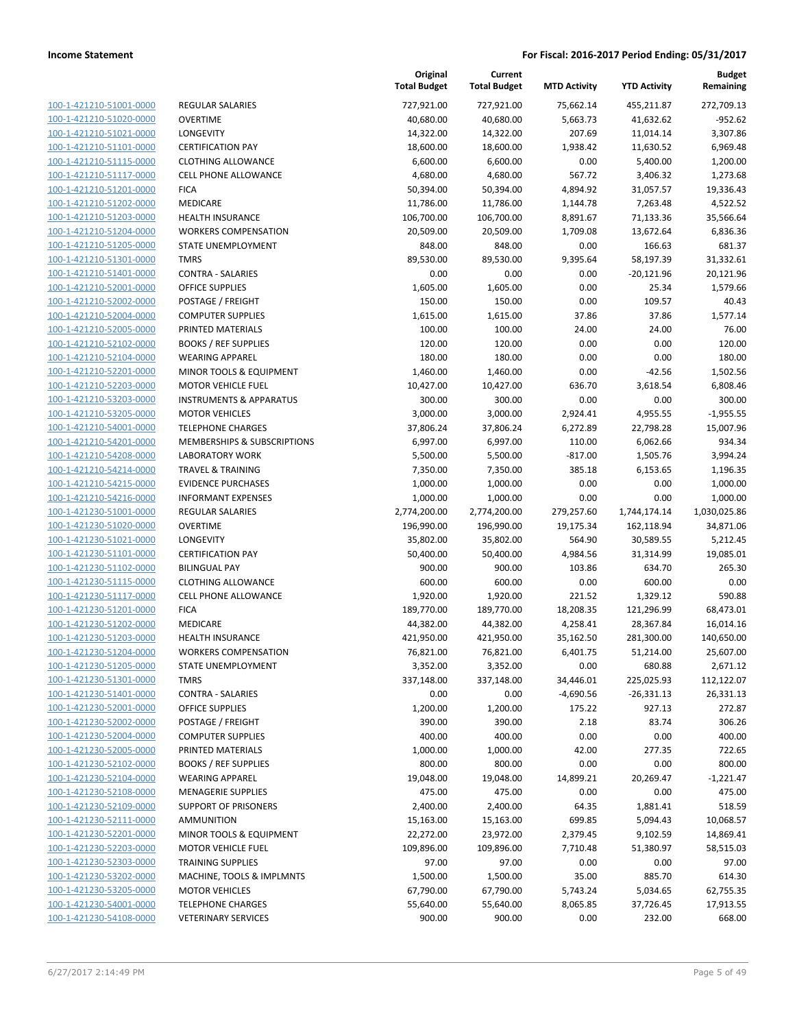| 100-1-421210-51001-0000                            |
|----------------------------------------------------|
| 100-1-421210-51020-0000                            |
| 100-1-421210-51021-0000                            |
| 100-1-421210-51101-0000                            |
| 100-1-421210-51115-0000                            |
| 100-1-421210-51117-0000                            |
| 100-1-421210-51201-0000                            |
| 100-1-421210-51202-0000                            |
| 100-1-421210-51203-0000                            |
| 100-1-421210-51204-0000                            |
| 100-1-421210-51205-0000                            |
| 100-1-421210-51301-0000                            |
| 100-1-421210-51401-0000                            |
| 100-1-421210-52001-0000                            |
| 100-1-421210-52002-0000                            |
| 100-1-421210-52004-0000                            |
| 100-1-421210-52005-0000                            |
| 100-1-421210-52102-0000                            |
| 100-1-421210-52104-0000                            |
| 100-1-421210-52201-0000                            |
| 100-1-421210-52203-0000                            |
| 100-1-421210-53203-0000                            |
| 100-1-421210-53205-0000                            |
| 100-1-421210-54001-0000                            |
| 100-1-421210-54201-0000                            |
| 100-1-421210-54208-0000                            |
| 100-1-421210-54214-0000                            |
| 100-1-421210-54215-0000                            |
| 100-1-421210-54216-0000                            |
| 100-1-421230-51001-0000                            |
| 100-1-421230-51020-0000                            |
| 100-1-421230-51021-0000                            |
| 100-1-421230-51101-0000                            |
| 100-1-421230-51102-0000                            |
| 100-1-421230-51115-0000                            |
| 100-1-421230-51117-0000                            |
| 100-1-421230-51201-0000                            |
| 100-1-421230-51202-0000                            |
| 100-1-421230-51203-0000                            |
| 100-1-421230-51204-0000                            |
| 100-1-421230-51205-0000                            |
| 100-1-421230-51301-0000                            |
| <u>100-1-421230-51401-0000</u>                     |
| 100-1-421230-52001-0000                            |
| 100-1-421230-52002-0000                            |
|                                                    |
| 100-1-421230-52004-0000<br>100-1-421230-52005-0000 |
| 100-1-421230-52102-0000                            |
|                                                    |
| <u>100-1-421230-52104-0000</u>                     |
| 100-1-421230-52108-0000                            |
| 100-1-421230-52109-0000<br>100-1-421230-52111-0000 |
|                                                    |
| <u>100-1-421230-52201-0000</u>                     |
| <u>100-1-421230-52203-0000</u>                     |
| 100-1-421230-52303-0000                            |
| 100-1-421230-53202-0000                            |
| 100-1-421230-53205-0000                            |
| <u>100-1-421230-54001-0000</u>                     |
| <u>100-1-421230-54108-0000</u>                     |

|                         |                                    | Original<br><b>Total Budget</b> | Current<br><b>Total Budget</b> | <b>MTD Activity</b> | <b>YTD Activity</b> | <b>Budget</b><br>Remaining |
|-------------------------|------------------------------------|---------------------------------|--------------------------------|---------------------|---------------------|----------------------------|
| 100-1-421210-51001-0000 | <b>REGULAR SALARIES</b>            | 727,921.00                      | 727,921.00                     | 75,662.14           | 455,211.87          | 272,709.13                 |
| 100-1-421210-51020-0000 | <b>OVERTIME</b>                    | 40,680.00                       | 40,680.00                      | 5,663.73            | 41,632.62           | $-952.62$                  |
| 100-1-421210-51021-0000 | LONGEVITY                          | 14,322.00                       | 14,322.00                      | 207.69              | 11,014.14           | 3,307.86                   |
| 100-1-421210-51101-0000 | <b>CERTIFICATION PAY</b>           | 18,600.00                       | 18,600.00                      | 1,938.42            | 11,630.52           | 6,969.48                   |
| 100-1-421210-51115-0000 | <b>CLOTHING ALLOWANCE</b>          | 6,600.00                        | 6,600.00                       | 0.00                | 5,400.00            | 1,200.00                   |
| 100-1-421210-51117-0000 | <b>CELL PHONE ALLOWANCE</b>        | 4,680.00                        | 4,680.00                       | 567.72              | 3,406.32            | 1,273.68                   |
| 100-1-421210-51201-0000 | <b>FICA</b>                        | 50,394.00                       | 50,394.00                      | 4,894.92            | 31,057.57           | 19,336.43                  |
| 100-1-421210-51202-0000 | MEDICARE                           | 11,786.00                       | 11,786.00                      | 1,144.78            | 7,263.48            | 4,522.52                   |
| 100-1-421210-51203-0000 | <b>HEALTH INSURANCE</b>            | 106,700.00                      | 106,700.00                     | 8,891.67            | 71,133.36           | 35,566.64                  |
| 100-1-421210-51204-0000 | <b>WORKERS COMPENSATION</b>        | 20,509.00                       | 20,509.00                      | 1,709.08            | 13,672.64           | 6,836.36                   |
| 100-1-421210-51205-0000 | STATE UNEMPLOYMENT                 | 848.00                          | 848.00                         | 0.00                | 166.63              | 681.37                     |
| 100-1-421210-51301-0000 | <b>TMRS</b>                        | 89,530.00                       | 89,530.00                      | 9,395.64            | 58,197.39           | 31,332.61                  |
| 100-1-421210-51401-0000 | <b>CONTRA - SALARIES</b>           | 0.00                            | 0.00                           | 0.00                | $-20,121.96$        | 20,121.96                  |
| 100-1-421210-52001-0000 | <b>OFFICE SUPPLIES</b>             | 1,605.00                        | 1,605.00                       | 0.00                | 25.34               | 1,579.66                   |
| 100-1-421210-52002-0000 | POSTAGE / FREIGHT                  | 150.00                          | 150.00                         | 0.00                | 109.57              | 40.43                      |
| 100-1-421210-52004-0000 | <b>COMPUTER SUPPLIES</b>           | 1,615.00                        | 1,615.00                       | 37.86               | 37.86               | 1,577.14                   |
| 100-1-421210-52005-0000 | PRINTED MATERIALS                  | 100.00                          | 100.00                         | 24.00               | 24.00               | 76.00                      |
| 100-1-421210-52102-0000 | <b>BOOKS / REF SUPPLIES</b>        | 120.00                          | 120.00                         | 0.00                | 0.00                | 120.00                     |
| 100-1-421210-52104-0000 | <b>WEARING APPAREL</b>             | 180.00                          | 180.00                         | 0.00                | 0.00                | 180.00                     |
| 100-1-421210-52201-0000 | MINOR TOOLS & EQUIPMENT            | 1,460.00                        | 1,460.00                       | 0.00                | $-42.56$            | 1,502.56                   |
| 100-1-421210-52203-0000 | <b>MOTOR VEHICLE FUEL</b>          | 10,427.00                       | 10,427.00                      | 636.70              | 3,618.54            | 6,808.46                   |
| 100-1-421210-53203-0000 | <b>INSTRUMENTS &amp; APPARATUS</b> | 300.00                          | 300.00                         | 0.00                | 0.00                | 300.00                     |
| 100-1-421210-53205-0000 | <b>MOTOR VEHICLES</b>              | 3,000.00                        | 3,000.00                       | 2,924.41            | 4,955.55            | $-1,955.55$                |
| 100-1-421210-54001-0000 | <b>TELEPHONE CHARGES</b>           | 37,806.24                       | 37,806.24                      | 6,272.89            | 22,798.28           | 15,007.96                  |
| 100-1-421210-54201-0000 | MEMBERSHIPS & SUBSCRIPTIONS        | 6,997.00                        | 6,997.00                       | 110.00              | 6,062.66            | 934.34                     |
| 100-1-421210-54208-0000 | <b>LABORATORY WORK</b>             | 5,500.00                        | 5,500.00                       | $-817.00$           | 1,505.76            | 3,994.24                   |
| 100-1-421210-54214-0000 | <b>TRAVEL &amp; TRAINING</b>       | 7,350.00                        | 7,350.00                       | 385.18              | 6,153.65            | 1,196.35                   |
| 100-1-421210-54215-0000 | <b>EVIDENCE PURCHASES</b>          | 1,000.00                        | 1,000.00                       | 0.00                | 0.00                | 1,000.00                   |
| 100-1-421210-54216-0000 | <b>INFORMANT EXPENSES</b>          | 1,000.00                        | 1,000.00                       | 0.00                | 0.00                | 1,000.00                   |
| 100-1-421230-51001-0000 | REGULAR SALARIES                   | 2,774,200.00                    | 2,774,200.00                   | 279,257.60          | 1,744,174.14        | 1,030,025.86               |
| 100-1-421230-51020-0000 | <b>OVERTIME</b>                    | 196,990.00                      | 196,990.00                     | 19,175.34           | 162,118.94          | 34,871.06                  |
| 100-1-421230-51021-0000 | LONGEVITY                          | 35,802.00                       | 35,802.00                      | 564.90              | 30,589.55           | 5,212.45                   |
| 100-1-421230-51101-0000 | <b>CERTIFICATION PAY</b>           | 50,400.00                       | 50,400.00                      | 4,984.56            | 31,314.99           | 19,085.01                  |
| 100-1-421230-51102-0000 | <b>BILINGUAL PAY</b>               | 900.00                          | 900.00                         | 103.86              | 634.70              | 265.30                     |
| 100-1-421230-51115-0000 | <b>CLOTHING ALLOWANCE</b>          | 600.00                          | 600.00                         | 0.00                | 600.00              | 0.00                       |
| 100-1-421230-51117-0000 | CELL PHONE ALLOWANCE               | 1,920.00                        | 1,920.00                       | 221.52              | 1,329.12            | 590.88                     |
| 100-1-421230-51201-0000 | <b>FICA</b>                        | 189,770.00                      | 189,770.00                     | 18,208.35           | 121,296.99          | 68,473.01                  |
| 100-1-421230-51202-0000 | MEDICARE                           | 44,382.00                       | 44,382.00                      | 4,258.41            | 28,367.84           | 16,014.16                  |
| 100-1-421230-51203-0000 | <b>HEALTH INSURANCE</b>            | 421,950.00                      | 421,950.00                     | 35,162.50           | 281,300.00          | 140,650.00                 |
| 100-1-421230-51204-0000 | <b>WORKERS COMPENSATION</b>        | 76,821.00                       | 76,821.00                      | 6,401.75            | 51,214.00           | 25,607.00                  |
| 100-1-421230-51205-0000 | STATE UNEMPLOYMENT                 | 3,352.00                        | 3,352.00                       | 0.00                | 680.88              | 2,671.12                   |
| 100-1-421230-51301-0000 | <b>TMRS</b>                        | 337,148.00                      | 337,148.00                     | 34,446.01           | 225,025.93          | 112,122.07                 |
| 100-1-421230-51401-0000 | <b>CONTRA - SALARIES</b>           | 0.00                            | 0.00                           | $-4,690.56$         | $-26,331.13$        | 26,331.13                  |
| 100-1-421230-52001-0000 | <b>OFFICE SUPPLIES</b>             | 1,200.00                        | 1,200.00                       | 175.22              | 927.13              | 272.87                     |
| 100-1-421230-52002-0000 | POSTAGE / FREIGHT                  | 390.00                          | 390.00                         | 2.18                | 83.74               | 306.26                     |
| 100-1-421230-52004-0000 | <b>COMPUTER SUPPLIES</b>           | 400.00                          | 400.00                         | 0.00                | 0.00                | 400.00                     |
| 100-1-421230-52005-0000 | PRINTED MATERIALS                  | 1,000.00                        | 1,000.00                       | 42.00               | 277.35              | 722.65                     |
| 100-1-421230-52102-0000 | <b>BOOKS / REF SUPPLIES</b>        | 800.00                          | 800.00                         | 0.00                | 0.00                | 800.00                     |
| 100-1-421230-52104-0000 | <b>WEARING APPAREL</b>             | 19,048.00                       | 19,048.00                      | 14,899.21           | 20,269.47           | $-1,221.47$                |
| 100-1-421230-52108-0000 | <b>MENAGERIE SUPPLIES</b>          | 475.00                          | 475.00                         | 0.00                | 0.00                | 475.00                     |
| 100-1-421230-52109-0000 | SUPPORT OF PRISONERS               | 2,400.00                        | 2,400.00                       | 64.35               | 1,881.41            | 518.59                     |
| 100-1-421230-52111-0000 | <b>AMMUNITION</b>                  | 15,163.00                       | 15,163.00                      | 699.85              | 5,094.43            | 10,068.57                  |
| 100-1-421230-52201-0000 | MINOR TOOLS & EQUIPMENT            | 22,272.00                       | 23,972.00                      | 2,379.45            | 9,102.59            | 14,869.41                  |
| 100-1-421230-52203-0000 | <b>MOTOR VEHICLE FUEL</b>          | 109,896.00                      | 109,896.00                     | 7,710.48            | 51,380.97           | 58,515.03                  |
| 100-1-421230-52303-0000 | <b>TRAINING SUPPLIES</b>           | 97.00                           | 97.00                          | 0.00                | 0.00                | 97.00                      |
| 100-1-421230-53202-0000 | MACHINE, TOOLS & IMPLMNTS          | 1,500.00                        | 1,500.00                       | 35.00               | 885.70              | 614.30                     |
| 100-1-421230-53205-0000 | <b>MOTOR VEHICLES</b>              | 67,790.00                       | 67,790.00                      | 5,743.24            | 5,034.65            | 62,755.35                  |
| 100-1-421230-54001-0000 | <b>TELEPHONE CHARGES</b>           | 55,640.00                       | 55,640.00                      | 8,065.85            | 37,726.45           | 17,913.55                  |
| 100-1-421230-54108-0000 | <b>VETERINARY SERVICES</b>         | 900.00                          | 900.00                         | 0.00                | 232.00              | 668.00                     |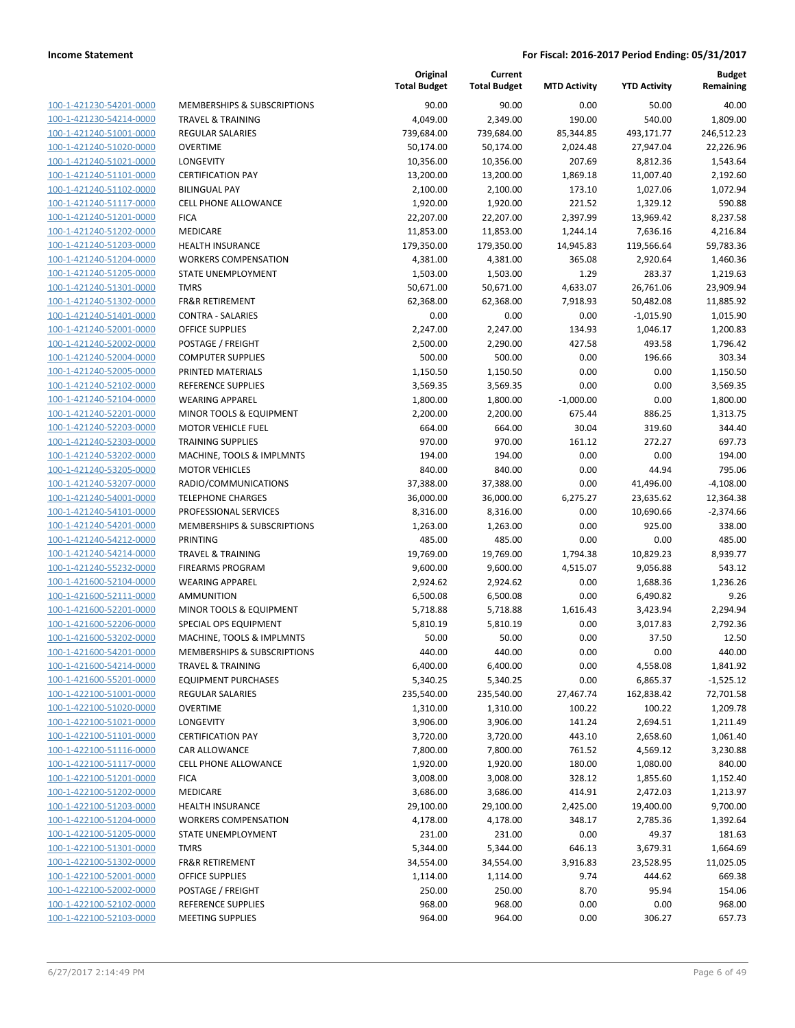| 100-1-421230-54201-0000         |
|---------------------------------|
| 100-1-421230-54214-0000         |
| 100-1-421240-51001-0000         |
| 100-1-421240-51020-0000         |
| 100-1-421240-51021-0000         |
| 100-1-421240-51101-0000         |
| 100-1-421240-51102-0000         |
| 100-1-421240-51117-0000         |
| 100-1-421240-51201-0000         |
| <u>100-1-421240-51202-0000</u>  |
| 100-1-421240-51203-0000         |
| -421240-51204-0000<br>$100 - 1$ |
| 100-1-421240-51205-0000         |
| 100-1-421240-51301-0000         |
| <u>100-1-421240-51302-0000</u>  |
| 100-1-421240-51401-0000         |
| -421240-52001-0000<br>$100 - 1$ |
| 100-1-421240-52002-0000         |
| 100-1-421240-52004-0000         |
|                                 |
| <u>100-1-421240-52005-0000</u>  |
| 100-1-421240-52102-0000         |
| -421240-52104-0000<br>$100 - 1$ |
| 100-1-421240-52201-0000         |
| 100-1-421240-52203-0000         |
| <u>100-1-421240-52303-0000</u>  |
| 100-1-421240-53202-0000         |
| -421240-53205-0000<br>$100 - 1$ |
| 100-1-421240-53207-0000         |
| 100-1-421240-54001-0000         |
| 100-1-421240-54101-0000         |
| 100-1-421240-54201-0000         |
| -421240-54212-0000<br>$100 - 1$ |
| 100-1-421240-54214-0000         |
| 100-1-421240-55232-0000         |
| <u>100-1-421600-52104-0000</u>  |
| 100-1-421600-52111-0000         |
| 100-1-421600-52201-0000         |
| 100-1-421600-52206-0000         |
| 100-1-421600-53202-0000         |
| <u>100-1-421600-54201-0000</u>  |
| 100-1-421600-54214-0000         |
| <u>100-1-421600-55201-0000</u>  |
| 100-1-422100-51001-0000         |
| <u>100-1-422100-51020-0000</u>  |
| <u>100-1-422100-51021-0000</u>  |
| <u>100-1-422100-51101-0000</u>  |
| 100-1-422100-51116-0000         |
| 100-1-422100-51117-0000         |
| <u>100-1-422100-51201-0000</u>  |
|                                 |
| <u>100-1-422100-51202-0000</u>  |
| <u>100-1-422100-51203-0000</u>  |
| 100-1-422100-51204-0000         |
| 100-1-422100-51205-0000         |
| <u>100-1-422100-51301-0000</u>  |
| 100-1-422100-51302-0000         |
| <u>100-1-422100-52001-0000</u>  |
| <u>100-1-422100-52002-0000</u>  |
| 100-1-422100-52102-0000         |
| 100-1-422100-52103-0000         |

|                                                    |                                         | Original<br><b>Total Budget</b> | Current<br><b>Total Budget</b> | <b>MTD Activity</b> | <b>YTD Activity</b> | <b>Budget</b><br>Remaining |
|----------------------------------------------------|-----------------------------------------|---------------------------------|--------------------------------|---------------------|---------------------|----------------------------|
| 100-1-421230-54201-0000                            | MEMBERSHIPS & SUBSCRIPTIONS             | 90.00                           | 90.00                          | 0.00                | 50.00               | 40.00                      |
| 100-1-421230-54214-0000                            | <b>TRAVEL &amp; TRAINING</b>            | 4,049.00                        | 2,349.00                       | 190.00              | 540.00              | 1,809.00                   |
| 100-1-421240-51001-0000                            | <b>REGULAR SALARIES</b>                 | 739,684.00                      | 739,684.00                     | 85,344.85           | 493,171.77          | 246,512.23                 |
| 100-1-421240-51020-0000                            | <b>OVERTIME</b>                         | 50,174.00                       | 50,174.00                      | 2,024.48            | 27,947.04           | 22,226.96                  |
| 100-1-421240-51021-0000                            | LONGEVITY                               | 10,356.00                       | 10,356.00                      | 207.69              | 8,812.36            | 1,543.64                   |
| 100-1-421240-51101-0000                            | <b>CERTIFICATION PAY</b>                | 13,200.00                       | 13,200.00                      | 1,869.18            | 11,007.40           | 2,192.60                   |
| 100-1-421240-51102-0000                            | <b>BILINGUAL PAY</b>                    | 2,100.00                        | 2,100.00                       | 173.10              | 1,027.06            | 1,072.94                   |
| 100-1-421240-51117-0000                            | <b>CELL PHONE ALLOWANCE</b>             | 1,920.00                        | 1,920.00                       | 221.52              | 1,329.12            | 590.88                     |
| 100-1-421240-51201-0000                            | <b>FICA</b>                             | 22,207.00                       | 22,207.00                      | 2,397.99            | 13,969.42           | 8,237.58                   |
| 100-1-421240-51202-0000                            | MEDICARE                                | 11,853.00                       | 11,853.00                      | 1,244.14            | 7,636.16            | 4,216.84                   |
| 100-1-421240-51203-0000                            | <b>HEALTH INSURANCE</b>                 | 179,350.00                      | 179,350.00                     | 14,945.83           | 119,566.64          | 59,783.36                  |
| 100-1-421240-51204-0000                            | <b>WORKERS COMPENSATION</b>             | 4,381.00                        | 4,381.00                       | 365.08              | 2,920.64            | 1,460.36                   |
| 100-1-421240-51205-0000                            | STATE UNEMPLOYMENT                      | 1,503.00                        | 1,503.00                       | 1.29                | 283.37              | 1,219.63                   |
| 100-1-421240-51301-0000                            | <b>TMRS</b>                             | 50,671.00                       | 50,671.00                      | 4,633.07            | 26,761.06           | 23,909.94                  |
| 100-1-421240-51302-0000                            | <b>FR&amp;R RETIREMENT</b>              | 62,368.00                       | 62,368.00                      | 7,918.93            | 50,482.08           | 11,885.92                  |
| 100-1-421240-51401-0000                            | <b>CONTRA - SALARIES</b>                | 0.00                            | 0.00                           | 0.00                | $-1,015.90$         | 1,015.90                   |
| 100-1-421240-52001-0000                            | <b>OFFICE SUPPLIES</b>                  | 2,247.00                        | 2,247.00                       | 134.93              | 1,046.17            | 1,200.83                   |
| 100-1-421240-52002-0000                            | POSTAGE / FREIGHT                       | 2,500.00                        | 2,290.00                       | 427.58              | 493.58              | 1,796.42                   |
| 100-1-421240-52004-0000                            | <b>COMPUTER SUPPLIES</b>                | 500.00                          | 500.00                         | 0.00                | 196.66              | 303.34                     |
| 100-1-421240-52005-0000                            | PRINTED MATERIALS                       | 1,150.50                        | 1,150.50                       | 0.00                | 0.00                | 1,150.50                   |
| 100-1-421240-52102-0000                            | REFERENCE SUPPLIES                      | 3,569.35                        | 3,569.35                       | 0.00                | 0.00                | 3,569.35                   |
| 100-1-421240-52104-0000                            | <b>WEARING APPAREL</b>                  | 1,800.00                        | 1,800.00                       | $-1,000.00$         | 0.00                | 1,800.00                   |
| 100-1-421240-52201-0000                            | MINOR TOOLS & EQUIPMENT                 | 2,200.00                        | 2,200.00                       | 675.44              | 886.25              | 1,313.75                   |
| 100-1-421240-52203-0000                            | <b>MOTOR VEHICLE FUEL</b>               | 664.00                          | 664.00                         | 30.04               | 319.60              | 344.40                     |
| 100-1-421240-52303-0000                            | <b>TRAINING SUPPLIES</b>                | 970.00                          | 970.00                         | 161.12              | 272.27              | 697.73                     |
| 100-1-421240-53202-0000                            | MACHINE, TOOLS & IMPLMNTS               | 194.00                          | 194.00                         | 0.00                | 0.00                | 194.00                     |
| 100-1-421240-53205-0000                            | <b>MOTOR VEHICLES</b>                   | 840.00                          | 840.00                         | 0.00                | 44.94               | 795.06                     |
| 100-1-421240-53207-0000                            | RADIO/COMMUNICATIONS                    | 37,388.00                       | 37,388.00                      | 0.00                | 41,496.00           | $-4,108.00$                |
| 100-1-421240-54001-0000                            | <b>TELEPHONE CHARGES</b>                | 36,000.00                       | 36,000.00                      | 6,275.27            | 23,635.62           | 12,364.38                  |
| 100-1-421240-54101-0000<br>100-1-421240-54201-0000 | PROFESSIONAL SERVICES                   | 8,316.00                        | 8,316.00                       | 0.00                | 10,690.66           | $-2,374.66$                |
| 100-1-421240-54212-0000                            | MEMBERSHIPS & SUBSCRIPTIONS<br>PRINTING | 1,263.00<br>485.00              | 1,263.00<br>485.00             | 0.00<br>0.00        | 925.00<br>0.00      | 338.00<br>485.00           |
| 100-1-421240-54214-0000                            | <b>TRAVEL &amp; TRAINING</b>            | 19,769.00                       | 19,769.00                      | 1,794.38            | 10,829.23           | 8,939.77                   |
| 100-1-421240-55232-0000                            | <b>FIREARMS PROGRAM</b>                 | 9,600.00                        | 9,600.00                       | 4,515.07            | 9,056.88            | 543.12                     |
| 100-1-421600-52104-0000                            | <b>WEARING APPAREL</b>                  | 2,924.62                        | 2,924.62                       | 0.00                | 1,688.36            | 1,236.26                   |
| 100-1-421600-52111-0000                            | AMMUNITION                              | 6,500.08                        | 6,500.08                       | 0.00                | 6,490.82            | 9.26                       |
| 100-1-421600-52201-0000                            | MINOR TOOLS & EQUIPMENT                 | 5,718.88                        | 5,718.88                       | 1,616.43            | 3,423.94            | 2,294.94                   |
| 100-1-421600-52206-0000                            | SPECIAL OPS EQUIPMENT                   | 5,810.19                        | 5,810.19                       | 0.00                | 3,017.83            | 2,792.36                   |
| 100-1-421600-53202-0000                            | MACHINE, TOOLS & IMPLMNTS               | 50.00                           | 50.00                          | 0.00                | 37.50               | 12.50                      |
| 100-1-421600-54201-0000                            | MEMBERSHIPS & SUBSCRIPTIONS             | 440.00                          | 440.00                         | 0.00                | 0.00                | 440.00                     |
| 100-1-421600-54214-0000                            | <b>TRAVEL &amp; TRAINING</b>            | 6,400.00                        | 6,400.00                       | 0.00                | 4,558.08            | 1,841.92                   |
| 100-1-421600-55201-0000                            | <b>EQUIPMENT PURCHASES</b>              | 5,340.25                        | 5,340.25                       | 0.00                | 6,865.37            | $-1,525.12$                |
| 100-1-422100-51001-0000                            | <b>REGULAR SALARIES</b>                 | 235,540.00                      | 235,540.00                     | 27,467.74           | 162,838.42          | 72,701.58                  |
| 100-1-422100-51020-0000                            | <b>OVERTIME</b>                         | 1,310.00                        | 1,310.00                       | 100.22              | 100.22              | 1,209.78                   |
| 100-1-422100-51021-0000                            | LONGEVITY                               | 3,906.00                        | 3,906.00                       | 141.24              | 2,694.51            | 1,211.49                   |
| 100-1-422100-51101-0000                            | <b>CERTIFICATION PAY</b>                | 3,720.00                        | 3,720.00                       | 443.10              | 2,658.60            | 1,061.40                   |
| 100-1-422100-51116-0000                            | CAR ALLOWANCE                           | 7,800.00                        | 7,800.00                       | 761.52              | 4,569.12            | 3,230.88                   |
| 100-1-422100-51117-0000                            | <b>CELL PHONE ALLOWANCE</b>             | 1,920.00                        | 1,920.00                       | 180.00              | 1,080.00            | 840.00                     |
| 100-1-422100-51201-0000                            | <b>FICA</b>                             | 3,008.00                        | 3,008.00                       | 328.12              | 1,855.60            | 1,152.40                   |
| 100-1-422100-51202-0000                            | <b>MEDICARE</b>                         | 3,686.00                        | 3,686.00                       | 414.91              | 2,472.03            | 1,213.97                   |
| 100-1-422100-51203-0000                            | <b>HEALTH INSURANCE</b>                 | 29,100.00                       | 29,100.00                      | 2,425.00            | 19,400.00           | 9,700.00                   |
| 100-1-422100-51204-0000                            | <b>WORKERS COMPENSATION</b>             | 4,178.00                        | 4,178.00                       | 348.17              | 2,785.36            | 1,392.64                   |
| 100-1-422100-51205-0000                            | STATE UNEMPLOYMENT                      | 231.00                          | 231.00                         | 0.00                | 49.37               | 181.63                     |
| 100-1-422100-51301-0000                            | <b>TMRS</b>                             | 5,344.00                        | 5,344.00                       | 646.13              | 3,679.31            | 1,664.69                   |
| 100-1-422100-51302-0000                            | FR&R RETIREMENT                         | 34,554.00                       | 34,554.00                      | 3,916.83            | 23,528.95           | 11,025.05                  |
| 100-1-422100-52001-0000                            | <b>OFFICE SUPPLIES</b>                  | 1,114.00                        | 1,114.00                       | 9.74                | 444.62              | 669.38                     |
| 100-1-422100-52002-0000                            | POSTAGE / FREIGHT                       | 250.00                          | 250.00                         | 8.70                | 95.94               | 154.06                     |
| 100-1-422100-52102-0000                            | REFERENCE SUPPLIES                      | 968.00                          | 968.00                         | 0.00                | 0.00                | 968.00                     |
| 100-1-422100-52103-0000                            | <b>MEETING SUPPLIES</b>                 | 964.00                          | 964.00                         | 0.00                | 306.27              | 657.73                     |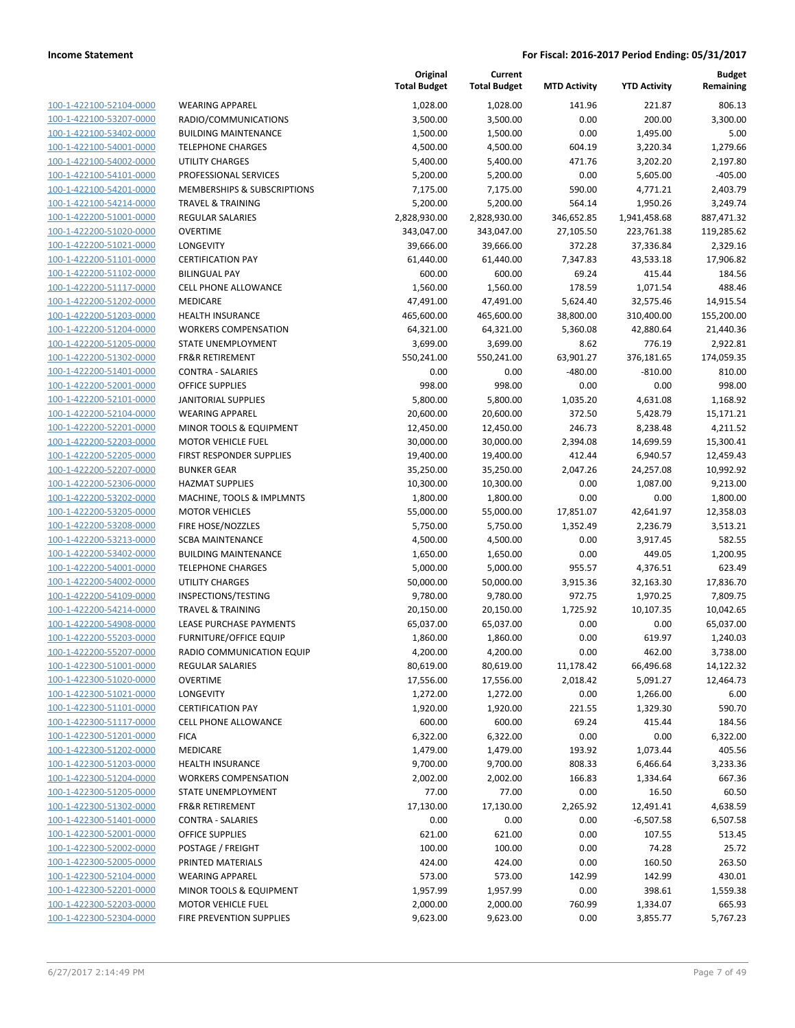**Current**

**Original**

| 100-1-422100-52104-0000        |
|--------------------------------|
| 100-1-422100-53207-0000        |
| <u>100-1-422100-53402-0000</u> |
| <u>100-1-422100-54001-0000</u> |
| <u>100-1-422100-54002-0000</u> |
| 100-1-422100-54101-0000        |
| 100-1-422100-54201-0000        |
| <u>100-1-422100-54214-0000</u> |
| <u>100-1-422200-51001-0000</u> |
| 100-1-422200-51020-0000        |
| 100-1-422200-51021-0000        |
| 100-1-422200-51101-0000        |
| <u>100-1-422200-51102-0000</u> |
| <u>100-1-422200-51117-0000</u> |
| 100-1-422200-51202-0000        |
| 100-1-422200-51203-0000        |
| 100-1-422200-51204-0000        |
| <u>100-1-422200-51205-0000</u> |
| <u>100-1-422200-51302-0000</u> |
| 100-1-422200-51401-0000        |
| 100-1-422200-52001-0000        |
| 100-1-422200-52101-0000        |
| <u>100-1-422200-52104-0000</u> |
| <u>100-1-422200-52201-0000</u> |
| 100-1-422200-52203-0000        |
| 100-1-422200-52205-0000        |
| 100-1-422200-52207-0000        |
| <u>100-1-422200-52306-0000</u> |
| <u>100-1-422200-53202-0000</u> |
| 100-1-422200-53205-0000        |
| 100-1-422200-53208-0000        |
| 100-1-422200-53213-0000        |
| <u>100-1-422200-53402-0000</u> |
| <u>100-1-422200-54001-0000</u> |
| <u>100-1-422200-54002-0000</u> |
| 100-1-422200-54109-0000        |
| 100-1-422200-54214-0000        |
| <u>100-1-422200-54908-0000</u> |
| <u>100-1-422200-55203-0000</u> |
| 100-1-422200-55207-0000        |
| 100-1-422300-51001-0000        |
| 100-1-422300-51020-0000        |
| <u>100-1-422300-51021-0000</u> |
| 100-1-422300-51101-0000        |
| <u>100-1-422300-51117-0000</u> |
| 100-1-422300-51201-0000        |
| <u>100-1-422300-51202-0000</u> |
| <u>100-1-422300-51203-0000</u> |
| <u>100-1-422300-51204-0000</u> |
| <u>100-1-422300-51205-0000</u> |
| 100-1-422300-51302-0000        |
| 100-1-422300-51401-0000        |
| <u>100-1-422300-52001-0000</u> |
| 100-1-422300-52002-0000        |
| <u>100-1-422300-52005-0000</u> |
| <u>100-1-422300-52104-0000</u> |
| <u>100-1-422300-52201-0000</u> |
| <u>100-1-422300-52203-0000</u> |
| <u>100-1-422300-52304-0000</u> |
|                                |

|                         |                               | <b>Total Budget</b> | <b>Total Budget</b> | <b>MTD Activity</b> | <b>YTD Activity</b> | Remaining  |
|-------------------------|-------------------------------|---------------------|---------------------|---------------------|---------------------|------------|
| 100-1-422100-52104-0000 | <b>WEARING APPAREL</b>        | 1,028.00            | 1,028.00            | 141.96              | 221.87              | 806.13     |
| 100-1-422100-53207-0000 | RADIO/COMMUNICATIONS          | 3,500.00            | 3,500.00            | 0.00                | 200.00              | 3,300.00   |
| 100-1-422100-53402-0000 | <b>BUILDING MAINTENANCE</b>   | 1,500.00            | 1,500.00            | 0.00                | 1,495.00            | 5.00       |
| 100-1-422100-54001-0000 | <b>TELEPHONE CHARGES</b>      | 4,500.00            | 4,500.00            | 604.19              | 3,220.34            | 1,279.66   |
| 100-1-422100-54002-0000 | <b>UTILITY CHARGES</b>        | 5,400.00            | 5,400.00            | 471.76              | 3,202.20            | 2,197.80   |
| 100-1-422100-54101-0000 | PROFESSIONAL SERVICES         | 5,200.00            | 5,200.00            | 0.00                | 5,605.00            | $-405.00$  |
| 100-1-422100-54201-0000 | MEMBERSHIPS & SUBSCRIPTIONS   | 7,175.00            | 7,175.00            | 590.00              | 4,771.21            | 2,403.79   |
| 100-1-422100-54214-0000 | <b>TRAVEL &amp; TRAINING</b>  | 5,200.00            | 5,200.00            | 564.14              | 1,950.26            | 3,249.74   |
| 100-1-422200-51001-0000 | <b>REGULAR SALARIES</b>       | 2,828,930.00        | 2,828,930.00        | 346,652.85          | 1,941,458.68        | 887,471.32 |
| 100-1-422200-51020-0000 | <b>OVERTIME</b>               | 343,047.00          | 343,047.00          | 27,105.50           | 223,761.38          | 119,285.62 |
| 100-1-422200-51021-0000 | LONGEVITY                     | 39,666.00           | 39,666.00           | 372.28              | 37,336.84           | 2,329.16   |
| 100-1-422200-51101-0000 | <b>CERTIFICATION PAY</b>      | 61,440.00           | 61,440.00           | 7,347.83            | 43,533.18           | 17,906.82  |
| 100-1-422200-51102-0000 | <b>BILINGUAL PAY</b>          | 600.00              | 600.00              | 69.24               | 415.44              | 184.56     |
| 100-1-422200-51117-0000 | <b>CELL PHONE ALLOWANCE</b>   | 1,560.00            | 1,560.00            | 178.59              | 1,071.54            | 488.46     |
| 100-1-422200-51202-0000 | <b>MEDICARE</b>               | 47,491.00           | 47,491.00           | 5,624.40            | 32,575.46           | 14,915.54  |
| 100-1-422200-51203-0000 | <b>HEALTH INSURANCE</b>       | 465,600.00          | 465,600.00          | 38,800.00           | 310,400.00          | 155,200.00 |
| 100-1-422200-51204-0000 | <b>WORKERS COMPENSATION</b>   | 64,321.00           | 64,321.00           | 5,360.08            | 42,880.64           | 21,440.36  |
| 100-1-422200-51205-0000 | <b>STATE UNEMPLOYMENT</b>     | 3,699.00            | 3,699.00            | 8.62                | 776.19              | 2,922.81   |
| 100-1-422200-51302-0000 | <b>FR&amp;R RETIREMENT</b>    | 550,241.00          | 550,241.00          | 63,901.27           | 376,181.65          | 174,059.35 |
| 100-1-422200-51401-0000 | <b>CONTRA - SALARIES</b>      | 0.00                | 0.00                | $-480.00$           | $-810.00$           | 810.00     |
| 100-1-422200-52001-0000 | <b>OFFICE SUPPLIES</b>        | 998.00              | 998.00              | 0.00                | 0.00                | 998.00     |
| 100-1-422200-52101-0000 | <b>JANITORIAL SUPPLIES</b>    | 5,800.00            | 5,800.00            | 1,035.20            | 4,631.08            | 1,168.92   |
| 100-1-422200-52104-0000 | <b>WEARING APPAREL</b>        | 20,600.00           | 20,600.00           | 372.50              | 5,428.79            | 15,171.21  |
| 100-1-422200-52201-0000 | MINOR TOOLS & EQUIPMENT       | 12,450.00           | 12,450.00           | 246.73              | 8,238.48            | 4,211.52   |
| 100-1-422200-52203-0000 | <b>MOTOR VEHICLE FUEL</b>     | 30,000.00           | 30,000.00           | 2,394.08            | 14,699.59           | 15,300.41  |
| 100-1-422200-52205-0000 | FIRST RESPONDER SUPPLIES      | 19,400.00           | 19,400.00           | 412.44              | 6,940.57            | 12,459.43  |
| 100-1-422200-52207-0000 | <b>BUNKER GEAR</b>            | 35,250.00           | 35,250.00           | 2,047.26            | 24,257.08           | 10,992.92  |
| 100-1-422200-52306-0000 | <b>HAZMAT SUPPLIES</b>        | 10,300.00           | 10,300.00           | 0.00                | 1,087.00            | 9,213.00   |
| 100-1-422200-53202-0000 | MACHINE, TOOLS & IMPLMNTS     | 1,800.00            | 1,800.00            | 0.00                | 0.00                | 1,800.00   |
| 100-1-422200-53205-0000 | <b>MOTOR VEHICLES</b>         | 55,000.00           | 55,000.00           | 17,851.07           | 42,641.97           | 12,358.03  |
| 100-1-422200-53208-0000 | FIRE HOSE/NOZZLES             | 5,750.00            | 5,750.00            | 1,352.49            | 2,236.79            | 3,513.21   |
| 100-1-422200-53213-0000 | <b>SCBA MAINTENANCE</b>       | 4,500.00            | 4,500.00            | 0.00                | 3,917.45            | 582.55     |
| 100-1-422200-53402-0000 | <b>BUILDING MAINTENANCE</b>   | 1,650.00            | 1,650.00            | 0.00                | 449.05              | 1,200.95   |
| 100-1-422200-54001-0000 | <b>TELEPHONE CHARGES</b>      | 5,000.00            | 5,000.00            | 955.57              | 4,376.51            | 623.49     |
| 100-1-422200-54002-0000 | UTILITY CHARGES               | 50,000.00           | 50,000.00           | 3,915.36            | 32,163.30           | 17,836.70  |
| 100-1-422200-54109-0000 | INSPECTIONS/TESTING           | 9,780.00            | 9,780.00            | 972.75              | 1,970.25            | 7,809.75   |
| 100-1-422200-54214-0000 | <b>TRAVEL &amp; TRAINING</b>  | 20,150.00           | 20,150.00           | 1,725.92            | 10,107.35           | 10,042.65  |
| 100-1-422200-54908-0000 | LEASE PURCHASE PAYMENTS       | 65,037.00           | 65,037.00           | 0.00                | 0.00                | 65,037.00  |
| 100-1-422200-55203-0000 | <b>FURNITURE/OFFICE EQUIP</b> | 1,860.00            | 1,860.00            | 0.00                | 619.97              | 1,240.03   |
| 100-1-422200-55207-0000 | RADIO COMMUNICATION EQUIP     | 4,200.00            | 4,200.00            | 0.00                | 462.00              | 3,738.00   |
| 100-1-422300-51001-0000 | REGULAR SALARIES              | 80,619.00           | 80,619.00           | 11,178.42           | 66,496.68           | 14,122.32  |
| 100-1-422300-51020-0000 | <b>OVERTIME</b>               | 17,556.00           | 17,556.00           | 2,018.42            | 5,091.27            | 12,464.73  |
| 100-1-422300-51021-0000 | LONGEVITY                     | 1,272.00            | 1,272.00            | 0.00                | 1,266.00            | 6.00       |
| 100-1-422300-51101-0000 | <b>CERTIFICATION PAY</b>      | 1,920.00            | 1,920.00            | 221.55              | 1,329.30            | 590.70     |
| 100-1-422300-51117-0000 | <b>CELL PHONE ALLOWANCE</b>   | 600.00              | 600.00              | 69.24               | 415.44              | 184.56     |
| 100-1-422300-51201-0000 | <b>FICA</b>                   | 6,322.00            | 6,322.00            | 0.00                | 0.00                | 6,322.00   |
| 100-1-422300-51202-0000 | MEDICARE                      | 1,479.00            | 1,479.00            | 193.92              | 1,073.44            | 405.56     |
| 100-1-422300-51203-0000 | <b>HEALTH INSURANCE</b>       | 9,700.00            | 9,700.00            | 808.33              | 6,466.64            | 3,233.36   |
| 100-1-422300-51204-0000 | <b>WORKERS COMPENSATION</b>   | 2,002.00            | 2,002.00            | 166.83              | 1,334.64            | 667.36     |
| 100-1-422300-51205-0000 | <b>STATE UNEMPLOYMENT</b>     | 77.00               | 77.00               | 0.00                | 16.50               | 60.50      |
| 100-1-422300-51302-0000 | FR&R RETIREMENT               | 17,130.00           | 17,130.00           | 2,265.92            | 12,491.41           | 4,638.59   |
| 100-1-422300-51401-0000 | <b>CONTRA - SALARIES</b>      | 0.00                | 0.00                | 0.00                | $-6,507.58$         | 6,507.58   |
| 100-1-422300-52001-0000 | <b>OFFICE SUPPLIES</b>        | 621.00              | 621.00              | 0.00                | 107.55              | 513.45     |
| 100-1-422300-52002-0000 | POSTAGE / FREIGHT             | 100.00              | 100.00              | 0.00                | 74.28               | 25.72      |
| 100-1-422300-52005-0000 | PRINTED MATERIALS             | 424.00              | 424.00              | 0.00                | 160.50              | 263.50     |
| 100-1-422300-52104-0000 | <b>WEARING APPAREL</b>        | 573.00              | 573.00              | 142.99              | 142.99              | 430.01     |
| 100-1-422300-52201-0000 | MINOR TOOLS & EQUIPMENT       | 1,957.99            | 1,957.99            | 0.00                | 398.61              | 1,559.38   |
| 100-1-422300-52203-0000 | <b>MOTOR VEHICLE FUEL</b>     | 2,000.00            | 2,000.00            | 760.99              | 1,334.07            | 665.93     |
| 100-1-422300-52304-0000 | FIRE PREVENTION SUPPLIES      | 9,623.00            | 9,623.00            | 0.00                | 3,855.77            | 5,767.23   |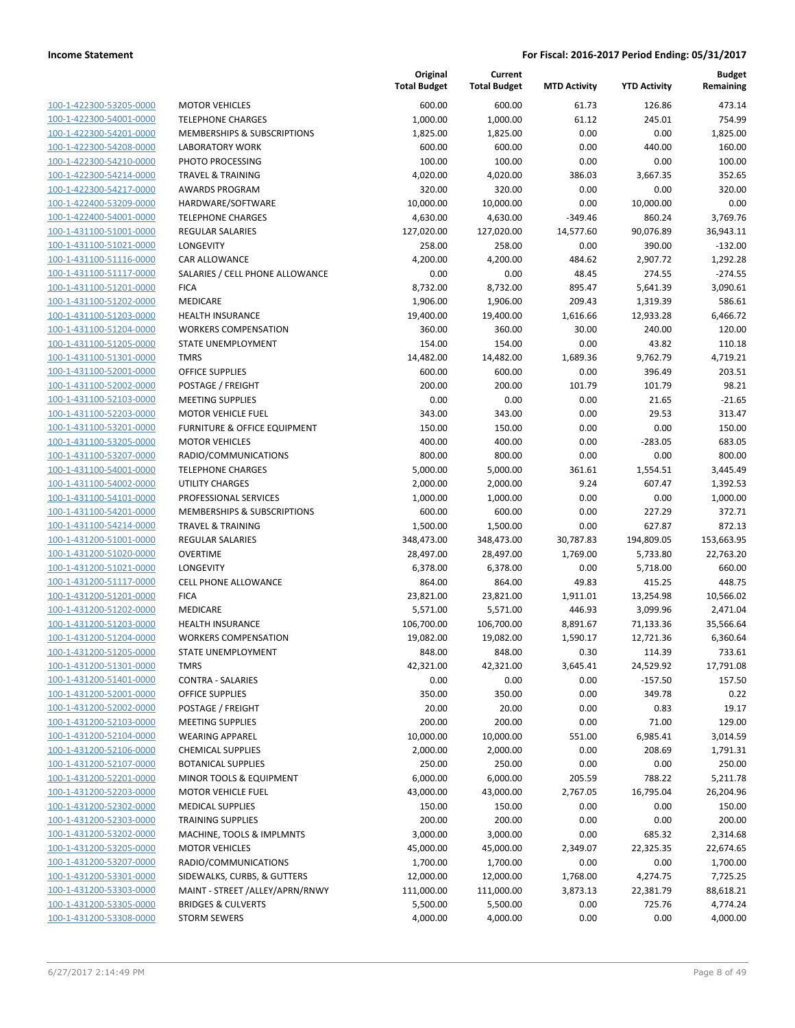**Current**

**Original**

| <b>MOTOR VEHICLES</b><br>600.00<br>600.00<br>61.73<br>126.86<br>100-1-422300-53205-0000<br>100-1-422300-54001-0000<br><b>TELEPHONE CHARGES</b><br>1,000.00<br>1,000.00<br>61.12<br>245.01<br>100-1-422300-54201-0000<br>MEMBERSHIPS & SUBSCRIPTIONS<br>1,825.00<br>1,825.00<br>0.00<br>0.00<br>100-1-422300-54208-0000<br>600.00<br>600.00<br>0.00<br>440.00<br><b>LABORATORY WORK</b><br>100-1-422300-54210-0000<br>PHOTO PROCESSING<br>100.00<br>100.00<br>0.00<br>0.00<br>4,020.00<br>4,020.00<br>386.03<br>3,667.35<br>100-1-422300-54214-0000<br><b>TRAVEL &amp; TRAINING</b><br>100-1-422300-54217-0000<br><b>AWARDS PROGRAM</b><br>320.00<br>320.00<br>0.00<br>0.00<br>10,000.00<br>100-1-422400-53209-0000<br>HARDWARE/SOFTWARE<br>10,000.00<br>10,000.00<br>0.00<br>100-1-422400-54001-0000<br>4,630.00<br>4,630.00<br>$-349.46$<br>860.24<br><b>TELEPHONE CHARGES</b><br>100-1-431100-51001-0000<br>127,020.00<br>127,020.00<br>14,577.60<br>90,076.89<br><b>REGULAR SALARIES</b><br>100-1-431100-51021-0000<br><b>LONGEVITY</b><br>258.00<br>258.00<br>0.00<br>390.00<br>100-1-431100-51116-0000<br>CAR ALLOWANCE<br>4,200.00<br>4,200.00<br>484.62<br>2,907.72<br>100-1-431100-51117-0000<br>SALARIES / CELL PHONE ALLOWANCE<br>0.00<br>0.00<br>48.45<br>274.55<br>100-1-431100-51201-0000<br>8,732.00<br>895.47<br><b>FICA</b><br>8,732.00<br>5,641.39<br>100-1-431100-51202-0000<br>MEDICARE<br>1,906.00<br>1,906.00<br>209.43<br>1,319.39<br>19,400.00<br>19,400.00<br>1,616.66<br>100-1-431100-51203-0000<br><b>HEALTH INSURANCE</b><br>12,933.28<br>100-1-431100-51204-0000<br><b>WORKERS COMPENSATION</b><br>360.00<br>360.00<br>30.00<br>240.00<br>100-1-431100-51205-0000<br>STATE UNEMPLOYMENT<br>154.00<br>154.00<br>0.00<br>43.82<br>100-1-431100-51301-0000<br>14,482.00<br>14,482.00<br>1,689.36<br>9,762.79<br><b>TMRS</b><br>100-1-431100-52001-0000<br><b>OFFICE SUPPLIES</b><br>600.00<br>600.00<br>0.00<br>396.49<br>100-1-431100-52002-0000<br>POSTAGE / FREIGHT<br>200.00<br>200.00<br>101.79<br>101.79<br>100-1-431100-52103-0000<br><b>MEETING SUPPLIES</b><br>0.00<br>0.00<br>0.00<br>21.65<br>343.00<br>0.00<br>29.53<br>100-1-431100-52203-0000<br><b>MOTOR VEHICLE FUEL</b><br>343.00<br>100-1-431100-53201-0000<br>150.00<br>150.00<br>0.00<br>0.00<br>FURNITURE & OFFICE EQUIPMENT<br>100-1-431100-53205-0000<br><b>MOTOR VEHICLES</b><br>400.00<br>400.00<br>0.00<br>$-283.05$<br>100-1-431100-53207-0000<br>RADIO/COMMUNICATIONS<br>800.00<br>800.00<br>0.00<br>0.00<br>100-1-431100-54001-0000<br><b>TELEPHONE CHARGES</b><br>5,000.00<br>5,000.00<br>361.61<br>1,554.51<br>3,445.49<br>100-1-431100-54002-0000<br>UTILITY CHARGES<br>2,000.00<br>2,000.00<br>9.24<br>607.47<br>1,392.53<br>100-1-431100-54101-0000<br>PROFESSIONAL SERVICES<br>1,000.00<br>1,000.00<br>0.00<br>0.00<br>1,000.00<br>227.29<br>100-1-431100-54201-0000<br>MEMBERSHIPS & SUBSCRIPTIONS<br>600.00<br>600.00<br>0.00<br>372.71<br>100-1-431100-54214-0000<br>1,500.00<br>1,500.00<br>0.00<br>627.87<br>872.13<br><b>TRAVEL &amp; TRAINING</b><br>100-1-431200-51001-0000<br><b>REGULAR SALARIES</b><br>348,473.00<br>348,473.00<br>30,787.83<br>194,809.05<br>153,663.95<br>100-1-431200-51020-0000<br><b>OVERTIME</b><br>28,497.00<br>28,497.00<br>1,769.00<br>5,733.80<br>22,763.20<br><b>LONGEVITY</b><br>0.00<br>660.00<br>6,378.00<br>6,378.00<br>5,718.00<br>CELL PHONE ALLOWANCE<br>864.00<br>864.00<br>49.83<br>415.25<br><b>FICA</b><br>10,566.02<br>23,821.00<br>23,821.00<br>1,911.01<br>13,254.98<br>MEDICARE<br>5,571.00<br>5,571.00<br>446.93<br>3,099.96<br>2,471.04<br>HEALTH INSURANCE<br>106,700.00<br>106,700.00<br>8,891.67<br>71,133.36<br>35,566.64<br><b>WORKERS COMPENSATION</b><br>19,082.00<br>19,082.00<br>1,590.17<br>12,721.36<br>6,360.64<br>STATE UNEMPLOYMENT<br>848.00<br>848.00<br>0.30<br>114.39<br>TMRS<br>42,321.00<br>42,321.00<br>3,645.41<br>24,529.92<br>17,791.08<br>0.00<br>$-157.50$<br><b>CONTRA - SALARIES</b><br>0.00<br>0.00<br><b>OFFICE SUPPLIES</b><br>350.00<br>350.00<br>0.00<br>349.78<br>POSTAGE / FREIGHT<br>20.00<br>20.00<br>0.00<br>0.83<br>200.00<br>200.00<br>0.00<br>71.00<br><b>MEETING SUPPLIES</b><br>10,000.00<br>10,000.00<br>6,985.41<br><b>WEARING APPAREL</b><br>551.00<br><b>CHEMICAL SUPPLIES</b><br>2,000.00<br>2,000.00<br>0.00<br>208.69<br><b>BOTANICAL SUPPLIES</b><br>250.00<br>250.00<br>0.00<br>0.00<br>6,000.00<br>205.59<br>788.22<br>MINOR TOOLS & EQUIPMENT<br>6,000.00<br><b>MOTOR VEHICLE FUEL</b><br>43,000.00<br>43,000.00<br>2,767.05<br>16,795.04<br><b>MEDICAL SUPPLIES</b><br>150.00<br>150.00<br>0.00<br>0.00<br><b>TRAINING SUPPLIES</b><br>200.00<br>200.00<br>0.00<br>0.00<br>MACHINE, TOOLS & IMPLMNTS<br>3,000.00<br>3,000.00<br>0.00<br>685.32<br><b>MOTOR VEHICLES</b><br>45,000.00<br>45,000.00<br>2,349.07<br>22,325.35<br>RADIO/COMMUNICATIONS<br>1,700.00<br>1,700.00<br>0.00<br>0.00<br>SIDEWALKS, CURBS, & GUTTERS<br>1,768.00<br>4,274.75<br>12,000.00<br>12,000.00<br>MAINT - STREET /ALLEY/APRN/RNWY<br>111,000.00<br>111,000.00<br>3,873.13<br>22,381.79<br><b>BRIDGES &amp; CULVERTS</b><br>5,500.00<br>5,500.00<br>0.00<br>725.76 |                     | <b>Total Budget</b> | <b>Total Budget</b> | <b>MTD Activity</b> | <b>YTD Activity</b> | Remaining |
|--------------------------------------------------------------------------------------------------------------------------------------------------------------------------------------------------------------------------------------------------------------------------------------------------------------------------------------------------------------------------------------------------------------------------------------------------------------------------------------------------------------------------------------------------------------------------------------------------------------------------------------------------------------------------------------------------------------------------------------------------------------------------------------------------------------------------------------------------------------------------------------------------------------------------------------------------------------------------------------------------------------------------------------------------------------------------------------------------------------------------------------------------------------------------------------------------------------------------------------------------------------------------------------------------------------------------------------------------------------------------------------------------------------------------------------------------------------------------------------------------------------------------------------------------------------------------------------------------------------------------------------------------------------------------------------------------------------------------------------------------------------------------------------------------------------------------------------------------------------------------------------------------------------------------------------------------------------------------------------------------------------------------------------------------------------------------------------------------------------------------------------------------------------------------------------------------------------------------------------------------------------------------------------------------------------------------------------------------------------------------------------------------------------------------------------------------------------------------------------------------------------------------------------------------------------------------------------------------------------------------------------------------------------------------------------------------------------------------------------------------------------------------------------------------------------------------------------------------------------------------------------------------------------------------------------------------------------------------------------------------------------------------------------------------------------------------------------------------------------------------------------------------------------------------------------------------------------------------------------------------------------------------------------------------------------------------------------------------------------------------------------------------------------------------------------------------------------------------------------------------------------------------------------------------------------------------------------------------------------------------------------------------------------------------------------------------------------------------------------------------------------------------------------------------------------------------------------------------------------------------------------------------------------------------------------------------------------------------------------------------------------------------------------------------------------------------------------------------------------------------------------------------------------------------------------------------------------------------------------------------------------------------------------------------------------------------------------------------------------------------------------------------------------------------------------------------------------------------------------------------------------------------------------------------------------------------------------------------------------------------------------------------------------------------------------------------------------------------------------------------------------------------------------------------------------------------------------------------------------------------------------------------------------------------------------------------------------------------------------------------------------------------------------------------------------------------------------------------------------------------------------------------------------------------|---------------------|---------------------|---------------------|---------------------|---------------------|-----------|
|                                                                                                                                                                                                                                                                                                                                                                                                                                                                                                                                                                                                                                                                                                                                                                                                                                                                                                                                                                                                                                                                                                                                                                                                                                                                                                                                                                                                                                                                                                                                                                                                                                                                                                                                                                                                                                                                                                                                                                                                                                                                                                                                                                                                                                                                                                                                                                                                                                                                                                                                                                                                                                                                                                                                                                                                                                                                                                                                                                                                                                                                                                                                                                                                                                                                                                                                                                                                                                                                                                                                                                                                                                                                                                                                                                                                                                                                                                                                                                                                                                                                                                                                                                                                                                                                                                                                                                                                                                                                                                                                                                                                                                                                                                                                                                                                                                                                                                                                                                                                                                                                                                                                                                          |                     |                     |                     |                     |                     | 473.14    |
|                                                                                                                                                                                                                                                                                                                                                                                                                                                                                                                                                                                                                                                                                                                                                                                                                                                                                                                                                                                                                                                                                                                                                                                                                                                                                                                                                                                                                                                                                                                                                                                                                                                                                                                                                                                                                                                                                                                                                                                                                                                                                                                                                                                                                                                                                                                                                                                                                                                                                                                                                                                                                                                                                                                                                                                                                                                                                                                                                                                                                                                                                                                                                                                                                                                                                                                                                                                                                                                                                                                                                                                                                                                                                                                                                                                                                                                                                                                                                                                                                                                                                                                                                                                                                                                                                                                                                                                                                                                                                                                                                                                                                                                                                                                                                                                                                                                                                                                                                                                                                                                                                                                                                                          |                     |                     |                     |                     |                     | 754.99    |
|                                                                                                                                                                                                                                                                                                                                                                                                                                                                                                                                                                                                                                                                                                                                                                                                                                                                                                                                                                                                                                                                                                                                                                                                                                                                                                                                                                                                                                                                                                                                                                                                                                                                                                                                                                                                                                                                                                                                                                                                                                                                                                                                                                                                                                                                                                                                                                                                                                                                                                                                                                                                                                                                                                                                                                                                                                                                                                                                                                                                                                                                                                                                                                                                                                                                                                                                                                                                                                                                                                                                                                                                                                                                                                                                                                                                                                                                                                                                                                                                                                                                                                                                                                                                                                                                                                                                                                                                                                                                                                                                                                                                                                                                                                                                                                                                                                                                                                                                                                                                                                                                                                                                                                          |                     |                     |                     |                     |                     | 1,825.00  |
|                                                                                                                                                                                                                                                                                                                                                                                                                                                                                                                                                                                                                                                                                                                                                                                                                                                                                                                                                                                                                                                                                                                                                                                                                                                                                                                                                                                                                                                                                                                                                                                                                                                                                                                                                                                                                                                                                                                                                                                                                                                                                                                                                                                                                                                                                                                                                                                                                                                                                                                                                                                                                                                                                                                                                                                                                                                                                                                                                                                                                                                                                                                                                                                                                                                                                                                                                                                                                                                                                                                                                                                                                                                                                                                                                                                                                                                                                                                                                                                                                                                                                                                                                                                                                                                                                                                                                                                                                                                                                                                                                                                                                                                                                                                                                                                                                                                                                                                                                                                                                                                                                                                                                                          |                     |                     |                     |                     |                     | 160.00    |
|                                                                                                                                                                                                                                                                                                                                                                                                                                                                                                                                                                                                                                                                                                                                                                                                                                                                                                                                                                                                                                                                                                                                                                                                                                                                                                                                                                                                                                                                                                                                                                                                                                                                                                                                                                                                                                                                                                                                                                                                                                                                                                                                                                                                                                                                                                                                                                                                                                                                                                                                                                                                                                                                                                                                                                                                                                                                                                                                                                                                                                                                                                                                                                                                                                                                                                                                                                                                                                                                                                                                                                                                                                                                                                                                                                                                                                                                                                                                                                                                                                                                                                                                                                                                                                                                                                                                                                                                                                                                                                                                                                                                                                                                                                                                                                                                                                                                                                                                                                                                                                                                                                                                                                          |                     |                     |                     |                     |                     | 100.00    |
|                                                                                                                                                                                                                                                                                                                                                                                                                                                                                                                                                                                                                                                                                                                                                                                                                                                                                                                                                                                                                                                                                                                                                                                                                                                                                                                                                                                                                                                                                                                                                                                                                                                                                                                                                                                                                                                                                                                                                                                                                                                                                                                                                                                                                                                                                                                                                                                                                                                                                                                                                                                                                                                                                                                                                                                                                                                                                                                                                                                                                                                                                                                                                                                                                                                                                                                                                                                                                                                                                                                                                                                                                                                                                                                                                                                                                                                                                                                                                                                                                                                                                                                                                                                                                                                                                                                                                                                                                                                                                                                                                                                                                                                                                                                                                                                                                                                                                                                                                                                                                                                                                                                                                                          |                     |                     |                     |                     |                     | 352.65    |
|                                                                                                                                                                                                                                                                                                                                                                                                                                                                                                                                                                                                                                                                                                                                                                                                                                                                                                                                                                                                                                                                                                                                                                                                                                                                                                                                                                                                                                                                                                                                                                                                                                                                                                                                                                                                                                                                                                                                                                                                                                                                                                                                                                                                                                                                                                                                                                                                                                                                                                                                                                                                                                                                                                                                                                                                                                                                                                                                                                                                                                                                                                                                                                                                                                                                                                                                                                                                                                                                                                                                                                                                                                                                                                                                                                                                                                                                                                                                                                                                                                                                                                                                                                                                                                                                                                                                                                                                                                                                                                                                                                                                                                                                                                                                                                                                                                                                                                                                                                                                                                                                                                                                                                          |                     |                     |                     |                     |                     | 320.00    |
|                                                                                                                                                                                                                                                                                                                                                                                                                                                                                                                                                                                                                                                                                                                                                                                                                                                                                                                                                                                                                                                                                                                                                                                                                                                                                                                                                                                                                                                                                                                                                                                                                                                                                                                                                                                                                                                                                                                                                                                                                                                                                                                                                                                                                                                                                                                                                                                                                                                                                                                                                                                                                                                                                                                                                                                                                                                                                                                                                                                                                                                                                                                                                                                                                                                                                                                                                                                                                                                                                                                                                                                                                                                                                                                                                                                                                                                                                                                                                                                                                                                                                                                                                                                                                                                                                                                                                                                                                                                                                                                                                                                                                                                                                                                                                                                                                                                                                                                                                                                                                                                                                                                                                                          |                     |                     |                     |                     |                     | 0.00      |
|                                                                                                                                                                                                                                                                                                                                                                                                                                                                                                                                                                                                                                                                                                                                                                                                                                                                                                                                                                                                                                                                                                                                                                                                                                                                                                                                                                                                                                                                                                                                                                                                                                                                                                                                                                                                                                                                                                                                                                                                                                                                                                                                                                                                                                                                                                                                                                                                                                                                                                                                                                                                                                                                                                                                                                                                                                                                                                                                                                                                                                                                                                                                                                                                                                                                                                                                                                                                                                                                                                                                                                                                                                                                                                                                                                                                                                                                                                                                                                                                                                                                                                                                                                                                                                                                                                                                                                                                                                                                                                                                                                                                                                                                                                                                                                                                                                                                                                                                                                                                                                                                                                                                                                          |                     |                     |                     |                     |                     | 3,769.76  |
|                                                                                                                                                                                                                                                                                                                                                                                                                                                                                                                                                                                                                                                                                                                                                                                                                                                                                                                                                                                                                                                                                                                                                                                                                                                                                                                                                                                                                                                                                                                                                                                                                                                                                                                                                                                                                                                                                                                                                                                                                                                                                                                                                                                                                                                                                                                                                                                                                                                                                                                                                                                                                                                                                                                                                                                                                                                                                                                                                                                                                                                                                                                                                                                                                                                                                                                                                                                                                                                                                                                                                                                                                                                                                                                                                                                                                                                                                                                                                                                                                                                                                                                                                                                                                                                                                                                                                                                                                                                                                                                                                                                                                                                                                                                                                                                                                                                                                                                                                                                                                                                                                                                                                                          |                     |                     |                     |                     |                     | 36,943.11 |
|                                                                                                                                                                                                                                                                                                                                                                                                                                                                                                                                                                                                                                                                                                                                                                                                                                                                                                                                                                                                                                                                                                                                                                                                                                                                                                                                                                                                                                                                                                                                                                                                                                                                                                                                                                                                                                                                                                                                                                                                                                                                                                                                                                                                                                                                                                                                                                                                                                                                                                                                                                                                                                                                                                                                                                                                                                                                                                                                                                                                                                                                                                                                                                                                                                                                                                                                                                                                                                                                                                                                                                                                                                                                                                                                                                                                                                                                                                                                                                                                                                                                                                                                                                                                                                                                                                                                                                                                                                                                                                                                                                                                                                                                                                                                                                                                                                                                                                                                                                                                                                                                                                                                                                          |                     |                     |                     |                     |                     | $-132.00$ |
|                                                                                                                                                                                                                                                                                                                                                                                                                                                                                                                                                                                                                                                                                                                                                                                                                                                                                                                                                                                                                                                                                                                                                                                                                                                                                                                                                                                                                                                                                                                                                                                                                                                                                                                                                                                                                                                                                                                                                                                                                                                                                                                                                                                                                                                                                                                                                                                                                                                                                                                                                                                                                                                                                                                                                                                                                                                                                                                                                                                                                                                                                                                                                                                                                                                                                                                                                                                                                                                                                                                                                                                                                                                                                                                                                                                                                                                                                                                                                                                                                                                                                                                                                                                                                                                                                                                                                                                                                                                                                                                                                                                                                                                                                                                                                                                                                                                                                                                                                                                                                                                                                                                                                                          |                     |                     |                     |                     |                     | 1,292.28  |
|                                                                                                                                                                                                                                                                                                                                                                                                                                                                                                                                                                                                                                                                                                                                                                                                                                                                                                                                                                                                                                                                                                                                                                                                                                                                                                                                                                                                                                                                                                                                                                                                                                                                                                                                                                                                                                                                                                                                                                                                                                                                                                                                                                                                                                                                                                                                                                                                                                                                                                                                                                                                                                                                                                                                                                                                                                                                                                                                                                                                                                                                                                                                                                                                                                                                                                                                                                                                                                                                                                                                                                                                                                                                                                                                                                                                                                                                                                                                                                                                                                                                                                                                                                                                                                                                                                                                                                                                                                                                                                                                                                                                                                                                                                                                                                                                                                                                                                                                                                                                                                                                                                                                                                          |                     |                     |                     |                     |                     | $-274.55$ |
|                                                                                                                                                                                                                                                                                                                                                                                                                                                                                                                                                                                                                                                                                                                                                                                                                                                                                                                                                                                                                                                                                                                                                                                                                                                                                                                                                                                                                                                                                                                                                                                                                                                                                                                                                                                                                                                                                                                                                                                                                                                                                                                                                                                                                                                                                                                                                                                                                                                                                                                                                                                                                                                                                                                                                                                                                                                                                                                                                                                                                                                                                                                                                                                                                                                                                                                                                                                                                                                                                                                                                                                                                                                                                                                                                                                                                                                                                                                                                                                                                                                                                                                                                                                                                                                                                                                                                                                                                                                                                                                                                                                                                                                                                                                                                                                                                                                                                                                                                                                                                                                                                                                                                                          |                     |                     |                     |                     |                     | 3,090.61  |
|                                                                                                                                                                                                                                                                                                                                                                                                                                                                                                                                                                                                                                                                                                                                                                                                                                                                                                                                                                                                                                                                                                                                                                                                                                                                                                                                                                                                                                                                                                                                                                                                                                                                                                                                                                                                                                                                                                                                                                                                                                                                                                                                                                                                                                                                                                                                                                                                                                                                                                                                                                                                                                                                                                                                                                                                                                                                                                                                                                                                                                                                                                                                                                                                                                                                                                                                                                                                                                                                                                                                                                                                                                                                                                                                                                                                                                                                                                                                                                                                                                                                                                                                                                                                                                                                                                                                                                                                                                                                                                                                                                                                                                                                                                                                                                                                                                                                                                                                                                                                                                                                                                                                                                          |                     |                     |                     |                     |                     | 586.61    |
|                                                                                                                                                                                                                                                                                                                                                                                                                                                                                                                                                                                                                                                                                                                                                                                                                                                                                                                                                                                                                                                                                                                                                                                                                                                                                                                                                                                                                                                                                                                                                                                                                                                                                                                                                                                                                                                                                                                                                                                                                                                                                                                                                                                                                                                                                                                                                                                                                                                                                                                                                                                                                                                                                                                                                                                                                                                                                                                                                                                                                                                                                                                                                                                                                                                                                                                                                                                                                                                                                                                                                                                                                                                                                                                                                                                                                                                                                                                                                                                                                                                                                                                                                                                                                                                                                                                                                                                                                                                                                                                                                                                                                                                                                                                                                                                                                                                                                                                                                                                                                                                                                                                                                                          |                     |                     |                     |                     |                     | 6,466.72  |
|                                                                                                                                                                                                                                                                                                                                                                                                                                                                                                                                                                                                                                                                                                                                                                                                                                                                                                                                                                                                                                                                                                                                                                                                                                                                                                                                                                                                                                                                                                                                                                                                                                                                                                                                                                                                                                                                                                                                                                                                                                                                                                                                                                                                                                                                                                                                                                                                                                                                                                                                                                                                                                                                                                                                                                                                                                                                                                                                                                                                                                                                                                                                                                                                                                                                                                                                                                                                                                                                                                                                                                                                                                                                                                                                                                                                                                                                                                                                                                                                                                                                                                                                                                                                                                                                                                                                                                                                                                                                                                                                                                                                                                                                                                                                                                                                                                                                                                                                                                                                                                                                                                                                                                          |                     |                     |                     |                     |                     | 120.00    |
|                                                                                                                                                                                                                                                                                                                                                                                                                                                                                                                                                                                                                                                                                                                                                                                                                                                                                                                                                                                                                                                                                                                                                                                                                                                                                                                                                                                                                                                                                                                                                                                                                                                                                                                                                                                                                                                                                                                                                                                                                                                                                                                                                                                                                                                                                                                                                                                                                                                                                                                                                                                                                                                                                                                                                                                                                                                                                                                                                                                                                                                                                                                                                                                                                                                                                                                                                                                                                                                                                                                                                                                                                                                                                                                                                                                                                                                                                                                                                                                                                                                                                                                                                                                                                                                                                                                                                                                                                                                                                                                                                                                                                                                                                                                                                                                                                                                                                                                                                                                                                                                                                                                                                                          |                     |                     |                     |                     |                     | 110.18    |
|                                                                                                                                                                                                                                                                                                                                                                                                                                                                                                                                                                                                                                                                                                                                                                                                                                                                                                                                                                                                                                                                                                                                                                                                                                                                                                                                                                                                                                                                                                                                                                                                                                                                                                                                                                                                                                                                                                                                                                                                                                                                                                                                                                                                                                                                                                                                                                                                                                                                                                                                                                                                                                                                                                                                                                                                                                                                                                                                                                                                                                                                                                                                                                                                                                                                                                                                                                                                                                                                                                                                                                                                                                                                                                                                                                                                                                                                                                                                                                                                                                                                                                                                                                                                                                                                                                                                                                                                                                                                                                                                                                                                                                                                                                                                                                                                                                                                                                                                                                                                                                                                                                                                                                          |                     |                     |                     |                     |                     | 4,719.21  |
|                                                                                                                                                                                                                                                                                                                                                                                                                                                                                                                                                                                                                                                                                                                                                                                                                                                                                                                                                                                                                                                                                                                                                                                                                                                                                                                                                                                                                                                                                                                                                                                                                                                                                                                                                                                                                                                                                                                                                                                                                                                                                                                                                                                                                                                                                                                                                                                                                                                                                                                                                                                                                                                                                                                                                                                                                                                                                                                                                                                                                                                                                                                                                                                                                                                                                                                                                                                                                                                                                                                                                                                                                                                                                                                                                                                                                                                                                                                                                                                                                                                                                                                                                                                                                                                                                                                                                                                                                                                                                                                                                                                                                                                                                                                                                                                                                                                                                                                                                                                                                                                                                                                                                                          |                     |                     |                     |                     |                     | 203.51    |
|                                                                                                                                                                                                                                                                                                                                                                                                                                                                                                                                                                                                                                                                                                                                                                                                                                                                                                                                                                                                                                                                                                                                                                                                                                                                                                                                                                                                                                                                                                                                                                                                                                                                                                                                                                                                                                                                                                                                                                                                                                                                                                                                                                                                                                                                                                                                                                                                                                                                                                                                                                                                                                                                                                                                                                                                                                                                                                                                                                                                                                                                                                                                                                                                                                                                                                                                                                                                                                                                                                                                                                                                                                                                                                                                                                                                                                                                                                                                                                                                                                                                                                                                                                                                                                                                                                                                                                                                                                                                                                                                                                                                                                                                                                                                                                                                                                                                                                                                                                                                                                                                                                                                                                          |                     |                     |                     |                     |                     | 98.21     |
|                                                                                                                                                                                                                                                                                                                                                                                                                                                                                                                                                                                                                                                                                                                                                                                                                                                                                                                                                                                                                                                                                                                                                                                                                                                                                                                                                                                                                                                                                                                                                                                                                                                                                                                                                                                                                                                                                                                                                                                                                                                                                                                                                                                                                                                                                                                                                                                                                                                                                                                                                                                                                                                                                                                                                                                                                                                                                                                                                                                                                                                                                                                                                                                                                                                                                                                                                                                                                                                                                                                                                                                                                                                                                                                                                                                                                                                                                                                                                                                                                                                                                                                                                                                                                                                                                                                                                                                                                                                                                                                                                                                                                                                                                                                                                                                                                                                                                                                                                                                                                                                                                                                                                                          |                     |                     |                     |                     |                     | $-21.65$  |
|                                                                                                                                                                                                                                                                                                                                                                                                                                                                                                                                                                                                                                                                                                                                                                                                                                                                                                                                                                                                                                                                                                                                                                                                                                                                                                                                                                                                                                                                                                                                                                                                                                                                                                                                                                                                                                                                                                                                                                                                                                                                                                                                                                                                                                                                                                                                                                                                                                                                                                                                                                                                                                                                                                                                                                                                                                                                                                                                                                                                                                                                                                                                                                                                                                                                                                                                                                                                                                                                                                                                                                                                                                                                                                                                                                                                                                                                                                                                                                                                                                                                                                                                                                                                                                                                                                                                                                                                                                                                                                                                                                                                                                                                                                                                                                                                                                                                                                                                                                                                                                                                                                                                                                          |                     |                     |                     |                     |                     | 313.47    |
|                                                                                                                                                                                                                                                                                                                                                                                                                                                                                                                                                                                                                                                                                                                                                                                                                                                                                                                                                                                                                                                                                                                                                                                                                                                                                                                                                                                                                                                                                                                                                                                                                                                                                                                                                                                                                                                                                                                                                                                                                                                                                                                                                                                                                                                                                                                                                                                                                                                                                                                                                                                                                                                                                                                                                                                                                                                                                                                                                                                                                                                                                                                                                                                                                                                                                                                                                                                                                                                                                                                                                                                                                                                                                                                                                                                                                                                                                                                                                                                                                                                                                                                                                                                                                                                                                                                                                                                                                                                                                                                                                                                                                                                                                                                                                                                                                                                                                                                                                                                                                                                                                                                                                                          |                     |                     |                     |                     |                     | 150.00    |
|                                                                                                                                                                                                                                                                                                                                                                                                                                                                                                                                                                                                                                                                                                                                                                                                                                                                                                                                                                                                                                                                                                                                                                                                                                                                                                                                                                                                                                                                                                                                                                                                                                                                                                                                                                                                                                                                                                                                                                                                                                                                                                                                                                                                                                                                                                                                                                                                                                                                                                                                                                                                                                                                                                                                                                                                                                                                                                                                                                                                                                                                                                                                                                                                                                                                                                                                                                                                                                                                                                                                                                                                                                                                                                                                                                                                                                                                                                                                                                                                                                                                                                                                                                                                                                                                                                                                                                                                                                                                                                                                                                                                                                                                                                                                                                                                                                                                                                                                                                                                                                                                                                                                                                          |                     |                     |                     |                     |                     | 683.05    |
|                                                                                                                                                                                                                                                                                                                                                                                                                                                                                                                                                                                                                                                                                                                                                                                                                                                                                                                                                                                                                                                                                                                                                                                                                                                                                                                                                                                                                                                                                                                                                                                                                                                                                                                                                                                                                                                                                                                                                                                                                                                                                                                                                                                                                                                                                                                                                                                                                                                                                                                                                                                                                                                                                                                                                                                                                                                                                                                                                                                                                                                                                                                                                                                                                                                                                                                                                                                                                                                                                                                                                                                                                                                                                                                                                                                                                                                                                                                                                                                                                                                                                                                                                                                                                                                                                                                                                                                                                                                                                                                                                                                                                                                                                                                                                                                                                                                                                                                                                                                                                                                                                                                                                                          |                     |                     |                     |                     |                     | 800.00    |
|                                                                                                                                                                                                                                                                                                                                                                                                                                                                                                                                                                                                                                                                                                                                                                                                                                                                                                                                                                                                                                                                                                                                                                                                                                                                                                                                                                                                                                                                                                                                                                                                                                                                                                                                                                                                                                                                                                                                                                                                                                                                                                                                                                                                                                                                                                                                                                                                                                                                                                                                                                                                                                                                                                                                                                                                                                                                                                                                                                                                                                                                                                                                                                                                                                                                                                                                                                                                                                                                                                                                                                                                                                                                                                                                                                                                                                                                                                                                                                                                                                                                                                                                                                                                                                                                                                                                                                                                                                                                                                                                                                                                                                                                                                                                                                                                                                                                                                                                                                                                                                                                                                                                                                          |                     |                     |                     |                     |                     |           |
|                                                                                                                                                                                                                                                                                                                                                                                                                                                                                                                                                                                                                                                                                                                                                                                                                                                                                                                                                                                                                                                                                                                                                                                                                                                                                                                                                                                                                                                                                                                                                                                                                                                                                                                                                                                                                                                                                                                                                                                                                                                                                                                                                                                                                                                                                                                                                                                                                                                                                                                                                                                                                                                                                                                                                                                                                                                                                                                                                                                                                                                                                                                                                                                                                                                                                                                                                                                                                                                                                                                                                                                                                                                                                                                                                                                                                                                                                                                                                                                                                                                                                                                                                                                                                                                                                                                                                                                                                                                                                                                                                                                                                                                                                                                                                                                                                                                                                                                                                                                                                                                                                                                                                                          |                     |                     |                     |                     |                     |           |
|                                                                                                                                                                                                                                                                                                                                                                                                                                                                                                                                                                                                                                                                                                                                                                                                                                                                                                                                                                                                                                                                                                                                                                                                                                                                                                                                                                                                                                                                                                                                                                                                                                                                                                                                                                                                                                                                                                                                                                                                                                                                                                                                                                                                                                                                                                                                                                                                                                                                                                                                                                                                                                                                                                                                                                                                                                                                                                                                                                                                                                                                                                                                                                                                                                                                                                                                                                                                                                                                                                                                                                                                                                                                                                                                                                                                                                                                                                                                                                                                                                                                                                                                                                                                                                                                                                                                                                                                                                                                                                                                                                                                                                                                                                                                                                                                                                                                                                                                                                                                                                                                                                                                                                          |                     |                     |                     |                     |                     |           |
|                                                                                                                                                                                                                                                                                                                                                                                                                                                                                                                                                                                                                                                                                                                                                                                                                                                                                                                                                                                                                                                                                                                                                                                                                                                                                                                                                                                                                                                                                                                                                                                                                                                                                                                                                                                                                                                                                                                                                                                                                                                                                                                                                                                                                                                                                                                                                                                                                                                                                                                                                                                                                                                                                                                                                                                                                                                                                                                                                                                                                                                                                                                                                                                                                                                                                                                                                                                                                                                                                                                                                                                                                                                                                                                                                                                                                                                                                                                                                                                                                                                                                                                                                                                                                                                                                                                                                                                                                                                                                                                                                                                                                                                                                                                                                                                                                                                                                                                                                                                                                                                                                                                                                                          |                     |                     |                     |                     |                     |           |
|                                                                                                                                                                                                                                                                                                                                                                                                                                                                                                                                                                                                                                                                                                                                                                                                                                                                                                                                                                                                                                                                                                                                                                                                                                                                                                                                                                                                                                                                                                                                                                                                                                                                                                                                                                                                                                                                                                                                                                                                                                                                                                                                                                                                                                                                                                                                                                                                                                                                                                                                                                                                                                                                                                                                                                                                                                                                                                                                                                                                                                                                                                                                                                                                                                                                                                                                                                                                                                                                                                                                                                                                                                                                                                                                                                                                                                                                                                                                                                                                                                                                                                                                                                                                                                                                                                                                                                                                                                                                                                                                                                                                                                                                                                                                                                                                                                                                                                                                                                                                                                                                                                                                                                          |                     |                     |                     |                     |                     |           |
| 100-1-431200-51021-0000<br>100-1-431200-51117-0000<br>100-1-431200-51201-0000<br>100-1-431200-51202-0000<br>100-1-431200-51203-0000<br>100-1-431200-51204-0000<br>100-1-431200-51205-0000<br>100-1-431200-51301-0000<br>100-1-431200-51401-0000<br>100-1-431200-52001-0000<br>100-1-431200-52002-0000<br>100-1-431200-52103-0000<br>100-1-431200-52104-0000<br>100-1-431200-52106-0000<br>100-1-431200-52107-0000<br>100-1-431200-52201-0000<br>100-1-431200-52203-0000<br>100-1-431200-52302-0000<br>100-1-431200-52303-0000<br>100-1-431200-53202-0000<br>100-1-431200-53205-0000<br>100-1-431200-53207-0000<br>100-1-431200-53301-0000<br>100-1-431200-53303-0000<br>100-1-431200-53305-0000<br>100-1-431200-53308-0000                                                                                                                                                                                                                                                                                                                                                                                                                                                                                                                                                                                                                                                                                                                                                                                                                                                                                                                                                                                                                                                                                                                                                                                                                                                                                                                                                                                                                                                                                                                                                                                                                                                                                                                                                                                                                                                                                                                                                                                                                                                                                                                                                                                                                                                                                                                                                                                                                                                                                                                                                                                                                                                                                                                                                                                                                                                                                                                                                                                                                                                                                                                                                                                                                                                                                                                                                                                                                                                                                                                                                                                                                                                                                                                                                                                                                                                                                                                                                                                                                                                                                                                                                                                                                                                                                                                                                                                                                                               |                     |                     |                     |                     |                     |           |
|                                                                                                                                                                                                                                                                                                                                                                                                                                                                                                                                                                                                                                                                                                                                                                                                                                                                                                                                                                                                                                                                                                                                                                                                                                                                                                                                                                                                                                                                                                                                                                                                                                                                                                                                                                                                                                                                                                                                                                                                                                                                                                                                                                                                                                                                                                                                                                                                                                                                                                                                                                                                                                                                                                                                                                                                                                                                                                                                                                                                                                                                                                                                                                                                                                                                                                                                                                                                                                                                                                                                                                                                                                                                                                                                                                                                                                                                                                                                                                                                                                                                                                                                                                                                                                                                                                                                                                                                                                                                                                                                                                                                                                                                                                                                                                                                                                                                                                                                                                                                                                                                                                                                                                          |                     |                     |                     |                     |                     |           |
|                                                                                                                                                                                                                                                                                                                                                                                                                                                                                                                                                                                                                                                                                                                                                                                                                                                                                                                                                                                                                                                                                                                                                                                                                                                                                                                                                                                                                                                                                                                                                                                                                                                                                                                                                                                                                                                                                                                                                                                                                                                                                                                                                                                                                                                                                                                                                                                                                                                                                                                                                                                                                                                                                                                                                                                                                                                                                                                                                                                                                                                                                                                                                                                                                                                                                                                                                                                                                                                                                                                                                                                                                                                                                                                                                                                                                                                                                                                                                                                                                                                                                                                                                                                                                                                                                                                                                                                                                                                                                                                                                                                                                                                                                                                                                                                                                                                                                                                                                                                                                                                                                                                                                                          |                     |                     |                     |                     |                     | 448.75    |
|                                                                                                                                                                                                                                                                                                                                                                                                                                                                                                                                                                                                                                                                                                                                                                                                                                                                                                                                                                                                                                                                                                                                                                                                                                                                                                                                                                                                                                                                                                                                                                                                                                                                                                                                                                                                                                                                                                                                                                                                                                                                                                                                                                                                                                                                                                                                                                                                                                                                                                                                                                                                                                                                                                                                                                                                                                                                                                                                                                                                                                                                                                                                                                                                                                                                                                                                                                                                                                                                                                                                                                                                                                                                                                                                                                                                                                                                                                                                                                                                                                                                                                                                                                                                                                                                                                                                                                                                                                                                                                                                                                                                                                                                                                                                                                                                                                                                                                                                                                                                                                                                                                                                                                          |                     |                     |                     |                     |                     |           |
|                                                                                                                                                                                                                                                                                                                                                                                                                                                                                                                                                                                                                                                                                                                                                                                                                                                                                                                                                                                                                                                                                                                                                                                                                                                                                                                                                                                                                                                                                                                                                                                                                                                                                                                                                                                                                                                                                                                                                                                                                                                                                                                                                                                                                                                                                                                                                                                                                                                                                                                                                                                                                                                                                                                                                                                                                                                                                                                                                                                                                                                                                                                                                                                                                                                                                                                                                                                                                                                                                                                                                                                                                                                                                                                                                                                                                                                                                                                                                                                                                                                                                                                                                                                                                                                                                                                                                                                                                                                                                                                                                                                                                                                                                                                                                                                                                                                                                                                                                                                                                                                                                                                                                                          |                     |                     |                     |                     |                     |           |
|                                                                                                                                                                                                                                                                                                                                                                                                                                                                                                                                                                                                                                                                                                                                                                                                                                                                                                                                                                                                                                                                                                                                                                                                                                                                                                                                                                                                                                                                                                                                                                                                                                                                                                                                                                                                                                                                                                                                                                                                                                                                                                                                                                                                                                                                                                                                                                                                                                                                                                                                                                                                                                                                                                                                                                                                                                                                                                                                                                                                                                                                                                                                                                                                                                                                                                                                                                                                                                                                                                                                                                                                                                                                                                                                                                                                                                                                                                                                                                                                                                                                                                                                                                                                                                                                                                                                                                                                                                                                                                                                                                                                                                                                                                                                                                                                                                                                                                                                                                                                                                                                                                                                                                          |                     |                     |                     |                     |                     |           |
|                                                                                                                                                                                                                                                                                                                                                                                                                                                                                                                                                                                                                                                                                                                                                                                                                                                                                                                                                                                                                                                                                                                                                                                                                                                                                                                                                                                                                                                                                                                                                                                                                                                                                                                                                                                                                                                                                                                                                                                                                                                                                                                                                                                                                                                                                                                                                                                                                                                                                                                                                                                                                                                                                                                                                                                                                                                                                                                                                                                                                                                                                                                                                                                                                                                                                                                                                                                                                                                                                                                                                                                                                                                                                                                                                                                                                                                                                                                                                                                                                                                                                                                                                                                                                                                                                                                                                                                                                                                                                                                                                                                                                                                                                                                                                                                                                                                                                                                                                                                                                                                                                                                                                                          |                     |                     |                     |                     |                     |           |
|                                                                                                                                                                                                                                                                                                                                                                                                                                                                                                                                                                                                                                                                                                                                                                                                                                                                                                                                                                                                                                                                                                                                                                                                                                                                                                                                                                                                                                                                                                                                                                                                                                                                                                                                                                                                                                                                                                                                                                                                                                                                                                                                                                                                                                                                                                                                                                                                                                                                                                                                                                                                                                                                                                                                                                                                                                                                                                                                                                                                                                                                                                                                                                                                                                                                                                                                                                                                                                                                                                                                                                                                                                                                                                                                                                                                                                                                                                                                                                                                                                                                                                                                                                                                                                                                                                                                                                                                                                                                                                                                                                                                                                                                                                                                                                                                                                                                                                                                                                                                                                                                                                                                                                          |                     |                     |                     |                     |                     | 733.61    |
|                                                                                                                                                                                                                                                                                                                                                                                                                                                                                                                                                                                                                                                                                                                                                                                                                                                                                                                                                                                                                                                                                                                                                                                                                                                                                                                                                                                                                                                                                                                                                                                                                                                                                                                                                                                                                                                                                                                                                                                                                                                                                                                                                                                                                                                                                                                                                                                                                                                                                                                                                                                                                                                                                                                                                                                                                                                                                                                                                                                                                                                                                                                                                                                                                                                                                                                                                                                                                                                                                                                                                                                                                                                                                                                                                                                                                                                                                                                                                                                                                                                                                                                                                                                                                                                                                                                                                                                                                                                                                                                                                                                                                                                                                                                                                                                                                                                                                                                                                                                                                                                                                                                                                                          |                     |                     |                     |                     |                     |           |
|                                                                                                                                                                                                                                                                                                                                                                                                                                                                                                                                                                                                                                                                                                                                                                                                                                                                                                                                                                                                                                                                                                                                                                                                                                                                                                                                                                                                                                                                                                                                                                                                                                                                                                                                                                                                                                                                                                                                                                                                                                                                                                                                                                                                                                                                                                                                                                                                                                                                                                                                                                                                                                                                                                                                                                                                                                                                                                                                                                                                                                                                                                                                                                                                                                                                                                                                                                                                                                                                                                                                                                                                                                                                                                                                                                                                                                                                                                                                                                                                                                                                                                                                                                                                                                                                                                                                                                                                                                                                                                                                                                                                                                                                                                                                                                                                                                                                                                                                                                                                                                                                                                                                                                          |                     |                     |                     |                     |                     | 157.50    |
|                                                                                                                                                                                                                                                                                                                                                                                                                                                                                                                                                                                                                                                                                                                                                                                                                                                                                                                                                                                                                                                                                                                                                                                                                                                                                                                                                                                                                                                                                                                                                                                                                                                                                                                                                                                                                                                                                                                                                                                                                                                                                                                                                                                                                                                                                                                                                                                                                                                                                                                                                                                                                                                                                                                                                                                                                                                                                                                                                                                                                                                                                                                                                                                                                                                                                                                                                                                                                                                                                                                                                                                                                                                                                                                                                                                                                                                                                                                                                                                                                                                                                                                                                                                                                                                                                                                                                                                                                                                                                                                                                                                                                                                                                                                                                                                                                                                                                                                                                                                                                                                                                                                                                                          |                     |                     |                     |                     |                     | 0.22      |
|                                                                                                                                                                                                                                                                                                                                                                                                                                                                                                                                                                                                                                                                                                                                                                                                                                                                                                                                                                                                                                                                                                                                                                                                                                                                                                                                                                                                                                                                                                                                                                                                                                                                                                                                                                                                                                                                                                                                                                                                                                                                                                                                                                                                                                                                                                                                                                                                                                                                                                                                                                                                                                                                                                                                                                                                                                                                                                                                                                                                                                                                                                                                                                                                                                                                                                                                                                                                                                                                                                                                                                                                                                                                                                                                                                                                                                                                                                                                                                                                                                                                                                                                                                                                                                                                                                                                                                                                                                                                                                                                                                                                                                                                                                                                                                                                                                                                                                                                                                                                                                                                                                                                                                          |                     |                     |                     |                     |                     | 19.17     |
|                                                                                                                                                                                                                                                                                                                                                                                                                                                                                                                                                                                                                                                                                                                                                                                                                                                                                                                                                                                                                                                                                                                                                                                                                                                                                                                                                                                                                                                                                                                                                                                                                                                                                                                                                                                                                                                                                                                                                                                                                                                                                                                                                                                                                                                                                                                                                                                                                                                                                                                                                                                                                                                                                                                                                                                                                                                                                                                                                                                                                                                                                                                                                                                                                                                                                                                                                                                                                                                                                                                                                                                                                                                                                                                                                                                                                                                                                                                                                                                                                                                                                                                                                                                                                                                                                                                                                                                                                                                                                                                                                                                                                                                                                                                                                                                                                                                                                                                                                                                                                                                                                                                                                                          |                     |                     |                     |                     |                     | 129.00    |
|                                                                                                                                                                                                                                                                                                                                                                                                                                                                                                                                                                                                                                                                                                                                                                                                                                                                                                                                                                                                                                                                                                                                                                                                                                                                                                                                                                                                                                                                                                                                                                                                                                                                                                                                                                                                                                                                                                                                                                                                                                                                                                                                                                                                                                                                                                                                                                                                                                                                                                                                                                                                                                                                                                                                                                                                                                                                                                                                                                                                                                                                                                                                                                                                                                                                                                                                                                                                                                                                                                                                                                                                                                                                                                                                                                                                                                                                                                                                                                                                                                                                                                                                                                                                                                                                                                                                                                                                                                                                                                                                                                                                                                                                                                                                                                                                                                                                                                                                                                                                                                                                                                                                                                          |                     |                     |                     |                     |                     | 3,014.59  |
|                                                                                                                                                                                                                                                                                                                                                                                                                                                                                                                                                                                                                                                                                                                                                                                                                                                                                                                                                                                                                                                                                                                                                                                                                                                                                                                                                                                                                                                                                                                                                                                                                                                                                                                                                                                                                                                                                                                                                                                                                                                                                                                                                                                                                                                                                                                                                                                                                                                                                                                                                                                                                                                                                                                                                                                                                                                                                                                                                                                                                                                                                                                                                                                                                                                                                                                                                                                                                                                                                                                                                                                                                                                                                                                                                                                                                                                                                                                                                                                                                                                                                                                                                                                                                                                                                                                                                                                                                                                                                                                                                                                                                                                                                                                                                                                                                                                                                                                                                                                                                                                                                                                                                                          |                     |                     |                     |                     |                     | 1,791.31  |
|                                                                                                                                                                                                                                                                                                                                                                                                                                                                                                                                                                                                                                                                                                                                                                                                                                                                                                                                                                                                                                                                                                                                                                                                                                                                                                                                                                                                                                                                                                                                                                                                                                                                                                                                                                                                                                                                                                                                                                                                                                                                                                                                                                                                                                                                                                                                                                                                                                                                                                                                                                                                                                                                                                                                                                                                                                                                                                                                                                                                                                                                                                                                                                                                                                                                                                                                                                                                                                                                                                                                                                                                                                                                                                                                                                                                                                                                                                                                                                                                                                                                                                                                                                                                                                                                                                                                                                                                                                                                                                                                                                                                                                                                                                                                                                                                                                                                                                                                                                                                                                                                                                                                                                          |                     |                     |                     |                     |                     | 250.00    |
|                                                                                                                                                                                                                                                                                                                                                                                                                                                                                                                                                                                                                                                                                                                                                                                                                                                                                                                                                                                                                                                                                                                                                                                                                                                                                                                                                                                                                                                                                                                                                                                                                                                                                                                                                                                                                                                                                                                                                                                                                                                                                                                                                                                                                                                                                                                                                                                                                                                                                                                                                                                                                                                                                                                                                                                                                                                                                                                                                                                                                                                                                                                                                                                                                                                                                                                                                                                                                                                                                                                                                                                                                                                                                                                                                                                                                                                                                                                                                                                                                                                                                                                                                                                                                                                                                                                                                                                                                                                                                                                                                                                                                                                                                                                                                                                                                                                                                                                                                                                                                                                                                                                                                                          |                     |                     |                     |                     |                     | 5,211.78  |
|                                                                                                                                                                                                                                                                                                                                                                                                                                                                                                                                                                                                                                                                                                                                                                                                                                                                                                                                                                                                                                                                                                                                                                                                                                                                                                                                                                                                                                                                                                                                                                                                                                                                                                                                                                                                                                                                                                                                                                                                                                                                                                                                                                                                                                                                                                                                                                                                                                                                                                                                                                                                                                                                                                                                                                                                                                                                                                                                                                                                                                                                                                                                                                                                                                                                                                                                                                                                                                                                                                                                                                                                                                                                                                                                                                                                                                                                                                                                                                                                                                                                                                                                                                                                                                                                                                                                                                                                                                                                                                                                                                                                                                                                                                                                                                                                                                                                                                                                                                                                                                                                                                                                                                          |                     |                     |                     |                     |                     | 26,204.96 |
|                                                                                                                                                                                                                                                                                                                                                                                                                                                                                                                                                                                                                                                                                                                                                                                                                                                                                                                                                                                                                                                                                                                                                                                                                                                                                                                                                                                                                                                                                                                                                                                                                                                                                                                                                                                                                                                                                                                                                                                                                                                                                                                                                                                                                                                                                                                                                                                                                                                                                                                                                                                                                                                                                                                                                                                                                                                                                                                                                                                                                                                                                                                                                                                                                                                                                                                                                                                                                                                                                                                                                                                                                                                                                                                                                                                                                                                                                                                                                                                                                                                                                                                                                                                                                                                                                                                                                                                                                                                                                                                                                                                                                                                                                                                                                                                                                                                                                                                                                                                                                                                                                                                                                                          |                     |                     |                     |                     |                     | 150.00    |
|                                                                                                                                                                                                                                                                                                                                                                                                                                                                                                                                                                                                                                                                                                                                                                                                                                                                                                                                                                                                                                                                                                                                                                                                                                                                                                                                                                                                                                                                                                                                                                                                                                                                                                                                                                                                                                                                                                                                                                                                                                                                                                                                                                                                                                                                                                                                                                                                                                                                                                                                                                                                                                                                                                                                                                                                                                                                                                                                                                                                                                                                                                                                                                                                                                                                                                                                                                                                                                                                                                                                                                                                                                                                                                                                                                                                                                                                                                                                                                                                                                                                                                                                                                                                                                                                                                                                                                                                                                                                                                                                                                                                                                                                                                                                                                                                                                                                                                                                                                                                                                                                                                                                                                          |                     |                     |                     |                     |                     | 200.00    |
|                                                                                                                                                                                                                                                                                                                                                                                                                                                                                                                                                                                                                                                                                                                                                                                                                                                                                                                                                                                                                                                                                                                                                                                                                                                                                                                                                                                                                                                                                                                                                                                                                                                                                                                                                                                                                                                                                                                                                                                                                                                                                                                                                                                                                                                                                                                                                                                                                                                                                                                                                                                                                                                                                                                                                                                                                                                                                                                                                                                                                                                                                                                                                                                                                                                                                                                                                                                                                                                                                                                                                                                                                                                                                                                                                                                                                                                                                                                                                                                                                                                                                                                                                                                                                                                                                                                                                                                                                                                                                                                                                                                                                                                                                                                                                                                                                                                                                                                                                                                                                                                                                                                                                                          |                     |                     |                     |                     |                     | 2,314.68  |
|                                                                                                                                                                                                                                                                                                                                                                                                                                                                                                                                                                                                                                                                                                                                                                                                                                                                                                                                                                                                                                                                                                                                                                                                                                                                                                                                                                                                                                                                                                                                                                                                                                                                                                                                                                                                                                                                                                                                                                                                                                                                                                                                                                                                                                                                                                                                                                                                                                                                                                                                                                                                                                                                                                                                                                                                                                                                                                                                                                                                                                                                                                                                                                                                                                                                                                                                                                                                                                                                                                                                                                                                                                                                                                                                                                                                                                                                                                                                                                                                                                                                                                                                                                                                                                                                                                                                                                                                                                                                                                                                                                                                                                                                                                                                                                                                                                                                                                                                                                                                                                                                                                                                                                          |                     |                     |                     |                     |                     | 22,674.65 |
|                                                                                                                                                                                                                                                                                                                                                                                                                                                                                                                                                                                                                                                                                                                                                                                                                                                                                                                                                                                                                                                                                                                                                                                                                                                                                                                                                                                                                                                                                                                                                                                                                                                                                                                                                                                                                                                                                                                                                                                                                                                                                                                                                                                                                                                                                                                                                                                                                                                                                                                                                                                                                                                                                                                                                                                                                                                                                                                                                                                                                                                                                                                                                                                                                                                                                                                                                                                                                                                                                                                                                                                                                                                                                                                                                                                                                                                                                                                                                                                                                                                                                                                                                                                                                                                                                                                                                                                                                                                                                                                                                                                                                                                                                                                                                                                                                                                                                                                                                                                                                                                                                                                                                                          |                     |                     |                     |                     |                     | 1,700.00  |
|                                                                                                                                                                                                                                                                                                                                                                                                                                                                                                                                                                                                                                                                                                                                                                                                                                                                                                                                                                                                                                                                                                                                                                                                                                                                                                                                                                                                                                                                                                                                                                                                                                                                                                                                                                                                                                                                                                                                                                                                                                                                                                                                                                                                                                                                                                                                                                                                                                                                                                                                                                                                                                                                                                                                                                                                                                                                                                                                                                                                                                                                                                                                                                                                                                                                                                                                                                                                                                                                                                                                                                                                                                                                                                                                                                                                                                                                                                                                                                                                                                                                                                                                                                                                                                                                                                                                                                                                                                                                                                                                                                                                                                                                                                                                                                                                                                                                                                                                                                                                                                                                                                                                                                          |                     |                     |                     |                     |                     | 7,725.25  |
|                                                                                                                                                                                                                                                                                                                                                                                                                                                                                                                                                                                                                                                                                                                                                                                                                                                                                                                                                                                                                                                                                                                                                                                                                                                                                                                                                                                                                                                                                                                                                                                                                                                                                                                                                                                                                                                                                                                                                                                                                                                                                                                                                                                                                                                                                                                                                                                                                                                                                                                                                                                                                                                                                                                                                                                                                                                                                                                                                                                                                                                                                                                                                                                                                                                                                                                                                                                                                                                                                                                                                                                                                                                                                                                                                                                                                                                                                                                                                                                                                                                                                                                                                                                                                                                                                                                                                                                                                                                                                                                                                                                                                                                                                                                                                                                                                                                                                                                                                                                                                                                                                                                                                                          |                     |                     |                     |                     |                     | 88,618.21 |
|                                                                                                                                                                                                                                                                                                                                                                                                                                                                                                                                                                                                                                                                                                                                                                                                                                                                                                                                                                                                                                                                                                                                                                                                                                                                                                                                                                                                                                                                                                                                                                                                                                                                                                                                                                                                                                                                                                                                                                                                                                                                                                                                                                                                                                                                                                                                                                                                                                                                                                                                                                                                                                                                                                                                                                                                                                                                                                                                                                                                                                                                                                                                                                                                                                                                                                                                                                                                                                                                                                                                                                                                                                                                                                                                                                                                                                                                                                                                                                                                                                                                                                                                                                                                                                                                                                                                                                                                                                                                                                                                                                                                                                                                                                                                                                                                                                                                                                                                                                                                                                                                                                                                                                          |                     |                     |                     |                     |                     | 4,774.24  |
|                                                                                                                                                                                                                                                                                                                                                                                                                                                                                                                                                                                                                                                                                                                                                                                                                                                                                                                                                                                                                                                                                                                                                                                                                                                                                                                                                                                                                                                                                                                                                                                                                                                                                                                                                                                                                                                                                                                                                                                                                                                                                                                                                                                                                                                                                                                                                                                                                                                                                                                                                                                                                                                                                                                                                                                                                                                                                                                                                                                                                                                                                                                                                                                                                                                                                                                                                                                                                                                                                                                                                                                                                                                                                                                                                                                                                                                                                                                                                                                                                                                                                                                                                                                                                                                                                                                                                                                                                                                                                                                                                                                                                                                                                                                                                                                                                                                                                                                                                                                                                                                                                                                                                                          | <b>STORM SEWERS</b> | 4,000.00            | 4,000.00            | 0.00                | 0.00                | 4,000.00  |
|                                                                                                                                                                                                                                                                                                                                                                                                                                                                                                                                                                                                                                                                                                                                                                                                                                                                                                                                                                                                                                                                                                                                                                                                                                                                                                                                                                                                                                                                                                                                                                                                                                                                                                                                                                                                                                                                                                                                                                                                                                                                                                                                                                                                                                                                                                                                                                                                                                                                                                                                                                                                                                                                                                                                                                                                                                                                                                                                                                                                                                                                                                                                                                                                                                                                                                                                                                                                                                                                                                                                                                                                                                                                                                                                                                                                                                                                                                                                                                                                                                                                                                                                                                                                                                                                                                                                                                                                                                                                                                                                                                                                                                                                                                                                                                                                                                                                                                                                                                                                                                                                                                                                                                          |                     |                     |                     |                     |                     |           |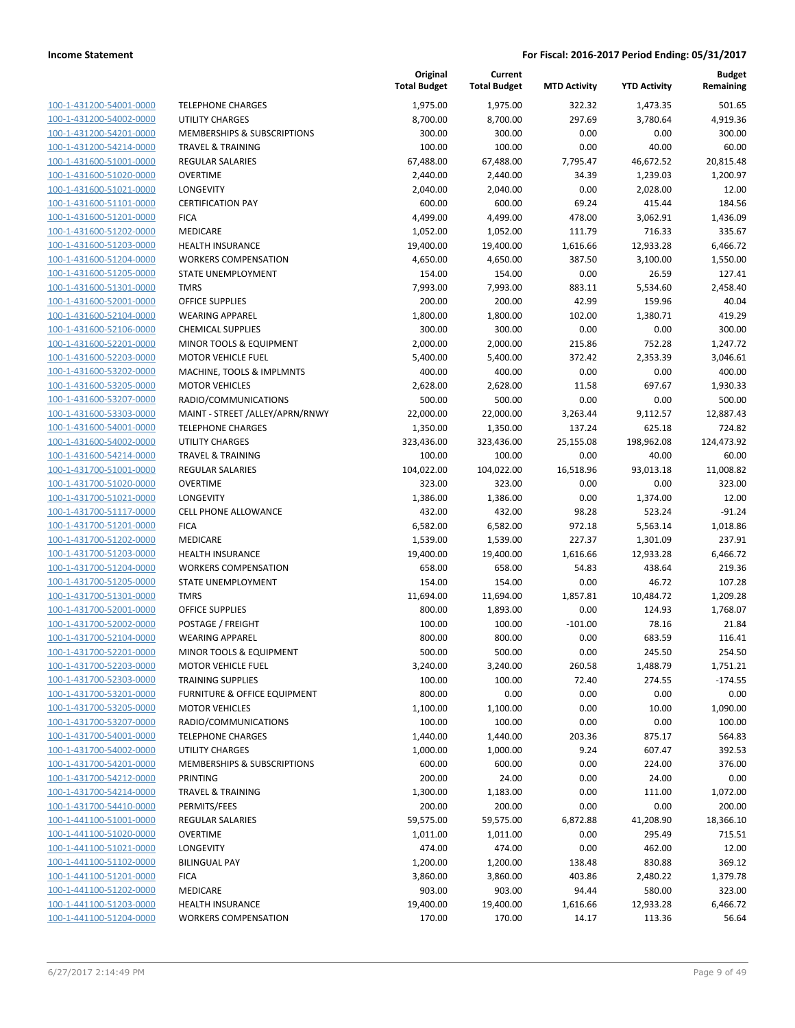| 100-1-431200-54001-0000        |
|--------------------------------|
| 100-1-431200-54002-0000        |
| 100-1-431200-54201-0000        |
| 100-1-431200-54214-0000        |
| 100-1-431600-51001-0000        |
| 100-1-431600-51020-0000        |
| 100-1-431600-51021-0000        |
| 100-1-431600-51101-0000        |
| 100-1-431600-51201-0000        |
| 100-1-431600-51202-0000        |
| 100-1-431600-51203-0000        |
| 100-1-431600-51204-0000        |
| 100-1-431600-51205-0000        |
|                                |
| 100-1-431600-51301-0000        |
| 100-1-431600-52001-0000        |
| 100-1-431600-52104-0000        |
| 100-1-431600-52106-0000        |
| 100-1-431600-52201-0000        |
| 100-1-431600-52203-0000        |
| 100-1-431600-53202-0000        |
| 100-1-431600-53205-0000        |
| 100-1-431600-53207-0000        |
| 100-1-431600-53303-0000        |
| 100-1-431600-54001-0000        |
| 100-1-431600-54002-0000        |
| 100-1-431600-54214-0000        |
| 100-1-431700-51001-0000        |
| 100-1-431700-51020-0000        |
| 100-1-431700-51021-0000        |
| 100-1-431700-51117-0000        |
| 100-1-431700-51201-0000        |
| 100-1-431700-51202-0000        |
| 100-1-431700-51203-0000        |
|                                |
| 100-1-431700-51204-0000        |
| 100-1-431700-51205-0000        |
| 100-1-431700-51301-0000        |
| 100-1-431700-52001-0000        |
| 100-1-431700-52002-0000        |
| 100-1-431700-52104-0000        |
| 100-1-431700-52201-0000        |
| 100-1-431700-52203-0000        |
| 100-1-431700-52303-0000        |
| 100-1-431700-53201-0000        |
| <u>100-1-431700-53205-0000</u> |
| 100-1-431700-53207-0000        |
| 100-1-431700-54001-0000        |
| 100-1-431700-54002-0000        |
| <u>100-1-431700-54201-0000</u> |
| <u>100-1-431700-54212-0000</u> |
| <u>100-1-431700-54214-0000</u> |
| 100-1-431700-54410-0000        |
| 100-1-441100-51001-0000        |
|                                |
| 100-1-441100-51020-0000        |
| <u>100-1-441100-51021-0000</u> |
| <u>100-1-441100-51102-0000</u> |
| 100-1-441100-51201-0000        |
| 100-1-441100-51202-0000        |
| <u>100-1-441100-51203-0000</u> |
| <u>100-1-441100-51204-0000</u> |
|                                |

|                                                    |                                               | Original<br><b>Total Budget</b> | Current<br><b>Total Budget</b> | <b>MTD Activity</b> | <b>YTD Activity</b> | <b>Budget</b><br>Remaining |
|----------------------------------------------------|-----------------------------------------------|---------------------------------|--------------------------------|---------------------|---------------------|----------------------------|
| 100-1-431200-54001-0000                            | <b>TELEPHONE CHARGES</b>                      | 1,975.00                        | 1,975.00                       | 322.32              | 1,473.35            | 501.65                     |
| 100-1-431200-54002-0000                            | <b>UTILITY CHARGES</b>                        | 8,700.00                        | 8,700.00                       | 297.69              | 3,780.64            | 4,919.36                   |
| 100-1-431200-54201-0000                            | MEMBERSHIPS & SUBSCRIPTIONS                   | 300.00                          | 300.00                         | 0.00                | 0.00                | 300.00                     |
| 100-1-431200-54214-0000                            | <b>TRAVEL &amp; TRAINING</b>                  | 100.00                          | 100.00                         | 0.00                | 40.00               | 60.00                      |
| 100-1-431600-51001-0000                            | <b>REGULAR SALARIES</b>                       | 67,488.00                       | 67,488.00                      | 7,795.47            | 46,672.52           | 20,815.48                  |
| 100-1-431600-51020-0000                            | <b>OVERTIME</b>                               | 2,440.00                        | 2,440.00                       | 34.39               | 1,239.03            | 1,200.97                   |
| 100-1-431600-51021-0000                            | <b>LONGEVITY</b>                              | 2,040.00                        | 2,040.00                       | 0.00                | 2,028.00            | 12.00                      |
| 100-1-431600-51101-0000                            | <b>CERTIFICATION PAY</b>                      | 600.00                          | 600.00                         | 69.24               | 415.44              | 184.56                     |
| 100-1-431600-51201-0000                            | <b>FICA</b>                                   | 4,499.00                        | 4,499.00                       | 478.00              | 3,062.91            | 1,436.09                   |
| 100-1-431600-51202-0000                            | MEDICARE                                      | 1,052.00                        | 1,052.00                       | 111.79              | 716.33              | 335.67                     |
| 100-1-431600-51203-0000                            | <b>HEALTH INSURANCE</b>                       | 19,400.00                       | 19,400.00                      | 1,616.66            | 12,933.28           | 6,466.72                   |
| 100-1-431600-51204-0000                            | <b>WORKERS COMPENSATION</b>                   | 4,650.00                        | 4,650.00                       | 387.50              | 3,100.00            | 1,550.00                   |
| 100-1-431600-51205-0000                            | STATE UNEMPLOYMENT                            | 154.00                          | 154.00                         | 0.00                | 26.59               | 127.41                     |
| 100-1-431600-51301-0000                            | <b>TMRS</b>                                   | 7,993.00                        | 7,993.00                       | 883.11              | 5,534.60            | 2,458.40                   |
| 100-1-431600-52001-0000                            | <b>OFFICE SUPPLIES</b>                        | 200.00                          | 200.00                         | 42.99               | 159.96              | 40.04                      |
| 100-1-431600-52104-0000                            | <b>WEARING APPAREL</b>                        | 1,800.00                        | 1,800.00                       | 102.00              | 1,380.71            | 419.29                     |
| 100-1-431600-52106-0000                            | <b>CHEMICAL SUPPLIES</b>                      | 300.00                          | 300.00                         | 0.00                | 0.00                | 300.00                     |
| 100-1-431600-52201-0000                            | MINOR TOOLS & EQUIPMENT                       | 2,000.00                        | 2,000.00                       | 215.86              | 752.28              | 1,247.72                   |
| 100-1-431600-52203-0000                            | <b>MOTOR VEHICLE FUEL</b>                     | 5,400.00                        | 5,400.00                       | 372.42              | 2,353.39            | 3,046.61                   |
| 100-1-431600-53202-0000                            | MACHINE, TOOLS & IMPLMNTS                     | 400.00                          | 400.00                         | 0.00                | 0.00                | 400.00                     |
| 100-1-431600-53205-0000                            | <b>MOTOR VEHICLES</b>                         | 2,628.00                        | 2,628.00                       | 11.58               | 697.67              | 1,930.33                   |
| 100-1-431600-53207-0000                            | RADIO/COMMUNICATIONS                          | 500.00                          | 500.00                         | 0.00                | 0.00                | 500.00                     |
| 100-1-431600-53303-0000                            | MAINT - STREET /ALLEY/APRN/RNWY               | 22,000.00                       | 22,000.00                      | 3,263.44            | 9,112.57            | 12,887.43                  |
| 100-1-431600-54001-0000                            | <b>TELEPHONE CHARGES</b>                      | 1,350.00                        | 1,350.00                       | 137.24              | 625.18              | 724.82                     |
| 100-1-431600-54002-0000                            | UTILITY CHARGES                               | 323,436.00                      | 323,436.00                     | 25,155.08           | 198,962.08          | 124,473.92                 |
| 100-1-431600-54214-0000                            | <b>TRAVEL &amp; TRAINING</b>                  | 100.00                          | 100.00                         | 0.00                | 40.00               | 60.00                      |
| 100-1-431700-51001-0000                            | <b>REGULAR SALARIES</b>                       | 104,022.00                      | 104,022.00                     | 16,518.96           | 93,013.18           | 11,008.82                  |
| 100-1-431700-51020-0000                            | <b>OVERTIME</b>                               | 323.00                          | 323.00                         | 0.00                | 0.00                | 323.00                     |
| 100-1-431700-51021-0000                            | <b>LONGEVITY</b>                              | 1,386.00                        | 1,386.00                       | 0.00                | 1,374.00            | 12.00                      |
| 100-1-431700-51117-0000                            | CELL PHONE ALLOWANCE                          | 432.00                          | 432.00                         | 98.28               | 523.24              | $-91.24$                   |
| 100-1-431700-51201-0000                            | <b>FICA</b>                                   | 6,582.00                        | 6,582.00                       | 972.18              | 5,563.14            | 1,018.86                   |
| 100-1-431700-51202-0000                            | MEDICARE                                      | 1,539.00                        | 1,539.00                       | 227.37              | 1,301.09            | 237.91                     |
| 100-1-431700-51203-0000                            | <b>HEALTH INSURANCE</b>                       | 19,400.00                       | 19,400.00                      | 1,616.66            | 12,933.28           | 6,466.72                   |
| 100-1-431700-51204-0000                            | <b>WORKERS COMPENSATION</b>                   | 658.00                          | 658.00                         | 54.83               | 438.64              | 219.36                     |
| 100-1-431700-51205-0000                            | STATE UNEMPLOYMENT                            | 154.00                          | 154.00                         | 0.00                | 46.72               | 107.28                     |
| 100-1-431700-51301-0000                            | <b>TMRS</b>                                   | 11,694.00                       | 11,694.00                      | 1,857.81            | 10,484.72           | 1,209.28                   |
| 100-1-431700-52001-0000                            | <b>OFFICE SUPPLIES</b>                        | 800.00                          | 1,893.00                       | 0.00                | 124.93              | 1,768.07                   |
| 100-1-431700-52002-0000                            | POSTAGE / FREIGHT                             | 100.00                          | 100.00                         | $-101.00$           | 78.16               | 21.84                      |
| 100-1-431700-52104-0000                            | <b>WEARING APPAREL</b>                        | 800.00                          | 800.00                         | 0.00                | 683.59              | 116.41                     |
| 100-1-431700-52201-0000                            | MINOR TOOLS & EQUIPMENT                       | 500.00                          | 500.00                         | 0.00                | 245.50              | 254.50                     |
| 100-1-431700-52203-0000                            | <b>MOTOR VEHICLE FUEL</b>                     | 3,240.00                        | 3,240.00                       | 260.58              | 1,488.79            | 1,751.21                   |
| 100-1-431700-52303-0000                            | <b>TRAINING SUPPLIES</b>                      | 100.00                          | 100.00                         | 72.40               | 274.55              | $-174.55$                  |
| 100-1-431700-53201-0000<br>100-1-431700-53205-0000 | FURNITURE & OFFICE EQUIPMENT                  | 800.00<br>1,100.00              | 0.00                           | 0.00                | 0.00                | 0.00                       |
| 100-1-431700-53207-0000                            | <b>MOTOR VEHICLES</b><br>RADIO/COMMUNICATIONS | 100.00                          | 1,100.00<br>100.00             | 0.00<br>0.00        | 10.00<br>0.00       | 1,090.00<br>100.00         |
| 100-1-431700-54001-0000                            | <b>TELEPHONE CHARGES</b>                      | 1,440.00                        | 1,440.00                       | 203.36              | 875.17              | 564.83                     |
| 100-1-431700-54002-0000                            | UTILITY CHARGES                               | 1,000.00                        | 1,000.00                       | 9.24                | 607.47              | 392.53                     |
| 100-1-431700-54201-0000                            | MEMBERSHIPS & SUBSCRIPTIONS                   | 600.00                          | 600.00                         | 0.00                | 224.00              | 376.00                     |
| 100-1-431700-54212-0000                            | PRINTING                                      | 200.00                          | 24.00                          | 0.00                | 24.00               | 0.00                       |
| 100-1-431700-54214-0000                            | <b>TRAVEL &amp; TRAINING</b>                  | 1,300.00                        | 1,183.00                       | 0.00                | 111.00              | 1,072.00                   |
| 100-1-431700-54410-0000                            | PERMITS/FEES                                  | 200.00                          | 200.00                         | 0.00                | 0.00                | 200.00                     |
| 100-1-441100-51001-0000                            | <b>REGULAR SALARIES</b>                       | 59,575.00                       | 59,575.00                      | 6,872.88            | 41,208.90           | 18,366.10                  |
| 100-1-441100-51020-0000                            | OVERTIME                                      | 1,011.00                        | 1,011.00                       | 0.00                | 295.49              | 715.51                     |
| 100-1-441100-51021-0000                            | <b>LONGEVITY</b>                              | 474.00                          | 474.00                         | 0.00                | 462.00              | 12.00                      |
| 100-1-441100-51102-0000                            | <b>BILINGUAL PAY</b>                          | 1,200.00                        | 1,200.00                       | 138.48              | 830.88              | 369.12                     |
| 100-1-441100-51201-0000                            | <b>FICA</b>                                   | 3,860.00                        | 3,860.00                       | 403.86              | 2,480.22            | 1,379.78                   |
| 100-1-441100-51202-0000                            | MEDICARE                                      | 903.00                          | 903.00                         | 94.44               | 580.00              | 323.00                     |
| 100-1-441100-51203-0000                            | HEALTH INSURANCE                              | 19,400.00                       | 19,400.00                      | 1,616.66            | 12,933.28           | 6,466.72                   |
| 100-1-441100-51204-0000                            | <b>WORKERS COMPENSATION</b>                   | 170.00                          | 170.00                         | 14.17               | 113.36              | 56.64                      |
|                                                    |                                               |                                 |                                |                     |                     |                            |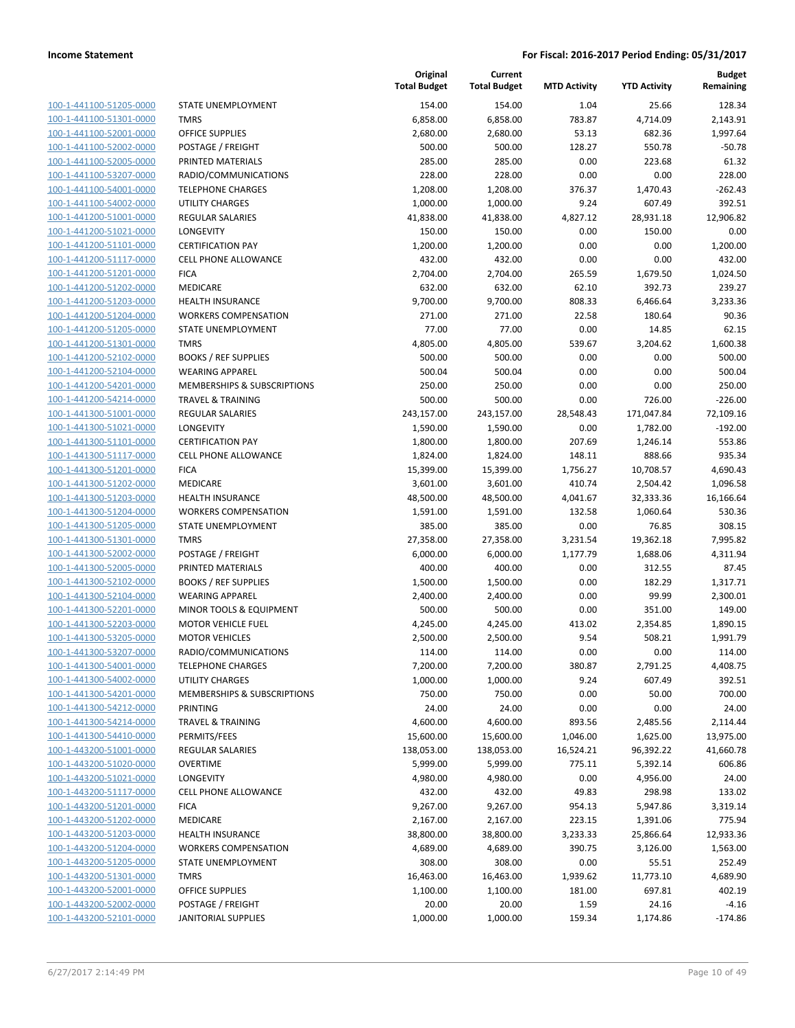100-1-441100-51205-0000 100-1-441100-51301-0000 100-1-441100-52001-0000 100-1-441100-52002-0000 100-1-441100-52005-0000 PRINTED MATERIALS 285.00 285.00 0.00 223.68 61.32 100-1-441100-53207-0000 100-1-441100-54001-0000 100-1-441100-54002-0000 100-1-441200-51001-0000 100-1-441200-51021-0000 100-1-441200-51101-0000 100-1-441200-51117-0000 100-1-441200-51201-0000 100-1-441200-51202-0000 100-1-441200-51203-0000 100-1-441200-51204-0000 100-1-441200-51205-0000 100-1-441200-51301-0000 100-1-441200-52102-0000 100-1-441200-52104-0000 100-1-441200-54201-0000 100-1-441200-54214-0000 100-1-441300-51001-0000 100-1-441300-51021-0000 LONGEVITY 1,590.00 1,590.00 0.00 1,782.00 -192.00 100-1-441300-51101-0000 100-1-441300-51117-0000 100-1-441300-51201-0000 100-1-441300-51202-0000 100-1-441300-51203-0000 100-1-441300-51204-0000 100-1-441300-51205-0000 100-1-441300-51301-0000 100-1-441300-52002-0000 100-1-441300-52005-0000 PRINTED MATERIALS 400.00 400.00 0.00 312.55 87.45 100-1-441300-52102-0000 100-1-441300-52104-0000 100-1-441300-52201-0000 100-1-441300-52203-0000 100-1-441300-53205-0000 100-1-441300-53207-0000 100-1-441300-54001-0000 100-1-441300-54002-0000 100-1-441300-54201-0000 100-1-441300-54212-0000 100-1-441300-54214-0000 100-1-441300-54410-0000 100-1-443200-51001-0000 100-1-443200-51020-0000 100-1-443200-51021-0000 100-1-443200-51117-0000 100-1-443200-51201-0000 100-1-443200-51202-0000 MEDICARE 2,167.00 2,167.00 223.15 1,391.06 775.94 100-1-443200-51203-0000 100-1-443200-51204-0000 100-1-443200-51205-0000 100-1-443200-51301-0000 100-1-443200-52001-0000 100-1-443200-52002-0000 100-1-443200-52101-0000

|                                        | Original<br><b>Total Budget</b> | Current<br><b>Total Budget</b> | <b>MTD Activity</b> | <b>YTD Activity</b> | <b>Budget</b><br>Remaining |
|----------------------------------------|---------------------------------|--------------------------------|---------------------|---------------------|----------------------------|
| <b>STATE UNEMPLOYMENT</b>              |                                 |                                | 1.04                |                     |                            |
| <b>TMRS</b>                            | 154.00                          | 154.00                         |                     | 25.66               | 128.34                     |
| <b>OFFICE SUPPLIES</b>                 | 6,858.00                        | 6,858.00                       | 783.87<br>53.13     | 4,714.09            | 2,143.91                   |
|                                        | 2,680.00                        | 2,680.00<br>500.00             |                     | 682.36<br>550.78    | 1,997.64                   |
| POSTAGE / FREIGHT<br>PRINTED MATERIALS | 500.00                          |                                | 128.27<br>0.00      | 223.68              | $-50.78$<br>61.32          |
|                                        | 285.00                          | 285.00                         |                     |                     |                            |
| RADIO/COMMUNICATIONS                   | 228.00                          | 228.00                         | 0.00                | 0.00                | 228.00                     |
| <b>TELEPHONE CHARGES</b>               | 1,208.00                        | 1,208.00                       | 376.37              | 1,470.43            | $-262.43$                  |
| <b>UTILITY CHARGES</b>                 | 1,000.00                        | 1,000.00                       | 9.24                | 607.49              | 392.51                     |
| <b>REGULAR SALARIES</b>                | 41,838.00                       | 41,838.00                      | 4,827.12            | 28,931.18           | 12,906.82                  |
| <b>LONGEVITY</b>                       | 150.00                          | 150.00                         | 0.00                | 150.00              | 0.00                       |
| <b>CERTIFICATION PAY</b>               | 1,200.00                        | 1,200.00                       | 0.00                | 0.00                | 1,200.00                   |
| <b>CELL PHONE ALLOWANCE</b>            | 432.00                          | 432.00                         | 0.00                | 0.00                | 432.00                     |
| <b>FICA</b>                            | 2,704.00                        | 2,704.00                       | 265.59              | 1,679.50            | 1,024.50                   |
| <b>MEDICARE</b>                        | 632.00                          | 632.00                         | 62.10               | 392.73              | 239.27                     |
| <b>HEALTH INSURANCE</b>                | 9,700.00                        | 9,700.00                       | 808.33              | 6,466.64            | 3,233.36                   |
| <b>WORKERS COMPENSATION</b>            | 271.00                          | 271.00                         | 22.58               | 180.64              | 90.36                      |
| <b>STATE UNEMPLOYMENT</b>              | 77.00                           | 77.00                          | 0.00                | 14.85               | 62.15                      |
| <b>TMRS</b>                            | 4,805.00                        | 4,805.00                       | 539.67              | 3,204.62            | 1,600.38                   |
| <b>BOOKS / REF SUPPLIES</b>            | 500.00                          | 500.00                         | 0.00                | 0.00                | 500.00                     |
| <b>WEARING APPAREL</b>                 | 500.04                          | 500.04                         | 0.00                | 0.00                | 500.04                     |
| MEMBERSHIPS & SUBSCRIPTIONS            | 250.00                          | 250.00                         | 0.00                | 0.00                | 250.00                     |
| <b>TRAVEL &amp; TRAINING</b>           | 500.00                          | 500.00                         | 0.00                | 726.00              | $-226.00$                  |
| <b>REGULAR SALARIES</b>                | 243,157.00                      | 243,157.00                     | 28,548.43           | 171,047.84          | 72,109.16                  |
| <b>LONGEVITY</b>                       | 1,590.00                        | 1,590.00                       | 0.00                | 1,782.00            | $-192.00$                  |
| <b>CERTIFICATION PAY</b>               | 1,800.00                        | 1,800.00                       | 207.69              | 1,246.14            | 553.86                     |
| <b>CELL PHONE ALLOWANCE</b>            | 1,824.00                        | 1,824.00                       | 148.11              | 888.66              | 935.34                     |
| <b>FICA</b>                            | 15,399.00                       | 15,399.00                      | 1,756.27            | 10,708.57           | 4,690.43                   |
| <b>MEDICARE</b>                        | 3,601.00                        | 3,601.00                       | 410.74              | 2,504.42            | 1,096.58                   |
| <b>HEALTH INSURANCE</b>                | 48,500.00                       | 48,500.00                      | 4,041.67            | 32,333.36           | 16,166.64                  |
| <b>WORKERS COMPENSATION</b>            | 1,591.00                        | 1,591.00                       | 132.58              | 1,060.64            | 530.36                     |
| STATE UNEMPLOYMENT                     | 385.00                          | 385.00                         | 0.00                | 76.85               | 308.15                     |
| <b>TMRS</b>                            | 27,358.00                       | 27,358.00                      | 3,231.54            | 19,362.18           | 7,995.82                   |
| POSTAGE / FREIGHT                      | 6,000.00                        | 6,000.00                       | 1,177.79            | 1,688.06            | 4,311.94                   |
| PRINTED MATERIALS                      | 400.00                          | 400.00                         | 0.00                | 312.55              | 87.45                      |
| <b>BOOKS / REF SUPPLIES</b>            | 1,500.00                        | 1,500.00                       | 0.00                | 182.29              | 1,317.71                   |
| <b>WEARING APPAREL</b>                 | 2,400.00                        | 2,400.00                       | 0.00                | 99.99               | 2,300.01                   |
| MINOR TOOLS & EQUIPMENT                | 500.00                          | 500.00                         | 0.00                | 351.00              | 149.00                     |
| <b>MOTOR VEHICLE FUEL</b>              | 4,245.00                        | 4,245.00                       | 413.02              | 2,354.85            | 1,890.15                   |
| <b>MOTOR VEHICLES</b>                  | 2,500.00                        | 2,500.00                       | 9.54                | 508.21              | 1,991.79                   |
| RADIO/COMMUNICATIONS                   | 114.00                          | 114.00                         | 0.00                | 0.00                | 114.00                     |
| <b>TELEPHONE CHARGES</b>               | 7,200.00                        | 7,200.00                       | 380.87              | 2,791.25            | 4,408.75                   |
| UTILITY CHARGES                        | 1,000.00                        | 1,000.00                       | 9.24                | 607.49              | 392.51                     |
| MEMBERSHIPS & SUBSCRIPTIONS            | 750.00                          | 750.00                         | 0.00                | 50.00               | 700.00                     |
| PRINTING                               | 24.00                           | 24.00                          | 0.00                | 0.00                | 24.00                      |
| <b>TRAVEL &amp; TRAINING</b>           | 4,600.00                        | 4,600.00                       | 893.56              | 2,485.56            | 2,114.44                   |
| PERMITS/FEES                           | 15,600.00                       | 15,600.00                      | 1,046.00            | 1,625.00            | 13,975.00                  |
| REGULAR SALARIES                       | 138,053.00                      | 138,053.00                     | 16,524.21           | 96,392.22           | 41,660.78                  |
| <b>OVERTIME</b>                        | 5,999.00                        | 5,999.00                       | 775.11              | 5,392.14            | 606.86                     |
| <b>LONGEVITY</b>                       | 4,980.00                        | 4,980.00                       | 0.00                | 4,956.00            | 24.00                      |
| CELL PHONE ALLOWANCE                   | 432.00                          | 432.00                         | 49.83               | 298.98              | 133.02                     |
| <b>FICA</b>                            | 9,267.00                        | 9,267.00                       | 954.13              | 5,947.86            | 3,319.14                   |
| MEDICARE                               | 2,167.00                        | 2,167.00                       | 223.15              | 1,391.06            | 775.94                     |
| <b>HEALTH INSURANCE</b>                | 38,800.00                       | 38,800.00                      | 3,233.33            | 25,866.64           | 12,933.36                  |
| <b>WORKERS COMPENSATION</b>            | 4,689.00                        | 4,689.00                       | 390.75              | 3,126.00            | 1,563.00                   |
| STATE UNEMPLOYMENT                     | 308.00                          | 308.00                         | 0.00                | 55.51               | 252.49                     |
| <b>TMRS</b>                            | 16,463.00                       | 16,463.00                      | 1,939.62            | 11,773.10           | 4,689.90                   |
| OFFICE SUPPLIES                        | 1,100.00                        | 1,100.00                       | 181.00              | 697.81              | 402.19                     |
| POSTAGE / FREIGHT                      | 20.00                           | 20.00                          | 1.59                | 24.16               | -4.16                      |
| JANITORIAL SUPPLIES                    | 1,000.00                        | 1,000.00                       | 159.34              | 1,174.86            | $-174.86$                  |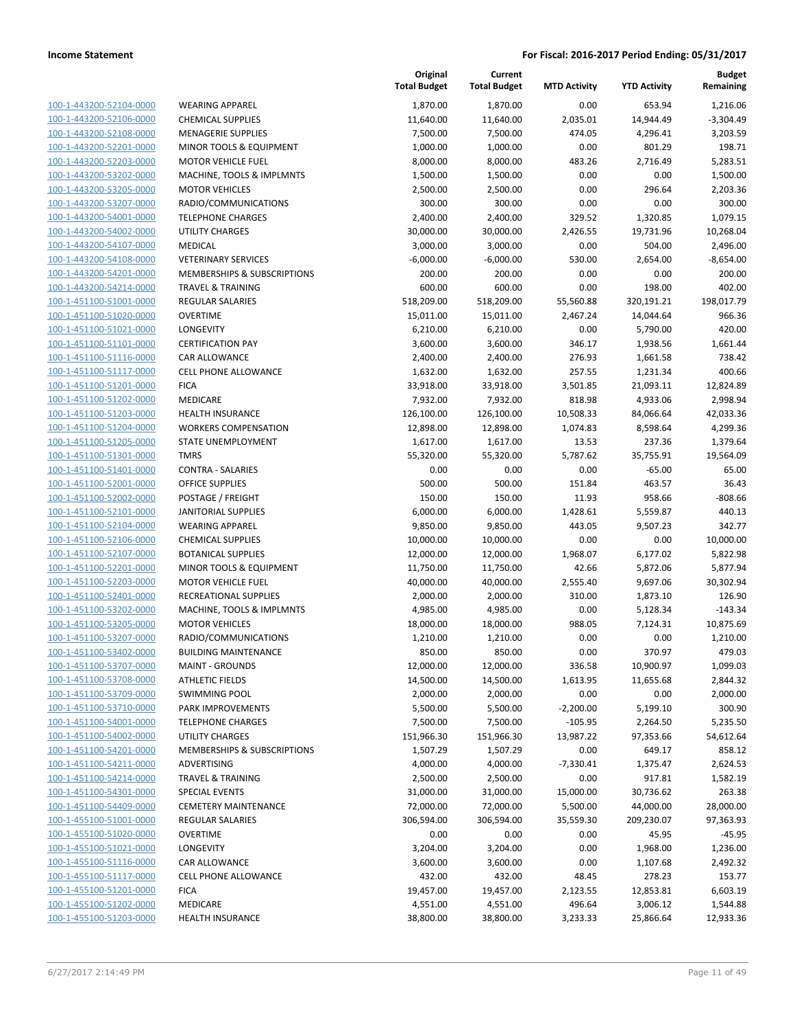| 100-1-443200-52104-0000        |
|--------------------------------|
| 100-1-443200-52106-0000        |
| 100-1-443200-52108-0000        |
| <u>100-1-443200-52201-0000</u> |
| 100-1-443200-52203-0000        |
| 100-1-443200-53202-0000        |
| 100-1-443200-53205-0000        |
| 100-1-443200-53207-0000        |
| 100-1-443200-54001-0000        |
| 100-1-443200-54002-0000        |
| 100-1-443200-54107-0000        |
| 100-1-443200-54108-0000        |
| 100-1-443200-54201-0000        |
| <u>100-1-443200-54214-0000</u> |
| 100-1-451100-51001-0000        |
| 100-1-451100-51020-0000        |
| 100-1-451100-51021-0000        |
| 100-1-451100-51101-0000        |
| 100-1-451100-51116-0000        |
| 100-1-451100-51117-0000        |
| 100-1-451100-51201-0000        |
| 100-1-451100-51202-0000        |
| 100-1-451100-51203-0000        |
|                                |
| <u>100-1-451100-51204-0000</u> |
| 100-1-451100-51205-0000        |
| 100-1-451100-51301-0000        |
| 100-1-451100-51401-0000        |
| 100-1-451100-52001-0000        |
| <u>100-1-451100-52002-0000</u> |
| 100-1-451100-52101-0000        |
| 100-1-451100-52104-0000        |
| 100-1-451100-52106-0000        |
| 100-1-451100-52107-0000        |
| <u>100-1-451100-52201-0000</u> |
| 100-1-451100-52203-0000        |
| 100-1-451100-52401-0000        |
| 100-1-451100-53202-0000        |
| 100-1-451100-53205-0000        |
| 100-1-451100-53207-0000        |
| 100-1-451100-53402-0000        |
| 100-1-451100-53707-0000        |
| 100-1-451100-53708-0000        |
| 100-1-451100-53709-0000        |
| <u>100-1-451100-53710-0000</u> |
| <u>100-1-451100-54001-0000</u> |
| 100-1-451100-54002-0000        |
| 100-1-451100-54201-0000        |
| <u>100-1-451100-54211-0000</u> |
| <u>100-1-451100-54214-0000</u> |
| 100-1-451100-54301-0000        |
| 100-1-451100-54409-0000        |
| 100-1-455100-51001-0000        |
| 100-1-455100-51020-0000        |
|                                |
| <u>100-1-455100-51021-0000</u> |
| <u>100-1-455100-51116-0000</u> |
| 100-1-455100-51117-0000        |
| 100-1-455100-51201-0000        |
| <u>100-1-455100-51202-0000</u> |
| <u>100-1-455100-51203-0000</u> |
|                                |

|                         |                              | Original<br><b>Total Budget</b> | Current<br><b>Total Budget</b> | <b>MTD Activity</b> | <b>YTD Activity</b> | <b>Budget</b><br>Remaining |
|-------------------------|------------------------------|---------------------------------|--------------------------------|---------------------|---------------------|----------------------------|
| 100-1-443200-52104-0000 | <b>WEARING APPAREL</b>       | 1,870.00                        | 1,870.00                       | 0.00                | 653.94              | 1,216.06                   |
| 100-1-443200-52106-0000 | <b>CHEMICAL SUPPLIES</b>     | 11,640.00                       | 11,640.00                      | 2,035.01            | 14,944.49           | $-3,304.49$                |
| 100-1-443200-52108-0000 | <b>MENAGERIE SUPPLIES</b>    | 7,500.00                        | 7,500.00                       | 474.05              | 4,296.41            | 3,203.59                   |
| 100-1-443200-52201-0000 | MINOR TOOLS & EQUIPMENT      | 1,000.00                        | 1,000.00                       | 0.00                | 801.29              | 198.71                     |
| 100-1-443200-52203-0000 | <b>MOTOR VEHICLE FUEL</b>    | 8,000.00                        | 8,000.00                       | 483.26              | 2,716.49            | 5,283.51                   |
| 100-1-443200-53202-0000 | MACHINE, TOOLS & IMPLMNTS    | 1,500.00                        | 1,500.00                       | 0.00                | 0.00                | 1,500.00                   |
| 100-1-443200-53205-0000 | <b>MOTOR VEHICLES</b>        | 2,500.00                        | 2,500.00                       | 0.00                | 296.64              | 2,203.36                   |
| 100-1-443200-53207-0000 | RADIO/COMMUNICATIONS         | 300.00                          | 300.00                         | 0.00                | 0.00                | 300.00                     |
| 100-1-443200-54001-0000 | <b>TELEPHONE CHARGES</b>     | 2,400.00                        | 2,400.00                       | 329.52              | 1,320.85            | 1,079.15                   |
| 100-1-443200-54002-0000 | <b>UTILITY CHARGES</b>       | 30,000.00                       | 30,000.00                      | 2,426.55            | 19,731.96           | 10,268.04                  |
| 100-1-443200-54107-0000 | MEDICAL                      | 3,000.00                        | 3,000.00                       | 0.00                | 504.00              | 2,496.00                   |
| 100-1-443200-54108-0000 | <b>VETERINARY SERVICES</b>   | $-6,000.00$                     | $-6,000.00$                    | 530.00              | 2,654.00            | $-8,654.00$                |
| 100-1-443200-54201-0000 | MEMBERSHIPS & SUBSCRIPTIONS  | 200.00                          | 200.00                         | 0.00                | 0.00                | 200.00                     |
| 100-1-443200-54214-0000 | <b>TRAVEL &amp; TRAINING</b> | 600.00                          | 600.00                         | 0.00                | 198.00              | 402.00                     |
| 100-1-451100-51001-0000 | <b>REGULAR SALARIES</b>      | 518,209.00                      | 518,209.00                     | 55,560.88           | 320,191.21          | 198,017.79                 |
| 100-1-451100-51020-0000 | <b>OVERTIME</b>              | 15,011.00                       | 15,011.00                      | 2,467.24            | 14,044.64           | 966.36                     |
| 100-1-451100-51021-0000 | LONGEVITY                    | 6,210.00                        | 6,210.00                       | 0.00                | 5,790.00            | 420.00                     |
| 100-1-451100-51101-0000 | <b>CERTIFICATION PAY</b>     | 3,600.00                        | 3,600.00                       | 346.17              | 1,938.56            | 1,661.44                   |
| 100-1-451100-51116-0000 | <b>CAR ALLOWANCE</b>         | 2,400.00                        | 2,400.00                       | 276.93              | 1,661.58            | 738.42                     |
| 100-1-451100-51117-0000 | <b>CELL PHONE ALLOWANCE</b>  | 1,632.00                        | 1,632.00                       | 257.55              | 1,231.34            | 400.66                     |
| 100-1-451100-51201-0000 | <b>FICA</b>                  | 33,918.00                       | 33,918.00                      | 3,501.85            | 21,093.11           | 12,824.89                  |
| 100-1-451100-51202-0000 | MEDICARE                     | 7,932.00                        | 7,932.00                       | 818.98              | 4,933.06            | 2,998.94                   |
| 100-1-451100-51203-0000 | HEALTH INSURANCE             | 126,100.00                      | 126,100.00                     | 10,508.33           | 84,066.64           | 42,033.36                  |
| 100-1-451100-51204-0000 | <b>WORKERS COMPENSATION</b>  | 12,898.00                       | 12,898.00                      | 1,074.83            | 8,598.64            | 4,299.36                   |
| 100-1-451100-51205-0000 | STATE UNEMPLOYMENT           | 1,617.00                        | 1,617.00                       | 13.53               | 237.36              | 1,379.64                   |
| 100-1-451100-51301-0000 | <b>TMRS</b>                  | 55,320.00                       | 55,320.00                      | 5,787.62            | 35,755.91           | 19,564.09                  |
| 100-1-451100-51401-0000 | <b>CONTRA - SALARIES</b>     | 0.00                            | 0.00                           | 0.00                | $-65.00$            | 65.00                      |
| 100-1-451100-52001-0000 | <b>OFFICE SUPPLIES</b>       | 500.00                          | 500.00                         | 151.84              | 463.57              | 36.43                      |
| 100-1-451100-52002-0000 | POSTAGE / FREIGHT            | 150.00                          | 150.00                         | 11.93               | 958.66              | $-808.66$                  |
| 100-1-451100-52101-0000 | <b>JANITORIAL SUPPLIES</b>   | 6,000.00                        | 6,000.00                       | 1,428.61            | 5,559.87            | 440.13                     |
| 100-1-451100-52104-0000 | <b>WEARING APPAREL</b>       | 9,850.00                        | 9,850.00                       | 443.05              | 9,507.23            | 342.77                     |
| 100-1-451100-52106-0000 | <b>CHEMICAL SUPPLIES</b>     | 10,000.00                       | 10,000.00                      | 0.00                | 0.00                | 10,000.00                  |
| 100-1-451100-52107-0000 | <b>BOTANICAL SUPPLIES</b>    | 12,000.00                       | 12,000.00                      | 1,968.07            | 6,177.02            | 5,822.98                   |
| 100-1-451100-52201-0000 | MINOR TOOLS & EQUIPMENT      | 11,750.00                       | 11,750.00                      | 42.66               | 5,872.06            | 5,877.94                   |
| 100-1-451100-52203-0000 | <b>MOTOR VEHICLE FUEL</b>    | 40,000.00                       | 40,000.00                      | 2,555.40            | 9,697.06            | 30,302.94                  |
| 100-1-451100-52401-0000 | RECREATIONAL SUPPLIES        | 2,000.00                        | 2,000.00                       | 310.00              | 1,873.10            | 126.90                     |
| 100-1-451100-53202-0000 | MACHINE, TOOLS & IMPLMNTS    | 4,985.00                        | 4,985.00                       | 0.00                | 5,128.34            | $-143.34$                  |
| 100-1-451100-53205-0000 | <b>MOTOR VEHICLES</b>        | 18,000.00                       | 18,000.00                      | 988.05              | 7,124.31            | 10,875.69                  |
| 100-1-451100-53207-0000 | RADIO/COMMUNICATIONS         | 1,210.00                        | 1,210.00                       | 0.00                | 0.00                | 1,210.00                   |
| 100-1-451100-53402-0000 | <b>BUILDING MAINTENANCE</b>  | 850.00                          | 850.00                         | 0.00                | 370.97              | 479.03                     |
| 100-1-451100-53707-0000 | <b>MAINT - GROUNDS</b>       | 12,000.00                       | 12,000.00                      | 336.58              | 10,900.97           | 1,099.03                   |
| 100-1-451100-53708-0000 | <b>ATHLETIC FIELDS</b>       | 14,500.00                       | 14,500.00                      | 1,613.95            | 11,655.68           | 2,844.32                   |
| 100-1-451100-53709-0000 | <b>SWIMMING POOL</b>         | 2,000.00                        | 2,000.00                       | 0.00                | 0.00                | 2,000.00                   |
| 100-1-451100-53710-0000 | PARK IMPROVEMENTS            | 5,500.00                        | 5,500.00                       | $-2,200.00$         | 5,199.10            | 300.90                     |
| 100-1-451100-54001-0000 | <b>TELEPHONE CHARGES</b>     | 7,500.00                        | 7,500.00                       | $-105.95$           | 2,264.50            | 5,235.50                   |
| 100-1-451100-54002-0000 | UTILITY CHARGES              | 151,966.30                      | 151,966.30                     | 13,987.22           | 97,353.66           | 54,612.64                  |
| 100-1-451100-54201-0000 | MEMBERSHIPS & SUBSCRIPTIONS  | 1,507.29                        | 1,507.29                       | 0.00                | 649.17              | 858.12                     |
| 100-1-451100-54211-0000 | ADVERTISING                  | 4,000.00                        | 4,000.00                       | $-7,330.41$         | 1,375.47            | 2,624.53                   |
| 100-1-451100-54214-0000 | <b>TRAVEL &amp; TRAINING</b> | 2,500.00                        | 2,500.00                       | 0.00                | 917.81              | 1,582.19                   |
| 100-1-451100-54301-0000 | <b>SPECIAL EVENTS</b>        | 31,000.00                       | 31,000.00                      | 15,000.00           | 30,736.62           | 263.38                     |
| 100-1-451100-54409-0000 | <b>CEMETERY MAINTENANCE</b>  | 72,000.00                       | 72,000.00                      | 5,500.00            | 44,000.00           | 28,000.00                  |
| 100-1-455100-51001-0000 | <b>REGULAR SALARIES</b>      | 306,594.00                      | 306,594.00                     | 35,559.30           | 209,230.07          | 97,363.93                  |
| 100-1-455100-51020-0000 | <b>OVERTIME</b>              | 0.00                            | 0.00                           | 0.00                | 45.95               | $-45.95$                   |
| 100-1-455100-51021-0000 | LONGEVITY                    | 3,204.00                        | 3,204.00                       | 0.00                | 1,968.00            | 1,236.00                   |
| 100-1-455100-51116-0000 | <b>CAR ALLOWANCE</b>         | 3,600.00                        | 3,600.00                       | 0.00                | 1,107.68            | 2,492.32                   |
| 100-1-455100-51117-0000 | CELL PHONE ALLOWANCE         | 432.00                          | 432.00                         | 48.45               | 278.23              | 153.77                     |
| 100-1-455100-51201-0000 | <b>FICA</b>                  | 19,457.00                       | 19,457.00                      | 2,123.55            | 12,853.81           | 6,603.19                   |
| 100-1-455100-51202-0000 | MEDICARE                     | 4,551.00                        | 4,551.00                       | 496.64              | 3,006.12            | 1,544.88                   |
| 100-1-455100-51203-0000 | <b>HEALTH INSURANCE</b>      | 38,800.00                       | 38,800.00                      | 3,233.33            | 25,866.64           | 12,933.36                  |
|                         |                              |                                 |                                |                     |                     |                            |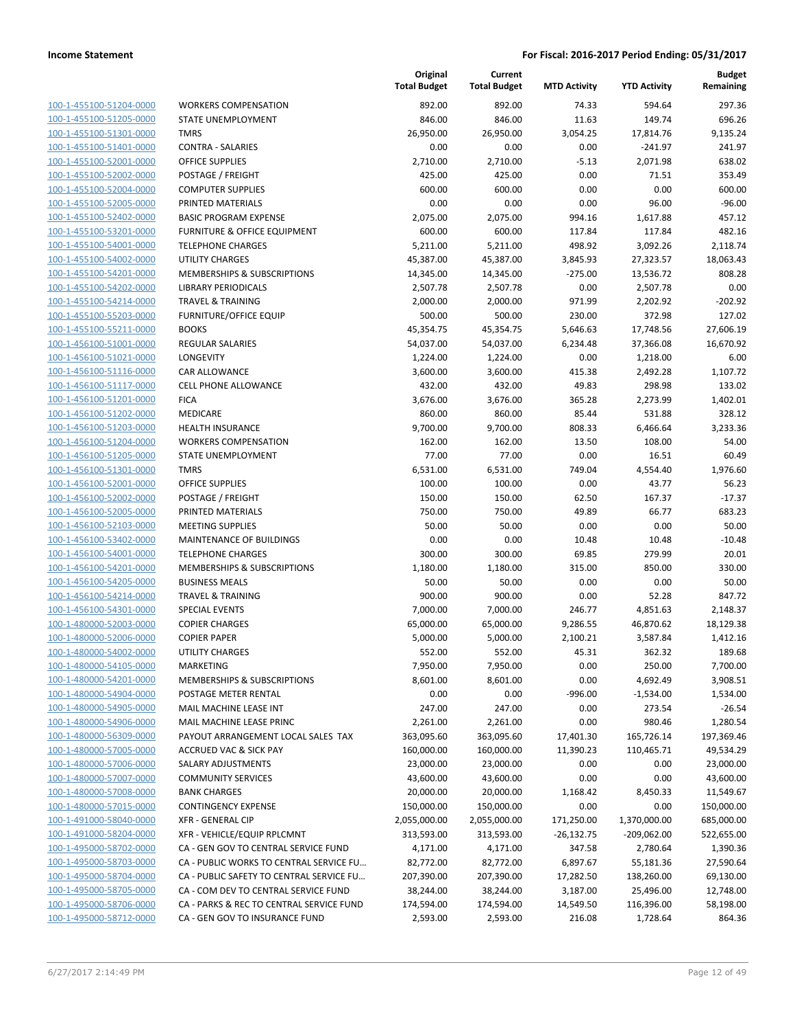| 100-1-455100-51204-0000                                   |
|-----------------------------------------------------------|
| <u>100-1-455100-51205-0000</u>                            |
| <u>100-1-455100-51301-0000</u>                            |
| <u>100-1-455100-51401-0000</u>                            |
| 100-1-455100-52001-0000                                   |
| 100-1-455100-52002-0000                                   |
| 100-1-455100-52004-0000                                   |
| <u>100-1-455100-52005-0000</u>                            |
| 100-1-455100-52402-0000                                   |
| 100-1-455100-53201-0000                                   |
| 100-1-455100-54001-0000                                   |
|                                                           |
| 100-1-455100-54002-0000                                   |
| <u>100-1-455100-54201-0000</u>                            |
| <u>100-1-455100-54202-0000</u>                            |
| 100-1-455100-54214-0000                                   |
| 100-1-455100-55203-0000                                   |
| <u>100-1-455100-55211-0000</u>                            |
| <u>100-1-456100-51001-0000</u>                            |
| <u>100-1-456100-51021-0000</u>                            |
| 100-1-456100-51116-0000                                   |
| 100-1-456100-51117-0000                                   |
| 100-1-456100-51201-0000                                   |
| <u>100-1-456100-51202-0000</u>                            |
| <u>100-1-456100-51203-0000</u>                            |
| 100-1-456100-51204-0000                                   |
| 100-1-456100-51205-0000                                   |
| <u>100-1-456100-51301-0000</u>                            |
|                                                           |
| <u>100-1-456100-52001-0000</u>                            |
| <u>100-1-456100-52002-0000</u>                            |
| 100-1-456100-52005-0000                                   |
| 100-1-456100-52103-0000                                   |
| <u>100-1-456100-53402-0000</u>                            |
| <u>100-1-456100-54001-0000</u>                            |
| <u>100-1-456100-54201-0000</u>                            |
| 100-1-456100-54205-0000                                   |
| 100-1-456100-54214-0000                                   |
| 100-1-456100-54301-0000                                   |
| <u>100-1-480000-52003-0000</u>                            |
|                                                           |
| <u>100-1-480000-52006-0000</u>                            |
| 100-1-480000-54002-0000                                   |
|                                                           |
| 100-1-480000-54105-0000                                   |
| 100-1-480000-54201-0000                                   |
| 100-1-480000-54904-0000                                   |
| 100-1-480000-54905-0000                                   |
| 100-1-480000-54906-0000                                   |
| 100-1-480000-56309-0000                                   |
| 100-1-480000-57005-0000                                   |
| 100-1-480000-57006-0000                                   |
| 100-1-480000-57007-0000                                   |
| 100-1-480000-57008-0000                                   |
| 100-1-480000-57015-0000                                   |
| 100-1-491000-58040-0000                                   |
| <u>100-1-491000-58204-0000</u>                            |
| 100-1-495000-58702-0000                                   |
| 100-1-495000-58703-0000                                   |
| 100-1-495000-58704-0000                                   |
|                                                           |
| 100-1-495000-58705-0000                                   |
| <u>100-1-495000-58706-0000</u><br>100-1-495000-58712-0000 |

|                         |                                          | Original<br><b>Total Budget</b> | Current<br><b>Total Budget</b> | <b>MTD Activity</b> | <b>YTD Activity</b> | <b>Budget</b><br>Remaining |
|-------------------------|------------------------------------------|---------------------------------|--------------------------------|---------------------|---------------------|----------------------------|
| 100-1-455100-51204-0000 | <b>WORKERS COMPENSATION</b>              | 892.00                          | 892.00                         | 74.33               | 594.64              | 297.36                     |
| 100-1-455100-51205-0000 | STATE UNEMPLOYMENT                       | 846.00                          | 846.00                         | 11.63               | 149.74              | 696.26                     |
| 100-1-455100-51301-0000 | <b>TMRS</b>                              | 26,950.00                       | 26,950.00                      | 3,054.25            | 17,814.76           | 9,135.24                   |
| 100-1-455100-51401-0000 | <b>CONTRA - SALARIES</b>                 | 0.00                            | 0.00                           | 0.00                | $-241.97$           | 241.97                     |
| 100-1-455100-52001-0000 | <b>OFFICE SUPPLIES</b>                   | 2,710.00                        | 2,710.00                       | $-5.13$             | 2,071.98            | 638.02                     |
| 100-1-455100-52002-0000 | POSTAGE / FREIGHT                        | 425.00                          | 425.00                         | 0.00                | 71.51               | 353.49                     |
| 100-1-455100-52004-0000 | <b>COMPUTER SUPPLIES</b>                 | 600.00                          | 600.00                         | 0.00                | 0.00                | 600.00                     |
| 100-1-455100-52005-0000 | PRINTED MATERIALS                        | 0.00                            | 0.00                           | 0.00                | 96.00               | $-96.00$                   |
| 100-1-455100-52402-0000 | <b>BASIC PROGRAM EXPENSE</b>             | 2,075.00                        | 2,075.00                       | 994.16              | 1,617.88            | 457.12                     |
| 100-1-455100-53201-0000 | FURNITURE & OFFICE EQUIPMENT             | 600.00                          | 600.00                         | 117.84              | 117.84              | 482.16                     |
| 100-1-455100-54001-0000 | <b>TELEPHONE CHARGES</b>                 | 5,211.00                        | 5,211.00                       | 498.92              | 3,092.26            | 2,118.74                   |
| 100-1-455100-54002-0000 | UTILITY CHARGES                          | 45,387.00                       | 45,387.00                      | 3,845.93            | 27,323.57           | 18,063.43                  |
| 100-1-455100-54201-0000 | MEMBERSHIPS & SUBSCRIPTIONS              | 14,345.00                       | 14,345.00                      | $-275.00$           | 13,536.72           | 808.28                     |
| 100-1-455100-54202-0000 | <b>LIBRARY PERIODICALS</b>               | 2,507.78                        | 2,507.78                       | 0.00                | 2,507.78            | 0.00                       |
| 100-1-455100-54214-0000 | <b>TRAVEL &amp; TRAINING</b>             | 2,000.00                        | 2,000.00                       | 971.99              | 2,202.92            | $-202.92$                  |
| 100-1-455100-55203-0000 | <b>FURNITURE/OFFICE EQUIP</b>            | 500.00                          | 500.00                         | 230.00              | 372.98              | 127.02                     |
| 100-1-455100-55211-0000 | <b>BOOKS</b>                             | 45,354.75                       | 45,354.75                      | 5,646.63            | 17,748.56           | 27,606.19                  |
| 100-1-456100-51001-0000 | <b>REGULAR SALARIES</b>                  | 54,037.00                       | 54,037.00                      | 6,234.48            | 37,366.08           | 16,670.92                  |
| 100-1-456100-51021-0000 | LONGEVITY                                | 1,224.00                        | 1,224.00                       | 0.00                | 1,218.00            | 6.00                       |
| 100-1-456100-51116-0000 | <b>CAR ALLOWANCE</b>                     | 3,600.00                        | 3,600.00                       | 415.38              | 2,492.28            | 1,107.72                   |
| 100-1-456100-51117-0000 | <b>CELL PHONE ALLOWANCE</b>              | 432.00                          | 432.00                         | 49.83               | 298.98              | 133.02                     |
| 100-1-456100-51201-0000 | <b>FICA</b>                              | 3,676.00                        | 3,676.00                       | 365.28              | 2,273.99            | 1,402.01                   |
| 100-1-456100-51202-0000 | MEDICARE                                 | 860.00                          | 860.00                         | 85.44               | 531.88              | 328.12                     |
| 100-1-456100-51203-0000 | <b>HEALTH INSURANCE</b>                  | 9,700.00                        | 9,700.00                       | 808.33              | 6,466.64            | 3,233.36                   |
| 100-1-456100-51204-0000 | <b>WORKERS COMPENSATION</b>              | 162.00                          | 162.00                         | 13.50               | 108.00              | 54.00                      |
| 100-1-456100-51205-0000 | STATE UNEMPLOYMENT                       | 77.00                           | 77.00                          | 0.00                | 16.51               | 60.49                      |
| 100-1-456100-51301-0000 | <b>TMRS</b>                              | 6,531.00                        | 6,531.00                       | 749.04              | 4,554.40            | 1,976.60                   |
| 100-1-456100-52001-0000 | <b>OFFICE SUPPLIES</b>                   | 100.00                          | 100.00                         | 0.00                | 43.77               | 56.23                      |
| 100-1-456100-52002-0000 | POSTAGE / FREIGHT                        | 150.00                          | 150.00                         | 62.50               | 167.37              | $-17.37$                   |
| 100-1-456100-52005-0000 | PRINTED MATERIALS                        | 750.00                          | 750.00                         | 49.89               | 66.77               | 683.23                     |
| 100-1-456100-52103-0000 | <b>MEETING SUPPLIES</b>                  | 50.00                           | 50.00                          | 0.00                | 0.00                | 50.00                      |
| 100-1-456100-53402-0000 | MAINTENANCE OF BUILDINGS                 | 0.00                            | 0.00                           | 10.48               | 10.48               | $-10.48$                   |
| 100-1-456100-54001-0000 | <b>TELEPHONE CHARGES</b>                 | 300.00                          | 300.00                         | 69.85               | 279.99              | 20.01                      |
| 100-1-456100-54201-0000 | MEMBERSHIPS & SUBSCRIPTIONS              | 1,180.00                        | 1,180.00                       | 315.00              | 850.00              | 330.00                     |
| 100-1-456100-54205-0000 | <b>BUSINESS MEALS</b>                    | 50.00                           | 50.00                          | 0.00                | 0.00                | 50.00                      |
| 100-1-456100-54214-0000 | <b>TRAVEL &amp; TRAINING</b>             | 900.00                          | 900.00                         | 0.00                | 52.28               | 847.72                     |
| 100-1-456100-54301-0000 | <b>SPECIAL EVENTS</b>                    | 7,000.00                        | 7,000.00                       | 246.77              | 4,851.63            | 2,148.37                   |
| 100-1-480000-52003-0000 | <b>COPIER CHARGES</b>                    | 65,000.00                       | 65,000.00                      | 9,286.55            | 46,870.62           | 18,129.38                  |
| 100-1-480000-52006-0000 | <b>COPIER PAPER</b>                      | 5,000.00                        | 5,000.00                       | 2,100.21            | 3,587.84            | 1,412.16                   |
| 100-1-480000-54002-0000 | <b>UTILITY CHARGES</b>                   | 552.00                          | 552.00                         | 45.31               | 362.32              | 189.68                     |
| 100-1-480000-54105-0000 | <b>MARKETING</b>                         | 7,950.00                        | 7,950.00                       | 0.00                | 250.00              | 7,700.00                   |
| 100-1-480000-54201-0000 | MEMBERSHIPS & SUBSCRIPTIONS              | 8,601.00                        | 8,601.00                       | 0.00                | 4,692.49            | 3,908.51                   |
| 100-1-480000-54904-0000 | POSTAGE METER RENTAL                     | 0.00                            | 0.00                           | $-996.00$           | $-1,534.00$         | 1,534.00                   |
| 100-1-480000-54905-0000 | MAIL MACHINE LEASE INT                   | 247.00                          | 247.00                         | 0.00                | 273.54              | $-26.54$                   |
| 100-1-480000-54906-0000 | MAIL MACHINE LEASE PRINC                 | 2,261.00                        | 2,261.00                       | 0.00                | 980.46              | 1,280.54                   |
| 100-1-480000-56309-0000 | PAYOUT ARRANGEMENT LOCAL SALES TAX       | 363,095.60                      | 363,095.60                     | 17,401.30           | 165,726.14          | 197,369.46                 |
| 100-1-480000-57005-0000 | <b>ACCRUED VAC &amp; SICK PAY</b>        | 160,000.00                      | 160,000.00                     | 11,390.23           | 110,465.71          | 49,534.29                  |
| 100-1-480000-57006-0000 | SALARY ADJUSTMENTS                       | 23,000.00                       | 23,000.00                      | 0.00                | 0.00                | 23,000.00                  |
| 100-1-480000-57007-0000 | <b>COMMUNITY SERVICES</b>                | 43,600.00                       | 43,600.00                      | 0.00                | 0.00                | 43,600.00                  |
| 100-1-480000-57008-0000 | <b>BANK CHARGES</b>                      | 20,000.00                       | 20,000.00                      | 1,168.42            | 8,450.33            | 11,549.67                  |
| 100-1-480000-57015-0000 | <b>CONTINGENCY EXPENSE</b>               | 150,000.00                      | 150,000.00                     | 0.00                | 0.00                | 150,000.00                 |
| 100-1-491000-58040-0000 | <b>XFR - GENERAL CIP</b>                 | 2,055,000.00                    | 2,055,000.00                   | 171,250.00          | 1,370,000.00        | 685,000.00                 |
| 100-1-491000-58204-0000 | XFR - VEHICLE/EQUIP RPLCMNT              | 313,593.00                      | 313,593.00                     | $-26,132.75$        | $-209,062.00$       | 522,655.00                 |
| 100-1-495000-58702-0000 | CA - GEN GOV TO CENTRAL SERVICE FUND     | 4,171.00                        | 4,171.00                       | 347.58              | 2,780.64            | 1,390.36                   |
| 100-1-495000-58703-0000 | CA - PUBLIC WORKS TO CENTRAL SERVICE FU  | 82,772.00                       | 82,772.00                      | 6,897.67            | 55,181.36           | 27,590.64                  |
| 100-1-495000-58704-0000 | CA - PUBLIC SAFETY TO CENTRAL SERVICE FU | 207,390.00                      | 207,390.00                     | 17,282.50           | 138,260.00          | 69,130.00                  |
| 100-1-495000-58705-0000 | CA - COM DEV TO CENTRAL SERVICE FUND     | 38,244.00                       | 38,244.00                      | 3,187.00            | 25,496.00           | 12,748.00                  |
| 100-1-495000-58706-0000 | CA - PARKS & REC TO CENTRAL SERVICE FUND | 174,594.00                      | 174,594.00                     | 14,549.50           | 116,396.00          | 58,198.00                  |
| 100-1-495000-58712-0000 | CA - GEN GOV TO INSURANCE FUND           | 2,593.00                        | 2,593.00                       | 216.08              | 1,728.64            | 864.36                     |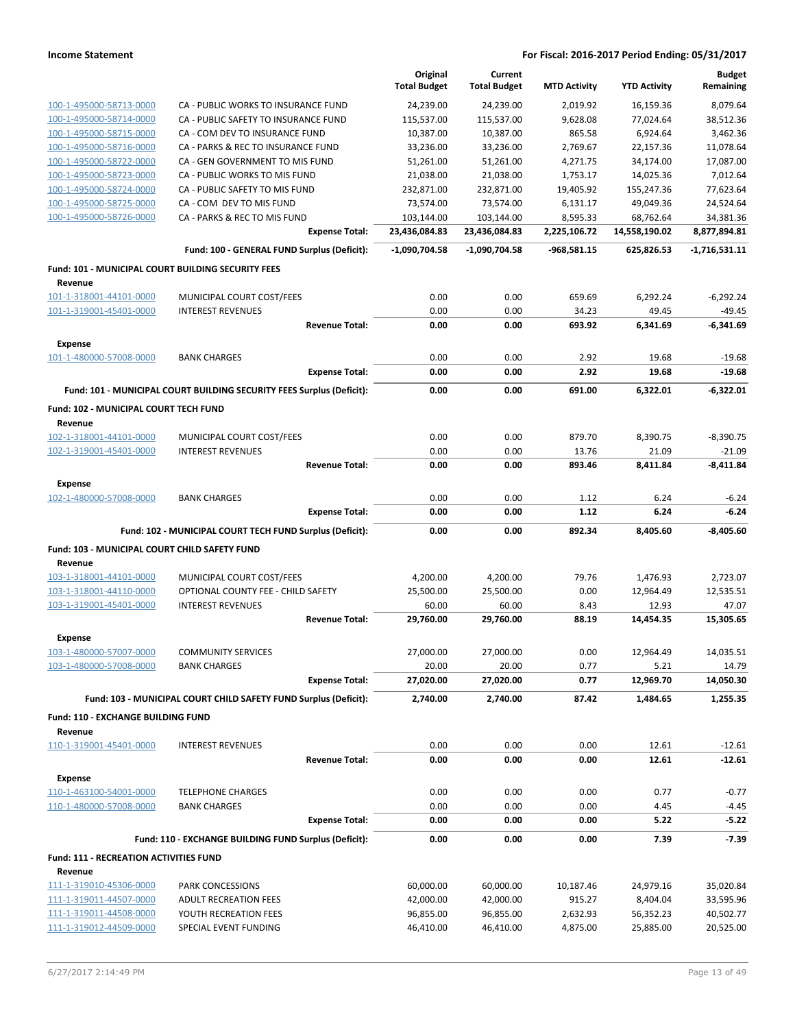|                                                          |                                                                       |                       | Original<br><b>Total Budget</b> | Current<br><b>Total Budget</b> | <b>MTD Activity</b> | <b>YTD Activity</b> | <b>Budget</b><br>Remaining |
|----------------------------------------------------------|-----------------------------------------------------------------------|-----------------------|---------------------------------|--------------------------------|---------------------|---------------------|----------------------------|
| 100-1-495000-58713-0000                                  | CA - PUBLIC WORKS TO INSURANCE FUND                                   |                       | 24,239.00                       | 24,239.00                      | 2,019.92            | 16,159.36           | 8,079.64                   |
| 100-1-495000-58714-0000                                  | CA - PUBLIC SAFETY TO INSURANCE FUND                                  |                       | 115,537.00                      | 115,537.00                     | 9,628.08            | 77,024.64           | 38,512.36                  |
| 100-1-495000-58715-0000                                  | CA - COM DEV TO INSURANCE FUND                                        |                       | 10,387.00                       | 10,387.00                      | 865.58              | 6,924.64            | 3,462.36                   |
| 100-1-495000-58716-0000                                  | CA - PARKS & REC TO INSURANCE FUND                                    |                       | 33,236.00                       | 33,236.00                      | 2,769.67            | 22,157.36           | 11,078.64                  |
| 100-1-495000-58722-0000                                  | CA - GEN GOVERNMENT TO MIS FUND                                       |                       | 51,261.00                       | 51,261.00                      | 4,271.75            | 34,174.00           | 17,087.00                  |
| 100-1-495000-58723-0000                                  | CA - PUBLIC WORKS TO MIS FUND                                         |                       | 21,038.00                       | 21,038.00                      | 1,753.17            | 14,025.36           | 7,012.64                   |
| 100-1-495000-58724-0000                                  | CA - PUBLIC SAFETY TO MIS FUND                                        |                       | 232,871.00                      | 232,871.00                     | 19,405.92           | 155,247.36          | 77,623.64                  |
| 100-1-495000-58725-0000                                  | CA - COM DEV TO MIS FUND                                              |                       | 73,574.00                       | 73,574.00                      | 6,131.17            | 49,049.36           | 24,524.64                  |
| 100-1-495000-58726-0000                                  | CA - PARKS & REC TO MIS FUND                                          |                       | 103,144.00                      | 103,144.00                     | 8,595.33            | 68,762.64           | 34,381.36                  |
|                                                          |                                                                       | <b>Expense Total:</b> | 23,436,084.83                   | 23,436,084.83                  | 2,225,106.72        | 14,558,190.02       | 8,877,894.81               |
|                                                          | Fund: 100 - GENERAL FUND Surplus (Deficit):                           |                       | $-1,090,704.58$                 | -1,090,704.58                  | -968,581.15         | 625,826.53          | $-1,716,531.11$            |
| Fund: 101 - MUNICIPAL COURT BUILDING SECURITY FEES       |                                                                       |                       |                                 |                                |                     |                     |                            |
| Revenue<br>101-1-318001-44101-0000                       | MUNICIPAL COURT COST/FEES                                             |                       | 0.00                            | 0.00                           | 659.69              | 6,292.24            | $-6,292.24$                |
| 101-1-319001-45401-0000                                  | <b>INTEREST REVENUES</b>                                              |                       | 0.00                            | 0.00                           | 34.23               | 49.45               | $-49.45$                   |
|                                                          |                                                                       | <b>Revenue Total:</b> | 0.00                            | 0.00                           | 693.92              | 6,341.69            | -6,341.69                  |
| <b>Expense</b>                                           |                                                                       |                       |                                 |                                |                     |                     |                            |
| 101-1-480000-57008-0000                                  | <b>BANK CHARGES</b>                                                   |                       | 0.00                            | 0.00                           | 2.92                | 19.68               | $-19.68$                   |
|                                                          |                                                                       | <b>Expense Total:</b> | 0.00                            | 0.00                           | 2.92                | 19.68               | $-19.68$                   |
|                                                          | Fund: 101 - MUNICIPAL COURT BUILDING SECURITY FEES Surplus (Deficit): |                       | 0.00                            | 0.00                           | 691.00              | 6,322.01            | $-6,322.01$                |
| Fund: 102 - MUNICIPAL COURT TECH FUND<br>Revenue         |                                                                       |                       |                                 |                                |                     |                     |                            |
| 102-1-318001-44101-0000                                  | MUNICIPAL COURT COST/FEES                                             |                       | 0.00                            | 0.00                           | 879.70              | 8,390.75            | $-8,390.75$                |
| 102-1-319001-45401-0000                                  | <b>INTEREST REVENUES</b>                                              |                       | 0.00                            | 0.00                           | 13.76               | 21.09               | $-21.09$                   |
|                                                          |                                                                       | <b>Revenue Total:</b> | 0.00                            | 0.00                           | 893.46              | 8,411.84            | -8,411.84                  |
| <b>Expense</b>                                           |                                                                       |                       |                                 |                                |                     |                     |                            |
| 102-1-480000-57008-0000                                  | <b>BANK CHARGES</b>                                                   |                       | 0.00                            | 0.00                           | 1.12                | 6.24                | $-6.24$                    |
|                                                          |                                                                       | <b>Expense Total:</b> | 0.00                            | 0.00                           | 1.12                | 6.24                | $-6.24$                    |
|                                                          | Fund: 102 - MUNICIPAL COURT TECH FUND Surplus (Deficit):              |                       | 0.00                            | 0.00                           | 892.34              | 8,405.60            | $-8,405.60$                |
| Fund: 103 - MUNICIPAL COURT CHILD SAFETY FUND            |                                                                       |                       |                                 |                                |                     |                     |                            |
| Revenue                                                  |                                                                       |                       |                                 |                                |                     |                     |                            |
| 103-1-318001-44101-0000                                  |                                                                       |                       |                                 |                                |                     |                     |                            |
|                                                          | MUNICIPAL COURT COST/FEES                                             |                       | 4,200.00                        | 4,200.00                       | 79.76               | 1,476.93            | 2,723.07                   |
| 103-1-318001-44110-0000                                  | OPTIONAL COUNTY FEE - CHILD SAFETY                                    |                       | 25,500.00                       | 25,500.00                      | 0.00                | 12,964.49           | 12,535.51                  |
| 103-1-319001-45401-0000                                  | <b>INTEREST REVENUES</b>                                              |                       | 60.00                           | 60.00                          | 8.43                | 12.93               | 47.07                      |
|                                                          |                                                                       | <b>Revenue Total:</b> | 29,760.00                       | 29,760.00                      | 88.19               | 14,454.35           | 15,305.65                  |
| <b>Expense</b>                                           |                                                                       |                       |                                 |                                |                     |                     |                            |
| <u>103-1-480000-57007-0000</u>                           | <b>COMMUNITY SERVICES</b>                                             |                       | 27,000.00                       | 27,000.00                      | 0.00                | 12,964.49           | 14,035.51                  |
| 103-1-480000-57008-0000                                  | <b>BANK CHARGES</b>                                                   |                       | 20.00                           | 20.00                          | 0.77                | 5.21                | 14.79                      |
|                                                          |                                                                       | <b>Expense Total:</b> | 27,020.00                       | 27,020.00                      | 0.77                | 12,969.70           | 14,050.30                  |
|                                                          | Fund: 103 - MUNICIPAL COURT CHILD SAFETY FUND Surplus (Deficit):      |                       | 2,740.00                        | 2,740.00                       | 87.42               | 1,484.65            | 1,255.35                   |
| <b>Fund: 110 - EXCHANGE BUILDING FUND</b>                |                                                                       |                       |                                 |                                |                     |                     |                            |
| Revenue                                                  |                                                                       |                       |                                 |                                |                     |                     |                            |
| 110-1-319001-45401-0000                                  | <b>INTEREST REVENUES</b>                                              | <b>Revenue Total:</b> | 0.00<br>0.00                    | 0.00<br>0.00                   | 0.00<br>0.00        | 12.61<br>12.61      | $-12.61$<br>$-12.61$       |
|                                                          |                                                                       |                       |                                 |                                |                     |                     |                            |
| <b>Expense</b>                                           | <b>TELEPHONE CHARGES</b>                                              |                       | 0.00                            | 0.00                           | 0.00                | 0.77                | $-0.77$                    |
| 110-1-463100-54001-0000<br>110-1-480000-57008-0000       | <b>BANK CHARGES</b>                                                   |                       | 0.00                            | 0.00                           | 0.00                | 4.45                | $-4.45$                    |
|                                                          |                                                                       | <b>Expense Total:</b> | 0.00                            | 0.00                           | 0.00                | 5.22                | $-5.22$                    |
|                                                          | Fund: 110 - EXCHANGE BUILDING FUND Surplus (Deficit):                 |                       | 0.00                            | 0.00                           | 0.00                | 7.39                | $-7.39$                    |
|                                                          |                                                                       |                       |                                 |                                |                     |                     |                            |
| <b>Fund: 111 - RECREATION ACTIVITIES FUND</b><br>Revenue |                                                                       |                       |                                 |                                |                     |                     |                            |
| 111-1-319010-45306-0000                                  | PARK CONCESSIONS                                                      |                       | 60,000.00                       | 60,000.00                      | 10,187.46           | 24,979.16           | 35,020.84                  |
| 111-1-319011-44507-0000                                  | <b>ADULT RECREATION FEES</b>                                          |                       | 42,000.00                       | 42,000.00                      | 915.27              | 8,404.04            | 33,595.96                  |
| 111-1-319011-44508-0000                                  | YOUTH RECREATION FEES                                                 |                       | 96,855.00                       | 96,855.00                      | 2,632.93            | 56,352.23           | 40,502.77                  |
| 111-1-319012-44509-0000                                  | SPECIAL EVENT FUNDING                                                 |                       | 46,410.00                       | 46,410.00                      | 4,875.00            | 25,885.00           | 20,525.00                  |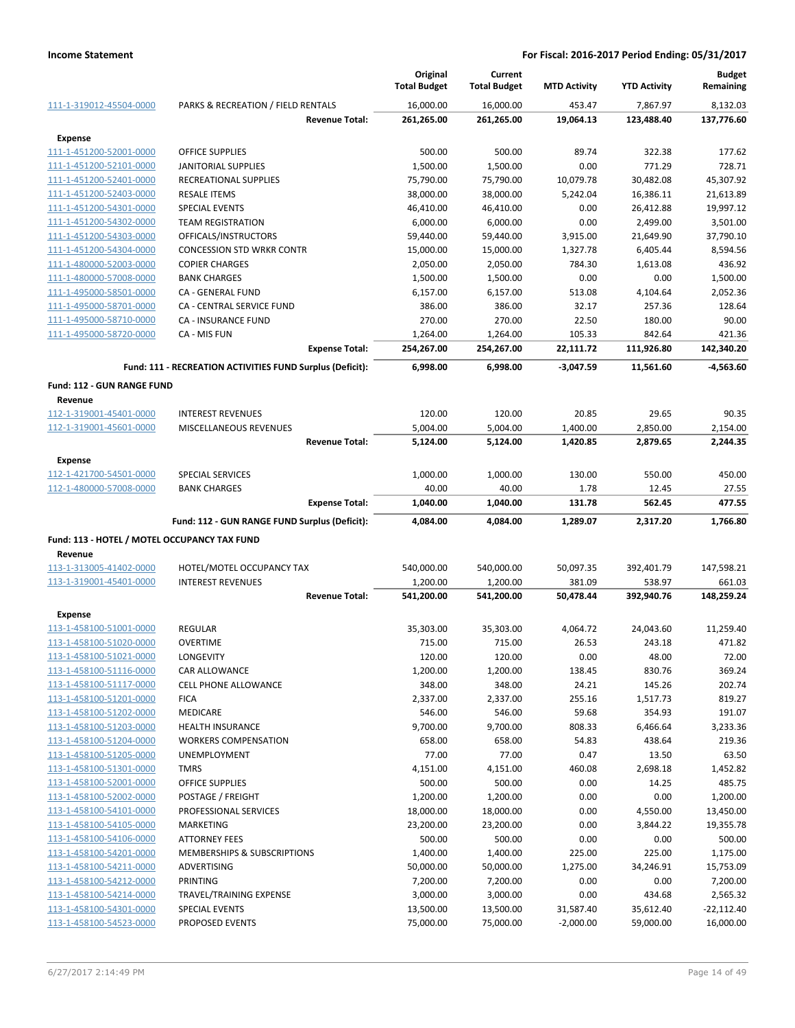|                                              |                                                           | Original<br><b>Total Budget</b> | Current<br><b>Total Budget</b> | <b>MTD Activity</b> | <b>YTD Activity</b> | <b>Budget</b><br>Remaining |
|----------------------------------------------|-----------------------------------------------------------|---------------------------------|--------------------------------|---------------------|---------------------|----------------------------|
| 111-1-319012-45504-0000                      | PARKS & RECREATION / FIELD RENTALS                        | 16,000.00                       | 16,000.00                      | 453.47              | 7,867.97            | 8,132.03                   |
|                                              | <b>Revenue Total:</b>                                     | 261,265.00                      | 261,265.00                     | 19,064.13           | 123,488.40          | 137,776.60                 |
| <b>Expense</b>                               |                                                           |                                 |                                |                     |                     |                            |
| 111-1-451200-52001-0000                      | <b>OFFICE SUPPLIES</b>                                    | 500.00                          | 500.00                         | 89.74               | 322.38              | 177.62                     |
| 111-1-451200-52101-0000                      | <b>JANITORIAL SUPPLIES</b>                                | 1,500.00                        | 1,500.00                       | 0.00                | 771.29              | 728.71                     |
| 111-1-451200-52401-0000                      | RECREATIONAL SUPPLIES                                     | 75,790.00                       | 75,790.00                      | 10,079.78           | 30,482.08           | 45,307.92                  |
| 111-1-451200-52403-0000                      | <b>RESALE ITEMS</b>                                       | 38,000.00                       | 38,000.00                      | 5,242.04            | 16,386.11           | 21,613.89                  |
| 111-1-451200-54301-0000                      | SPECIAL EVENTS                                            | 46,410.00                       | 46,410.00                      | 0.00                | 26,412.88           | 19,997.12                  |
| 111-1-451200-54302-0000                      | <b>TEAM REGISTRATION</b>                                  | 6,000.00                        | 6,000.00                       | 0.00                | 2,499.00            | 3,501.00                   |
| 111-1-451200-54303-0000                      | OFFICALS/INSTRUCTORS                                      | 59,440.00                       | 59,440.00                      | 3,915.00            | 21,649.90           | 37,790.10                  |
| 111-1-451200-54304-0000                      | <b>CONCESSION STD WRKR CONTR</b>                          | 15,000.00                       | 15,000.00                      | 1,327.78            | 6,405.44            | 8,594.56                   |
| 111-1-480000-52003-0000                      | <b>COPIER CHARGES</b>                                     | 2,050.00                        | 2,050.00                       | 784.30              | 1,613.08            | 436.92                     |
| 111-1-480000-57008-0000                      | <b>BANK CHARGES</b>                                       | 1,500.00                        | 1,500.00                       | 0.00                | 0.00                | 1,500.00                   |
| 111-1-495000-58501-0000                      | CA - GENERAL FUND                                         | 6,157.00                        | 6,157.00                       | 513.08              | 4,104.64            | 2,052.36                   |
| 111-1-495000-58701-0000                      | CA - CENTRAL SERVICE FUND                                 | 386.00                          | 386.00                         | 32.17               | 257.36              | 128.64                     |
| 111-1-495000-58710-0000                      | CA - INSURANCE FUND                                       | 270.00                          | 270.00                         | 22.50               | 180.00              | 90.00                      |
| 111-1-495000-58720-0000                      | CA - MIS FUN                                              | 1,264.00                        | 1,264.00                       | 105.33              | 842.64              | 421.36                     |
|                                              | <b>Expense Total:</b>                                     | 254,267.00                      | 254,267.00                     | 22,111.72           | 111,926.80          | 142,340.20                 |
|                                              | Fund: 111 - RECREATION ACTIVITIES FUND Surplus (Deficit): | 6,998.00                        | 6,998.00                       | $-3,047.59$         | 11,561.60           | $-4,563.60$                |
| <b>Fund: 112 - GUN RANGE FUND</b>            |                                                           |                                 |                                |                     |                     |                            |
| Revenue                                      |                                                           |                                 |                                |                     |                     |                            |
| 112-1-319001-45401-0000                      | <b>INTEREST REVENUES</b>                                  | 120.00                          | 120.00                         | 20.85               | 29.65               | 90.35                      |
| 112-1-319001-45601-0000                      | MISCELLANEOUS REVENUES                                    | 5,004.00                        | 5,004.00                       | 1,400.00            | 2,850.00            | 2,154.00                   |
|                                              | <b>Revenue Total:</b>                                     | 5,124.00                        | 5,124.00                       | 1,420.85            | 2,879.65            | 2,244.35                   |
| <b>Expense</b>                               |                                                           |                                 |                                |                     |                     |                            |
| 112-1-421700-54501-0000                      | <b>SPECIAL SERVICES</b>                                   | 1,000.00                        | 1,000.00                       | 130.00              | 550.00              | 450.00                     |
| 112-1-480000-57008-0000                      | <b>BANK CHARGES</b>                                       | 40.00                           | 40.00                          | 1.78                | 12.45               | 27.55                      |
|                                              | <b>Expense Total:</b>                                     | 1,040.00                        | 1,040.00                       | 131.78              | 562.45              | 477.55                     |
|                                              | Fund: 112 - GUN RANGE FUND Surplus (Deficit):             | 4,084.00                        | 4,084.00                       | 1,289.07            | 2,317.20            | 1,766.80                   |
| Fund: 113 - HOTEL / MOTEL OCCUPANCY TAX FUND |                                                           |                                 |                                |                     |                     |                            |
| Revenue                                      |                                                           |                                 |                                |                     |                     |                            |
| 113-1-313005-41402-0000                      | HOTEL/MOTEL OCCUPANCY TAX                                 | 540,000.00                      | 540,000.00                     | 50,097.35           | 392,401.79          | 147,598.21                 |
| 113-1-319001-45401-0000                      | <b>INTEREST REVENUES</b>                                  | 1,200.00                        | 1,200.00                       | 381.09              | 538.97              | 661.03                     |
|                                              | <b>Revenue Total:</b>                                     | 541,200.00                      | 541,200.00                     | 50,478.44           | 392,940.76          | 148,259.24                 |
| <b>Expense</b>                               |                                                           |                                 |                                |                     |                     |                            |
| 113-1-458100-51001-0000                      | <b>REGULAR</b>                                            | 35,303.00                       | 35,303.00                      | 4,064.72            | 24,043.60           | 11,259.40                  |
| 113-1-458100-51020-0000                      | <b>OVERTIME</b>                                           | 715.00                          | 715.00                         | 26.53               | 243.18              | 471.82                     |
| 113-1-458100-51021-0000                      | <b>LONGEVITY</b>                                          | 120.00                          | 120.00                         | 0.00                | 48.00               | 72.00                      |
| 113-1-458100-51116-0000                      | <b>CAR ALLOWANCE</b>                                      | 1,200.00                        | 1,200.00                       | 138.45              | 830.76              | 369.24                     |
| 113-1-458100-51117-0000                      | <b>CELL PHONE ALLOWANCE</b>                               | 348.00                          | 348.00                         | 24.21               | 145.26              | 202.74                     |
| 113-1-458100-51201-0000                      | <b>FICA</b>                                               | 2,337.00                        | 2,337.00                       | 255.16              | 1,517.73            | 819.27                     |
| 113-1-458100-51202-0000                      | <b>MEDICARE</b>                                           | 546.00                          | 546.00                         | 59.68               | 354.93              | 191.07                     |
| 113-1-458100-51203-0000                      | <b>HEALTH INSURANCE</b>                                   | 9,700.00                        | 9,700.00                       | 808.33              | 6,466.64            | 3,233.36                   |
| 113-1-458100-51204-0000                      | <b>WORKERS COMPENSATION</b>                               | 658.00                          | 658.00                         | 54.83               | 438.64              | 219.36                     |
| 113-1-458100-51205-0000                      | <b>UNEMPLOYMENT</b>                                       | 77.00                           | 77.00                          | 0.47                | 13.50               | 63.50                      |
| 113-1-458100-51301-0000                      | TMRS                                                      | 4,151.00                        | 4,151.00                       | 460.08              | 2,698.18            | 1,452.82                   |
| 113-1-458100-52001-0000                      | <b>OFFICE SUPPLIES</b>                                    | 500.00                          | 500.00                         | 0.00                | 14.25               | 485.75                     |
| 113-1-458100-52002-0000                      | POSTAGE / FREIGHT                                         | 1,200.00                        | 1,200.00                       | 0.00                | 0.00                | 1,200.00                   |
| 113-1-458100-54101-0000                      | PROFESSIONAL SERVICES                                     | 18,000.00                       | 18,000.00                      | 0.00                | 4,550.00            | 13,450.00                  |
| 113-1-458100-54105-0000                      | MARKETING                                                 | 23,200.00                       | 23,200.00                      | 0.00                | 3,844.22            | 19,355.78                  |
| 113-1-458100-54106-0000                      | <b>ATTORNEY FEES</b>                                      | 500.00                          | 500.00                         | 0.00                | 0.00                | 500.00                     |
| 113-1-458100-54201-0000                      | MEMBERSHIPS & SUBSCRIPTIONS                               | 1,400.00                        | 1,400.00                       | 225.00              | 225.00              | 1,175.00                   |
| 113-1-458100-54211-0000                      | ADVERTISING                                               | 50,000.00                       | 50,000.00                      | 1,275.00            | 34,246.91           | 15,753.09                  |
| 113-1-458100-54212-0000                      | PRINTING                                                  | 7,200.00                        | 7,200.00                       | 0.00                | 0.00                | 7,200.00                   |
| 113-1-458100-54214-0000                      | TRAVEL/TRAINING EXPENSE                                   | 3,000.00                        | 3,000.00                       | 0.00                | 434.68              | 2,565.32                   |
| 113-1-458100-54301-0000                      | SPECIAL EVENTS                                            | 13,500.00                       | 13,500.00                      | 31,587.40           | 35,612.40           | -22,112.40                 |
| 113-1-458100-54523-0000                      | PROPOSED EVENTS                                           | 75,000.00                       | 75,000.00                      | $-2,000.00$         | 59,000.00           | 16,000.00                  |
|                                              |                                                           |                                 |                                |                     |                     |                            |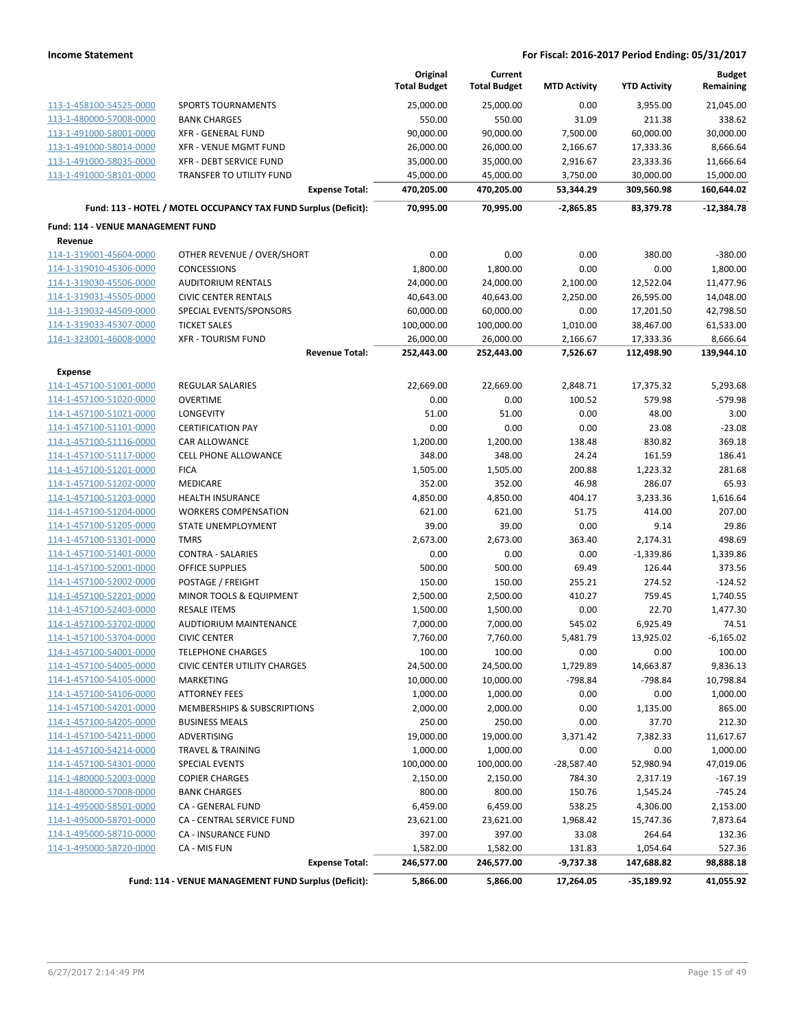|                                                     |                                                                 | Original<br><b>Total Budget</b> | Current<br><b>Total Budget</b> | <b>MTD Activity</b>  | <b>YTD Activity</b>     | <b>Budget</b><br>Remaining |
|-----------------------------------------------------|-----------------------------------------------------------------|---------------------------------|--------------------------------|----------------------|-------------------------|----------------------------|
| 113-1-458100-54525-0000                             | <b>SPORTS TOURNAMENTS</b>                                       |                                 |                                | 0.00                 |                         |                            |
| 113-1-480000-57008-0000                             | <b>BANK CHARGES</b>                                             | 25,000.00<br>550.00             | 25,000.00<br>550.00            | 31.09                | 3,955.00<br>211.38      | 21,045.00<br>338.62        |
| 113-1-491000-58001-0000                             | <b>XFR - GENERAL FUND</b>                                       | 90,000.00                       | 90,000.00                      | 7,500.00             | 60,000.00               | 30,000.00                  |
| 113-1-491000-58014-0000                             | <b>XFR - VENUE MGMT FUND</b>                                    | 26,000.00                       | 26,000.00                      | 2,166.67             | 17,333.36               | 8,666.64                   |
| 113-1-491000-58035-0000                             | XFR - DEBT SERVICE FUND                                         | 35,000.00                       | 35,000.00                      | 2,916.67             | 23,333.36               | 11,666.64                  |
| 113-1-491000-58101-0000                             | TRANSFER TO UTILITY FUND                                        | 45,000.00                       | 45,000.00                      | 3,750.00             | 30,000.00               | 15,000.00                  |
|                                                     | <b>Expense Total:</b>                                           | 470,205.00                      | 470,205.00                     | 53,344.29            | 309,560.98              | 160,644.02                 |
|                                                     | Fund: 113 - HOTEL / MOTEL OCCUPANCY TAX FUND Surplus (Deficit): | 70,995.00                       | 70,995.00                      | $-2,865.85$          | 83,379.78               | $-12,384.78$               |
|                                                     |                                                                 |                                 |                                |                      |                         |                            |
| <b>Fund: 114 - VENUE MANAGEMENT FUND</b><br>Revenue |                                                                 |                                 |                                |                      |                         |                            |
| 114-1-319001-45604-0000                             | OTHER REVENUE / OVER/SHORT                                      | 0.00                            | 0.00                           | 0.00                 | 380.00                  | $-380.00$                  |
|                                                     | <b>CONCESSIONS</b>                                              | 1,800.00                        | 1,800.00                       | 0.00                 | 0.00                    | 1,800.00                   |
| 114-1-319010-45306-0000                             |                                                                 |                                 |                                |                      |                         |                            |
| 114-1-319030-45506-0000                             | <b>AUDITORIUM RENTALS</b>                                       | 24,000.00                       | 24,000.00                      | 2,100.00             | 12,522.04               | 11,477.96                  |
| 114-1-319031-45505-0000                             | <b>CIVIC CENTER RENTALS</b>                                     | 40,643.00                       | 40,643.00                      | 2,250.00             | 26,595.00               | 14,048.00                  |
| 114-1-319032-44509-0000                             | SPECIAL EVENTS/SPONSORS                                         | 60,000.00                       | 60,000.00                      | 0.00                 | 17,201.50               | 42,798.50                  |
| 114-1-319033-45307-0000<br>114-1-323001-46008-0000  | <b>TICKET SALES</b><br><b>XFR - TOURISM FUND</b>                | 100,000.00                      | 100,000.00                     | 1,010.00             | 38,467.00               | 61,533.00                  |
|                                                     | <b>Revenue Total:</b>                                           | 26,000.00<br>252,443.00         | 26,000.00<br>252,443.00        | 2,166.67<br>7,526.67 | 17,333.36<br>112,498.90 | 8,666.64<br>139,944.10     |
|                                                     |                                                                 |                                 |                                |                      |                         |                            |
| <b>Expense</b>                                      |                                                                 |                                 |                                |                      |                         |                            |
| 114-1-457100-51001-0000                             | <b>REGULAR SALARIES</b>                                         | 22,669.00                       | 22,669.00                      | 2,848.71             | 17,375.32               | 5,293.68                   |
| 114-1-457100-51020-0000                             | <b>OVERTIME</b>                                                 | 0.00                            | 0.00                           | 100.52               | 579.98                  | $-579.98$                  |
| 114-1-457100-51021-0000                             | <b>LONGEVITY</b>                                                | 51.00                           | 51.00                          | 0.00                 | 48.00                   | 3.00                       |
| 114-1-457100-51101-0000                             | <b>CERTIFICATION PAY</b>                                        | 0.00                            | 0.00                           | 0.00                 | 23.08                   | $-23.08$                   |
| 114-1-457100-51116-0000                             | CAR ALLOWANCE                                                   | 1,200.00                        | 1,200.00                       | 138.48               | 830.82                  | 369.18                     |
| 114-1-457100-51117-0000                             | <b>CELL PHONE ALLOWANCE</b>                                     | 348.00                          | 348.00                         | 24.24                | 161.59                  | 186.41                     |
| 114-1-457100-51201-0000                             | <b>FICA</b>                                                     | 1,505.00                        | 1,505.00                       | 200.88               | 1,223.32                | 281.68                     |
| 114-1-457100-51202-0000                             | <b>MEDICARE</b>                                                 | 352.00                          | 352.00                         | 46.98                | 286.07                  | 65.93                      |
| 114-1-457100-51203-0000                             | <b>HEALTH INSURANCE</b>                                         | 4,850.00                        | 4,850.00                       | 404.17               | 3,233.36                | 1,616.64                   |
| 114-1-457100-51204-0000                             | <b>WORKERS COMPENSATION</b>                                     | 621.00                          | 621.00                         | 51.75                | 414.00                  | 207.00                     |
| 114-1-457100-51205-0000                             | <b>STATE UNEMPLOYMENT</b>                                       | 39.00                           | 39.00                          | 0.00                 | 9.14                    | 29.86                      |
| 114-1-457100-51301-0000                             | <b>TMRS</b>                                                     | 2,673.00                        | 2,673.00                       | 363.40               | 2,174.31                | 498.69                     |
| 114-1-457100-51401-0000                             | <b>CONTRA - SALARIES</b>                                        | 0.00                            | 0.00                           | 0.00                 | $-1,339.86$             | 1,339.86                   |
| 114-1-457100-52001-0000                             | <b>OFFICE SUPPLIES</b>                                          | 500.00                          | 500.00                         | 69.49                | 126.44                  | 373.56                     |
| 114-1-457100-52002-0000                             | POSTAGE / FREIGHT                                               | 150.00                          | 150.00                         | 255.21               | 274.52                  | $-124.52$                  |
| 114-1-457100-52201-0000                             | MINOR TOOLS & EQUIPMENT                                         | 2,500.00                        | 2,500.00                       | 410.27               | 759.45                  | 1,740.55                   |
| 114-1-457100-52403-0000                             | <b>RESALE ITEMS</b>                                             | 1,500.00                        | 1,500.00                       | 0.00                 | 22.70                   | 1,477.30                   |
| 114-1-457100-53702-0000                             | AUDTIORIUM MAINTENANCE                                          | 7,000.00                        | 7,000.00                       | 545.02               | 6,925.49                | 74.51                      |
| 114-1-457100-53704-0000                             | <b>CIVIC CENTER</b>                                             | 7,760.00                        | 7,760.00                       | 5,481.79             | 13,925.02               | $-6,165.02$                |
| 114-1-457100-54001-0000                             | <b>TELEPHONE CHARGES</b>                                        | 100.00                          | 100.00                         | 0.00                 | 0.00                    | 100.00                     |
| 114-1-457100-54005-0000                             | <b>CIVIC CENTER UTILITY CHARGES</b>                             | 24,500.00                       | 24,500.00                      | 1,729.89             | 14,663.87               | 9,836.13                   |
| 114-1-457100-54105-0000                             | MARKETING                                                       | 10,000.00                       | 10,000.00                      | $-798.84$            | $-798.84$               | 10,798.84                  |
| 114-1-457100-54106-0000                             | <b>ATTORNEY FEES</b>                                            | 1,000.00                        | 1,000.00                       | 0.00                 | 0.00                    | 1,000.00                   |
| 114-1-457100-54201-0000                             | MEMBERSHIPS & SUBSCRIPTIONS                                     | 2,000.00                        | 2,000.00                       | 0.00                 | 1,135.00                | 865.00                     |
| 114-1-457100-54205-0000                             | <b>BUSINESS MEALS</b>                                           | 250.00                          | 250.00                         | 0.00                 | 37.70                   | 212.30                     |
| 114-1-457100-54211-0000                             | ADVERTISING                                                     | 19,000.00                       | 19,000.00                      | 3,371.42             | 7,382.33                | 11,617.67                  |
| 114-1-457100-54214-0000                             | <b>TRAVEL &amp; TRAINING</b>                                    | 1,000.00                        | 1,000.00                       | 0.00                 | 0.00                    | 1,000.00                   |
| 114-1-457100-54301-0000                             | SPECIAL EVENTS                                                  | 100,000.00                      | 100,000.00                     | $-28,587.40$         | 52,980.94               | 47,019.06                  |
| 114-1-480000-52003-0000                             | <b>COPIER CHARGES</b>                                           | 2,150.00                        | 2,150.00                       | 784.30               | 2,317.19                | $-167.19$                  |
| 114-1-480000-57008-0000                             | <b>BANK CHARGES</b>                                             | 800.00                          | 800.00                         | 150.76               | 1,545.24                | $-745.24$                  |
| 114-1-495000-58501-0000                             | CA - GENERAL FUND                                               | 6,459.00                        | 6,459.00                       | 538.25               | 4,306.00                | 2,153.00                   |
| 114-1-495000-58701-0000                             | CA - CENTRAL SERVICE FUND                                       | 23,621.00                       | 23,621.00                      | 1,968.42             | 15,747.36               | 7,873.64                   |
| 114-1-495000-58710-0000                             | CA - INSURANCE FUND                                             | 397.00                          | 397.00                         | 33.08                | 264.64                  | 132.36                     |
| 114-1-495000-58720-0000                             | CA - MIS FUN                                                    | 1,582.00                        | 1,582.00                       | 131.83               | 1,054.64                | 527.36                     |
|                                                     | <b>Expense Total:</b>                                           | 246,577.00                      | 246,577.00                     | $-9,737.38$          | 147,688.82              | 98,888.18                  |
|                                                     | Fund: 114 - VENUE MANAGEMENT FUND Surplus (Deficit):            | 5,866.00                        | 5,866.00                       | 17,264.05            | $-35,189.92$            | 41,055.92                  |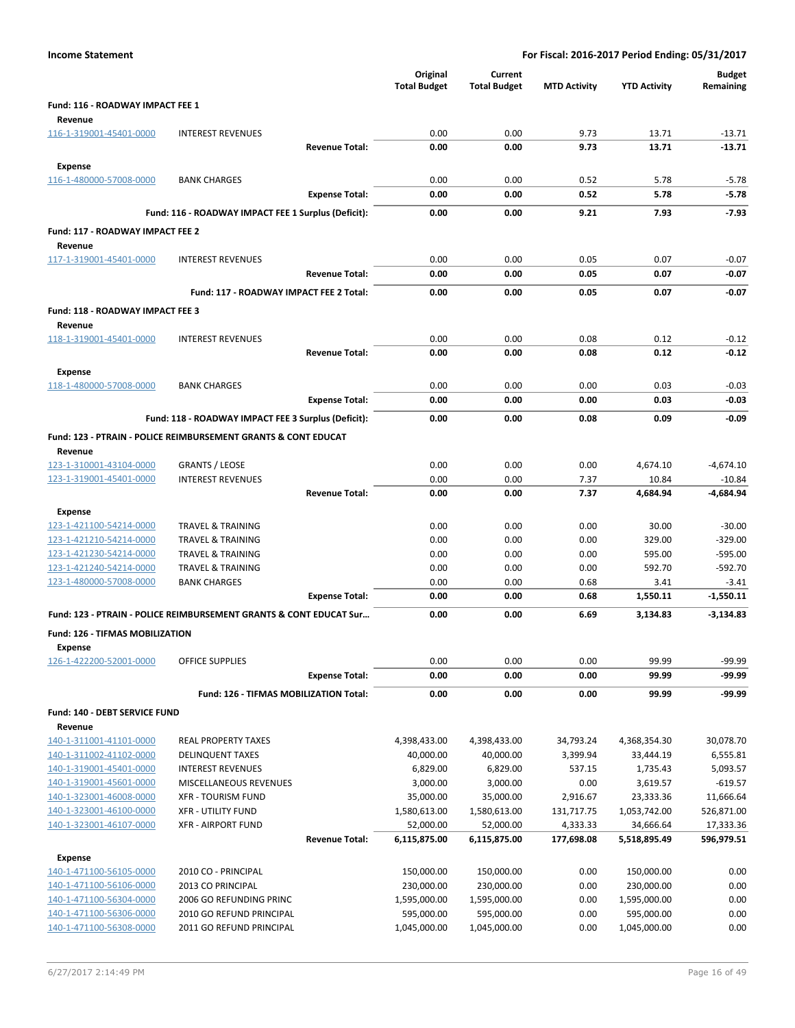| <b>Income Statement</b>                            |                                                                               |                       |                                 |                                |                     | For Fiscal: 2016-2017 Period Ending: 05/31/2017 |                            |
|----------------------------------------------------|-------------------------------------------------------------------------------|-----------------------|---------------------------------|--------------------------------|---------------------|-------------------------------------------------|----------------------------|
|                                                    |                                                                               |                       | Original<br><b>Total Budget</b> | Current<br><b>Total Budget</b> | <b>MTD Activity</b> | <b>YTD Activity</b>                             | <b>Budget</b><br>Remaining |
| Fund: 116 - ROADWAY IMPACT FEE 1<br>Revenue        |                                                                               |                       |                                 |                                |                     |                                                 |                            |
| 116-1-319001-45401-0000                            | <b>INTEREST REVENUES</b>                                                      |                       | 0.00                            | 0.00                           | 9.73                | 13.71                                           | $-13.71$                   |
|                                                    |                                                                               | <b>Revenue Total:</b> | 0.00                            | 0.00                           | 9.73                | 13.71                                           | $-13.71$                   |
| <b>Expense</b>                                     |                                                                               |                       |                                 |                                |                     |                                                 |                            |
| 116-1-480000-57008-0000                            | <b>BANK CHARGES</b>                                                           |                       | 0.00                            | 0.00                           | 0.52                | 5.78                                            | $-5.78$                    |
|                                                    |                                                                               | <b>Expense Total:</b> | 0.00                            | 0.00                           | 0.52                | 5.78                                            | $-5.78$                    |
|                                                    | Fund: 116 - ROADWAY IMPACT FEE 1 Surplus (Deficit):                           |                       | 0.00                            | 0.00                           | 9.21                | 7.93                                            | $-7.93$                    |
| Fund: 117 - ROADWAY IMPACT FEE 2<br>Revenue        |                                                                               |                       |                                 |                                |                     |                                                 |                            |
| 117-1-319001-45401-0000                            | <b>INTEREST REVENUES</b>                                                      |                       | 0.00                            | 0.00                           | 0.05                | 0.07                                            | $-0.07$                    |
|                                                    |                                                                               | <b>Revenue Total:</b> | 0.00                            | 0.00                           | 0.05                | 0.07                                            | $-0.07$                    |
|                                                    | Fund: 117 - ROADWAY IMPACT FEE 2 Total:                                       |                       | 0.00                            | 0.00                           | 0.05                | 0.07                                            | $-0.07$                    |
| Fund: 118 - ROADWAY IMPACT FEE 3<br>Revenue        |                                                                               |                       |                                 |                                |                     |                                                 |                            |
| 118-1-319001-45401-0000                            | <b>INTEREST REVENUES</b>                                                      |                       | 0.00                            | 0.00                           | 0.08                | 0.12                                            | $-0.12$                    |
|                                                    |                                                                               | <b>Revenue Total:</b> | 0.00                            | 0.00                           | 0.08                | 0.12                                            | $-0.12$                    |
| <b>Expense</b>                                     |                                                                               |                       |                                 |                                |                     |                                                 |                            |
| 118-1-480000-57008-0000                            | <b>BANK CHARGES</b>                                                           |                       | 0.00                            | 0.00                           | 0.00                | 0.03                                            | $-0.03$                    |
|                                                    |                                                                               | <b>Expense Total:</b> | 0.00                            | 0.00                           | 0.00                | 0.03                                            | $-0.03$                    |
|                                                    | Fund: 118 - ROADWAY IMPACT FEE 3 Surplus (Deficit):                           |                       | 0.00                            | 0.00                           | 0.08                | 0.09                                            | $-0.09$                    |
|                                                    | <b>Fund: 123 - PTRAIN - POLICE REIMBURSEMENT GRANTS &amp; CONT EDUCAT</b>     |                       |                                 |                                |                     |                                                 |                            |
| Revenue                                            |                                                                               |                       |                                 |                                |                     |                                                 |                            |
| 123-1-310001-43104-0000                            | <b>GRANTS / LEOSE</b>                                                         |                       | 0.00                            | 0.00                           | 0.00                | 4,674.10                                        | $-4,674.10$                |
| 123-1-319001-45401-0000                            | <b>INTEREST REVENUES</b>                                                      |                       | 0.00                            | 0.00                           | 7.37                | 10.84                                           | $-10.84$                   |
|                                                    |                                                                               | <b>Revenue Total:</b> | 0.00                            | 0.00                           | 7.37                | 4,684.94                                        | -4,684.94                  |
| <b>Expense</b>                                     |                                                                               |                       |                                 |                                |                     |                                                 |                            |
| 123-1-421100-54214-0000<br>123-1-421210-54214-0000 | <b>TRAVEL &amp; TRAINING</b><br><b>TRAVEL &amp; TRAINING</b>                  |                       | 0.00<br>0.00                    | 0.00<br>0.00                   | 0.00<br>0.00        | 30.00<br>329.00                                 | $-30.00$<br>$-329.00$      |
| 123-1-421230-54214-0000                            | TRAVEL & TRAINING                                                             |                       | 0.00                            | 0.00                           | 0.00                | 595.00                                          | $-595.00$                  |
| 123-1-421240-54214-0000                            | <b>TRAVEL &amp; TRAINING</b>                                                  |                       | 0.00                            | 0.00                           | 0.00                | 592.70                                          | $-592.70$                  |
| 123-1-480000-57008-0000                            | <b>BANK CHARGES</b>                                                           |                       | 0.00                            | 0.00                           | 0.68                | 3.41                                            | $-3.41$                    |
|                                                    |                                                                               | <b>Expense Total:</b> | 0.00                            | 0.00                           | 0.68                | 1,550.11                                        | $-1,550.11$                |
|                                                    | <b>Fund: 123 - PTRAIN - POLICE REIMBURSEMENT GRANTS &amp; CONT EDUCAT Sur</b> |                       | 0.00                            | 0.00                           | 6.69                | 3,134.83                                        | $-3,134.83$                |
| Fund: 126 - TIFMAS MOBILIZATION<br><b>Expense</b>  |                                                                               |                       |                                 |                                |                     |                                                 |                            |
| 126-1-422200-52001-0000                            | <b>OFFICE SUPPLIES</b>                                                        |                       | 0.00                            | 0.00                           | 0.00                | 99.99                                           | $-99.99$                   |
|                                                    |                                                                               | <b>Expense Total:</b> | 0.00                            | 0.00                           | 0.00                | 99.99                                           | -99.99                     |
|                                                    | Fund: 126 - TIFMAS MOBILIZATION Total:                                        |                       | 0.00                            | 0.00                           | 0.00                | 99.99                                           | -99.99                     |
| Fund: 140 - DEBT SERVICE FUND                      |                                                                               |                       |                                 |                                |                     |                                                 |                            |
| Revenue                                            |                                                                               |                       |                                 |                                |                     |                                                 |                            |
| 140-1-311001-41101-0000                            | <b>REAL PROPERTY TAXES</b>                                                    |                       | 4,398,433.00                    | 4,398,433.00                   | 34,793.24           | 4,368,354.30                                    | 30,078.70                  |
| 140-1-311002-41102-0000<br>140-1-319001-45401-0000 | <b>DELINQUENT TAXES</b>                                                       |                       | 40,000.00                       | 40,000.00                      | 3,399.94            | 33,444.19                                       | 6,555.81                   |
| 140-1-319001-45601-0000                            | <b>INTEREST REVENUES</b><br>MISCELLANEOUS REVENUES                            |                       | 6,829.00<br>3,000.00            | 6,829.00<br>3,000.00           | 537.15<br>0.00      | 1,735.43<br>3,619.57                            | 5,093.57<br>$-619.57$      |
| 140-1-323001-46008-0000                            | <b>XFR - TOURISM FUND</b>                                                     |                       | 35,000.00                       | 35,000.00                      | 2,916.67            | 23,333.36                                       | 11,666.64                  |
| 140-1-323001-46100-0000                            | <b>XFR - UTILITY FUND</b>                                                     |                       | 1,580,613.00                    | 1,580,613.00                   | 131,717.75          | 1,053,742.00                                    | 526,871.00                 |
| 140-1-323001-46107-0000                            | <b>XFR - AIRPORT FUND</b>                                                     |                       | 52,000.00                       | 52,000.00                      | 4,333.33            | 34,666.64                                       | 17,333.36                  |
|                                                    |                                                                               | <b>Revenue Total:</b> | 6,115,875.00                    | 6,115,875.00                   | 177,698.08          | 5,518,895.49                                    | 596,979.51                 |
| <b>Expense</b>                                     |                                                                               |                       |                                 |                                |                     |                                                 |                            |
| 140-1-471100-56105-0000                            | 2010 CO - PRINCIPAL                                                           |                       | 150,000.00                      | 150,000.00                     | 0.00                | 150,000.00                                      | 0.00                       |
| 140-1-471100-56106-0000                            | 2013 CO PRINCIPAL                                                             |                       | 230,000.00                      | 230,000.00                     | 0.00                | 230,000.00                                      | 0.00                       |
| 140-1-471100-56304-0000                            | 2006 GO REFUNDING PRINC                                                       |                       | 1,595,000.00                    | 1,595,000.00                   | 0.00                | 1,595,000.00                                    | 0.00                       |
| 140-1-471100-56306-0000<br>140-1-471100-56308-0000 | 2010 GO REFUND PRINCIPAL<br>2011 GO REFUND PRINCIPAL                          |                       | 595,000.00<br>1,045,000.00      | 595,000.00<br>1,045,000.00     | 0.00<br>0.00        | 595,000.00<br>1,045,000.00                      | 0.00<br>0.00               |
|                                                    |                                                                               |                       |                                 |                                |                     |                                                 |                            |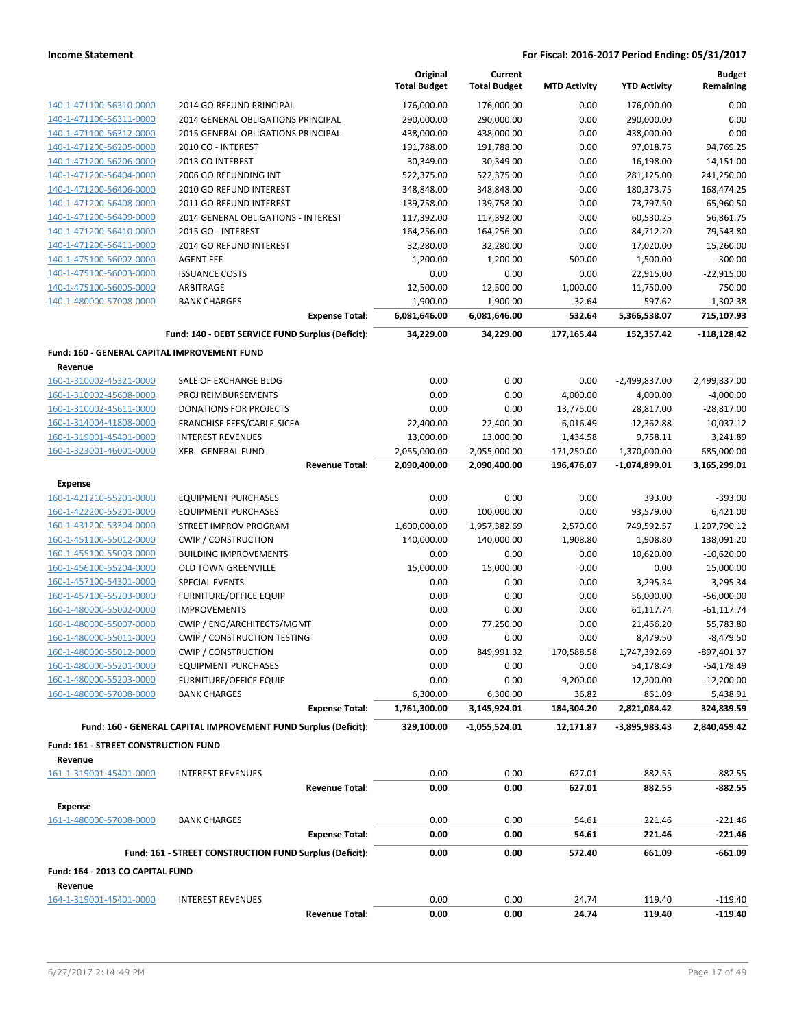| 176,000.00<br>176,000.00<br>0.00<br>2014 GO REFUND PRINCIPAL<br>0.00<br>176,000.00<br>140-1-471100-56310-0000<br>0.00<br>0.00<br>2014 GENERAL OBLIGATIONS PRINCIPAL<br>290,000.00<br>290,000.00<br>290,000.00<br>140-1-471100-56311-0000<br>0.00<br>0.00<br>140-1-471100-56312-0000<br><b>2015 GENERAL OBLIGATIONS PRINCIPAL</b><br>438,000.00<br>438,000.00<br>438,000.00<br>140-1-471200-56205-0000<br>191,788.00<br>191,788.00<br>0.00<br>97,018.75<br>94,769.25<br>2010 CO - INTEREST<br>16,198.00<br>140-1-471200-56206-0000<br>2013 CO INTEREST<br>30,349.00<br>30,349.00<br>0.00<br>14,151.00<br>0.00<br>241,250.00<br>2006 GO REFUNDING INT<br>522,375.00<br>522,375.00<br>281,125.00<br>140-1-471200-56404-0000<br>140-1-471200-56406-0000<br>2010 GO REFUND INTEREST<br>348,848.00<br>348,848.00<br>0.00<br>180,373.75<br>168,474.25<br>65,960.50<br>140-1-471200-56408-0000<br>2011 GO REFUND INTEREST<br>139,758.00<br>139,758.00<br>0.00<br>73,797.50<br>140-1-471200-56409-0000<br>117,392.00<br>117,392.00<br>60,530.25<br>56,861.75<br>2014 GENERAL OBLIGATIONS - INTEREST<br>0.00<br>79,543.80<br>140-1-471200-56410-0000<br>2015 GO - INTEREST<br>164,256.00<br>164,256.00<br>0.00<br>84,712.20<br>0.00<br>2014 GO REFUND INTEREST<br>32,280.00<br>32,280.00<br>17,020.00<br>15,260.00<br>140-1-471200-56411-0000<br>1,200.00<br>$-300.00$<br>140-1-475100-56002-0000<br><b>AGENT FEE</b><br>1,200.00<br>$-500.00$<br>1,500.00<br>$-22,915.00$<br>140-1-475100-56003-0000<br><b>ISSUANCE COSTS</b><br>0.00<br>0.00<br>0.00<br>22,915.00<br>140-1-475100-56005-0000<br>1,000.00<br>11,750.00<br>750.00<br>ARBITRAGE<br>12,500.00<br>12,500.00<br>140-1-480000-57008-0000<br><b>BANK CHARGES</b><br>1,900.00<br>1,900.00<br>32.64<br>597.62<br>1,302.38<br><b>Expense Total:</b><br>532.64<br>5,366,538.07<br>715,107.93<br>6,081,646.00<br>6,081,646.00<br>Fund: 140 - DEBT SERVICE FUND Surplus (Deficit):<br>$-118,128.42$<br>34,229.00<br>34,229.00<br>177,165.44<br>152,357.42<br>Fund: 160 - GENERAL CAPITAL IMPROVEMENT FUND<br>Revenue<br>160-1-310002-45321-0000<br>0.00<br>0.00<br>0.00<br>2,499,837.00<br>SALE OF EXCHANGE BLDG<br>$-2,499,837.00$<br>0.00<br>160-1-310002-45608-0000<br>PROJ REIMBURSEMENTS<br>0.00<br>4,000.00<br>4,000.00<br>$-4,000.00$<br>0.00<br>0.00<br>$-28,817.00$<br>160-1-310002-45611-0000<br><b>DONATIONS FOR PROJECTS</b><br>13,775.00<br>28,817.00<br>10,037.12<br>160-1-314004-41808-0000<br>FRANCHISE FEES/CABLE-SICFA<br>22,400.00<br>22,400.00<br>6,016.49<br>12,362.88<br>3,241.89<br>160-1-319001-45401-0000<br><b>INTEREST REVENUES</b><br>13,000.00<br>13,000.00<br>1,434.58<br>9,758.11<br>160-1-323001-46001-0000<br>1,370,000.00<br>685,000.00<br><b>XFR - GENERAL FUND</b><br>2,055,000.00<br>2,055,000.00<br>171,250.00<br><b>Revenue Total:</b><br>2,090,400.00<br>2,090,400.00<br>196,476.07<br>$-1,074,899.01$<br>3,165,299.01<br><b>Expense</b><br>160-1-421210-55201-0000<br>0.00<br>0.00<br>0.00<br>393.00<br>$-393.00$<br><b>EQUIPMENT PURCHASES</b><br>0.00<br>100,000.00<br>0.00<br>93,579.00<br>6,421.00<br>160-1-422200-55201-0000<br><b>EQUIPMENT PURCHASES</b><br>1,600,000.00<br>1,957,382.69<br>2,570.00<br>1,207,790.12<br>160-1-431200-53304-0000<br>STREET IMPROV PROGRAM<br>749,592.57<br>140,000.00<br>138,091.20<br>160-1-451100-55012-0000<br><b>CWIP / CONSTRUCTION</b><br>140,000.00<br>1,908.80<br>1,908.80<br>$-10,620.00$<br>160-1-455100-55003-0000<br><b>BUILDING IMPROVEMENTS</b><br>0.00<br>0.00<br>0.00<br>10,620.00<br>160-1-456100-55204-0000<br>15,000.00<br>15,000.00<br>0.00<br>15,000.00<br><b>OLD TOWN GREENVILLE</b><br>0.00<br>160-1-457100-54301-0000<br><b>SPECIAL EVENTS</b><br>0.00<br>0.00<br>0.00<br>3,295.34<br>$-3,295.34$<br>0.00<br>0.00<br>160-1-457100-55203-0000<br><b>FURNITURE/OFFICE EQUIP</b><br>0.00<br>56,000.00<br>$-56,000.00$<br>160-1-480000-55002-0000<br><b>IMPROVEMENTS</b><br>0.00<br>0.00<br>0.00<br>61,117.74<br>$-61, 117.74$<br>160-1-480000-55007-0000<br>CWIP / ENG/ARCHITECTS/MGMT<br>0.00<br>77,250.00<br>0.00<br>21,466.20<br>55,783.80<br>160-1-480000-55011-0000<br><b>CWIP / CONSTRUCTION TESTING</b><br>$-8,479.50$<br>0.00<br>0.00<br>0.00<br>8,479.50<br>160-1-480000-55012-0000<br><b>CWIP / CONSTRUCTION</b><br>0.00<br>849,991.32<br>170,588.58<br>1,747,392.69<br>$-897,401.37$<br><b>EQUIPMENT PURCHASES</b><br>0.00<br>$-54,178.49$<br>160-1-480000-55201-0000<br>0.00<br>0.00<br>54,178.49<br>160-1-480000-55203-0000<br><b>FURNITURE/OFFICE EQUIP</b><br>0.00<br>0.00<br>9,200.00<br>12,200.00<br>$-12,200.00$<br>160-1-480000-57008-0000<br>6,300.00<br>6,300.00<br>861.09<br>5,438.91<br><b>BANK CHARGES</b><br>36.82<br><b>Expense Total:</b><br>1,761,300.00<br>3,145,924.01<br>184,304.20<br>2,821,084.42<br>324,839.59<br>Fund: 160 - GENERAL CAPITAL IMPROVEMENT FUND Surplus (Deficit):<br>2,840,459.42<br>329,100.00<br>-1,055,524.01<br>12,171.87<br>$-3,895,983.43$<br>Fund: 161 - STREET CONSTRUCTION FUND<br>Revenue<br>0.00<br>0.00<br>627.01<br>882.55<br>$-882.55$<br>161-1-319001-45401-0000<br><b>INTEREST REVENUES</b><br><b>Revenue Total:</b><br>0.00<br>0.00<br>627.01<br>882.55<br>$-882.55$<br><b>Expense</b><br>161-1-480000-57008-0000<br>0.00<br>0.00<br>54.61<br><b>BANK CHARGES</b><br>221.46<br>$-221.46$<br><b>Expense Total:</b><br>0.00<br>0.00<br>54.61<br>221.46<br>$-221.46$<br>Fund: 161 - STREET CONSTRUCTION FUND Surplus (Deficit):<br>0.00<br>0.00<br>572.40<br>661.09<br>-661.09<br>Fund: 164 - 2013 CO CAPITAL FUND<br>Revenue<br>164-1-319001-45401-0000<br>0.00<br>0.00<br>24.74<br>119.40<br>$-119.40$<br><b>INTEREST REVENUES</b><br><b>Revenue Total:</b><br>0.00<br>0.00<br>24.74<br>119.40<br>$-119.40$ |  | Original            | Current             |                     |                     | <b>Budget</b> |
|-----------------------------------------------------------------------------------------------------------------------------------------------------------------------------------------------------------------------------------------------------------------------------------------------------------------------------------------------------------------------------------------------------------------------------------------------------------------------------------------------------------------------------------------------------------------------------------------------------------------------------------------------------------------------------------------------------------------------------------------------------------------------------------------------------------------------------------------------------------------------------------------------------------------------------------------------------------------------------------------------------------------------------------------------------------------------------------------------------------------------------------------------------------------------------------------------------------------------------------------------------------------------------------------------------------------------------------------------------------------------------------------------------------------------------------------------------------------------------------------------------------------------------------------------------------------------------------------------------------------------------------------------------------------------------------------------------------------------------------------------------------------------------------------------------------------------------------------------------------------------------------------------------------------------------------------------------------------------------------------------------------------------------------------------------------------------------------------------------------------------------------------------------------------------------------------------------------------------------------------------------------------------------------------------------------------------------------------------------------------------------------------------------------------------------------------------------------------------------------------------------------------------------------------------------------------------------------------------------------------------------------------------------------------------------------------------------------------------------------------------------------------------------------------------------------------------------------------------------------------------------------------------------------------------------------------------------------------------------------------------------------------------------------------------------------------------------------------------------------------------------------------------------------------------------------------------------------------------------------------------------------------------------------------------------------------------------------------------------------------------------------------------------------------------------------------------------------------------------------------------------------------------------------------------------------------------------------------------------------------------------------------------------------------------------------------------------------------------------------------------------------------------------------------------------------------------------------------------------------------------------------------------------------------------------------------------------------------------------------------------------------------------------------------------------------------------------------------------------------------------------------------------------------------------------------------------------------------------------------------------------------------------------------------------------------------------------------------------------------------------------------------------------------------------------------------------------------------------------------------------------------------------------------------------------------------------------------------------------------------------------------------------------------------------------------------------------------------------------------------------------------------------------------------------------------------------------------------------------------------------------------------------------------------------------------------------------------------------------------------------------------------------------------------------------------------------------------------------------------------------------------------------------------------------------------------------------------------------------------------------------------------------------------------------------------------------------------------------------------------------------------------------------------------------------------------------------------------------------------------------------------------------------------------------------------------------------------------------------------------------------------------------------------------------------------------------------------------------------|--|---------------------|---------------------|---------------------|---------------------|---------------|
|                                                                                                                                                                                                                                                                                                                                                                                                                                                                                                                                                                                                                                                                                                                                                                                                                                                                                                                                                                                                                                                                                                                                                                                                                                                                                                                                                                                                                                                                                                                                                                                                                                                                                                                                                                                                                                                                                                                                                                                                                                                                                                                                                                                                                                                                                                                                                                                                                                                                                                                                                                                                                                                                                                                                                                                                                                                                                                                                                                                                                                                                                                                                                                                                                                                                                                                                                                                                                                                                                                                                                                                                                                                                                                                                                                                                                                                                                                                                                                                                                                                                                                                                                                                                                                                                                                                                                                                                                                                                                                                                                                                                                                                                                                                                                                                                                                                                                                                                                                                                                                                                                                                                                                                                                                                                                                                                                                                                                                                                                                                                                                                                                                                                                                                             |  | <b>Total Budget</b> | <b>Total Budget</b> | <b>MTD Activity</b> | <b>YTD Activity</b> | Remaining     |
|                                                                                                                                                                                                                                                                                                                                                                                                                                                                                                                                                                                                                                                                                                                                                                                                                                                                                                                                                                                                                                                                                                                                                                                                                                                                                                                                                                                                                                                                                                                                                                                                                                                                                                                                                                                                                                                                                                                                                                                                                                                                                                                                                                                                                                                                                                                                                                                                                                                                                                                                                                                                                                                                                                                                                                                                                                                                                                                                                                                                                                                                                                                                                                                                                                                                                                                                                                                                                                                                                                                                                                                                                                                                                                                                                                                                                                                                                                                                                                                                                                                                                                                                                                                                                                                                                                                                                                                                                                                                                                                                                                                                                                                                                                                                                                                                                                                                                                                                                                                                                                                                                                                                                                                                                                                                                                                                                                                                                                                                                                                                                                                                                                                                                                                             |  |                     |                     |                     |                     |               |
|                                                                                                                                                                                                                                                                                                                                                                                                                                                                                                                                                                                                                                                                                                                                                                                                                                                                                                                                                                                                                                                                                                                                                                                                                                                                                                                                                                                                                                                                                                                                                                                                                                                                                                                                                                                                                                                                                                                                                                                                                                                                                                                                                                                                                                                                                                                                                                                                                                                                                                                                                                                                                                                                                                                                                                                                                                                                                                                                                                                                                                                                                                                                                                                                                                                                                                                                                                                                                                                                                                                                                                                                                                                                                                                                                                                                                                                                                                                                                                                                                                                                                                                                                                                                                                                                                                                                                                                                                                                                                                                                                                                                                                                                                                                                                                                                                                                                                                                                                                                                                                                                                                                                                                                                                                                                                                                                                                                                                                                                                                                                                                                                                                                                                                                             |  |                     |                     |                     |                     |               |
|                                                                                                                                                                                                                                                                                                                                                                                                                                                                                                                                                                                                                                                                                                                                                                                                                                                                                                                                                                                                                                                                                                                                                                                                                                                                                                                                                                                                                                                                                                                                                                                                                                                                                                                                                                                                                                                                                                                                                                                                                                                                                                                                                                                                                                                                                                                                                                                                                                                                                                                                                                                                                                                                                                                                                                                                                                                                                                                                                                                                                                                                                                                                                                                                                                                                                                                                                                                                                                                                                                                                                                                                                                                                                                                                                                                                                                                                                                                                                                                                                                                                                                                                                                                                                                                                                                                                                                                                                                                                                                                                                                                                                                                                                                                                                                                                                                                                                                                                                                                                                                                                                                                                                                                                                                                                                                                                                                                                                                                                                                                                                                                                                                                                                                                             |  |                     |                     |                     |                     |               |
|                                                                                                                                                                                                                                                                                                                                                                                                                                                                                                                                                                                                                                                                                                                                                                                                                                                                                                                                                                                                                                                                                                                                                                                                                                                                                                                                                                                                                                                                                                                                                                                                                                                                                                                                                                                                                                                                                                                                                                                                                                                                                                                                                                                                                                                                                                                                                                                                                                                                                                                                                                                                                                                                                                                                                                                                                                                                                                                                                                                                                                                                                                                                                                                                                                                                                                                                                                                                                                                                                                                                                                                                                                                                                                                                                                                                                                                                                                                                                                                                                                                                                                                                                                                                                                                                                                                                                                                                                                                                                                                                                                                                                                                                                                                                                                                                                                                                                                                                                                                                                                                                                                                                                                                                                                                                                                                                                                                                                                                                                                                                                                                                                                                                                                                             |  |                     |                     |                     |                     |               |
|                                                                                                                                                                                                                                                                                                                                                                                                                                                                                                                                                                                                                                                                                                                                                                                                                                                                                                                                                                                                                                                                                                                                                                                                                                                                                                                                                                                                                                                                                                                                                                                                                                                                                                                                                                                                                                                                                                                                                                                                                                                                                                                                                                                                                                                                                                                                                                                                                                                                                                                                                                                                                                                                                                                                                                                                                                                                                                                                                                                                                                                                                                                                                                                                                                                                                                                                                                                                                                                                                                                                                                                                                                                                                                                                                                                                                                                                                                                                                                                                                                                                                                                                                                                                                                                                                                                                                                                                                                                                                                                                                                                                                                                                                                                                                                                                                                                                                                                                                                                                                                                                                                                                                                                                                                                                                                                                                                                                                                                                                                                                                                                                                                                                                                                             |  |                     |                     |                     |                     |               |
|                                                                                                                                                                                                                                                                                                                                                                                                                                                                                                                                                                                                                                                                                                                                                                                                                                                                                                                                                                                                                                                                                                                                                                                                                                                                                                                                                                                                                                                                                                                                                                                                                                                                                                                                                                                                                                                                                                                                                                                                                                                                                                                                                                                                                                                                                                                                                                                                                                                                                                                                                                                                                                                                                                                                                                                                                                                                                                                                                                                                                                                                                                                                                                                                                                                                                                                                                                                                                                                                                                                                                                                                                                                                                                                                                                                                                                                                                                                                                                                                                                                                                                                                                                                                                                                                                                                                                                                                                                                                                                                                                                                                                                                                                                                                                                                                                                                                                                                                                                                                                                                                                                                                                                                                                                                                                                                                                                                                                                                                                                                                                                                                                                                                                                                             |  |                     |                     |                     |                     |               |
|                                                                                                                                                                                                                                                                                                                                                                                                                                                                                                                                                                                                                                                                                                                                                                                                                                                                                                                                                                                                                                                                                                                                                                                                                                                                                                                                                                                                                                                                                                                                                                                                                                                                                                                                                                                                                                                                                                                                                                                                                                                                                                                                                                                                                                                                                                                                                                                                                                                                                                                                                                                                                                                                                                                                                                                                                                                                                                                                                                                                                                                                                                                                                                                                                                                                                                                                                                                                                                                                                                                                                                                                                                                                                                                                                                                                                                                                                                                                                                                                                                                                                                                                                                                                                                                                                                                                                                                                                                                                                                                                                                                                                                                                                                                                                                                                                                                                                                                                                                                                                                                                                                                                                                                                                                                                                                                                                                                                                                                                                                                                                                                                                                                                                                                             |  |                     |                     |                     |                     |               |
|                                                                                                                                                                                                                                                                                                                                                                                                                                                                                                                                                                                                                                                                                                                                                                                                                                                                                                                                                                                                                                                                                                                                                                                                                                                                                                                                                                                                                                                                                                                                                                                                                                                                                                                                                                                                                                                                                                                                                                                                                                                                                                                                                                                                                                                                                                                                                                                                                                                                                                                                                                                                                                                                                                                                                                                                                                                                                                                                                                                                                                                                                                                                                                                                                                                                                                                                                                                                                                                                                                                                                                                                                                                                                                                                                                                                                                                                                                                                                                                                                                                                                                                                                                                                                                                                                                                                                                                                                                                                                                                                                                                                                                                                                                                                                                                                                                                                                                                                                                                                                                                                                                                                                                                                                                                                                                                                                                                                                                                                                                                                                                                                                                                                                                                             |  |                     |                     |                     |                     |               |
|                                                                                                                                                                                                                                                                                                                                                                                                                                                                                                                                                                                                                                                                                                                                                                                                                                                                                                                                                                                                                                                                                                                                                                                                                                                                                                                                                                                                                                                                                                                                                                                                                                                                                                                                                                                                                                                                                                                                                                                                                                                                                                                                                                                                                                                                                                                                                                                                                                                                                                                                                                                                                                                                                                                                                                                                                                                                                                                                                                                                                                                                                                                                                                                                                                                                                                                                                                                                                                                                                                                                                                                                                                                                                                                                                                                                                                                                                                                                                                                                                                                                                                                                                                                                                                                                                                                                                                                                                                                                                                                                                                                                                                                                                                                                                                                                                                                                                                                                                                                                                                                                                                                                                                                                                                                                                                                                                                                                                                                                                                                                                                                                                                                                                                                             |  |                     |                     |                     |                     |               |
|                                                                                                                                                                                                                                                                                                                                                                                                                                                                                                                                                                                                                                                                                                                                                                                                                                                                                                                                                                                                                                                                                                                                                                                                                                                                                                                                                                                                                                                                                                                                                                                                                                                                                                                                                                                                                                                                                                                                                                                                                                                                                                                                                                                                                                                                                                                                                                                                                                                                                                                                                                                                                                                                                                                                                                                                                                                                                                                                                                                                                                                                                                                                                                                                                                                                                                                                                                                                                                                                                                                                                                                                                                                                                                                                                                                                                                                                                                                                                                                                                                                                                                                                                                                                                                                                                                                                                                                                                                                                                                                                                                                                                                                                                                                                                                                                                                                                                                                                                                                                                                                                                                                                                                                                                                                                                                                                                                                                                                                                                                                                                                                                                                                                                                                             |  |                     |                     |                     |                     |               |
|                                                                                                                                                                                                                                                                                                                                                                                                                                                                                                                                                                                                                                                                                                                                                                                                                                                                                                                                                                                                                                                                                                                                                                                                                                                                                                                                                                                                                                                                                                                                                                                                                                                                                                                                                                                                                                                                                                                                                                                                                                                                                                                                                                                                                                                                                                                                                                                                                                                                                                                                                                                                                                                                                                                                                                                                                                                                                                                                                                                                                                                                                                                                                                                                                                                                                                                                                                                                                                                                                                                                                                                                                                                                                                                                                                                                                                                                                                                                                                                                                                                                                                                                                                                                                                                                                                                                                                                                                                                                                                                                                                                                                                                                                                                                                                                                                                                                                                                                                                                                                                                                                                                                                                                                                                                                                                                                                                                                                                                                                                                                                                                                                                                                                                                             |  |                     |                     |                     |                     |               |
|                                                                                                                                                                                                                                                                                                                                                                                                                                                                                                                                                                                                                                                                                                                                                                                                                                                                                                                                                                                                                                                                                                                                                                                                                                                                                                                                                                                                                                                                                                                                                                                                                                                                                                                                                                                                                                                                                                                                                                                                                                                                                                                                                                                                                                                                                                                                                                                                                                                                                                                                                                                                                                                                                                                                                                                                                                                                                                                                                                                                                                                                                                                                                                                                                                                                                                                                                                                                                                                                                                                                                                                                                                                                                                                                                                                                                                                                                                                                                                                                                                                                                                                                                                                                                                                                                                                                                                                                                                                                                                                                                                                                                                                                                                                                                                                                                                                                                                                                                                                                                                                                                                                                                                                                                                                                                                                                                                                                                                                                                                                                                                                                                                                                                                                             |  |                     |                     |                     |                     |               |
|                                                                                                                                                                                                                                                                                                                                                                                                                                                                                                                                                                                                                                                                                                                                                                                                                                                                                                                                                                                                                                                                                                                                                                                                                                                                                                                                                                                                                                                                                                                                                                                                                                                                                                                                                                                                                                                                                                                                                                                                                                                                                                                                                                                                                                                                                                                                                                                                                                                                                                                                                                                                                                                                                                                                                                                                                                                                                                                                                                                                                                                                                                                                                                                                                                                                                                                                                                                                                                                                                                                                                                                                                                                                                                                                                                                                                                                                                                                                                                                                                                                                                                                                                                                                                                                                                                                                                                                                                                                                                                                                                                                                                                                                                                                                                                                                                                                                                                                                                                                                                                                                                                                                                                                                                                                                                                                                                                                                                                                                                                                                                                                                                                                                                                                             |  |                     |                     |                     |                     |               |
|                                                                                                                                                                                                                                                                                                                                                                                                                                                                                                                                                                                                                                                                                                                                                                                                                                                                                                                                                                                                                                                                                                                                                                                                                                                                                                                                                                                                                                                                                                                                                                                                                                                                                                                                                                                                                                                                                                                                                                                                                                                                                                                                                                                                                                                                                                                                                                                                                                                                                                                                                                                                                                                                                                                                                                                                                                                                                                                                                                                                                                                                                                                                                                                                                                                                                                                                                                                                                                                                                                                                                                                                                                                                                                                                                                                                                                                                                                                                                                                                                                                                                                                                                                                                                                                                                                                                                                                                                                                                                                                                                                                                                                                                                                                                                                                                                                                                                                                                                                                                                                                                                                                                                                                                                                                                                                                                                                                                                                                                                                                                                                                                                                                                                                                             |  |                     |                     |                     |                     |               |
|                                                                                                                                                                                                                                                                                                                                                                                                                                                                                                                                                                                                                                                                                                                                                                                                                                                                                                                                                                                                                                                                                                                                                                                                                                                                                                                                                                                                                                                                                                                                                                                                                                                                                                                                                                                                                                                                                                                                                                                                                                                                                                                                                                                                                                                                                                                                                                                                                                                                                                                                                                                                                                                                                                                                                                                                                                                                                                                                                                                                                                                                                                                                                                                                                                                                                                                                                                                                                                                                                                                                                                                                                                                                                                                                                                                                                                                                                                                                                                                                                                                                                                                                                                                                                                                                                                                                                                                                                                                                                                                                                                                                                                                                                                                                                                                                                                                                                                                                                                                                                                                                                                                                                                                                                                                                                                                                                                                                                                                                                                                                                                                                                                                                                                                             |  |                     |                     |                     |                     |               |
|                                                                                                                                                                                                                                                                                                                                                                                                                                                                                                                                                                                                                                                                                                                                                                                                                                                                                                                                                                                                                                                                                                                                                                                                                                                                                                                                                                                                                                                                                                                                                                                                                                                                                                                                                                                                                                                                                                                                                                                                                                                                                                                                                                                                                                                                                                                                                                                                                                                                                                                                                                                                                                                                                                                                                                                                                                                                                                                                                                                                                                                                                                                                                                                                                                                                                                                                                                                                                                                                                                                                                                                                                                                                                                                                                                                                                                                                                                                                                                                                                                                                                                                                                                                                                                                                                                                                                                                                                                                                                                                                                                                                                                                                                                                                                                                                                                                                                                                                                                                                                                                                                                                                                                                                                                                                                                                                                                                                                                                                                                                                                                                                                                                                                                                             |  |                     |                     |                     |                     |               |
|                                                                                                                                                                                                                                                                                                                                                                                                                                                                                                                                                                                                                                                                                                                                                                                                                                                                                                                                                                                                                                                                                                                                                                                                                                                                                                                                                                                                                                                                                                                                                                                                                                                                                                                                                                                                                                                                                                                                                                                                                                                                                                                                                                                                                                                                                                                                                                                                                                                                                                                                                                                                                                                                                                                                                                                                                                                                                                                                                                                                                                                                                                                                                                                                                                                                                                                                                                                                                                                                                                                                                                                                                                                                                                                                                                                                                                                                                                                                                                                                                                                                                                                                                                                                                                                                                                                                                                                                                                                                                                                                                                                                                                                                                                                                                                                                                                                                                                                                                                                                                                                                                                                                                                                                                                                                                                                                                                                                                                                                                                                                                                                                                                                                                                                             |  |                     |                     |                     |                     |               |
|                                                                                                                                                                                                                                                                                                                                                                                                                                                                                                                                                                                                                                                                                                                                                                                                                                                                                                                                                                                                                                                                                                                                                                                                                                                                                                                                                                                                                                                                                                                                                                                                                                                                                                                                                                                                                                                                                                                                                                                                                                                                                                                                                                                                                                                                                                                                                                                                                                                                                                                                                                                                                                                                                                                                                                                                                                                                                                                                                                                                                                                                                                                                                                                                                                                                                                                                                                                                                                                                                                                                                                                                                                                                                                                                                                                                                                                                                                                                                                                                                                                                                                                                                                                                                                                                                                                                                                                                                                                                                                                                                                                                                                                                                                                                                                                                                                                                                                                                                                                                                                                                                                                                                                                                                                                                                                                                                                                                                                                                                                                                                                                                                                                                                                                             |  |                     |                     |                     |                     |               |
|                                                                                                                                                                                                                                                                                                                                                                                                                                                                                                                                                                                                                                                                                                                                                                                                                                                                                                                                                                                                                                                                                                                                                                                                                                                                                                                                                                                                                                                                                                                                                                                                                                                                                                                                                                                                                                                                                                                                                                                                                                                                                                                                                                                                                                                                                                                                                                                                                                                                                                                                                                                                                                                                                                                                                                                                                                                                                                                                                                                                                                                                                                                                                                                                                                                                                                                                                                                                                                                                                                                                                                                                                                                                                                                                                                                                                                                                                                                                                                                                                                                                                                                                                                                                                                                                                                                                                                                                                                                                                                                                                                                                                                                                                                                                                                                                                                                                                                                                                                                                                                                                                                                                                                                                                                                                                                                                                                                                                                                                                                                                                                                                                                                                                                                             |  |                     |                     |                     |                     |               |
|                                                                                                                                                                                                                                                                                                                                                                                                                                                                                                                                                                                                                                                                                                                                                                                                                                                                                                                                                                                                                                                                                                                                                                                                                                                                                                                                                                                                                                                                                                                                                                                                                                                                                                                                                                                                                                                                                                                                                                                                                                                                                                                                                                                                                                                                                                                                                                                                                                                                                                                                                                                                                                                                                                                                                                                                                                                                                                                                                                                                                                                                                                                                                                                                                                                                                                                                                                                                                                                                                                                                                                                                                                                                                                                                                                                                                                                                                                                                                                                                                                                                                                                                                                                                                                                                                                                                                                                                                                                                                                                                                                                                                                                                                                                                                                                                                                                                                                                                                                                                                                                                                                                                                                                                                                                                                                                                                                                                                                                                                                                                                                                                                                                                                                                             |  |                     |                     |                     |                     |               |
|                                                                                                                                                                                                                                                                                                                                                                                                                                                                                                                                                                                                                                                                                                                                                                                                                                                                                                                                                                                                                                                                                                                                                                                                                                                                                                                                                                                                                                                                                                                                                                                                                                                                                                                                                                                                                                                                                                                                                                                                                                                                                                                                                                                                                                                                                                                                                                                                                                                                                                                                                                                                                                                                                                                                                                                                                                                                                                                                                                                                                                                                                                                                                                                                                                                                                                                                                                                                                                                                                                                                                                                                                                                                                                                                                                                                                                                                                                                                                                                                                                                                                                                                                                                                                                                                                                                                                                                                                                                                                                                                                                                                                                                                                                                                                                                                                                                                                                                                                                                                                                                                                                                                                                                                                                                                                                                                                                                                                                                                                                                                                                                                                                                                                                                             |  |                     |                     |                     |                     |               |
|                                                                                                                                                                                                                                                                                                                                                                                                                                                                                                                                                                                                                                                                                                                                                                                                                                                                                                                                                                                                                                                                                                                                                                                                                                                                                                                                                                                                                                                                                                                                                                                                                                                                                                                                                                                                                                                                                                                                                                                                                                                                                                                                                                                                                                                                                                                                                                                                                                                                                                                                                                                                                                                                                                                                                                                                                                                                                                                                                                                                                                                                                                                                                                                                                                                                                                                                                                                                                                                                                                                                                                                                                                                                                                                                                                                                                                                                                                                                                                                                                                                                                                                                                                                                                                                                                                                                                                                                                                                                                                                                                                                                                                                                                                                                                                                                                                                                                                                                                                                                                                                                                                                                                                                                                                                                                                                                                                                                                                                                                                                                                                                                                                                                                                                             |  |                     |                     |                     |                     |               |
|                                                                                                                                                                                                                                                                                                                                                                                                                                                                                                                                                                                                                                                                                                                                                                                                                                                                                                                                                                                                                                                                                                                                                                                                                                                                                                                                                                                                                                                                                                                                                                                                                                                                                                                                                                                                                                                                                                                                                                                                                                                                                                                                                                                                                                                                                                                                                                                                                                                                                                                                                                                                                                                                                                                                                                                                                                                                                                                                                                                                                                                                                                                                                                                                                                                                                                                                                                                                                                                                                                                                                                                                                                                                                                                                                                                                                                                                                                                                                                                                                                                                                                                                                                                                                                                                                                                                                                                                                                                                                                                                                                                                                                                                                                                                                                                                                                                                                                                                                                                                                                                                                                                                                                                                                                                                                                                                                                                                                                                                                                                                                                                                                                                                                                                             |  |                     |                     |                     |                     |               |
|                                                                                                                                                                                                                                                                                                                                                                                                                                                                                                                                                                                                                                                                                                                                                                                                                                                                                                                                                                                                                                                                                                                                                                                                                                                                                                                                                                                                                                                                                                                                                                                                                                                                                                                                                                                                                                                                                                                                                                                                                                                                                                                                                                                                                                                                                                                                                                                                                                                                                                                                                                                                                                                                                                                                                                                                                                                                                                                                                                                                                                                                                                                                                                                                                                                                                                                                                                                                                                                                                                                                                                                                                                                                                                                                                                                                                                                                                                                                                                                                                                                                                                                                                                                                                                                                                                                                                                                                                                                                                                                                                                                                                                                                                                                                                                                                                                                                                                                                                                                                                                                                                                                                                                                                                                                                                                                                                                                                                                                                                                                                                                                                                                                                                                                             |  |                     |                     |                     |                     |               |
|                                                                                                                                                                                                                                                                                                                                                                                                                                                                                                                                                                                                                                                                                                                                                                                                                                                                                                                                                                                                                                                                                                                                                                                                                                                                                                                                                                                                                                                                                                                                                                                                                                                                                                                                                                                                                                                                                                                                                                                                                                                                                                                                                                                                                                                                                                                                                                                                                                                                                                                                                                                                                                                                                                                                                                                                                                                                                                                                                                                                                                                                                                                                                                                                                                                                                                                                                                                                                                                                                                                                                                                                                                                                                                                                                                                                                                                                                                                                                                                                                                                                                                                                                                                                                                                                                                                                                                                                                                                                                                                                                                                                                                                                                                                                                                                                                                                                                                                                                                                                                                                                                                                                                                                                                                                                                                                                                                                                                                                                                                                                                                                                                                                                                                                             |  |                     |                     |                     |                     |               |
|                                                                                                                                                                                                                                                                                                                                                                                                                                                                                                                                                                                                                                                                                                                                                                                                                                                                                                                                                                                                                                                                                                                                                                                                                                                                                                                                                                                                                                                                                                                                                                                                                                                                                                                                                                                                                                                                                                                                                                                                                                                                                                                                                                                                                                                                                                                                                                                                                                                                                                                                                                                                                                                                                                                                                                                                                                                                                                                                                                                                                                                                                                                                                                                                                                                                                                                                                                                                                                                                                                                                                                                                                                                                                                                                                                                                                                                                                                                                                                                                                                                                                                                                                                                                                                                                                                                                                                                                                                                                                                                                                                                                                                                                                                                                                                                                                                                                                                                                                                                                                                                                                                                                                                                                                                                                                                                                                                                                                                                                                                                                                                                                                                                                                                                             |  |                     |                     |                     |                     |               |
|                                                                                                                                                                                                                                                                                                                                                                                                                                                                                                                                                                                                                                                                                                                                                                                                                                                                                                                                                                                                                                                                                                                                                                                                                                                                                                                                                                                                                                                                                                                                                                                                                                                                                                                                                                                                                                                                                                                                                                                                                                                                                                                                                                                                                                                                                                                                                                                                                                                                                                                                                                                                                                                                                                                                                                                                                                                                                                                                                                                                                                                                                                                                                                                                                                                                                                                                                                                                                                                                                                                                                                                                                                                                                                                                                                                                                                                                                                                                                                                                                                                                                                                                                                                                                                                                                                                                                                                                                                                                                                                                                                                                                                                                                                                                                                                                                                                                                                                                                                                                                                                                                                                                                                                                                                                                                                                                                                                                                                                                                                                                                                                                                                                                                                                             |  |                     |                     |                     |                     |               |
|                                                                                                                                                                                                                                                                                                                                                                                                                                                                                                                                                                                                                                                                                                                                                                                                                                                                                                                                                                                                                                                                                                                                                                                                                                                                                                                                                                                                                                                                                                                                                                                                                                                                                                                                                                                                                                                                                                                                                                                                                                                                                                                                                                                                                                                                                                                                                                                                                                                                                                                                                                                                                                                                                                                                                                                                                                                                                                                                                                                                                                                                                                                                                                                                                                                                                                                                                                                                                                                                                                                                                                                                                                                                                                                                                                                                                                                                                                                                                                                                                                                                                                                                                                                                                                                                                                                                                                                                                                                                                                                                                                                                                                                                                                                                                                                                                                                                                                                                                                                                                                                                                                                                                                                                                                                                                                                                                                                                                                                                                                                                                                                                                                                                                                                             |  |                     |                     |                     |                     |               |
|                                                                                                                                                                                                                                                                                                                                                                                                                                                                                                                                                                                                                                                                                                                                                                                                                                                                                                                                                                                                                                                                                                                                                                                                                                                                                                                                                                                                                                                                                                                                                                                                                                                                                                                                                                                                                                                                                                                                                                                                                                                                                                                                                                                                                                                                                                                                                                                                                                                                                                                                                                                                                                                                                                                                                                                                                                                                                                                                                                                                                                                                                                                                                                                                                                                                                                                                                                                                                                                                                                                                                                                                                                                                                                                                                                                                                                                                                                                                                                                                                                                                                                                                                                                                                                                                                                                                                                                                                                                                                                                                                                                                                                                                                                                                                                                                                                                                                                                                                                                                                                                                                                                                                                                                                                                                                                                                                                                                                                                                                                                                                                                                                                                                                                                             |  |                     |                     |                     |                     |               |
|                                                                                                                                                                                                                                                                                                                                                                                                                                                                                                                                                                                                                                                                                                                                                                                                                                                                                                                                                                                                                                                                                                                                                                                                                                                                                                                                                                                                                                                                                                                                                                                                                                                                                                                                                                                                                                                                                                                                                                                                                                                                                                                                                                                                                                                                                                                                                                                                                                                                                                                                                                                                                                                                                                                                                                                                                                                                                                                                                                                                                                                                                                                                                                                                                                                                                                                                                                                                                                                                                                                                                                                                                                                                                                                                                                                                                                                                                                                                                                                                                                                                                                                                                                                                                                                                                                                                                                                                                                                                                                                                                                                                                                                                                                                                                                                                                                                                                                                                                                                                                                                                                                                                                                                                                                                                                                                                                                                                                                                                                                                                                                                                                                                                                                                             |  |                     |                     |                     |                     |               |
|                                                                                                                                                                                                                                                                                                                                                                                                                                                                                                                                                                                                                                                                                                                                                                                                                                                                                                                                                                                                                                                                                                                                                                                                                                                                                                                                                                                                                                                                                                                                                                                                                                                                                                                                                                                                                                                                                                                                                                                                                                                                                                                                                                                                                                                                                                                                                                                                                                                                                                                                                                                                                                                                                                                                                                                                                                                                                                                                                                                                                                                                                                                                                                                                                                                                                                                                                                                                                                                                                                                                                                                                                                                                                                                                                                                                                                                                                                                                                                                                                                                                                                                                                                                                                                                                                                                                                                                                                                                                                                                                                                                                                                                                                                                                                                                                                                                                                                                                                                                                                                                                                                                                                                                                                                                                                                                                                                                                                                                                                                                                                                                                                                                                                                                             |  |                     |                     |                     |                     |               |
|                                                                                                                                                                                                                                                                                                                                                                                                                                                                                                                                                                                                                                                                                                                                                                                                                                                                                                                                                                                                                                                                                                                                                                                                                                                                                                                                                                                                                                                                                                                                                                                                                                                                                                                                                                                                                                                                                                                                                                                                                                                                                                                                                                                                                                                                                                                                                                                                                                                                                                                                                                                                                                                                                                                                                                                                                                                                                                                                                                                                                                                                                                                                                                                                                                                                                                                                                                                                                                                                                                                                                                                                                                                                                                                                                                                                                                                                                                                                                                                                                                                                                                                                                                                                                                                                                                                                                                                                                                                                                                                                                                                                                                                                                                                                                                                                                                                                                                                                                                                                                                                                                                                                                                                                                                                                                                                                                                                                                                                                                                                                                                                                                                                                                                                             |  |                     |                     |                     |                     |               |
|                                                                                                                                                                                                                                                                                                                                                                                                                                                                                                                                                                                                                                                                                                                                                                                                                                                                                                                                                                                                                                                                                                                                                                                                                                                                                                                                                                                                                                                                                                                                                                                                                                                                                                                                                                                                                                                                                                                                                                                                                                                                                                                                                                                                                                                                                                                                                                                                                                                                                                                                                                                                                                                                                                                                                                                                                                                                                                                                                                                                                                                                                                                                                                                                                                                                                                                                                                                                                                                                                                                                                                                                                                                                                                                                                                                                                                                                                                                                                                                                                                                                                                                                                                                                                                                                                                                                                                                                                                                                                                                                                                                                                                                                                                                                                                                                                                                                                                                                                                                                                                                                                                                                                                                                                                                                                                                                                                                                                                                                                                                                                                                                                                                                                                                             |  |                     |                     |                     |                     |               |
|                                                                                                                                                                                                                                                                                                                                                                                                                                                                                                                                                                                                                                                                                                                                                                                                                                                                                                                                                                                                                                                                                                                                                                                                                                                                                                                                                                                                                                                                                                                                                                                                                                                                                                                                                                                                                                                                                                                                                                                                                                                                                                                                                                                                                                                                                                                                                                                                                                                                                                                                                                                                                                                                                                                                                                                                                                                                                                                                                                                                                                                                                                                                                                                                                                                                                                                                                                                                                                                                                                                                                                                                                                                                                                                                                                                                                                                                                                                                                                                                                                                                                                                                                                                                                                                                                                                                                                                                                                                                                                                                                                                                                                                                                                                                                                                                                                                                                                                                                                                                                                                                                                                                                                                                                                                                                                                                                                                                                                                                                                                                                                                                                                                                                                                             |  |                     |                     |                     |                     |               |
|                                                                                                                                                                                                                                                                                                                                                                                                                                                                                                                                                                                                                                                                                                                                                                                                                                                                                                                                                                                                                                                                                                                                                                                                                                                                                                                                                                                                                                                                                                                                                                                                                                                                                                                                                                                                                                                                                                                                                                                                                                                                                                                                                                                                                                                                                                                                                                                                                                                                                                                                                                                                                                                                                                                                                                                                                                                                                                                                                                                                                                                                                                                                                                                                                                                                                                                                                                                                                                                                                                                                                                                                                                                                                                                                                                                                                                                                                                                                                                                                                                                                                                                                                                                                                                                                                                                                                                                                                                                                                                                                                                                                                                                                                                                                                                                                                                                                                                                                                                                                                                                                                                                                                                                                                                                                                                                                                                                                                                                                                                                                                                                                                                                                                                                             |  |                     |                     |                     |                     |               |
|                                                                                                                                                                                                                                                                                                                                                                                                                                                                                                                                                                                                                                                                                                                                                                                                                                                                                                                                                                                                                                                                                                                                                                                                                                                                                                                                                                                                                                                                                                                                                                                                                                                                                                                                                                                                                                                                                                                                                                                                                                                                                                                                                                                                                                                                                                                                                                                                                                                                                                                                                                                                                                                                                                                                                                                                                                                                                                                                                                                                                                                                                                                                                                                                                                                                                                                                                                                                                                                                                                                                                                                                                                                                                                                                                                                                                                                                                                                                                                                                                                                                                                                                                                                                                                                                                                                                                                                                                                                                                                                                                                                                                                                                                                                                                                                                                                                                                                                                                                                                                                                                                                                                                                                                                                                                                                                                                                                                                                                                                                                                                                                                                                                                                                                             |  |                     |                     |                     |                     |               |
|                                                                                                                                                                                                                                                                                                                                                                                                                                                                                                                                                                                                                                                                                                                                                                                                                                                                                                                                                                                                                                                                                                                                                                                                                                                                                                                                                                                                                                                                                                                                                                                                                                                                                                                                                                                                                                                                                                                                                                                                                                                                                                                                                                                                                                                                                                                                                                                                                                                                                                                                                                                                                                                                                                                                                                                                                                                                                                                                                                                                                                                                                                                                                                                                                                                                                                                                                                                                                                                                                                                                                                                                                                                                                                                                                                                                                                                                                                                                                                                                                                                                                                                                                                                                                                                                                                                                                                                                                                                                                                                                                                                                                                                                                                                                                                                                                                                                                                                                                                                                                                                                                                                                                                                                                                                                                                                                                                                                                                                                                                                                                                                                                                                                                                                             |  |                     |                     |                     |                     |               |
|                                                                                                                                                                                                                                                                                                                                                                                                                                                                                                                                                                                                                                                                                                                                                                                                                                                                                                                                                                                                                                                                                                                                                                                                                                                                                                                                                                                                                                                                                                                                                                                                                                                                                                                                                                                                                                                                                                                                                                                                                                                                                                                                                                                                                                                                                                                                                                                                                                                                                                                                                                                                                                                                                                                                                                                                                                                                                                                                                                                                                                                                                                                                                                                                                                                                                                                                                                                                                                                                                                                                                                                                                                                                                                                                                                                                                                                                                                                                                                                                                                                                                                                                                                                                                                                                                                                                                                                                                                                                                                                                                                                                                                                                                                                                                                                                                                                                                                                                                                                                                                                                                                                                                                                                                                                                                                                                                                                                                                                                                                                                                                                                                                                                                                                             |  |                     |                     |                     |                     |               |
|                                                                                                                                                                                                                                                                                                                                                                                                                                                                                                                                                                                                                                                                                                                                                                                                                                                                                                                                                                                                                                                                                                                                                                                                                                                                                                                                                                                                                                                                                                                                                                                                                                                                                                                                                                                                                                                                                                                                                                                                                                                                                                                                                                                                                                                                                                                                                                                                                                                                                                                                                                                                                                                                                                                                                                                                                                                                                                                                                                                                                                                                                                                                                                                                                                                                                                                                                                                                                                                                                                                                                                                                                                                                                                                                                                                                                                                                                                                                                                                                                                                                                                                                                                                                                                                                                                                                                                                                                                                                                                                                                                                                                                                                                                                                                                                                                                                                                                                                                                                                                                                                                                                                                                                                                                                                                                                                                                                                                                                                                                                                                                                                                                                                                                                             |  |                     |                     |                     |                     |               |
|                                                                                                                                                                                                                                                                                                                                                                                                                                                                                                                                                                                                                                                                                                                                                                                                                                                                                                                                                                                                                                                                                                                                                                                                                                                                                                                                                                                                                                                                                                                                                                                                                                                                                                                                                                                                                                                                                                                                                                                                                                                                                                                                                                                                                                                                                                                                                                                                                                                                                                                                                                                                                                                                                                                                                                                                                                                                                                                                                                                                                                                                                                                                                                                                                                                                                                                                                                                                                                                                                                                                                                                                                                                                                                                                                                                                                                                                                                                                                                                                                                                                                                                                                                                                                                                                                                                                                                                                                                                                                                                                                                                                                                                                                                                                                                                                                                                                                                                                                                                                                                                                                                                                                                                                                                                                                                                                                                                                                                                                                                                                                                                                                                                                                                                             |  |                     |                     |                     |                     |               |
|                                                                                                                                                                                                                                                                                                                                                                                                                                                                                                                                                                                                                                                                                                                                                                                                                                                                                                                                                                                                                                                                                                                                                                                                                                                                                                                                                                                                                                                                                                                                                                                                                                                                                                                                                                                                                                                                                                                                                                                                                                                                                                                                                                                                                                                                                                                                                                                                                                                                                                                                                                                                                                                                                                                                                                                                                                                                                                                                                                                                                                                                                                                                                                                                                                                                                                                                                                                                                                                                                                                                                                                                                                                                                                                                                                                                                                                                                                                                                                                                                                                                                                                                                                                                                                                                                                                                                                                                                                                                                                                                                                                                                                                                                                                                                                                                                                                                                                                                                                                                                                                                                                                                                                                                                                                                                                                                                                                                                                                                                                                                                                                                                                                                                                                             |  |                     |                     |                     |                     |               |
|                                                                                                                                                                                                                                                                                                                                                                                                                                                                                                                                                                                                                                                                                                                                                                                                                                                                                                                                                                                                                                                                                                                                                                                                                                                                                                                                                                                                                                                                                                                                                                                                                                                                                                                                                                                                                                                                                                                                                                                                                                                                                                                                                                                                                                                                                                                                                                                                                                                                                                                                                                                                                                                                                                                                                                                                                                                                                                                                                                                                                                                                                                                                                                                                                                                                                                                                                                                                                                                                                                                                                                                                                                                                                                                                                                                                                                                                                                                                                                                                                                                                                                                                                                                                                                                                                                                                                                                                                                                                                                                                                                                                                                                                                                                                                                                                                                                                                                                                                                                                                                                                                                                                                                                                                                                                                                                                                                                                                                                                                                                                                                                                                                                                                                                             |  |                     |                     |                     |                     |               |
|                                                                                                                                                                                                                                                                                                                                                                                                                                                                                                                                                                                                                                                                                                                                                                                                                                                                                                                                                                                                                                                                                                                                                                                                                                                                                                                                                                                                                                                                                                                                                                                                                                                                                                                                                                                                                                                                                                                                                                                                                                                                                                                                                                                                                                                                                                                                                                                                                                                                                                                                                                                                                                                                                                                                                                                                                                                                                                                                                                                                                                                                                                                                                                                                                                                                                                                                                                                                                                                                                                                                                                                                                                                                                                                                                                                                                                                                                                                                                                                                                                                                                                                                                                                                                                                                                                                                                                                                                                                                                                                                                                                                                                                                                                                                                                                                                                                                                                                                                                                                                                                                                                                                                                                                                                                                                                                                                                                                                                                                                                                                                                                                                                                                                                                             |  |                     |                     |                     |                     |               |
|                                                                                                                                                                                                                                                                                                                                                                                                                                                                                                                                                                                                                                                                                                                                                                                                                                                                                                                                                                                                                                                                                                                                                                                                                                                                                                                                                                                                                                                                                                                                                                                                                                                                                                                                                                                                                                                                                                                                                                                                                                                                                                                                                                                                                                                                                                                                                                                                                                                                                                                                                                                                                                                                                                                                                                                                                                                                                                                                                                                                                                                                                                                                                                                                                                                                                                                                                                                                                                                                                                                                                                                                                                                                                                                                                                                                                                                                                                                                                                                                                                                                                                                                                                                                                                                                                                                                                                                                                                                                                                                                                                                                                                                                                                                                                                                                                                                                                                                                                                                                                                                                                                                                                                                                                                                                                                                                                                                                                                                                                                                                                                                                                                                                                                                             |  |                     |                     |                     |                     |               |
|                                                                                                                                                                                                                                                                                                                                                                                                                                                                                                                                                                                                                                                                                                                                                                                                                                                                                                                                                                                                                                                                                                                                                                                                                                                                                                                                                                                                                                                                                                                                                                                                                                                                                                                                                                                                                                                                                                                                                                                                                                                                                                                                                                                                                                                                                                                                                                                                                                                                                                                                                                                                                                                                                                                                                                                                                                                                                                                                                                                                                                                                                                                                                                                                                                                                                                                                                                                                                                                                                                                                                                                                                                                                                                                                                                                                                                                                                                                                                                                                                                                                                                                                                                                                                                                                                                                                                                                                                                                                                                                                                                                                                                                                                                                                                                                                                                                                                                                                                                                                                                                                                                                                                                                                                                                                                                                                                                                                                                                                                                                                                                                                                                                                                                                             |  |                     |                     |                     |                     |               |
|                                                                                                                                                                                                                                                                                                                                                                                                                                                                                                                                                                                                                                                                                                                                                                                                                                                                                                                                                                                                                                                                                                                                                                                                                                                                                                                                                                                                                                                                                                                                                                                                                                                                                                                                                                                                                                                                                                                                                                                                                                                                                                                                                                                                                                                                                                                                                                                                                                                                                                                                                                                                                                                                                                                                                                                                                                                                                                                                                                                                                                                                                                                                                                                                                                                                                                                                                                                                                                                                                                                                                                                                                                                                                                                                                                                                                                                                                                                                                                                                                                                                                                                                                                                                                                                                                                                                                                                                                                                                                                                                                                                                                                                                                                                                                                                                                                                                                                                                                                                                                                                                                                                                                                                                                                                                                                                                                                                                                                                                                                                                                                                                                                                                                                                             |  |                     |                     |                     |                     |               |
|                                                                                                                                                                                                                                                                                                                                                                                                                                                                                                                                                                                                                                                                                                                                                                                                                                                                                                                                                                                                                                                                                                                                                                                                                                                                                                                                                                                                                                                                                                                                                                                                                                                                                                                                                                                                                                                                                                                                                                                                                                                                                                                                                                                                                                                                                                                                                                                                                                                                                                                                                                                                                                                                                                                                                                                                                                                                                                                                                                                                                                                                                                                                                                                                                                                                                                                                                                                                                                                                                                                                                                                                                                                                                                                                                                                                                                                                                                                                                                                                                                                                                                                                                                                                                                                                                                                                                                                                                                                                                                                                                                                                                                                                                                                                                                                                                                                                                                                                                                                                                                                                                                                                                                                                                                                                                                                                                                                                                                                                                                                                                                                                                                                                                                                             |  |                     |                     |                     |                     |               |
|                                                                                                                                                                                                                                                                                                                                                                                                                                                                                                                                                                                                                                                                                                                                                                                                                                                                                                                                                                                                                                                                                                                                                                                                                                                                                                                                                                                                                                                                                                                                                                                                                                                                                                                                                                                                                                                                                                                                                                                                                                                                                                                                                                                                                                                                                                                                                                                                                                                                                                                                                                                                                                                                                                                                                                                                                                                                                                                                                                                                                                                                                                                                                                                                                                                                                                                                                                                                                                                                                                                                                                                                                                                                                                                                                                                                                                                                                                                                                                                                                                                                                                                                                                                                                                                                                                                                                                                                                                                                                                                                                                                                                                                                                                                                                                                                                                                                                                                                                                                                                                                                                                                                                                                                                                                                                                                                                                                                                                                                                                                                                                                                                                                                                                                             |  |                     |                     |                     |                     |               |
|                                                                                                                                                                                                                                                                                                                                                                                                                                                                                                                                                                                                                                                                                                                                                                                                                                                                                                                                                                                                                                                                                                                                                                                                                                                                                                                                                                                                                                                                                                                                                                                                                                                                                                                                                                                                                                                                                                                                                                                                                                                                                                                                                                                                                                                                                                                                                                                                                                                                                                                                                                                                                                                                                                                                                                                                                                                                                                                                                                                                                                                                                                                                                                                                                                                                                                                                                                                                                                                                                                                                                                                                                                                                                                                                                                                                                                                                                                                                                                                                                                                                                                                                                                                                                                                                                                                                                                                                                                                                                                                                                                                                                                                                                                                                                                                                                                                                                                                                                                                                                                                                                                                                                                                                                                                                                                                                                                                                                                                                                                                                                                                                                                                                                                                             |  |                     |                     |                     |                     |               |
|                                                                                                                                                                                                                                                                                                                                                                                                                                                                                                                                                                                                                                                                                                                                                                                                                                                                                                                                                                                                                                                                                                                                                                                                                                                                                                                                                                                                                                                                                                                                                                                                                                                                                                                                                                                                                                                                                                                                                                                                                                                                                                                                                                                                                                                                                                                                                                                                                                                                                                                                                                                                                                                                                                                                                                                                                                                                                                                                                                                                                                                                                                                                                                                                                                                                                                                                                                                                                                                                                                                                                                                                                                                                                                                                                                                                                                                                                                                                                                                                                                                                                                                                                                                                                                                                                                                                                                                                                                                                                                                                                                                                                                                                                                                                                                                                                                                                                                                                                                                                                                                                                                                                                                                                                                                                                                                                                                                                                                                                                                                                                                                                                                                                                                                             |  |                     |                     |                     |                     |               |
|                                                                                                                                                                                                                                                                                                                                                                                                                                                                                                                                                                                                                                                                                                                                                                                                                                                                                                                                                                                                                                                                                                                                                                                                                                                                                                                                                                                                                                                                                                                                                                                                                                                                                                                                                                                                                                                                                                                                                                                                                                                                                                                                                                                                                                                                                                                                                                                                                                                                                                                                                                                                                                                                                                                                                                                                                                                                                                                                                                                                                                                                                                                                                                                                                                                                                                                                                                                                                                                                                                                                                                                                                                                                                                                                                                                                                                                                                                                                                                                                                                                                                                                                                                                                                                                                                                                                                                                                                                                                                                                                                                                                                                                                                                                                                                                                                                                                                                                                                                                                                                                                                                                                                                                                                                                                                                                                                                                                                                                                                                                                                                                                                                                                                                                             |  |                     |                     |                     |                     |               |
|                                                                                                                                                                                                                                                                                                                                                                                                                                                                                                                                                                                                                                                                                                                                                                                                                                                                                                                                                                                                                                                                                                                                                                                                                                                                                                                                                                                                                                                                                                                                                                                                                                                                                                                                                                                                                                                                                                                                                                                                                                                                                                                                                                                                                                                                                                                                                                                                                                                                                                                                                                                                                                                                                                                                                                                                                                                                                                                                                                                                                                                                                                                                                                                                                                                                                                                                                                                                                                                                                                                                                                                                                                                                                                                                                                                                                                                                                                                                                                                                                                                                                                                                                                                                                                                                                                                                                                                                                                                                                                                                                                                                                                                                                                                                                                                                                                                                                                                                                                                                                                                                                                                                                                                                                                                                                                                                                                                                                                                                                                                                                                                                                                                                                                                             |  |                     |                     |                     |                     |               |
|                                                                                                                                                                                                                                                                                                                                                                                                                                                                                                                                                                                                                                                                                                                                                                                                                                                                                                                                                                                                                                                                                                                                                                                                                                                                                                                                                                                                                                                                                                                                                                                                                                                                                                                                                                                                                                                                                                                                                                                                                                                                                                                                                                                                                                                                                                                                                                                                                                                                                                                                                                                                                                                                                                                                                                                                                                                                                                                                                                                                                                                                                                                                                                                                                                                                                                                                                                                                                                                                                                                                                                                                                                                                                                                                                                                                                                                                                                                                                                                                                                                                                                                                                                                                                                                                                                                                                                                                                                                                                                                                                                                                                                                                                                                                                                                                                                                                                                                                                                                                                                                                                                                                                                                                                                                                                                                                                                                                                                                                                                                                                                                                                                                                                                                             |  |                     |                     |                     |                     |               |
|                                                                                                                                                                                                                                                                                                                                                                                                                                                                                                                                                                                                                                                                                                                                                                                                                                                                                                                                                                                                                                                                                                                                                                                                                                                                                                                                                                                                                                                                                                                                                                                                                                                                                                                                                                                                                                                                                                                                                                                                                                                                                                                                                                                                                                                                                                                                                                                                                                                                                                                                                                                                                                                                                                                                                                                                                                                                                                                                                                                                                                                                                                                                                                                                                                                                                                                                                                                                                                                                                                                                                                                                                                                                                                                                                                                                                                                                                                                                                                                                                                                                                                                                                                                                                                                                                                                                                                                                                                                                                                                                                                                                                                                                                                                                                                                                                                                                                                                                                                                                                                                                                                                                                                                                                                                                                                                                                                                                                                                                                                                                                                                                                                                                                                                             |  |                     |                     |                     |                     |               |
|                                                                                                                                                                                                                                                                                                                                                                                                                                                                                                                                                                                                                                                                                                                                                                                                                                                                                                                                                                                                                                                                                                                                                                                                                                                                                                                                                                                                                                                                                                                                                                                                                                                                                                                                                                                                                                                                                                                                                                                                                                                                                                                                                                                                                                                                                                                                                                                                                                                                                                                                                                                                                                                                                                                                                                                                                                                                                                                                                                                                                                                                                                                                                                                                                                                                                                                                                                                                                                                                                                                                                                                                                                                                                                                                                                                                                                                                                                                                                                                                                                                                                                                                                                                                                                                                                                                                                                                                                                                                                                                                                                                                                                                                                                                                                                                                                                                                                                                                                                                                                                                                                                                                                                                                                                                                                                                                                                                                                                                                                                                                                                                                                                                                                                                             |  |                     |                     |                     |                     |               |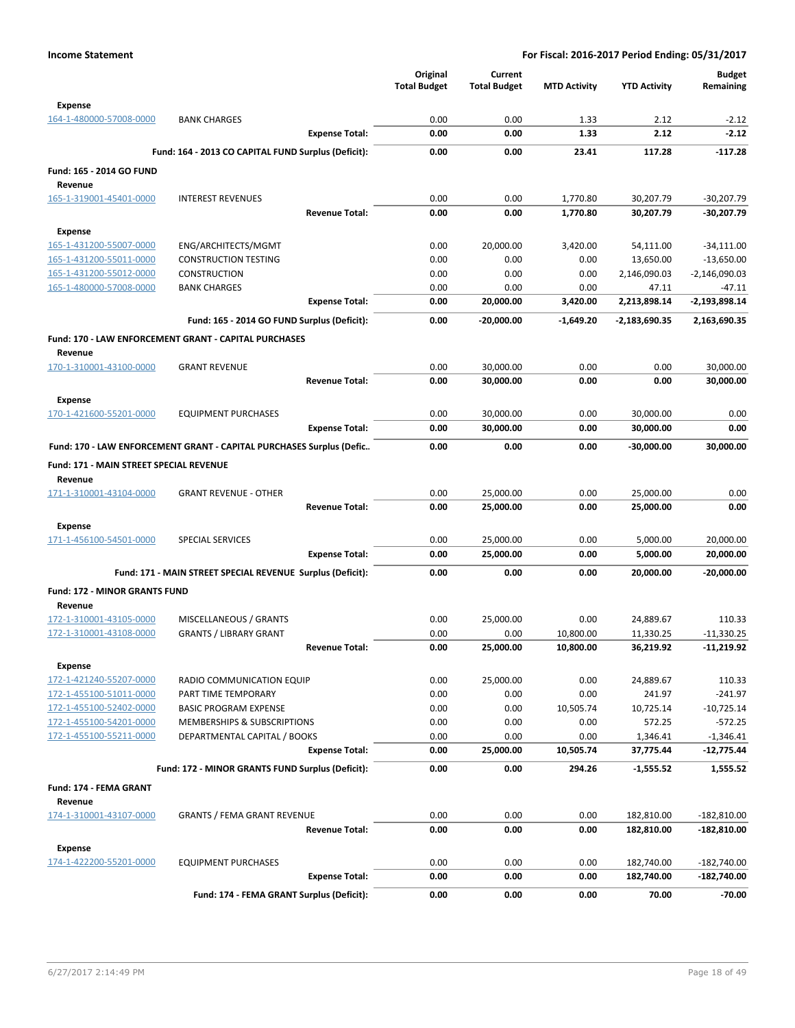|                                         |                                                                      | Original<br><b>Total Budget</b> | Current<br><b>Total Budget</b> | <b>MTD Activity</b> | <b>YTD Activity</b>    | <b>Budget</b><br>Remaining |
|-----------------------------------------|----------------------------------------------------------------------|---------------------------------|--------------------------------|---------------------|------------------------|----------------------------|
| <b>Expense</b>                          |                                                                      |                                 |                                |                     |                        |                            |
| 164-1-480000-57008-0000                 | <b>BANK CHARGES</b>                                                  | 0.00                            | 0.00                           | 1.33                | 2.12                   | $-2.12$                    |
|                                         | <b>Expense Total:</b>                                                | 0.00                            | 0.00                           | 1.33                | 2.12                   | $-2.12$                    |
|                                         | Fund: 164 - 2013 CO CAPITAL FUND Surplus (Deficit):                  | 0.00                            | 0.00                           | 23.41               | 117.28                 | $-117.28$                  |
| Fund: 165 - 2014 GO FUND                |                                                                      |                                 |                                |                     |                        |                            |
| Revenue<br>165-1-319001-45401-0000      | <b>INTEREST REVENUES</b>                                             | 0.00                            | 0.00                           | 1,770.80            | 30,207.79              | $-30,207.79$               |
|                                         | <b>Revenue Total:</b>                                                | 0.00                            | 0.00                           | 1,770.80            | 30,207.79              | -30,207.79                 |
| <b>Expense</b>                          |                                                                      |                                 |                                |                     |                        |                            |
| 165-1-431200-55007-0000                 | ENG/ARCHITECTS/MGMT                                                  | 0.00                            | 20,000.00                      | 3,420.00            | 54,111.00              | $-34,111.00$               |
| 165-1-431200-55011-0000                 | <b>CONSTRUCTION TESTING</b>                                          | 0.00                            | 0.00                           | 0.00                | 13,650.00              | $-13,650.00$               |
| 165-1-431200-55012-0000                 | <b>CONSTRUCTION</b>                                                  | 0.00                            | 0.00                           | 0.00                | 2,146,090.03           | $-2,146,090.03$            |
| 165-1-480000-57008-0000                 | <b>BANK CHARGES</b>                                                  | 0.00                            | 0.00                           | 0.00                | 47.11                  | $-47.11$                   |
|                                         | <b>Expense Total:</b>                                                | 0.00                            | 20,000.00                      | 3,420.00            | 2,213,898.14           | $-2,193,898.14$            |
|                                         | Fund: 165 - 2014 GO FUND Surplus (Deficit):                          | 0.00                            | -20,000.00                     | $-1,649.20$         | $-2,183,690.35$        | 2,163,690.35               |
| Revenue                                 | Fund: 170 - LAW ENFORCEMENT GRANT - CAPITAL PURCHASES                |                                 |                                |                     |                        |                            |
| 170-1-310001-43100-0000                 | <b>GRANT REVENUE</b>                                                 | 0.00                            | 30,000.00                      | 0.00                | 0.00                   | 30,000.00                  |
|                                         | <b>Revenue Total:</b>                                                | 0.00                            | 30,000.00                      | 0.00                | 0.00                   | 30,000.00                  |
| <b>Expense</b>                          |                                                                      |                                 |                                |                     |                        |                            |
| 170-1-421600-55201-0000                 | <b>EQUIPMENT PURCHASES</b>                                           | 0.00                            | 30,000.00                      | 0.00                | 30,000.00              | 0.00                       |
|                                         | <b>Expense Total:</b>                                                | 0.00                            | 30,000.00                      | 0.00                | 30,000.00              | 0.00                       |
|                                         | Fund: 170 - LAW ENFORCEMENT GRANT - CAPITAL PURCHASES Surplus (Defic | 0.00                            | 0.00                           | 0.00                | $-30,000.00$           | 30,000.00                  |
| Fund: 171 - MAIN STREET SPECIAL REVENUE |                                                                      |                                 |                                |                     |                        |                            |
| Revenue                                 |                                                                      |                                 |                                |                     |                        |                            |
| 171-1-310001-43104-0000                 | <b>GRANT REVENUE - OTHER</b><br><b>Revenue Total:</b>                | 0.00<br>0.00                    | 25,000.00<br>25,000.00         | 0.00<br>0.00        | 25,000.00<br>25,000.00 | 0.00<br>0.00               |
|                                         |                                                                      |                                 |                                |                     |                        |                            |
| <b>Expense</b>                          | <b>SPECIAL SERVICES</b>                                              | 0.00                            |                                |                     |                        |                            |
| 171-1-456100-54501-0000                 | <b>Expense Total:</b>                                                | 0.00                            | 25,000.00<br>25,000.00         | 0.00<br>0.00        | 5,000.00<br>5,000.00   | 20,000.00<br>20,000.00     |
|                                         | Fund: 171 - MAIN STREET SPECIAL REVENUE Surplus (Deficit):           | 0.00                            | 0.00                           | 0.00                | 20,000.00              | $-20,000.00$               |
| <b>Fund: 172 - MINOR GRANTS FUND</b>    |                                                                      |                                 |                                |                     |                        |                            |
| Revenue                                 |                                                                      |                                 |                                |                     |                        |                            |
| 172-1-310001-43105-0000                 | MISCELLANEOUS / GRANTS                                               | 0.00                            | 25,000.00                      | 0.00                | 24,889.67              | 110.33                     |
| 172-1-310001-43108-0000                 | <b>GRANTS / LIBRARY GRANT</b>                                        | 0.00                            | 0.00                           | 10,800.00           | 11,330.25              | $-11,330.25$               |
|                                         | <b>Revenue Total:</b>                                                | 0.00                            | 25,000.00                      | 10,800.00           | 36,219.92              | -11,219.92                 |
| <b>Expense</b>                          |                                                                      |                                 |                                |                     |                        |                            |
| 172-1-421240-55207-0000                 | RADIO COMMUNICATION EQUIP                                            | 0.00                            | 25,000.00                      | 0.00                | 24,889.67              | 110.33                     |
| 172-1-455100-51011-0000                 | PART TIME TEMPORARY                                                  | 0.00                            | 0.00                           | 0.00                | 241.97                 | $-241.97$                  |
| 172-1-455100-52402-0000                 | <b>BASIC PROGRAM EXPENSE</b>                                         | 0.00                            | 0.00                           | 10,505.74           | 10,725.14              | $-10,725.14$               |
| 172-1-455100-54201-0000                 | MEMBERSHIPS & SUBSCRIPTIONS                                          | 0.00                            | 0.00                           | 0.00                | 572.25                 | $-572.25$                  |
| 172-1-455100-55211-0000                 | DEPARTMENTAL CAPITAL / BOOKS                                         | 0.00                            | 0.00                           | 0.00                | 1,346.41               | $-1,346.41$                |
|                                         | <b>Expense Total:</b>                                                | 0.00                            | 25,000.00                      | 10,505.74           | 37,775.44              | $-12,775.44$               |
|                                         | Fund: 172 - MINOR GRANTS FUND Surplus (Deficit):                     | 0.00                            | 0.00                           | 294.26              | -1,555.52              | 1,555.52                   |
| Fund: 174 - FEMA GRANT<br>Revenue       |                                                                      |                                 |                                |                     |                        |                            |
| 174-1-310001-43107-0000                 | <b>GRANTS / FEMA GRANT REVENUE</b>                                   | 0.00                            | 0.00                           | 0.00                | 182,810.00             | $-182,810.00$              |
|                                         | <b>Revenue Total:</b>                                                | 0.00                            | 0.00                           | 0.00                | 182,810.00             | $-182,810.00$              |
| <b>Expense</b>                          |                                                                      |                                 |                                |                     |                        |                            |
| 174-1-422200-55201-0000                 | <b>EQUIPMENT PURCHASES</b>                                           | 0.00                            | 0.00                           | 0.00                | 182,740.00             | $-182,740.00$              |
|                                         | <b>Expense Total:</b>                                                | 0.00                            | 0.00                           | 0.00                | 182,740.00             | -182,740.00                |
|                                         | Fund: 174 - FEMA GRANT Surplus (Deficit):                            | 0.00                            | 0.00                           | 0.00                | 70.00                  | $-70.00$                   |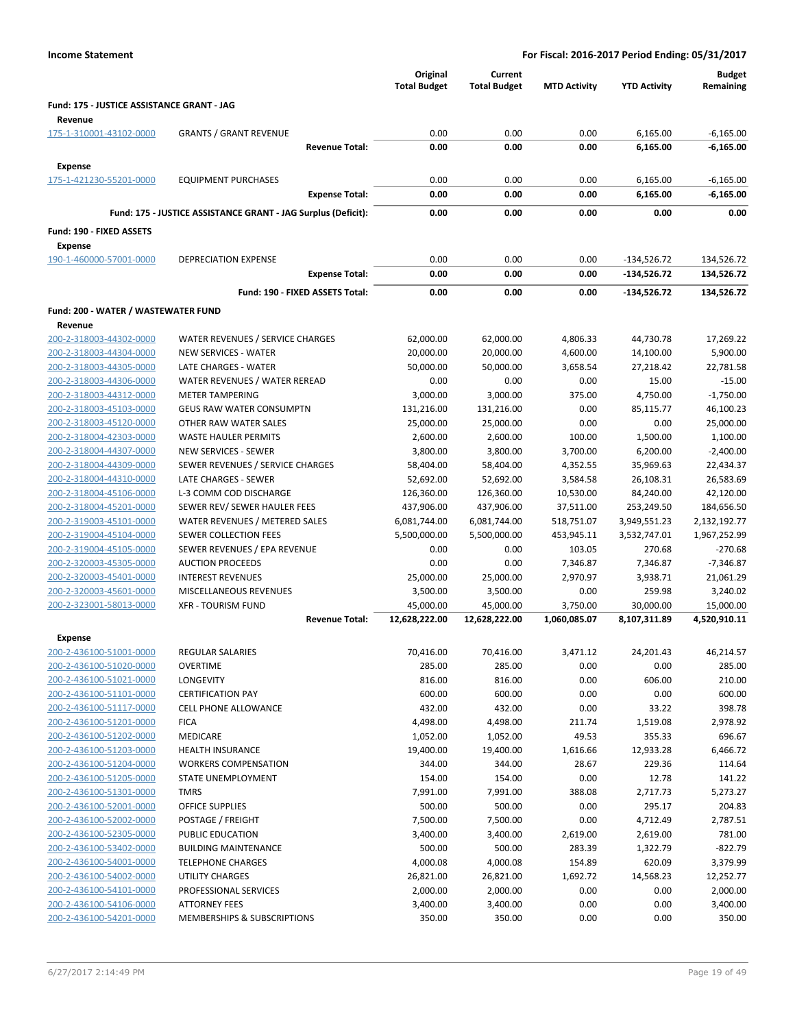| <b>Income Statement</b>                            | For Fiscal: 2016-2017 Period Ending: 05/31/2017               |                                 |                                |                     |                     |                            |
|----------------------------------------------------|---------------------------------------------------------------|---------------------------------|--------------------------------|---------------------|---------------------|----------------------------|
|                                                    |                                                               | Original<br><b>Total Budget</b> | Current<br><b>Total Budget</b> | <b>MTD Activity</b> | <b>YTD Activity</b> | <b>Budget</b><br>Remaining |
| Fund: 175 - JUSTICE ASSISTANCE GRANT - JAG         |                                                               |                                 |                                |                     |                     |                            |
| Revenue                                            |                                                               |                                 |                                |                     |                     |                            |
| 175-1-310001-43102-0000                            | <b>GRANTS / GRANT REVENUE</b>                                 | 0.00                            | 0.00                           | 0.00                | 6,165.00            | $-6,165.00$                |
|                                                    | <b>Revenue Total:</b>                                         | 0.00                            | 0.00                           | 0.00                | 6,165.00            | -6,165.00                  |
| <b>Expense</b>                                     |                                                               |                                 |                                |                     |                     |                            |
| 175-1-421230-55201-0000                            | <b>EQUIPMENT PURCHASES</b>                                    | 0.00                            | 0.00                           | 0.00                | 6,165.00            | $-6,165.00$                |
|                                                    | <b>Expense Total:</b>                                         | 0.00                            | 0.00                           | 0.00                | 6,165.00            | $-6,165.00$                |
|                                                    | Fund: 175 - JUSTICE ASSISTANCE GRANT - JAG Surplus (Deficit): | 0.00                            | 0.00                           | 0.00                | 0.00                | 0.00                       |
| Fund: 190 - FIXED ASSETS                           |                                                               |                                 |                                |                     |                     |                            |
| <b>Expense</b><br>190-1-460000-57001-0000          | <b>DEPRECIATION EXPENSE</b>                                   | 0.00                            | 0.00                           | 0.00                | $-134,526.72$       | 134,526.72                 |
|                                                    | <b>Expense Total:</b>                                         | 0.00                            | 0.00                           | 0.00                | $-134,526.72$       | 134,526.72                 |
|                                                    | Fund: 190 - FIXED ASSETS Total:                               | 0.00                            | 0.00                           | 0.00                | -134,526.72         | 134,526.72                 |
|                                                    |                                                               |                                 |                                |                     |                     |                            |
| Fund: 200 - WATER / WASTEWATER FUND<br>Revenue     |                                                               |                                 |                                |                     |                     |                            |
| 200-2-318003-44302-0000                            | WATER REVENUES / SERVICE CHARGES                              | 62,000.00                       | 62,000.00                      | 4,806.33            | 44,730.78           | 17,269.22                  |
| 200-2-318003-44304-0000                            | <b>NEW SERVICES - WATER</b>                                   | 20,000.00                       | 20,000.00                      | 4,600.00            | 14,100.00           | 5,900.00                   |
| 200-2-318003-44305-0000                            | LATE CHARGES - WATER                                          | 50,000.00                       | 50,000.00                      | 3,658.54            | 27,218.42           | 22,781.58                  |
| 200-2-318003-44306-0000                            | WATER REVENUES / WATER REREAD                                 | 0.00                            | 0.00                           | 0.00                | 15.00               | $-15.00$                   |
| 200-2-318003-44312-0000                            | <b>METER TAMPERING</b>                                        | 3,000.00                        | 3,000.00                       | 375.00              | 4,750.00            | $-1,750.00$                |
| 200-2-318003-45103-0000                            | <b>GEUS RAW WATER CONSUMPTN</b>                               | 131,216.00                      | 131,216.00                     | 0.00                | 85,115.77           | 46,100.23                  |
| 200-2-318003-45120-0000                            | OTHER RAW WATER SALES                                         | 25,000.00                       | 25,000.00                      | 0.00                | 0.00                | 25,000.00                  |
| 200-2-318004-42303-0000                            | <b>WASTE HAULER PERMITS</b>                                   | 2,600.00                        | 2,600.00                       | 100.00              | 1,500.00            | 1,100.00                   |
| 200-2-318004-44307-0000                            | <b>NEW SERVICES - SEWER</b>                                   | 3,800.00                        | 3,800.00                       | 3,700.00            | 6,200.00            | $-2,400.00$                |
| 200-2-318004-44309-0000                            | SEWER REVENUES / SERVICE CHARGES                              | 58,404.00                       | 58,404.00                      | 4,352.55            | 35,969.63           | 22,434.37                  |
| 200-2-318004-44310-0000                            | LATE CHARGES - SEWER                                          | 52,692.00                       | 52,692.00                      | 3,584.58            | 26,108.31           | 26,583.69                  |
| 200-2-318004-45106-0000                            | L-3 COMM COD DISCHARGE                                        | 126,360.00                      | 126,360.00                     | 10,530.00           | 84,240.00           | 42,120.00                  |
| 200-2-318004-45201-0000                            | SEWER REV/ SEWER HAULER FEES                                  | 437,906.00                      | 437,906.00                     | 37,511.00           | 253,249.50          | 184,656.50                 |
| 200-2-319003-45101-0000                            | WATER REVENUES / METERED SALES                                | 6,081,744.00                    | 6,081,744.00                   | 518,751.07          | 3,949,551.23        | 2,132,192.77               |
| 200-2-319004-45104-0000                            | SEWER COLLECTION FEES                                         | 5,500,000.00                    | 5,500,000.00                   | 453,945.11          | 3,532,747.01        | 1,967,252.99               |
| 200-2-319004-45105-0000                            | SEWER REVENUES / EPA REVENUE                                  | 0.00                            | 0.00                           | 103.05              | 270.68              | $-270.68$                  |
| 200-2-320003-45305-0000                            | <b>AUCTION PROCEEDS</b>                                       | 0.00                            | 0.00                           | 7,346.87            | 7,346.87            | $-7,346.87$                |
| 200-2-320003-45401-0000                            | <b>INTEREST REVENUES</b>                                      | 25,000.00                       | 25,000.00                      | 2,970.97            | 3,938.71            | 21,061.29                  |
| 200-2-320003-45601-0000                            | MISCELLANEOUS REVENUES                                        | 3,500.00                        | 3,500.00                       | 0.00                | 259.98              | 3,240.02                   |
| 200-2-323001-58013-0000                            | <b>XFR - TOURISM FUND</b>                                     | 45,000.00                       | 45,000.00                      | 3,750.00            | 30,000.00           | 15,000.00                  |
|                                                    | <b>Revenue Total:</b>                                         | 12,628,222.00                   | 12,628,222.00                  | 1,060,085.07        | 8,107,311.89        | 4,520,910.11               |
| <b>Expense</b>                                     |                                                               |                                 |                                |                     |                     |                            |
| 200-2-436100-51001-0000                            | <b>REGULAR SALARIES</b>                                       | 70,416.00                       | 70,416.00                      | 3,471.12            | 24,201.43           | 46,214.57                  |
| 200-2-436100-51020-0000                            | <b>OVERTIME</b>                                               | 285.00                          | 285.00                         | 0.00                | 0.00                | 285.00                     |
| 200-2-436100-51021-0000                            | <b>LONGEVITY</b>                                              | 816.00                          | 816.00                         | 0.00                | 606.00              | 210.00                     |
| 200-2-436100-51101-0000                            | <b>CERTIFICATION PAY</b>                                      | 600.00                          | 600.00                         | 0.00                | 0.00                | 600.00                     |
| 200-2-436100-51117-0000                            | <b>CELL PHONE ALLOWANCE</b>                                   | 432.00                          | 432.00                         | 0.00                | 33.22               | 398.78                     |
| 200-2-436100-51201-0000                            | <b>FICA</b><br>MEDICARE                                       | 4,498.00<br>1,052.00            | 4,498.00<br>1,052.00           | 211.74<br>49.53     | 1,519.08<br>355.33  | 2,978.92<br>696.67         |
| 200-2-436100-51202-0000<br>200-2-436100-51203-0000 | <b>HEALTH INSURANCE</b>                                       | 19,400.00                       | 19,400.00                      | 1,616.66            | 12,933.28           | 6,466.72                   |
| 200-2-436100-51204-0000                            | <b>WORKERS COMPENSATION</b>                                   | 344.00                          | 344.00                         | 28.67               | 229.36              | 114.64                     |
| 200-2-436100-51205-0000                            | STATE UNEMPLOYMENT                                            | 154.00                          | 154.00                         | 0.00                | 12.78               | 141.22                     |
| 200-2-436100-51301-0000                            | <b>TMRS</b>                                                   | 7,991.00                        | 7,991.00                       | 388.08              | 2,717.73            | 5,273.27                   |
| 200-2-436100-52001-0000                            | <b>OFFICE SUPPLIES</b>                                        | 500.00                          | 500.00                         | 0.00                | 295.17              | 204.83                     |
| 200-2-436100-52002-0000                            | POSTAGE / FREIGHT                                             | 7,500.00                        | 7,500.00                       | 0.00                | 4,712.49            | 2,787.51                   |
| 200-2-436100-52305-0000                            | PUBLIC EDUCATION                                              | 3,400.00                        | 3,400.00                       | 2,619.00            | 2,619.00            | 781.00                     |
| 200-2-436100-53402-0000                            | <b>BUILDING MAINTENANCE</b>                                   | 500.00                          | 500.00                         | 283.39              | 1,322.79            | $-822.79$                  |
| 200-2-436100-54001-0000                            | <b>TELEPHONE CHARGES</b>                                      | 4,000.08                        | 4,000.08                       | 154.89              | 620.09              | 3,379.99                   |
| 200-2-436100-54002-0000                            | UTILITY CHARGES                                               | 26,821.00                       | 26,821.00                      | 1,692.72            | 14,568.23           | 12,252.77                  |
| 200-2-436100-54101-0000                            | PROFESSIONAL SERVICES                                         | 2,000.00                        | 2,000.00                       | 0.00                | 0.00                | 2,000.00                   |
| 200-2-436100-54106-0000                            | <b>ATTORNEY FEES</b>                                          | 3,400.00                        | 3,400.00                       | 0.00                | 0.00                | 3,400.00                   |
| 200-2-436100-54201-0000                            | MEMBERSHIPS & SUBSCRIPTIONS                                   | 350.00                          | 350.00                         | 0.00                | 0.00                | 350.00                     |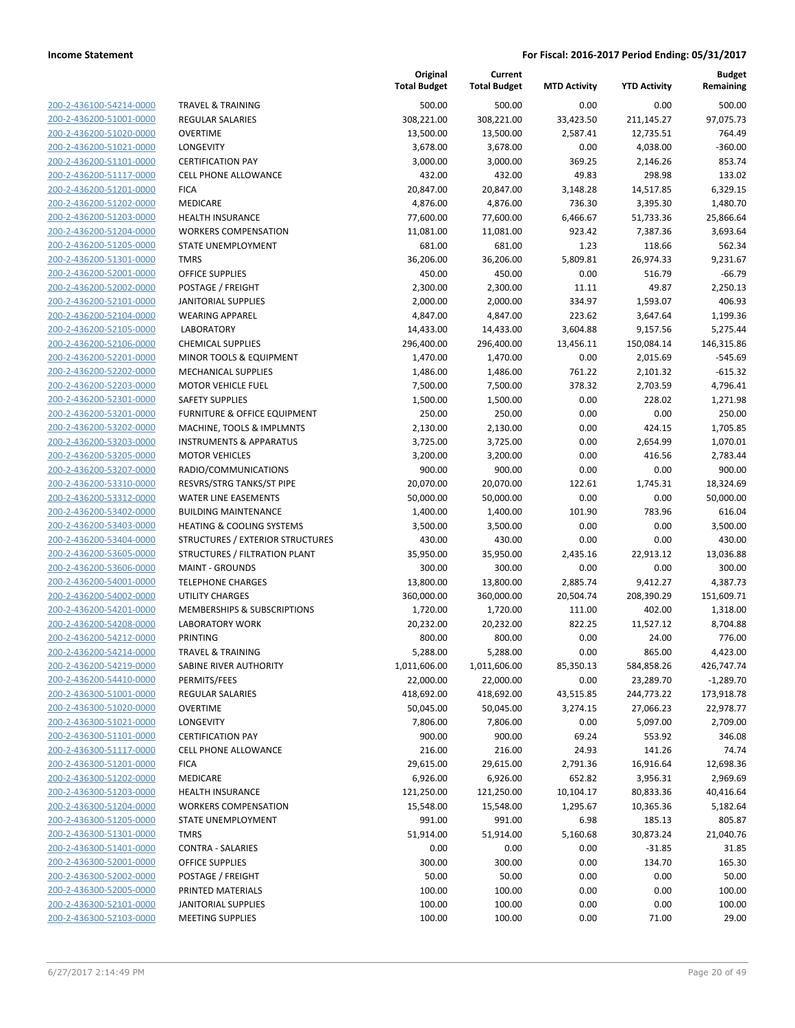| 200-2-436100-54214-0000        |
|--------------------------------|
| 200-2-436200-51001-0000        |
| 200-2-436200-51020-0000        |
| <u>200-2-436200-51021-0000</u> |
| 200-2-436200-51101-0000        |
| 2-436200-51117-0000<br>200-    |
| 200-2-436200-51201-0000        |
| 200-2-436200-51202-0000        |
| <u>200-2-436200-51203-0000</u> |
| 200-2-436200-51204-0000        |
| 2-436200-51205-0000<br>200-    |
| 200-2-436200-51301-0000        |
| 200-2-436200-52001-0000        |
| <u>200-2-436200-52002-0000</u> |
| 200-2-436200-52101-0000        |
| 2-436200-52104-0000<br>200-    |
| 200-2-436200-52105-0000        |
|                                |
| 200-2-436200-52106-0000        |
| 200-2-436200-52201-0000        |
| 200-2-436200-52202-0000        |
| 2-436200-52203-0000<br>200-    |
| 200-2-436200-52301-0000        |
| 200-2-436200-53201-0000        |
| 200-2-436200-53202-0000        |
| 200-2-436200-53203-0000        |
| 2-436200-53205-0000<br>200-    |
| 200-2-436200-53207-0000        |
| 200-2-436200-53310-0000        |
| <u>200-2-436200-53312-0000</u> |
| 200-2-436200-53402-0000        |
| 2-436200-53403-0000<br>200-    |
| 200-2-436200-53404-0000        |
| 200-2-436200-53605-0000        |
| <u>200-2-436200-53606-0000</u> |
| 200-2-436200-54001-0000        |
| 2-436200-54002-0000<br>200-    |
| 200-2-436200-54201-0000        |
| 200-2-436200-54208-0000        |
| 200-2-436200-54212-0000        |
| 200-2-436200-54214-0000        |
| 2-436200-54219-0000<br>200-    |
| <u>200-2-436200-54410-0000</u> |
| 200-2-436300-51001-0000        |
|                                |
| <u>200-2-436300-51020-0000</u> |
| 200-2-436300-51021-0000        |
| 200-2-436300-51101-0000        |
| 200-2-436300-51117-0000        |
| 200-2-436300-51201-0000        |
| <u>200-2-436300-51202-0000</u> |
| 200-2-436300-51203-0000        |
| 200-2-436300-51204-0000        |
| 200-2-436300-51205-0000        |
| <u>200-2-436300-51301-0000</u> |
| <u>200-2-436300-51401-0000</u> |
| 200-2-436300-52001-0000        |
| 200-2-436300-52002-0000        |
| 200-2-436300-52005-0000        |
| 200-2-436300-52101-0000        |
| <u>200-2-436300-52103-0000</u> |
|                                |

|                                                    |                                                                 | Original<br><b>Total Budget</b> | Current<br><b>Total Budget</b> | <b>MTD Activity</b> | <b>YTD Activity</b> | Budget<br>Remaining  |
|----------------------------------------------------|-----------------------------------------------------------------|---------------------------------|--------------------------------|---------------------|---------------------|----------------------|
| 200-2-436100-54214-0000                            | <b>TRAVEL &amp; TRAINING</b>                                    | 500.00                          | 500.00                         | 0.00                | 0.00                | 500.00               |
| 200-2-436200-51001-0000                            | REGULAR SALARIES                                                | 308,221.00                      | 308,221.00                     | 33,423.50           | 211,145.27          | 97,075.73            |
| 200-2-436200-51020-0000                            | <b>OVERTIME</b>                                                 | 13,500.00                       | 13,500.00                      | 2,587.41            | 12,735.51           | 764.49               |
| 200-2-436200-51021-0000                            | <b>LONGEVITY</b>                                                | 3,678.00                        | 3,678.00                       | 0.00                | 4,038.00            | $-360.00$            |
| 200-2-436200-51101-0000                            | <b>CERTIFICATION PAY</b>                                        | 3,000.00                        | 3,000.00                       | 369.25              | 2,146.26            | 853.74               |
| 200-2-436200-51117-0000                            | <b>CELL PHONE ALLOWANCE</b>                                     | 432.00                          | 432.00                         | 49.83               | 298.98              | 133.02               |
| 200-2-436200-51201-0000                            | <b>FICA</b>                                                     | 20,847.00                       | 20,847.00                      | 3,148.28            | 14,517.85           | 6,329.15             |
| 200-2-436200-51202-0000                            | MEDICARE                                                        | 4,876.00                        | 4,876.00                       | 736.30              | 3,395.30            | 1,480.70             |
| 200-2-436200-51203-0000                            | HEALTH INSURANCE                                                | 77,600.00                       | 77,600.00                      | 6,466.67            | 51,733.36           | 25,866.64            |
| 200-2-436200-51204-0000                            | <b>WORKERS COMPENSATION</b>                                     | 11,081.00                       | 11,081.00                      | 923.42              | 7,387.36            | 3,693.64             |
| 200-2-436200-51205-0000                            | STATE UNEMPLOYMENT                                              | 681.00                          | 681.00                         | 1.23                | 118.66              | 562.34               |
| 200-2-436200-51301-0000                            | <b>TMRS</b>                                                     | 36,206.00                       | 36,206.00                      | 5,809.81            | 26,974.33           | 9,231.67             |
| 200-2-436200-52001-0000                            | <b>OFFICE SUPPLIES</b>                                          | 450.00                          | 450.00                         | 0.00                | 516.79              | $-66.79$             |
| 200-2-436200-52002-0000                            | POSTAGE / FREIGHT                                               | 2,300.00                        | 2,300.00                       | 11.11               | 49.87               | 2,250.13             |
| 200-2-436200-52101-0000                            | JANITORIAL SUPPLIES                                             | 2,000.00                        | 2,000.00                       | 334.97              | 1,593.07            | 406.93               |
| 200-2-436200-52104-0000                            | <b>WEARING APPAREL</b>                                          | 4,847.00                        | 4,847.00                       | 223.62              | 3,647.64            | 1,199.36             |
| 200-2-436200-52105-0000                            | <b>LABORATORY</b>                                               | 14,433.00                       | 14,433.00                      | 3,604.88            | 9,157.56            | 5,275.44             |
| 200-2-436200-52106-0000                            | <b>CHEMICAL SUPPLIES</b>                                        | 296,400.00                      | 296,400.00                     | 13,456.11           | 150,084.14          | 146,315.86           |
| 200-2-436200-52201-0000                            | MINOR TOOLS & EQUIPMENT                                         | 1,470.00                        | 1,470.00                       | 0.00                | 2,015.69            | $-545.69$            |
| 200-2-436200-52202-0000                            | MECHANICAL SUPPLIES                                             | 1,486.00                        | 1,486.00                       | 761.22              | 2,101.32            | $-615.32$            |
| 200-2-436200-52203-0000                            | <b>MOTOR VEHICLE FUEL</b>                                       | 7,500.00                        | 7,500.00                       | 378.32              | 2,703.59            | 4,796.41             |
| 200-2-436200-52301-0000                            | <b>SAFETY SUPPLIES</b>                                          | 1,500.00                        | 1,500.00                       | 0.00                | 228.02              | 1,271.98             |
| 200-2-436200-53201-0000                            | FURNITURE & OFFICE EQUIPMENT                                    | 250.00                          | 250.00                         | 0.00                | 0.00                | 250.00               |
| 200-2-436200-53202-0000<br>200-2-436200-53203-0000 | MACHINE, TOOLS & IMPLMNTS<br><b>INSTRUMENTS &amp; APPARATUS</b> | 2,130.00<br>3,725.00            | 2,130.00<br>3,725.00           | 0.00<br>0.00        | 424.15<br>2,654.99  | 1,705.85<br>1,070.01 |
| 200-2-436200-53205-0000                            | <b>MOTOR VEHICLES</b>                                           | 3,200.00                        | 3,200.00                       | 0.00                | 416.56              | 2,783.44             |
| 200-2-436200-53207-0000                            | RADIO/COMMUNICATIONS                                            | 900.00                          | 900.00                         | 0.00                | 0.00                | 900.00               |
| 200-2-436200-53310-0000                            | RESVRS/STRG TANKS/ST PIPE                                       | 20,070.00                       | 20,070.00                      | 122.61              | 1,745.31            | 18,324.69            |
| 200-2-436200-53312-0000                            | <b>WATER LINE EASEMENTS</b>                                     | 50,000.00                       | 50,000.00                      | 0.00                | 0.00                | 50,000.00            |
| 200-2-436200-53402-0000                            | <b>BUILDING MAINTENANCE</b>                                     | 1,400.00                        | 1,400.00                       | 101.90              | 783.96              | 616.04               |
| 200-2-436200-53403-0000                            | <b>HEATING &amp; COOLING SYSTEMS</b>                            | 3,500.00                        | 3,500.00                       | 0.00                | 0.00                | 3,500.00             |
| 200-2-436200-53404-0000                            | STRUCTURES / EXTERIOR STRUCTURES                                | 430.00                          | 430.00                         | 0.00                | 0.00                | 430.00               |
| 200-2-436200-53605-0000                            | STRUCTURES / FILTRATION PLANT                                   | 35,950.00                       | 35,950.00                      | 2,435.16            | 22,913.12           | 13,036.88            |
| 200-2-436200-53606-0000                            | <b>MAINT - GROUNDS</b>                                          | 300.00                          | 300.00                         | 0.00                | 0.00                | 300.00               |
| 200-2-436200-54001-0000                            | <b>TELEPHONE CHARGES</b>                                        | 13,800.00                       | 13,800.00                      | 2,885.74            | 9,412.27            | 4,387.73             |
| 200-2-436200-54002-0000                            | <b>UTILITY CHARGES</b>                                          | 360,000.00                      | 360,000.00                     | 20,504.74           | 208,390.29          | 151,609.71           |
| 200-2-436200-54201-0000                            | MEMBERSHIPS & SUBSCRIPTIONS                                     | 1,720.00                        | 1,720.00                       | 111.00              | 402.00              | 1,318.00             |
| 200-2-436200-54208-0000                            | LABORATORY WORK                                                 | 20,232.00                       | 20,232.00                      | 822.25              | 11,527.12           | 8,704.88             |
| 200-2-436200-54212-0000                            | PRINTING                                                        | 800.00                          | 800.00                         | 0.00                | 24.00               | 776.00               |
| 200-2-436200-54214-0000                            | <b>TRAVEL &amp; TRAINING</b>                                    | 5,288.00                        | 5,288.00                       | 0.00                | 865.00              | 4,423.00             |
| 200-2-436200-54219-0000                            | SABINE RIVER AUTHORITY                                          | 1,011,606.00                    | 1,011,606.00                   | 85,350.13           | 584,858.26          | 426,747.74           |
| 200-2-436200-54410-0000                            | PERMITS/FEES                                                    | 22,000.00                       | 22,000.00                      | 0.00                | 23,289.70           | $-1,289.70$          |
| 200-2-436300-51001-0000                            | REGULAR SALARIES                                                | 418,692.00                      | 418,692.00                     | 43,515.85           | 244,773.22          | 173,918.78           |
| 200-2-436300-51020-0000                            | <b>OVERTIME</b>                                                 | 50,045.00                       | 50,045.00                      | 3,274.15            | 27,066.23           | 22,978.77            |
| 200-2-436300-51021-0000                            | LONGEVITY                                                       | 7,806.00                        | 7,806.00                       | 0.00                | 5,097.00            | 2,709.00             |
| 200-2-436300-51101-0000                            | <b>CERTIFICATION PAY</b>                                        | 900.00                          | 900.00                         | 69.24               | 553.92              | 346.08               |
| 200-2-436300-51117-0000                            | <b>CELL PHONE ALLOWANCE</b>                                     | 216.00                          | 216.00                         | 24.93               | 141.26              | 74.74                |
| 200-2-436300-51201-0000                            | <b>FICA</b>                                                     | 29,615.00                       | 29,615.00                      | 2,791.36            | 16,916.64           | 12,698.36            |
| 200-2-436300-51202-0000                            | MEDICARE                                                        | 6,926.00                        | 6,926.00                       | 652.82              | 3,956.31            | 2,969.69             |
| 200-2-436300-51203-0000                            | <b>HEALTH INSURANCE</b>                                         | 121,250.00                      | 121,250.00                     | 10,104.17           | 80,833.36           | 40,416.64            |
| 200-2-436300-51204-0000                            | <b>WORKERS COMPENSATION</b>                                     | 15,548.00                       | 15,548.00                      | 1,295.67            | 10,365.36           | 5,182.64             |
| 200-2-436300-51205-0000                            | STATE UNEMPLOYMENT                                              | 991.00                          | 991.00                         | 6.98                | 185.13              | 805.87               |
| 200-2-436300-51301-0000                            | <b>TMRS</b>                                                     | 51,914.00                       | 51,914.00                      | 5,160.68            | 30,873.24           | 21,040.76            |
| 200-2-436300-51401-0000                            | <b>CONTRA - SALARIES</b>                                        | 0.00                            | 0.00                           | 0.00                | $-31.85$            | 31.85                |
| 200-2-436300-52001-0000                            | OFFICE SUPPLIES                                                 | 300.00                          | 300.00                         | 0.00                | 134.70              | 165.30               |
| 200-2-436300-52002-0000                            | POSTAGE / FREIGHT                                               | 50.00                           | 50.00                          | 0.00                | 0.00                | 50.00                |
| 200-2-436300-52005-0000                            | PRINTED MATERIALS                                               | 100.00                          | 100.00                         | 0.00                | 0.00                | 100.00               |
| 200-2-436300-52101-0000                            | <b>JANITORIAL SUPPLIES</b>                                      | 100.00                          | 100.00                         | 0.00                | 0.00                | 100.00               |
| 200-2-436300-52103-0000                            | <b>MEETING SUPPLIES</b>                                         | 100.00                          | 100.00                         | 0.00                | 71.00               | 29.00                |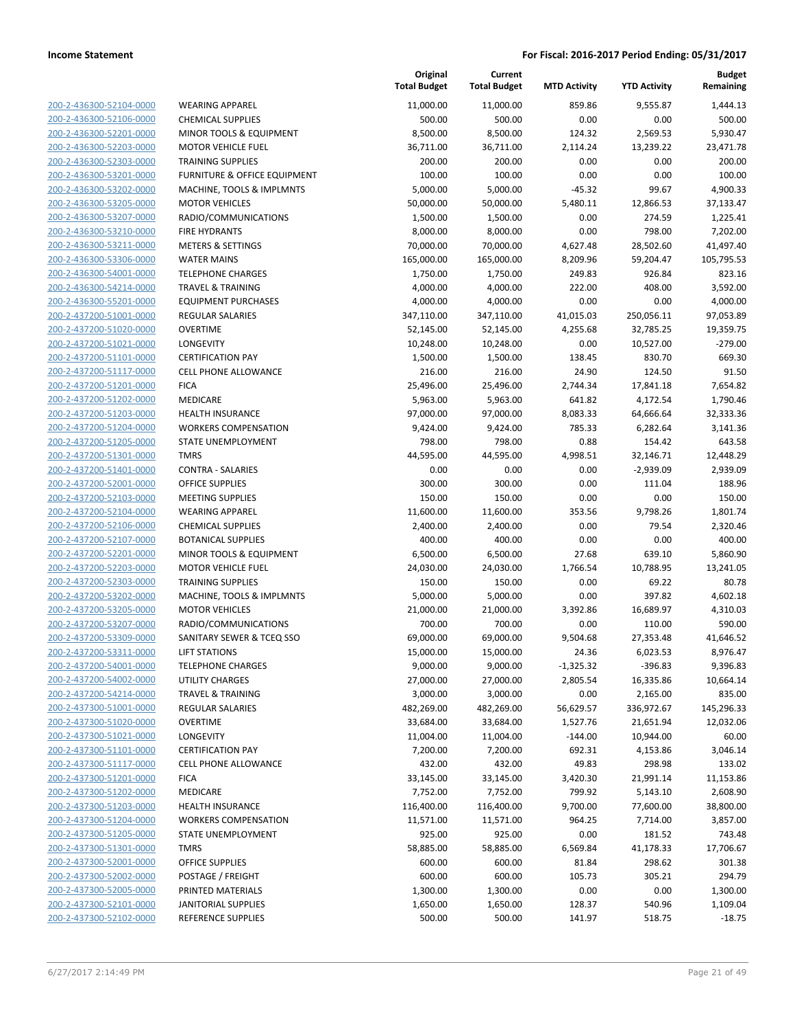| 200-2-436300-52104-0000        |
|--------------------------------|
| 200-2-436300-52106-0000        |
| 200-2-436300-52201-0000        |
| 200-2-436300-52203-0000        |
| 200-2-436300-52303-0000        |
| 200-2-436300-53201-0000        |
| 200-2-436300-53202-0000        |
| 200-2-436300-53205-0000        |
|                                |
| 200-2-436300-53207-0000        |
| 200-2-436300-53210-0000        |
| 200-2-436300-53211-0000        |
| 200-2-436300-53306-0000        |
| 200-2-436300-54001-0000        |
| 200-2-436300-54214-0000        |
| 200-2-436300-55201-0000        |
| 200-2-437200-51001-0000        |
| 200-2-437200-51020-0000        |
| 200-2-437200-51021-0000        |
| 200-2-437200-51101-0000        |
|                                |
| 200-2-437200-51117-0000        |
| 200-2-437200-51201-0000        |
| 200-2-437200-51202-0000        |
| 200-2-437200-51203-0000        |
| 200-2-437200-51204-0000        |
| 200-2-437200-51205-0000        |
| 200-2-437200-51301-0000        |
| 200-2-437200-51401-0000        |
| 200-2-437200-52001-0000        |
| 200-2-437200-52103-0000        |
| 200-2-437200-52104-0000        |
| 200-2-437200-52106-0000        |
| 200-2-437200-52107-0000        |
|                                |
| <u>200-2-437200-52201-0000</u> |
| 200-2-437200-52203-0000        |
| 200-2-437200-52303-0000        |
| 200-2-437200-53202-0000        |
| 200-2-437200-53205-0000        |
| 200-2-437200-53207-0000        |
| 200-2-437200-53309-0000        |
| 200-2-437200-53311-0000        |
| 200-2-437200-54001-0000        |
| 200-2-437200-54002-0000        |
| <u>200-2-437200-54214-0000</u> |
| <u>200-2-437300-51001-0000</u> |
| <u>200-2-437300-51020-0000</u> |
| <u>200-2-437300-51021-0000</u> |
| 200-2-437300-51101-0000        |
|                                |
| <u>200-2-437300-51117-0000</u> |
| <u>200-2-437300-51201-0000</u> |
| 200-2-437300-51202-0000        |
| 200-2-437300-51203-0000        |
| 200-2-437300-51204-0000        |
| <u>200-2-437300-51205-0000</u> |
| <u>200-2-437300-51301-0000</u> |
| <u>200-2-437300-52001-0000</u> |
| <u>200-2-437300-52002-0000</u> |
| 200-2-437300-52005-0000        |
| <u>200-2-437300-52101-0000</u> |
| <u>200-2-437300-52102-0000</u> |
|                                |

| WEARING APPAREL                              |
|----------------------------------------------|
| CHEMICAL SUPPLIES                            |
| MINOR TOOLS & EQUIPMENT                      |
| <b>MOTOR VEHICLE FUEL</b>                    |
| TRAINING SUPPLIES                            |
| URNITURE & OFFICE EQUIPMENT                  |
| MACHINE, TOOLS & IMPLMNTS                    |
| <b>MOTOR VEHICLES</b>                        |
| RADIO/COMMUNICATIONS                         |
| <b>IRE HYDRANTS</b>                          |
| METERS & SETTINGS                            |
| WATER MAINS                                  |
| TELEPHONE CHARGES<br>FRAVEL & TRAINING       |
| EQUIPMENT PURCHASES                          |
| REGULAR SALARIES                             |
| OVERTIME                                     |
| <b>ONGEVITY</b>                              |
| <b>CERTIFICATION PAY</b>                     |
| CELL PHONE ALLOWANCE                         |
| FICA                                         |
| MEDICARE                                     |
| <b>HEALTH INSURANCE</b>                      |
| <b><i>NORKERS COMPENSATION</i></b>           |
| STATE UNEMPLOYMENT                           |
| <b>TMRS</b>                                  |
| CONTRA - SALARIES                            |
| <b>DFFICE SUPPLIES</b>                       |
| MEETING SUPPLIES                             |
| WEARING APPAREL<br>CHEMICAL SUPPLIES         |
| <b>BOTANICAL SUPPLIES</b>                    |
| MINOR TOOLS & EQUIPMENT                      |
| MOTOR VEHICLE FUEL                           |
| TRAINING SUPPLIES                            |
| <b>MACHINE, TOOLS &amp; IMPLMNTS</b>         |
| <b>MOTOR VEHICLES</b>                        |
| RADIO/COMMUNICATIONS                         |
| <b>SANITARY SEWER &amp; TCEQ SSO</b>         |
| <b>IFT STATIONS</b>                          |
| <b>FELEPHONE CHARGES</b>                     |
| <b>JTILITY CHARGES</b>                       |
| <b><i>FRAVEL &amp; TRAINING</i></b>          |
| REGULAR SALARIES                             |
| OVERTIME                                     |
| <b>LONGEVITY</b><br><b>CERTIFICATION PAY</b> |
| CELL PHONE ALLOWANCE                         |
| <b>ICA</b>                                   |
| MEDICARE                                     |
| HEALTH INSURANCE                             |
| <b><i>NORKERS COMPENSATION</i></b>           |
| <b>STATE UNEMPLOYMENT</b>                    |
| <b>TMRS</b>                                  |
| <b>OFFICE SUPPLIES</b>                       |
| POSTAGE / FREIGHT                            |
| PRINTED MATERIALS                            |
| <b>ANITORIAL SUPPLIES</b>                    |
| REFERENCE SUPPLIES                           |

|                         |                              | Original<br><b>Total Budget</b> | Current<br><b>Total Budget</b> | <b>MTD Activity</b> | <b>YTD Activity</b> | <b>Budget</b><br>Remaining |
|-------------------------|------------------------------|---------------------------------|--------------------------------|---------------------|---------------------|----------------------------|
| 200-2-436300-52104-0000 | <b>WEARING APPAREL</b>       | 11,000.00                       | 11,000.00                      | 859.86              | 9,555.87            | 1,444.13                   |
| 200-2-436300-52106-0000 | <b>CHEMICAL SUPPLIES</b>     | 500.00                          | 500.00                         | 0.00                | 0.00                | 500.00                     |
| 200-2-436300-52201-0000 | MINOR TOOLS & EQUIPMENT      | 8,500.00                        | 8,500.00                       | 124.32              | 2,569.53            | 5,930.47                   |
| 200-2-436300-52203-0000 | <b>MOTOR VEHICLE FUEL</b>    | 36,711.00                       | 36,711.00                      | 2,114.24            | 13,239.22           | 23,471.78                  |
| 200-2-436300-52303-0000 | <b>TRAINING SUPPLIES</b>     | 200.00                          | 200.00                         | 0.00                | 0.00                | 200.00                     |
| 200-2-436300-53201-0000 | FURNITURE & OFFICE EQUIPMENT | 100.00                          | 100.00                         | 0.00                | 0.00                | 100.00                     |
| 200-2-436300-53202-0000 | MACHINE, TOOLS & IMPLMNTS    | 5,000.00                        | 5,000.00                       | $-45.32$            | 99.67               | 4,900.33                   |
| 200-2-436300-53205-0000 | <b>MOTOR VEHICLES</b>        | 50,000.00                       | 50,000.00                      | 5,480.11            | 12,866.53           | 37,133.47                  |
| 200-2-436300-53207-0000 | RADIO/COMMUNICATIONS         | 1,500.00                        | 1,500.00                       | 0.00                | 274.59              | 1,225.41                   |
| 200-2-436300-53210-0000 | <b>FIRE HYDRANTS</b>         | 8,000.00                        | 8,000.00                       | 0.00                | 798.00              | 7,202.00                   |
| 200-2-436300-53211-0000 | <b>METERS &amp; SETTINGS</b> | 70,000.00                       | 70,000.00                      | 4,627.48            | 28,502.60           | 41,497.40                  |
| 200-2-436300-53306-0000 | <b>WATER MAINS</b>           | 165,000.00                      | 165,000.00                     | 8,209.96            | 59,204.47           | 105,795.53                 |
| 200-2-436300-54001-0000 | <b>TELEPHONE CHARGES</b>     | 1,750.00                        | 1,750.00                       | 249.83              | 926.84              | 823.16                     |
| 200-2-436300-54214-0000 | <b>TRAVEL &amp; TRAINING</b> | 4,000.00                        | 4,000.00                       | 222.00              | 408.00              | 3,592.00                   |
| 200-2-436300-55201-0000 | <b>EQUIPMENT PURCHASES</b>   | 4,000.00                        | 4,000.00                       | 0.00                | 0.00                | 4,000.00                   |
| 200-2-437200-51001-0000 | REGULAR SALARIES             | 347,110.00                      | 347,110.00                     | 41,015.03           | 250,056.11          | 97,053.89                  |
| 200-2-437200-51020-0000 | <b>OVERTIME</b>              | 52,145.00                       | 52,145.00                      | 4,255.68            | 32,785.25           | 19,359.75                  |
| 200-2-437200-51021-0000 | LONGEVITY                    | 10,248.00                       | 10,248.00                      | 0.00                | 10,527.00           | $-279.00$                  |
| 200-2-437200-51101-0000 | <b>CERTIFICATION PAY</b>     | 1,500.00                        | 1,500.00                       | 138.45              | 830.70              | 669.30                     |
| 200-2-437200-51117-0000 | <b>CELL PHONE ALLOWANCE</b>  | 216.00                          | 216.00                         | 24.90               | 124.50              | 91.50                      |
| 200-2-437200-51201-0000 | <b>FICA</b>                  | 25,496.00                       | 25,496.00                      | 2,744.34            | 17,841.18           | 7,654.82                   |
| 200-2-437200-51202-0000 | MEDICARE                     | 5,963.00                        | 5,963.00                       | 641.82              | 4,172.54            | 1,790.46                   |
| 200-2-437200-51203-0000 | <b>HEALTH INSURANCE</b>      | 97,000.00                       | 97,000.00                      | 8,083.33            | 64,666.64           | 32,333.36                  |
| 200-2-437200-51204-0000 | <b>WORKERS COMPENSATION</b>  | 9,424.00                        | 9,424.00                       | 785.33              | 6,282.64            | 3,141.36                   |
| 200-2-437200-51205-0000 | STATE UNEMPLOYMENT           | 798.00                          | 798.00                         | 0.88                | 154.42              | 643.58                     |
| 200-2-437200-51301-0000 | <b>TMRS</b>                  | 44,595.00                       | 44,595.00                      | 4,998.51            | 32,146.71           | 12,448.29                  |
| 200-2-437200-51401-0000 | <b>CONTRA - SALARIES</b>     | 0.00                            | 0.00                           | 0.00                | $-2,939.09$         | 2,939.09                   |
| 200-2-437200-52001-0000 | <b>OFFICE SUPPLIES</b>       | 300.00                          | 300.00                         | 0.00                | 111.04              | 188.96                     |
| 200-2-437200-52103-0000 | <b>MEETING SUPPLIES</b>      | 150.00                          | 150.00                         | 0.00                | 0.00                | 150.00                     |
| 200-2-437200-52104-0000 | <b>WEARING APPAREL</b>       | 11,600.00                       | 11,600.00                      | 353.56              | 9,798.26            | 1,801.74                   |
| 200-2-437200-52106-0000 | <b>CHEMICAL SUPPLIES</b>     | 2,400.00                        | 2,400.00                       | 0.00                | 79.54               | 2,320.46                   |
| 200-2-437200-52107-0000 | <b>BOTANICAL SUPPLIES</b>    | 400.00                          | 400.00                         | 0.00                | 0.00                | 400.00                     |
| 200-2-437200-52201-0000 | MINOR TOOLS & EQUIPMENT      | 6,500.00                        | 6,500.00                       | 27.68               | 639.10              | 5,860.90                   |
| 200-2-437200-52203-0000 | <b>MOTOR VEHICLE FUEL</b>    | 24,030.00                       | 24,030.00                      | 1,766.54            | 10,788.95           | 13,241.05                  |
| 200-2-437200-52303-0000 | <b>TRAINING SUPPLIES</b>     | 150.00                          | 150.00                         | 0.00                | 69.22               | 80.78                      |
| 200-2-437200-53202-0000 | MACHINE, TOOLS & IMPLMNTS    | 5,000.00                        | 5,000.00                       | 0.00                | 397.82              | 4,602.18                   |
| 200-2-437200-53205-0000 | <b>MOTOR VEHICLES</b>        | 21,000.00                       | 21,000.00                      | 3,392.86            | 16,689.97           | 4,310.03                   |
| 200-2-437200-53207-0000 | RADIO/COMMUNICATIONS         | 700.00                          | 700.00                         | 0.00                | 110.00              | 590.00                     |
| 200-2-437200-53309-0000 | SANITARY SEWER & TCEQ SSO    | 69,000.00                       | 69,000.00                      | 9,504.68            | 27,353.48           | 41,646.52                  |
| 200-2-437200-53311-0000 | LIFT STATIONS                | 15,000.00                       | 15,000.00                      | 24.36               | 6,023.53            | 8,976.47                   |
| 200-2-437200-54001-0000 | <b>TELEPHONE CHARGES</b>     | 9,000.00                        | 9,000.00                       | $-1,325.32$         | $-396.83$           | 9,396.83                   |
| 200-2-437200-54002-0000 | UTILITY CHARGES              | 27,000.00                       | 27,000.00                      | 2,805.54            | 16,335.86           | 10,664.14                  |
| 200-2-437200-54214-0000 | <b>TRAVEL &amp; TRAINING</b> | 3,000.00                        | 3,000.00                       | 0.00                | 2,165.00            | 835.00                     |
| 200-2-437300-51001-0000 | <b>REGULAR SALARIES</b>      | 482,269.00                      | 482,269.00                     | 56,629.57           | 336,972.67          | 145,296.33                 |
| 200-2-437300-51020-0000 | <b>OVERTIME</b>              | 33,684.00                       | 33,684.00                      | 1,527.76            | 21,651.94           | 12,032.06                  |
| 200-2-437300-51021-0000 | <b>LONGEVITY</b>             | 11,004.00                       | 11,004.00                      | $-144.00$           | 10,944.00           | 60.00                      |
| 200-2-437300-51101-0000 | <b>CERTIFICATION PAY</b>     | 7,200.00                        | 7,200.00                       | 692.31              | 4,153.86            | 3,046.14                   |
| 200-2-437300-51117-0000 | <b>CELL PHONE ALLOWANCE</b>  | 432.00                          | 432.00                         | 49.83               | 298.98              | 133.02                     |
| 200-2-437300-51201-0000 | <b>FICA</b>                  | 33,145.00                       | 33,145.00                      | 3,420.30            | 21,991.14           | 11,153.86                  |
| 200-2-437300-51202-0000 | MEDICARE                     | 7,752.00                        | 7,752.00                       | 799.92              | 5,143.10            | 2,608.90                   |
| 200-2-437300-51203-0000 | <b>HEALTH INSURANCE</b>      | 116,400.00                      | 116,400.00                     | 9,700.00            | 77,600.00           | 38,800.00                  |
| 200-2-437300-51204-0000 | <b>WORKERS COMPENSATION</b>  | 11,571.00                       | 11,571.00                      | 964.25              | 7,714.00            | 3,857.00                   |
| 200-2-437300-51205-0000 | STATE UNEMPLOYMENT           | 925.00                          | 925.00                         | 0.00                | 181.52              | 743.48                     |
| 200-2-437300-51301-0000 | <b>TMRS</b>                  | 58,885.00                       | 58,885.00                      | 6,569.84            | 41,178.33           | 17,706.67                  |
| 200-2-437300-52001-0000 | <b>OFFICE SUPPLIES</b>       | 600.00                          | 600.00                         | 81.84               | 298.62              | 301.38                     |
| 200-2-437300-52002-0000 | POSTAGE / FREIGHT            | 600.00                          | 600.00                         | 105.73              | 305.21              | 294.79                     |
| 200-2-437300-52005-0000 | PRINTED MATERIALS            | 1,300.00                        | 1,300.00                       | 0.00                | 0.00                | 1,300.00                   |
| 200-2-437300-52101-0000 | <b>JANITORIAL SUPPLIES</b>   | 1,650.00                        | 1,650.00                       | 128.37              | 540.96              | 1,109.04                   |
| 200-2-437300-52102-0000 | REFERENCE SUPPLIES           | 500.00                          | 500.00                         | 141.97              | 518.75              | $-18.75$                   |
|                         |                              |                                 |                                |                     |                     |                            |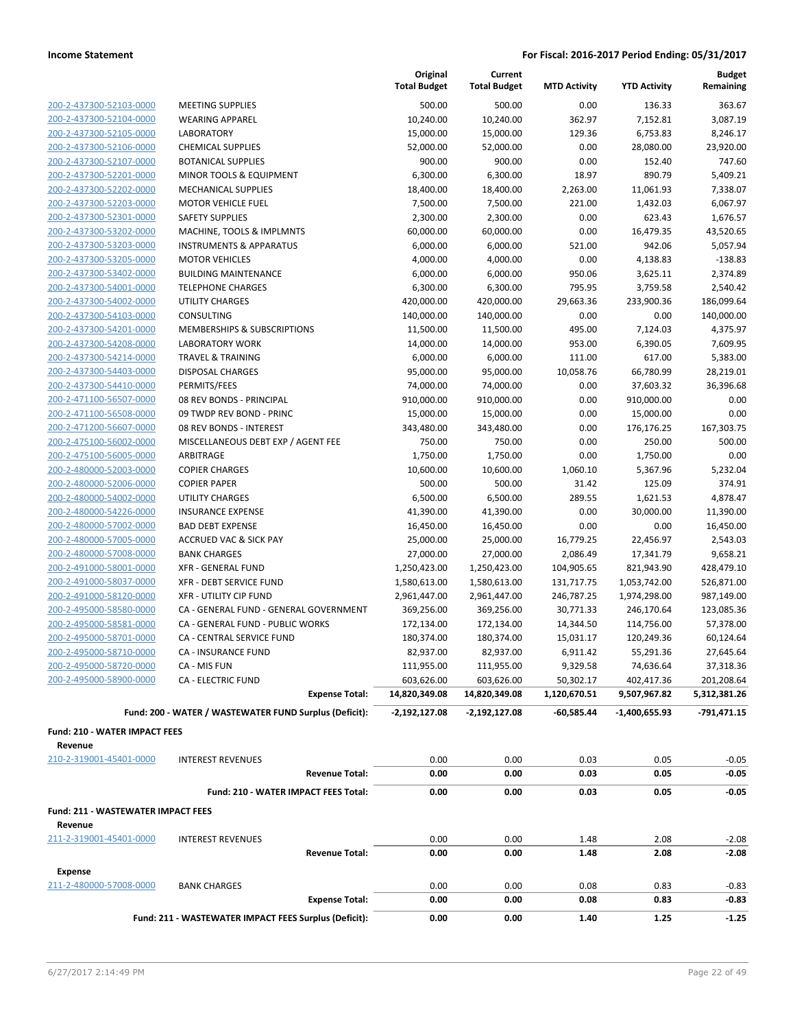|                                               |                                                        | Original<br><b>Total Budget</b> | Current<br><b>Total Budget</b> | <b>MTD Activity</b> | <b>YTD Activity</b> | <b>Budget</b><br>Remaining |
|-----------------------------------------------|--------------------------------------------------------|---------------------------------|--------------------------------|---------------------|---------------------|----------------------------|
| 200-2-437300-52103-0000                       | <b>MEETING SUPPLIES</b>                                | 500.00                          | 500.00                         | 0.00                | 136.33              | 363.67                     |
| 200-2-437300-52104-0000                       | <b>WEARING APPAREL</b>                                 | 10,240.00                       | 10,240.00                      | 362.97              | 7,152.81            | 3,087.19                   |
| 200-2-437300-52105-0000                       | <b>LABORATORY</b>                                      | 15,000.00                       | 15,000.00                      | 129.36              | 6,753.83            | 8,246.17                   |
| 200-2-437300-52106-0000                       | <b>CHEMICAL SUPPLIES</b>                               | 52,000.00                       | 52,000.00                      | 0.00                | 28,080.00           | 23,920.00                  |
| 200-2-437300-52107-0000                       | <b>BOTANICAL SUPPLIES</b>                              | 900.00                          | 900.00                         | 0.00                | 152.40              | 747.60                     |
| 200-2-437300-52201-0000                       | MINOR TOOLS & EQUIPMENT                                | 6,300.00                        | 6,300.00                       | 18.97               | 890.79              | 5,409.21                   |
| 200-2-437300-52202-0000                       | <b>MECHANICAL SUPPLIES</b>                             | 18,400.00                       | 18,400.00                      | 2,263.00            | 11,061.93           | 7,338.07                   |
| 200-2-437300-52203-0000                       | <b>MOTOR VEHICLE FUEL</b>                              | 7,500.00                        | 7,500.00                       | 221.00              | 1,432.03            | 6,067.97                   |
| 200-2-437300-52301-0000                       | <b>SAFETY SUPPLIES</b>                                 | 2,300.00                        | 2,300.00                       | 0.00                | 623.43              | 1,676.57                   |
| 200-2-437300-53202-0000                       | MACHINE, TOOLS & IMPLMNTS                              | 60,000.00                       | 60,000.00                      | 0.00                | 16,479.35           | 43,520.65                  |
| 200-2-437300-53203-0000                       | <b>INSTRUMENTS &amp; APPARATUS</b>                     | 6,000.00                        | 6,000.00                       | 521.00              | 942.06              | 5,057.94                   |
| 200-2-437300-53205-0000                       | <b>MOTOR VEHICLES</b>                                  | 4,000.00                        | 4,000.00                       | 0.00                | 4,138.83            | $-138.83$                  |
| 200-2-437300-53402-0000                       | <b>BUILDING MAINTENANCE</b>                            | 6,000.00                        | 6,000.00                       | 950.06              | 3,625.11            | 2,374.89                   |
| 200-2-437300-54001-0000                       | <b>TELEPHONE CHARGES</b>                               | 6,300.00                        | 6,300.00                       | 795.95              | 3,759.58            | 2,540.42                   |
| 200-2-437300-54002-0000                       | <b>UTILITY CHARGES</b>                                 | 420,000.00                      | 420,000.00                     | 29,663.36           | 233,900.36          | 186,099.64                 |
| 200-2-437300-54103-0000                       | CONSULTING                                             | 140,000.00                      | 140,000.00                     | 0.00                | 0.00                | 140,000.00                 |
| 200-2-437300-54201-0000                       | MEMBERSHIPS & SUBSCRIPTIONS                            | 11,500.00                       | 11,500.00                      | 495.00              | 7,124.03            | 4,375.97                   |
| 200-2-437300-54208-0000                       | <b>LABORATORY WORK</b>                                 | 14,000.00                       | 14,000.00                      | 953.00              | 6,390.05            | 7,609.95                   |
| 200-2-437300-54214-0000                       | <b>TRAVEL &amp; TRAINING</b>                           | 6,000.00                        | 6,000.00                       | 111.00              | 617.00              | 5,383.00                   |
| 200-2-437300-54403-0000                       | <b>DISPOSAL CHARGES</b>                                | 95,000.00                       | 95,000.00                      | 10,058.76           | 66,780.99           | 28,219.01                  |
| 200-2-437300-54410-0000                       | PERMITS/FEES                                           | 74,000.00                       | 74,000.00                      | 0.00                | 37,603.32           | 36,396.68                  |
| 200-2-471100-56507-0000                       | 08 REV BONDS - PRINCIPAL                               | 910,000.00                      | 910,000.00                     | 0.00                | 910,000.00          | 0.00                       |
| 200-2-471100-56508-0000                       | 09 TWDP REV BOND - PRINC                               | 15,000.00                       | 15,000.00                      | 0.00                | 15,000.00           | 0.00                       |
| 200-2-471200-56607-0000                       | 08 REV BONDS - INTEREST                                | 343,480.00                      | 343,480.00                     | 0.00                | 176,176.25          | 167,303.75                 |
| 200-2-475100-56002-0000                       | MISCELLANEOUS DEBT EXP / AGENT FEE                     | 750.00                          | 750.00                         | 0.00                | 250.00              | 500.00                     |
| 200-2-475100-56005-0000                       | ARBITRAGE                                              | 1,750.00                        | 1,750.00                       | 0.00                | 1,750.00            | 0.00                       |
| 200-2-480000-52003-0000                       | <b>COPIER CHARGES</b>                                  | 10,600.00                       | 10,600.00                      | 1,060.10            | 5,367.96            | 5,232.04                   |
| 200-2-480000-52006-0000                       | <b>COPIER PAPER</b>                                    | 500.00                          | 500.00                         | 31.42               | 125.09              | 374.91                     |
| 200-2-480000-54002-0000                       | <b>UTILITY CHARGES</b>                                 | 6,500.00                        | 6,500.00                       | 289.55              | 1,621.53            | 4,878.47                   |
| 200-2-480000-54226-0000                       | <b>INSURANCE EXPENSE</b>                               | 41,390.00                       | 41,390.00                      | 0.00                | 30,000.00           | 11,390.00                  |
| 200-2-480000-57002-0000                       | <b>BAD DEBT EXPENSE</b>                                | 16,450.00                       | 16,450.00                      | 0.00                | 0.00                | 16,450.00                  |
| 200-2-480000-57005-0000                       | <b>ACCRUED VAC &amp; SICK PAY</b>                      | 25,000.00                       | 25,000.00                      | 16,779.25           | 22,456.97           | 2,543.03                   |
| 200-2-480000-57008-0000                       | <b>BANK CHARGES</b>                                    | 27,000.00                       | 27,000.00                      | 2,086.49            | 17,341.79           | 9,658.21                   |
| 200-2-491000-58001-0000                       | <b>XFR - GENERAL FUND</b>                              | 1,250,423.00                    | 1,250,423.00                   | 104,905.65          | 821,943.90          | 428,479.10                 |
| 200-2-491000-58037-0000                       | <b>XFR - DEBT SERVICE FUND</b>                         | 1,580,613.00                    | 1,580,613.00                   | 131,717.75          | 1,053,742.00        | 526,871.00                 |
| 200-2-491000-58120-0000                       | <b>XFR - UTILITY CIP FUND</b>                          | 2,961,447.00                    | 2,961,447.00                   | 246,787.25          | 1,974,298.00        | 987,149.00                 |
| 200-2-495000-58580-0000                       | CA - GENERAL FUND - GENERAL GOVERNMENT                 | 369,256.00                      | 369,256.00                     | 30,771.33           | 246,170.64          | 123,085.36                 |
| 200-2-495000-58581-0000                       | CA - GENERAL FUND - PUBLIC WORKS                       | 172,134.00                      | 172,134.00                     | 14,344.50           | 114,756.00          | 57,378.00                  |
| 200-2-495000-58701-0000                       | CA - CENTRAL SERVICE FUND                              | 180,374.00                      | 180,374.00                     | 15,031.17           | 120,249.36          | 60,124.64                  |
| 200-2-495000-58710-0000                       | <b>CA - INSURANCE FUND</b>                             | 82,937.00                       | 82,937.00                      | 6,911.42            | 55,291.36           | 27,645.64                  |
| 200-2-495000-58720-0000                       | CA - MIS FUN                                           | 111,955.00                      | 111,955.00                     | 9,329.58            | 74,636.64           | 37,318.36                  |
| 200-2-495000-58900-0000                       | <b>CA - ELECTRIC FUND</b>                              | 603,626.00                      | 603,626.00                     | 50,302.17           | 402,417.36          | 201,208.64                 |
|                                               | <b>Expense Total:</b>                                  | 14,820,349.08                   | 14,820,349.08                  | 1,120,670.51        | 9,507,967.82        | 5,312,381.26               |
|                                               | Fund: 200 - WATER / WASTEWATER FUND Surplus (Deficit): | -2,192,127.08                   | $-2,192,127.08$                | -60,585.44          | -1,400,655.93       | -791,471.15                |
| Fund: 210 - WATER IMPACT FEES<br>Revenue      |                                                        |                                 |                                |                     |                     |                            |
| 210-2-319001-45401-0000                       | <b>INTEREST REVENUES</b>                               | 0.00                            | 0.00                           | 0.03                | 0.05                | $-0.05$                    |
|                                               | <b>Revenue Total:</b>                                  | 0.00                            | 0.00                           | 0.03                | 0.05                | -0.05                      |
|                                               | Fund: 210 - WATER IMPACT FEES Total:                   | 0.00                            | 0.00                           | 0.03                | 0.05                | $-0.05$                    |
| Fund: 211 - WASTEWATER IMPACT FEES<br>Revenue |                                                        |                                 |                                |                     |                     |                            |
| 211-2-319001-45401-0000                       | <b>INTEREST REVENUES</b>                               | 0.00                            | 0.00                           | 1.48                | 2.08                | $-2.08$                    |
|                                               | <b>Revenue Total:</b>                                  | 0.00                            | 0.00                           | 1.48                | 2.08                | $-2.08$                    |
| <b>Expense</b>                                |                                                        |                                 |                                |                     |                     |                            |
| 211-2-480000-57008-0000                       | <b>BANK CHARGES</b>                                    | 0.00                            | 0.00                           | 0.08                | 0.83                | $-0.83$                    |
|                                               | <b>Expense Total:</b>                                  | 0.00                            | 0.00                           | 0.08                | 0.83                | $-0.83$                    |
|                                               | Fund: 211 - WASTEWATER IMPACT FEES Surplus (Deficit):  | 0.00                            | 0.00                           | 1.40                | 1.25                | $-1.25$                    |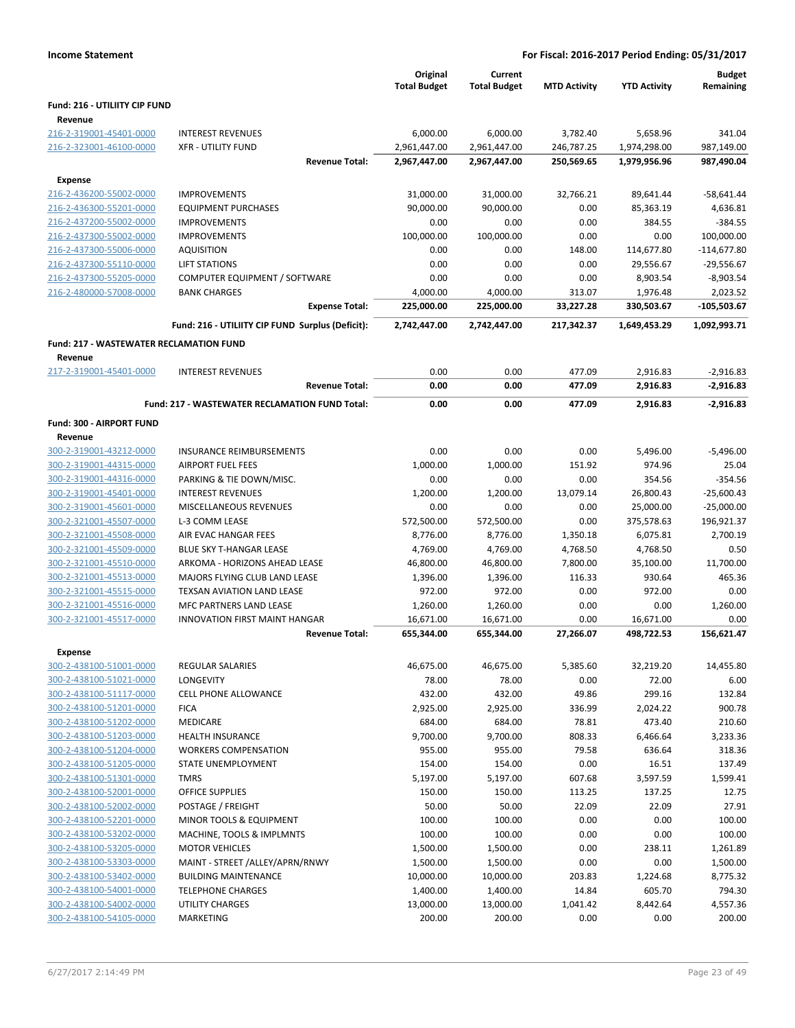|                                                 |                                                   | Original<br><b>Total Budget</b> | Current<br><b>Total Budget</b> | <b>MTD Activity</b> | <b>YTD Activity</b>  | <b>Budget</b><br>Remaining |
|-------------------------------------------------|---------------------------------------------------|---------------------------------|--------------------------------|---------------------|----------------------|----------------------------|
| <b>Fund: 216 - UTILIITY CIP FUND</b><br>Revenue |                                                   |                                 |                                |                     |                      |                            |
| 216-2-319001-45401-0000                         | <b>INTEREST REVENUES</b>                          | 6,000.00                        | 6,000.00                       | 3,782.40            | 5.658.96             | 341.04                     |
| 216-2-323001-46100-0000                         | <b>XFR - UTILITY FUND</b>                         | 2,961,447.00                    | 2,961,447.00                   | 246,787.25          | 1,974,298.00         | 987,149.00                 |
|                                                 | <b>Revenue Total:</b>                             | 2,967,447.00                    | 2,967,447.00                   | 250,569.65          | 1,979,956.96         | 987,490.04                 |
| <b>Expense</b>                                  |                                                   |                                 |                                |                     |                      |                            |
| 216-2-436200-55002-0000                         | <b>IMPROVEMENTS</b>                               | 31,000.00                       | 31,000.00                      | 32,766.21           | 89,641.44            | $-58,641.44$               |
| 216-2-436300-55201-0000                         | <b>EQUIPMENT PURCHASES</b>                        | 90,000.00                       | 90,000.00                      | 0.00                | 85,363.19            | 4,636.81                   |
| 216-2-437200-55002-0000                         | <b>IMPROVEMENTS</b>                               | 0.00                            | 0.00                           | 0.00                | 384.55               | $-384.55$                  |
| 216-2-437300-55002-0000                         | <b>IMPROVEMENTS</b>                               | 100,000.00                      | 100.000.00                     | 0.00                | 0.00                 | 100,000.00                 |
| 216-2-437300-55006-0000                         | <b>AQUISITION</b>                                 | 0.00                            | 0.00                           | 148.00              | 114,677.80           | $-114,677.80$              |
| 216-2-437300-55110-0000                         | <b>LIFT STATIONS</b>                              | 0.00                            | 0.00                           | 0.00                | 29,556.67            | $-29,556.67$               |
| 216-2-437300-55205-0000                         | COMPUTER EQUIPMENT / SOFTWARE                     | 0.00                            | 0.00                           | 0.00                | 8,903.54             | $-8,903.54$                |
| 216-2-480000-57008-0000                         | <b>BANK CHARGES</b>                               | 4,000.00                        | 4,000.00                       | 313.07              | 1,976.48             | 2,023.52                   |
|                                                 | <b>Expense Total:</b>                             | 225,000.00                      | 225,000.00                     | 33,227.28           | 330,503.67           | $-105,503.67$              |
|                                                 | Fund: 216 - UTILIITY CIP FUND Surplus (Deficit):  | 2,742,447.00                    | 2,742,447.00                   | 217,342.37          | 1,649,453.29         | 1,092,993.71               |
| <b>Fund: 217 - WASTEWATER RECLAMATION FUND</b>  |                                                   |                                 |                                |                     |                      |                            |
| Revenue                                         |                                                   |                                 |                                |                     |                      |                            |
| 217-2-319001-45401-0000                         | <b>INTEREST REVENUES</b><br><b>Revenue Total:</b> | 0.00<br>0.00                    | 0.00<br>0.00                   | 477.09<br>477.09    | 2,916.83<br>2,916.83 | $-2,916.83$<br>$-2,916.83$ |
|                                                 | Fund: 217 - WASTEWATER RECLAMATION FUND Total:    | 0.00                            | 0.00                           | 477.09              | 2,916.83             | $-2,916.83$                |
|                                                 |                                                   |                                 |                                |                     |                      |                            |
| Fund: 300 - AIRPORT FUND<br>Revenue             |                                                   |                                 |                                |                     |                      |                            |
| 300-2-319001-43212-0000                         | <b>INSURANCE REIMBURSEMENTS</b>                   | 0.00                            | 0.00                           | 0.00                | 5,496.00             | $-5,496.00$                |
| 300-2-319001-44315-0000                         | <b>AIRPORT FUEL FEES</b>                          | 1,000.00                        | 1,000.00                       | 151.92              | 974.96               | 25.04                      |
| 300-2-319001-44316-0000                         | PARKING & TIE DOWN/MISC.                          | 0.00                            | 0.00                           | 0.00                | 354.56               | $-354.56$                  |
| 300-2-319001-45401-0000                         | <b>INTEREST REVENUES</b>                          | 1,200.00                        | 1,200.00                       | 13,079.14           | 26,800.43            | $-25,600.43$               |
| 300-2-319001-45601-0000                         | MISCELLANEOUS REVENUES                            | 0.00                            | 0.00                           | 0.00                | 25,000.00            | $-25,000.00$               |
| 300-2-321001-45507-0000                         | L-3 COMM LEASE                                    | 572,500.00                      | 572,500.00                     | 0.00                | 375,578.63           | 196,921.37                 |
| 300-2-321001-45508-0000                         | AIR EVAC HANGAR FEES                              | 8,776.00                        | 8,776.00                       | 1,350.18            | 6,075.81             | 2,700.19                   |
| 300-2-321001-45509-0000                         | <b>BLUE SKY T-HANGAR LEASE</b>                    | 4,769.00                        | 4,769.00                       | 4,768.50            | 4,768.50             | 0.50                       |
| 300-2-321001-45510-0000                         | ARKOMA - HORIZONS AHEAD LEASE                     | 46,800.00                       | 46,800.00                      | 7,800.00            | 35,100.00            | 11,700.00                  |
| 300-2-321001-45513-0000                         | MAJORS FLYING CLUB LAND LEASE                     | 1,396.00                        | 1,396.00                       | 116.33              | 930.64               | 465.36                     |
| 300-2-321001-45515-0000                         | TEXSAN AVIATION LAND LEASE                        | 972.00                          | 972.00                         | 0.00                | 972.00               | 0.00                       |
| 300-2-321001-45516-0000                         | MFC PARTNERS LAND LEASE                           | 1,260.00                        | 1,260.00                       | 0.00                | 0.00                 | 1,260.00                   |
| 300-2-321001-45517-0000                         | <b>INNOVATION FIRST MAINT HANGAR</b>              | 16,671.00                       | 16,671.00                      | 0.00                | 16,671.00            | 0.00                       |
|                                                 | <b>Revenue Total:</b>                             | 655,344.00                      | 655,344.00                     | 27,266.07           | 498,722.53           | 156,621.47                 |
| Expense                                         |                                                   |                                 |                                |                     |                      |                            |
| 300-2-438100-51001-0000                         | <b>REGULAR SALARIES</b>                           | 46,675.00                       | 46,675.00                      | 5,385.60            | 32,219.20            | 14,455.80                  |
| 300-2-438100-51021-0000                         | LONGEVITY                                         | 78.00                           | 78.00                          | 0.00                | 72.00                | 6.00                       |
| 300-2-438100-51117-0000                         | <b>CELL PHONE ALLOWANCE</b>                       | 432.00                          | 432.00                         | 49.86               | 299.16               | 132.84                     |
| 300-2-438100-51201-0000                         | <b>FICA</b>                                       | 2,925.00                        | 2,925.00                       | 336.99              | 2,024.22             | 900.78                     |
| 300-2-438100-51202-0000                         | <b>MEDICARE</b>                                   | 684.00                          | 684.00                         | 78.81               | 473.40               | 210.60                     |
| 300-2-438100-51203-0000                         | <b>HEALTH INSURANCE</b>                           | 9,700.00                        | 9,700.00                       | 808.33              | 6,466.64             | 3,233.36                   |
| 300-2-438100-51204-0000                         | <b>WORKERS COMPENSATION</b>                       | 955.00                          | 955.00                         | 79.58               | 636.64               | 318.36                     |
| 300-2-438100-51205-0000                         | STATE UNEMPLOYMENT                                | 154.00                          | 154.00                         | 0.00                | 16.51                | 137.49                     |
| 300-2-438100-51301-0000                         | <b>TMRS</b>                                       | 5,197.00                        | 5,197.00                       | 607.68              | 3,597.59             | 1,599.41                   |
| 300-2-438100-52001-0000                         | <b>OFFICE SUPPLIES</b>                            | 150.00                          | 150.00                         | 113.25              | 137.25               | 12.75                      |
| 300-2-438100-52002-0000                         | POSTAGE / FREIGHT                                 | 50.00                           | 50.00                          | 22.09               | 22.09                | 27.91                      |
| 300-2-438100-52201-0000                         | MINOR TOOLS & EQUIPMENT                           | 100.00                          | 100.00                         | 0.00                | 0.00                 | 100.00                     |
| 300-2-438100-53202-0000                         | MACHINE, TOOLS & IMPLMNTS                         | 100.00                          | 100.00                         | 0.00                | 0.00                 | 100.00                     |
| 300-2-438100-53205-0000                         | <b>MOTOR VEHICLES</b>                             | 1,500.00                        | 1,500.00                       | 0.00                | 238.11               | 1,261.89                   |
| 300-2-438100-53303-0000                         | MAINT - STREET /ALLEY/APRN/RNWY                   | 1,500.00                        | 1,500.00                       | 0.00                | 0.00                 | 1,500.00                   |
| 300-2-438100-53402-0000                         | <b>BUILDING MAINTENANCE</b>                       | 10,000.00                       | 10,000.00                      | 203.83              | 1,224.68             | 8,775.32                   |
| 300-2-438100-54001-0000                         | <b>TELEPHONE CHARGES</b>                          | 1,400.00                        | 1,400.00                       | 14.84               | 605.70               | 794.30                     |
| 300-2-438100-54002-0000                         | UTILITY CHARGES                                   | 13,000.00                       | 13,000.00                      | 1,041.42            | 8,442.64             | 4,557.36                   |

300-2-438100-54105-0000 MARKETING 200.00 200.00 0.00 0.00 200.00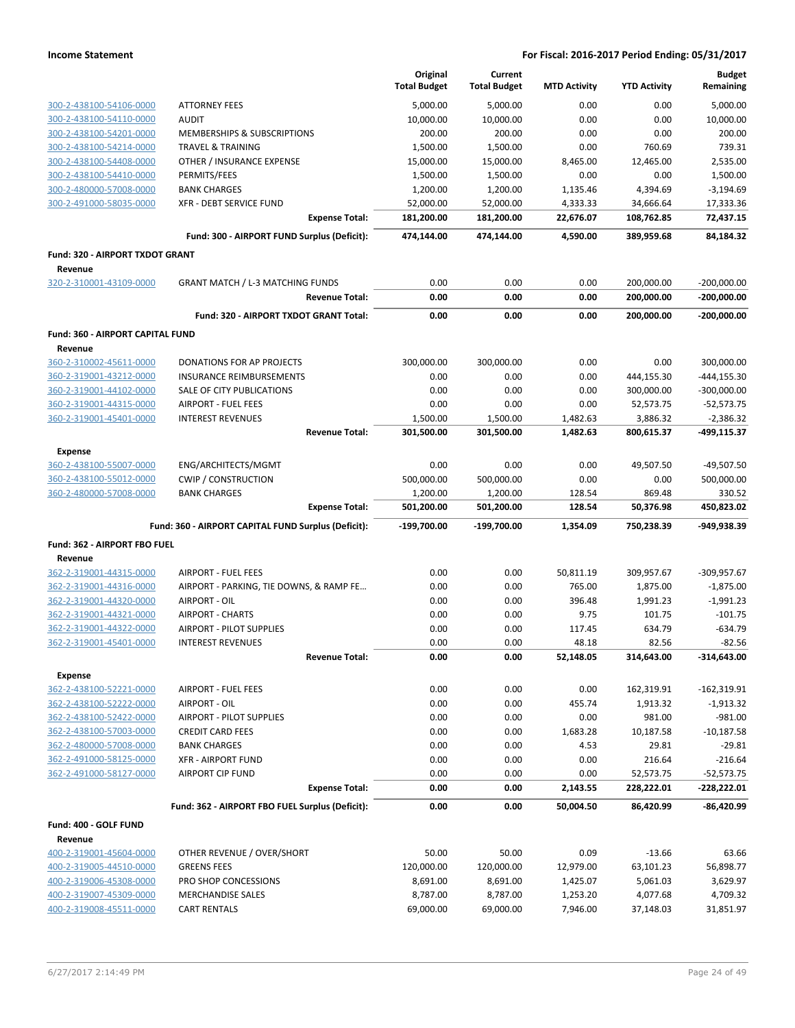|                                             |                                                     | Original<br><b>Total Budget</b> | Current<br><b>Total Budget</b> | <b>MTD Activity</b> | <b>YTD Activity</b> | <b>Budget</b><br>Remaining |
|---------------------------------------------|-----------------------------------------------------|---------------------------------|--------------------------------|---------------------|---------------------|----------------------------|
| 300-2-438100-54106-0000                     | <b>ATTORNEY FEES</b>                                | 5,000.00                        | 5,000.00                       | 0.00                | 0.00                | 5,000.00                   |
| 300-2-438100-54110-0000                     | <b>AUDIT</b>                                        | 10,000.00                       | 10,000.00                      | 0.00                | 0.00                | 10,000.00                  |
| 300-2-438100-54201-0000                     | MEMBERSHIPS & SUBSCRIPTIONS                         | 200.00                          | 200.00                         | 0.00                | 0.00                | 200.00                     |
| 300-2-438100-54214-0000                     | <b>TRAVEL &amp; TRAINING</b>                        | 1,500.00                        | 1,500.00                       | 0.00                | 760.69              | 739.31                     |
| 300-2-438100-54408-0000                     | OTHER / INSURANCE EXPENSE                           | 15,000.00                       | 15,000.00                      | 8,465.00            | 12,465.00           | 2,535.00                   |
| 300-2-438100-54410-0000                     | PERMITS/FEES                                        | 1,500.00                        | 1,500.00                       | 0.00                | 0.00                | 1,500.00                   |
| 300-2-480000-57008-0000                     | <b>BANK CHARGES</b>                                 | 1,200.00                        | 1,200.00                       | 1,135.46            | 4,394.69            | $-3,194.69$                |
| 300-2-491000-58035-0000                     | XFR - DEBT SERVICE FUND                             | 52,000.00                       | 52,000.00                      | 4,333.33            | 34,666.64           | 17,333.36                  |
|                                             | <b>Expense Total:</b>                               | 181,200.00                      | 181,200.00                     | 22,676.07           | 108,762.85          | 72,437.15                  |
|                                             | Fund: 300 - AIRPORT FUND Surplus (Deficit):         | 474,144.00                      | 474,144.00                     | 4,590.00            | 389,959.68          | 84,184.32                  |
| Fund: 320 - AIRPORT TXDOT GRANT             |                                                     |                                 |                                |                     |                     |                            |
| Revenue<br>320-2-310001-43109-0000          | <b>GRANT MATCH / L-3 MATCHING FUNDS</b>             | 0.00                            | 0.00                           | 0.00                | 200,000.00          | $-200,000.00$              |
|                                             | <b>Revenue Total:</b>                               | 0.00                            | 0.00                           | 0.00                | 200,000.00          | $-200,000.00$              |
|                                             | Fund: 320 - AIRPORT TXDOT GRANT Total:              | 0.00                            | 0.00                           | 0.00                | 200,000.00          | $-200,000.00$              |
|                                             |                                                     |                                 |                                |                     |                     |                            |
| Fund: 360 - AIRPORT CAPITAL FUND<br>Revenue |                                                     |                                 |                                |                     |                     |                            |
| 360-2-310002-45611-0000                     | <b>DONATIONS FOR AP PROJECTS</b>                    | 300,000.00                      | 300,000.00                     | 0.00                | 0.00                | 300,000.00                 |
| 360-2-319001-43212-0000                     | INSURANCE REIMBURSEMENTS                            | 0.00                            | 0.00                           | 0.00                | 444,155.30          | $-444, 155.30$             |
| 360-2-319001-44102-0000                     | SALE OF CITY PUBLICATIONS                           | 0.00                            | 0.00                           | 0.00                | 300,000.00          | $-300,000.00$              |
| 360-2-319001-44315-0000                     | <b>AIRPORT - FUEL FEES</b>                          | 0.00                            | 0.00                           | 0.00                | 52,573.75           | $-52,573.75$               |
| 360-2-319001-45401-0000                     | <b>INTEREST REVENUES</b>                            | 1,500.00                        | 1,500.00                       | 1,482.63            | 3,886.32            | $-2,386.32$                |
|                                             | <b>Revenue Total:</b>                               | 301,500.00                      | 301,500.00                     | 1,482.63            | 800,615.37          | -499,115.37                |
| <b>Expense</b>                              |                                                     |                                 |                                |                     |                     |                            |
| 360-2-438100-55007-0000                     | ENG/ARCHITECTS/MGMT                                 | 0.00                            | 0.00                           | 0.00                | 49,507.50           | $-49,507.50$               |
| 360-2-438100-55012-0000                     | <b>CWIP / CONSTRUCTION</b>                          | 500,000.00                      | 500,000.00                     | 0.00                | 0.00                | 500,000.00                 |
| 360-2-480000-57008-0000                     | <b>BANK CHARGES</b>                                 | 1,200.00                        | 1,200.00                       | 128.54              | 869.48              | 330.52                     |
|                                             | <b>Expense Total:</b>                               | 501,200.00                      | 501,200.00                     | 128.54              | 50,376.98           | 450,823.02                 |
|                                             | Fund: 360 - AIRPORT CAPITAL FUND Surplus (Deficit): | -199,700.00                     | -199,700.00                    | 1,354.09            | 750,238.39          | -949,938.39                |
| Fund: 362 - AIRPORT FBO FUEL                |                                                     |                                 |                                |                     |                     |                            |
| Revenue<br>362-2-319001-44315-0000          | <b>AIRPORT - FUEL FEES</b>                          | 0.00                            | 0.00                           | 50,811.19           | 309,957.67          | $-309,957.67$              |
| 362-2-319001-44316-0000                     | AIRPORT - PARKING, TIE DOWNS, & RAMP FE             | 0.00                            | 0.00                           | 765.00              | 1,875.00            | $-1,875.00$                |
| 362-2-319001-44320-0000                     | AIRPORT - OIL                                       | 0.00                            | 0.00                           | 396.48              | 1,991.23            | $-1,991.23$                |
| 362-2-319001-44321-0000                     | <b>AIRPORT - CHARTS</b>                             | 0.00                            | 0.00                           | 9.75                | 101.75              | $-101.75$                  |
| 362-2-319001-44322-0000                     | <b>AIRPORT - PILOT SUPPLIES</b>                     | 0.00                            | 0.00                           | 117.45              | 634.79              | $-634.79$                  |
| 362-2-319001-45401-0000                     | <b>INTEREST REVENUES</b>                            | 0.00                            | 0.00                           | 48.18               | 82.56               | $-82.56$                   |
|                                             | <b>Revenue Total:</b>                               | 0.00                            | 0.00                           | 52,148.05           | 314,643.00          | $-314,643.00$              |
| <b>Expense</b>                              |                                                     |                                 |                                |                     |                     |                            |
| 362-2-438100-52221-0000                     | <b>AIRPORT - FUEL FEES</b>                          | 0.00                            | 0.00                           | 0.00                | 162,319.91          | $-162,319.91$              |
| 362-2-438100-52222-0000                     | AIRPORT - OIL                                       | 0.00                            | 0.00                           | 455.74              | 1,913.32            | $-1,913.32$                |
| 362-2-438100-52422-0000                     | <b>AIRPORT - PILOT SUPPLIES</b>                     | 0.00                            | 0.00                           | 0.00                | 981.00              | $-981.00$                  |
| 362-2-438100-57003-0000                     | <b>CREDIT CARD FEES</b>                             | 0.00                            | 0.00                           | 1,683.28            | 10,187.58           | $-10,187.58$               |
| 362-2-480000-57008-0000                     | <b>BANK CHARGES</b>                                 | 0.00                            | 0.00                           | 4.53                | 29.81               | $-29.81$                   |
| 362-2-491000-58125-0000                     | <b>XFR - AIRPORT FUND</b>                           | 0.00                            | 0.00                           | 0.00                | 216.64              | $-216.64$                  |
| 362-2-491000-58127-0000                     | <b>AIRPORT CIP FUND</b>                             | 0.00                            | 0.00                           | 0.00                | 52,573.75           | $-52,573.75$               |
|                                             | <b>Expense Total:</b>                               | 0.00                            | 0.00                           | 2,143.55            | 228,222.01          | -228,222.01                |
|                                             | Fund: 362 - AIRPORT FBO FUEL Surplus (Deficit):     | 0.00                            | 0.00                           | 50,004.50           | 86,420.99           | $-86,420.99$               |
| Fund: 400 - GOLF FUND                       |                                                     |                                 |                                |                     |                     |                            |
| Revenue<br>400-2-319001-45604-0000          | OTHER REVENUE / OVER/SHORT                          | 50.00                           | 50.00                          | 0.09                | $-13.66$            | 63.66                      |
| 400-2-319005-44510-0000                     | <b>GREENS FEES</b>                                  | 120,000.00                      | 120,000.00                     | 12,979.00           | 63,101.23           | 56,898.77                  |
| 400-2-319006-45308-0000                     | PRO SHOP CONCESSIONS                                | 8,691.00                        | 8,691.00                       | 1,425.07            | 5,061.03            | 3,629.97                   |
| 400-2-319007-45309-0000                     | <b>MERCHANDISE SALES</b>                            | 8,787.00                        | 8,787.00                       | 1,253.20            | 4,077.68            | 4,709.32                   |
| 400-2-319008-45511-0000                     | <b>CART RENTALS</b>                                 | 69,000.00                       | 69,000.00                      | 7,946.00            | 37,148.03           | 31,851.97                  |
|                                             |                                                     |                                 |                                |                     |                     |                            |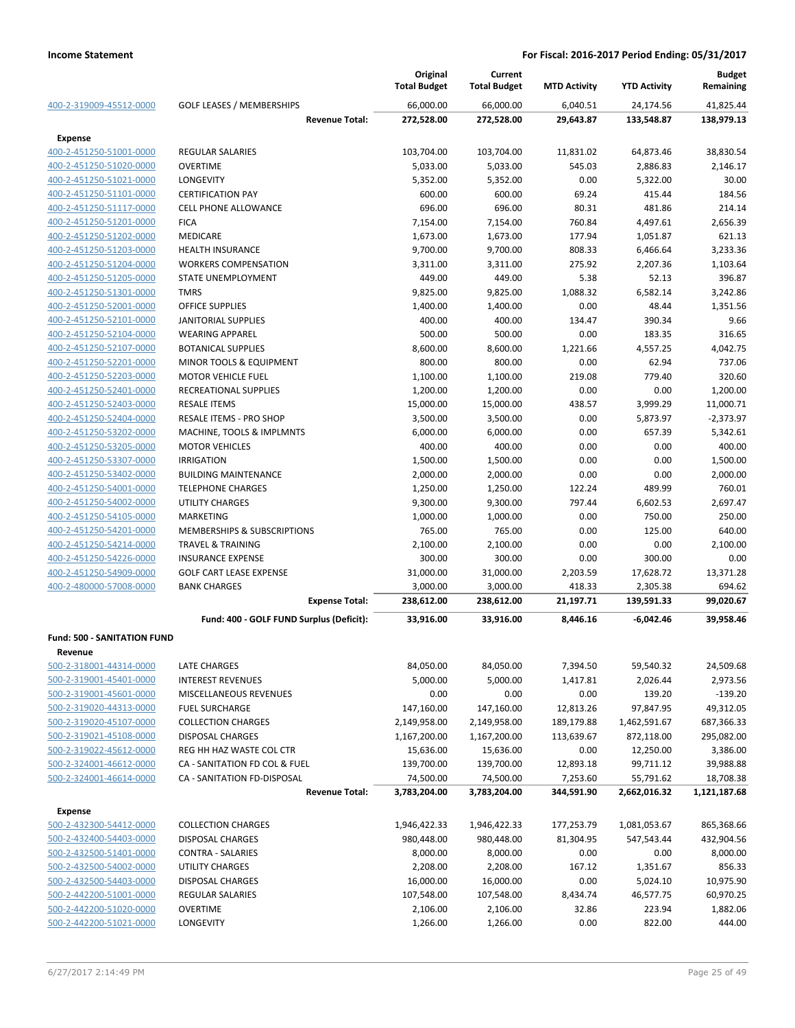|                                                    |                                                      | Original<br><b>Total Budget</b> | Current<br><b>Total Budget</b> | <b>MTD Activity</b>     | <b>YTD Activity</b> | <b>Budget</b><br>Remaining |
|----------------------------------------------------|------------------------------------------------------|---------------------------------|--------------------------------|-------------------------|---------------------|----------------------------|
| 400-2-319009-45512-0000                            | <b>GOLF LEASES / MEMBERSHIPS</b>                     | 66,000.00                       | 66,000.00                      | 6,040.51                | 24,174.56           | 41,825.44                  |
|                                                    | <b>Revenue Total:</b>                                | 272,528.00                      | 272,528.00                     | 29,643.87               | 133,548.87          | 138,979.13                 |
| <b>Expense</b>                                     |                                                      |                                 |                                |                         |                     |                            |
| 400-2-451250-51001-0000                            | <b>REGULAR SALARIES</b>                              | 103,704.00                      | 103,704.00                     | 11,831.02               | 64,873.46           | 38,830.54                  |
| 400-2-451250-51020-0000                            | <b>OVERTIME</b>                                      | 5,033.00                        | 5,033.00                       | 545.03                  | 2,886.83            | 2,146.17                   |
| 400-2-451250-51021-0000                            | <b>LONGEVITY</b>                                     | 5,352.00                        | 5,352.00                       | 0.00                    | 5,322.00            | 30.00                      |
| 400-2-451250-51101-0000                            | <b>CERTIFICATION PAY</b>                             | 600.00                          | 600.00                         | 69.24                   | 415.44              | 184.56                     |
| 400-2-451250-51117-0000                            | <b>CELL PHONE ALLOWANCE</b>                          | 696.00                          | 696.00                         | 80.31                   | 481.86              | 214.14                     |
| 400-2-451250-51201-0000                            | <b>FICA</b>                                          | 7,154.00                        | 7,154.00                       | 760.84                  | 4,497.61            | 2,656.39                   |
| 400-2-451250-51202-0000                            | <b>MEDICARE</b>                                      | 1,673.00                        | 1,673.00                       | 177.94                  | 1,051.87            | 621.13                     |
| 400-2-451250-51203-0000                            | <b>HEALTH INSURANCE</b>                              | 9,700.00                        | 9,700.00                       | 808.33                  | 6,466.64            | 3,233.36                   |
| 400-2-451250-51204-0000                            | <b>WORKERS COMPENSATION</b>                          | 3,311.00                        | 3,311.00                       | 275.92                  | 2,207.36            | 1,103.64                   |
| 400-2-451250-51205-0000                            | STATE UNEMPLOYMENT                                   | 449.00                          | 449.00                         | 5.38                    | 52.13               | 396.87                     |
| 400-2-451250-51301-0000                            | <b>TMRS</b>                                          | 9,825.00                        | 9,825.00                       | 1,088.32                | 6,582.14            | 3,242.86                   |
| 400-2-451250-52001-0000                            | <b>OFFICE SUPPLIES</b>                               | 1,400.00                        | 1,400.00                       | 0.00                    | 48.44               | 1,351.56                   |
| 400-2-451250-52101-0000                            | <b>JANITORIAL SUPPLIES</b>                           | 400.00                          | 400.00                         | 134.47                  | 390.34              | 9.66                       |
| 400-2-451250-52104-0000                            | <b>WEARING APPAREL</b>                               | 500.00                          | 500.00                         | 0.00                    | 183.35              | 316.65                     |
| 400-2-451250-52107-0000                            | <b>BOTANICAL SUPPLIES</b>                            | 8,600.00                        | 8,600.00                       | 1,221.66                | 4,557.25            | 4,042.75                   |
| 400-2-451250-52201-0000                            | MINOR TOOLS & EQUIPMENT                              | 800.00                          | 800.00                         | 0.00                    | 62.94               | 737.06                     |
| 400-2-451250-52203-0000                            | <b>MOTOR VEHICLE FUEL</b>                            | 1,100.00                        | 1,100.00                       | 219.08                  | 779.40              | 320.60                     |
| 400-2-451250-52401-0000                            | <b>RECREATIONAL SUPPLIES</b>                         | 1,200.00                        | 1,200.00                       | 0.00                    | 0.00                | 1,200.00                   |
| 400-2-451250-52403-0000                            | <b>RESALE ITEMS</b>                                  | 15,000.00                       | 15,000.00                      | 438.57                  | 3,999.29            | 11,000.71                  |
| 400-2-451250-52404-0000                            | RESALE ITEMS - PRO SHOP                              | 3,500.00                        | 3,500.00                       | 0.00                    | 5,873.97            | $-2,373.97$                |
| 400-2-451250-53202-0000                            | MACHINE, TOOLS & IMPLMNTS                            | 6,000.00                        | 6,000.00                       | 0.00                    | 657.39              | 5,342.61                   |
| 400-2-451250-53205-0000                            | <b>MOTOR VEHICLES</b>                                | 400.00                          | 400.00                         | 0.00                    | 0.00                | 400.00                     |
| 400-2-451250-53307-0000                            | <b>IRRIGATION</b>                                    | 1,500.00                        | 1,500.00                       | 0.00                    | 0.00                | 1,500.00                   |
| 400-2-451250-53402-0000                            | <b>BUILDING MAINTENANCE</b>                          | 2,000.00                        | 2,000.00                       | 0.00                    | 0.00                | 2,000.00                   |
| 400-2-451250-54001-0000                            | <b>TELEPHONE CHARGES</b>                             | 1,250.00                        | 1,250.00                       | 122.24                  | 489.99              | 760.01                     |
| 400-2-451250-54002-0000                            | <b>UTILITY CHARGES</b>                               | 9,300.00                        | 9,300.00                       | 797.44                  | 6,602.53            | 2,697.47                   |
| 400-2-451250-54105-0000                            | MARKETING                                            | 1,000.00                        | 1,000.00                       | 0.00                    | 750.00              | 250.00                     |
| 400-2-451250-54201-0000                            | MEMBERSHIPS & SUBSCRIPTIONS                          | 765.00                          | 765.00                         | 0.00                    | 125.00              | 640.00                     |
| 400-2-451250-54214-0000                            | <b>TRAVEL &amp; TRAINING</b>                         | 2,100.00                        | 2,100.00                       | 0.00                    | 0.00                | 2,100.00                   |
| 400-2-451250-54226-0000                            | <b>INSURANCE EXPENSE</b>                             | 300.00                          | 300.00                         | 0.00                    | 300.00              | 0.00                       |
| 400-2-451250-54909-0000                            | <b>GOLF CART LEASE EXPENSE</b>                       | 31,000.00                       | 31,000.00                      | 2,203.59                | 17,628.72           | 13,371.28                  |
| 400-2-480000-57008-0000                            | <b>BANK CHARGES</b>                                  | 3,000.00                        | 3,000.00                       | 418.33                  | 2,305.38            | 694.62                     |
|                                                    | <b>Expense Total:</b>                                | 238,612.00                      | 238,612.00                     | 21,197.71               | 139,591.33          | 99,020.67                  |
|                                                    | Fund: 400 - GOLF FUND Surplus (Deficit):             | 33,916.00                       | 33,916.00                      | 8,446.16                | $-6,042.46$         | 39,958.46                  |
| <b>Fund: 500 - SANITATION FUND</b>                 |                                                      |                                 |                                |                         |                     |                            |
| Revenue                                            |                                                      |                                 |                                |                         |                     |                            |
| 500-2-318001-44314-0000                            | LATE CHARGES                                         | 84,050.00                       | 84,050.00                      | 7,394.50                | 59,540.32           | 24,509.68                  |
| 500-2-319001-45401-0000                            | <b>INTEREST REVENUES</b>                             | 5,000.00                        | 5,000.00                       | 1,417.81                | 2,026.44            | 2,973.56                   |
| 500-2-319001-45601-0000                            | MISCELLANEOUS REVENUES                               | 0.00                            | 0.00                           | 0.00                    | 139.20              | $-139.20$                  |
| 500-2-319020-44313-0000                            | <b>FUEL SURCHARGE</b>                                | 147,160.00                      | 147,160.00                     | 12,813.26               | 97,847.95           | 49,312.05                  |
| 500-2-319020-45107-0000                            | <b>COLLECTION CHARGES</b>                            | 2,149,958.00                    | 2,149,958.00                   | 189,179.88              | 1,462,591.67        | 687,366.33                 |
| 500-2-319021-45108-0000                            | <b>DISPOSAL CHARGES</b>                              | 1,167,200.00                    | 1,167,200.00                   | 113,639.67              | 872,118.00          | 295,082.00                 |
| 500-2-319022-45612-0000                            | REG HH HAZ WASTE COL CTR                             | 15,636.00                       | 15,636.00                      | 0.00                    | 12,250.00           | 3,386.00                   |
| 500-2-324001-46612-0000                            | CA - SANITATION FD COL & FUEL                        | 139,700.00                      | 139,700.00                     | 12,893.18               | 99,711.12           | 39,988.88                  |
| 500-2-324001-46614-0000                            | CA - SANITATION FD-DISPOSAL                          | 74,500.00                       | 74,500.00                      | 7,253.60                | 55,791.62           | 18,708.38                  |
|                                                    | <b>Revenue Total:</b>                                | 3,783,204.00                    | 3,783,204.00                   | 344,591.90              | 2,662,016.32        | 1,121,187.68               |
|                                                    |                                                      |                                 |                                |                         |                     |                            |
| <b>Expense</b>                                     |                                                      |                                 |                                |                         |                     |                            |
| 500-2-432300-54412-0000                            | <b>COLLECTION CHARGES</b><br><b>DISPOSAL CHARGES</b> | 1,946,422.33<br>980,448.00      | 1,946,422.33<br>980,448.00     | 177,253.79<br>81,304.95 | 1,081,053.67        | 865,368.66                 |
| 500-2-432400-54403-0000<br>500-2-432500-51401-0000 |                                                      |                                 |                                | 0.00                    | 547,543.44          | 432,904.56<br>8,000.00     |
| 500-2-432500-54002-0000                            | CONTRA - SALARIES<br>UTILITY CHARGES                 | 8,000.00<br>2,208.00            | 8,000.00                       | 167.12                  | 0.00                | 856.33                     |
| 500-2-432500-54403-0000                            | <b>DISPOSAL CHARGES</b>                              |                                 | 2,208.00                       | 0.00                    | 1,351.67            | 10,975.90                  |
| 500-2-442200-51001-0000                            |                                                      | 16,000.00                       | 16,000.00                      |                         | 5,024.10            |                            |
| 500-2-442200-51020-0000                            | <b>REGULAR SALARIES</b><br><b>OVERTIME</b>           | 107,548.00<br>2,106.00          | 107,548.00<br>2,106.00         | 8,434.74<br>32.86       | 46,577.75<br>223.94 | 60,970.25<br>1,882.06      |
| 500-2-442200-51021-0000                            | <b>LONGEVITY</b>                                     | 1,266.00                        | 1,266.00                       | 0.00                    | 822.00              | 444.00                     |
|                                                    |                                                      |                                 |                                |                         |                     |                            |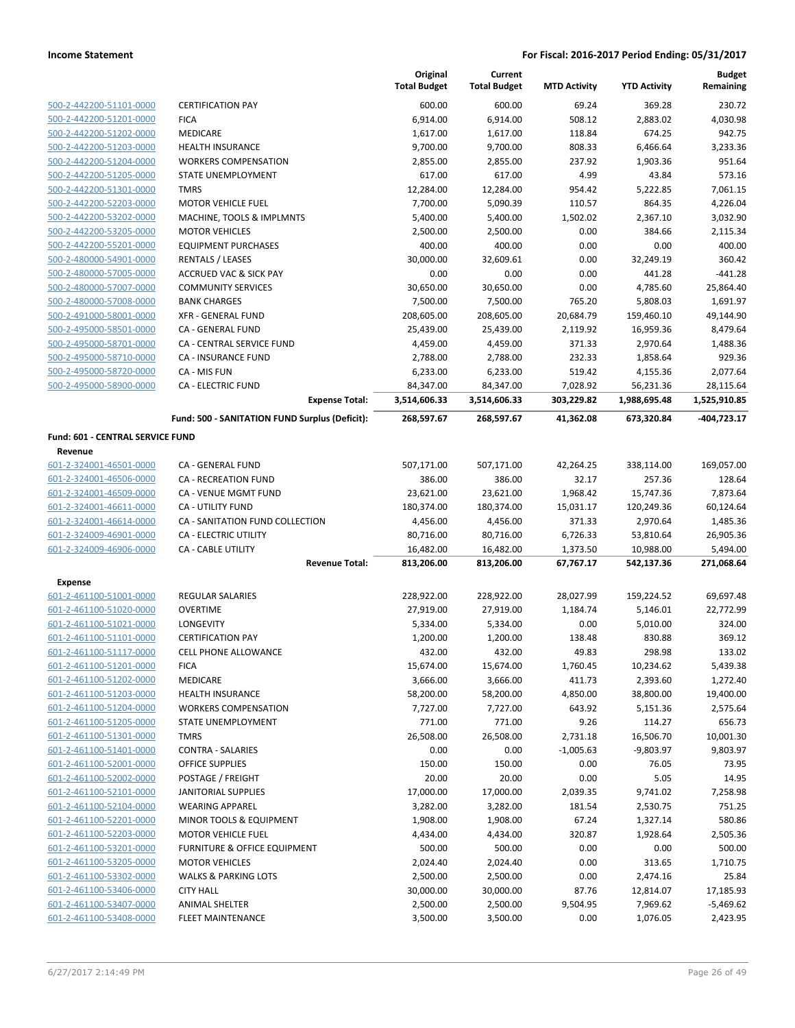|                                                    |                                                | Original<br><b>Total Budget</b> | Current<br><b>Total Budget</b> | <b>MTD Activity</b> | <b>YTD Activity</b> | <b>Budget</b><br>Remaining |
|----------------------------------------------------|------------------------------------------------|---------------------------------|--------------------------------|---------------------|---------------------|----------------------------|
| 500-2-442200-51101-0000                            | <b>CERTIFICATION PAY</b>                       | 600.00                          | 600.00                         | 69.24               | 369.28              | 230.72                     |
| 500-2-442200-51201-0000                            | <b>FICA</b>                                    | 6,914.00                        | 6,914.00                       | 508.12              | 2,883.02            | 4,030.98                   |
| 500-2-442200-51202-0000                            | <b>MEDICARE</b>                                | 1,617.00                        | 1,617.00                       | 118.84              | 674.25              | 942.75                     |
| 500-2-442200-51203-0000                            | <b>HEALTH INSURANCE</b>                        | 9,700.00                        | 9,700.00                       | 808.33              | 6,466.64            | 3,233.36                   |
| 500-2-442200-51204-0000                            | <b>WORKERS COMPENSATION</b>                    | 2,855.00                        | 2,855.00                       | 237.92              | 1,903.36            | 951.64                     |
| 500-2-442200-51205-0000                            | STATE UNEMPLOYMENT                             | 617.00                          | 617.00                         | 4.99                | 43.84               | 573.16                     |
| 500-2-442200-51301-0000                            | <b>TMRS</b>                                    | 12,284.00                       | 12,284.00                      | 954.42              | 5,222.85            | 7,061.15                   |
| 500-2-442200-52203-0000                            | <b>MOTOR VEHICLE FUEL</b>                      | 7,700.00                        | 5,090.39                       | 110.57              | 864.35              | 4,226.04                   |
| 500-2-442200-53202-0000                            | MACHINE, TOOLS & IMPLMNTS                      | 5,400.00                        | 5,400.00                       | 1,502.02            | 2,367.10            | 3,032.90                   |
| 500-2-442200-53205-0000                            | <b>MOTOR VEHICLES</b>                          | 2,500.00                        | 2,500.00                       | 0.00                | 384.66              | 2,115.34                   |
| 500-2-442200-55201-0000                            | <b>EQUIPMENT PURCHASES</b>                     | 400.00                          | 400.00                         | 0.00                | 0.00                | 400.00                     |
| 500-2-480000-54901-0000                            | <b>RENTALS / LEASES</b>                        | 30,000.00                       | 32,609.61                      | 0.00                | 32,249.19           | 360.42                     |
| 500-2-480000-57005-0000                            | <b>ACCRUED VAC &amp; SICK PAY</b>              | 0.00                            | 0.00                           | 0.00                | 441.28              | $-441.28$                  |
| 500-2-480000-57007-0000                            | <b>COMMUNITY SERVICES</b>                      | 30,650.00                       | 30,650.00                      | 0.00                | 4,785.60            | 25,864.40                  |
| 500-2-480000-57008-0000                            | <b>BANK CHARGES</b>                            | 7,500.00                        | 7,500.00                       | 765.20              | 5,808.03            | 1,691.97                   |
| 500-2-491000-58001-0000                            | <b>XFR - GENERAL FUND</b>                      | 208,605.00                      | 208,605.00                     | 20,684.79           | 159,460.10          | 49,144.90                  |
| 500-2-495000-58501-0000                            | CA - GENERAL FUND                              | 25,439.00                       | 25,439.00                      | 2,119.92            | 16,959.36           | 8,479.64                   |
| 500-2-495000-58701-0000                            | CA - CENTRAL SERVICE FUND                      | 4,459.00                        | 4,459.00                       | 371.33              | 2,970.64            | 1,488.36                   |
| 500-2-495000-58710-0000                            | <b>CA - INSURANCE FUND</b>                     | 2,788.00                        | 2,788.00                       | 232.33              | 1,858.64            | 929.36                     |
| 500-2-495000-58720-0000                            | CA - MIS FUN                                   | 6,233.00                        | 6,233.00                       | 519.42              | 4,155.36            | 2,077.64                   |
| 500-2-495000-58900-0000                            | <b>CA - ELECTRIC FUND</b>                      | 84,347.00                       | 84,347.00                      | 7,028.92            | 56,231.36           | 28,115.64                  |
|                                                    | <b>Expense Total:</b>                          | 3,514,606.33                    | 3,514,606.33                   | 303,229.82          | 1,988,695.48        | 1,525,910.85               |
|                                                    | Fund: 500 - SANITATION FUND Surplus (Deficit): | 268,597.67                      | 268,597.67                     | 41,362.08           | 673,320.84          | -404,723.17                |
| <b>Fund: 601 - CENTRAL SERVICE FUND</b><br>Revenue |                                                |                                 |                                |                     |                     |                            |
| 601-2-324001-46501-0000                            | CA - GENERAL FUND                              | 507,171.00                      | 507,171.00                     | 42,264.25           | 338,114.00          | 169,057.00                 |
| 601-2-324001-46506-0000                            | <b>CA - RECREATION FUND</b>                    | 386.00                          | 386.00                         | 32.17               | 257.36              | 128.64                     |
| 601-2-324001-46509-0000                            | CA - VENUE MGMT FUND                           | 23,621.00                       | 23,621.00                      | 1,968.42            | 15,747.36           | 7,873.64                   |
| 601-2-324001-46611-0000                            | CA - UTILITY FUND                              | 180,374.00                      | 180,374.00                     | 15,031.17           | 120,249.36          | 60,124.64                  |
| 601-2-324001-46614-0000                            | CA - SANITATION FUND COLLECTION                | 4,456.00                        | 4,456.00                       | 371.33              | 2,970.64            | 1,485.36                   |
| 601-2-324009-46901-0000                            | CA - ELECTRIC UTILITY                          | 80,716.00                       | 80,716.00                      | 6,726.33            | 53,810.64           | 26,905.36                  |
| 601-2-324009-46906-0000                            | CA - CABLE UTILITY                             | 16,482.00                       | 16,482.00                      | 1,373.50            | 10,988.00           | 5,494.00                   |
|                                                    | <b>Revenue Total:</b>                          | 813,206.00                      | 813,206.00                     | 67,767.17           | 542,137.36          | 271,068.64                 |
| Expense                                            |                                                |                                 |                                |                     |                     |                            |
| 601-2-461100-51001-0000                            | REGULAR SALARIES                               | 228,922.00                      | 228,922.00                     | 28,027.99           | 159,224.52          | 69,697.48                  |
| 601-2-461100-51020-0000                            | <b>OVERTIME</b>                                | 27,919.00                       | 27,919.00                      | 1,184.74            | 5,146.01            | 22,772.99                  |
| 601-2-461100-51021-0000                            | LONGEVITY                                      | 5,334.00                        | 5,334.00                       | 0.00                | 5,010.00            | 324.00                     |
| 601-2-461100-51101-0000                            | <b>CERTIFICATION PAY</b>                       | 1,200.00                        | 1,200.00                       | 138.48              | 830.88              | 369.12                     |
| 601-2-461100-51117-0000                            | CELL PHONE ALLOWANCE                           | 432.00                          | 432.00                         | 49.83               | 298.98              | 133.02                     |
| 601-2-461100-51201-0000                            | <b>FICA</b>                                    | 15,674.00                       | 15,674.00                      | 1,760.45            | 10,234.62           | 5,439.38                   |
| 601-2-461100-51202-0000                            | <b>MEDICARE</b>                                | 3,666.00                        | 3,666.00                       | 411.73              | 2,393.60            | 1,272.40                   |
| 601-2-461100-51203-0000                            | <b>HEALTH INSURANCE</b>                        | 58,200.00                       | 58,200.00                      | 4,850.00            | 38,800.00           | 19,400.00                  |
| 601-2-461100-51204-0000                            | <b>WORKERS COMPENSATION</b>                    | 7,727.00                        | 7,727.00                       | 643.92              | 5,151.36            | 2,575.64                   |
| 601-2-461100-51205-0000                            | STATE UNEMPLOYMENT                             | 771.00                          | 771.00                         | 9.26                | 114.27              | 656.73                     |
| 601-2-461100-51301-0000                            | <b>TMRS</b>                                    | 26,508.00                       | 26,508.00                      | 2,731.18            | 16,506.70           | 10,001.30                  |
| 601-2-461100-51401-0000                            | <b>CONTRA - SALARIES</b>                       | 0.00                            | 0.00                           | $-1,005.63$         | $-9,803.97$         | 9,803.97                   |
| 601-2-461100-52001-0000                            | OFFICE SUPPLIES                                | 150.00                          | 150.00                         | 0.00                | 76.05               | 73.95                      |
| 601-2-461100-52002-0000                            | POSTAGE / FREIGHT                              | 20.00                           | 20.00                          | 0.00                | 5.05                | 14.95                      |
| 601-2-461100-52101-0000                            | <b>JANITORIAL SUPPLIES</b>                     | 17,000.00                       | 17,000.00                      | 2,039.35            | 9,741.02            | 7,258.98                   |
| 601-2-461100-52104-0000                            | <b>WEARING APPAREL</b>                         | 3,282.00                        | 3,282.00                       | 181.54              | 2,530.75            | 751.25                     |
| 601-2-461100-52201-0000                            | MINOR TOOLS & EQUIPMENT                        | 1,908.00                        | 1,908.00                       | 67.24               | 1,327.14            | 580.86                     |
| 601-2-461100-52203-0000                            | <b>MOTOR VEHICLE FUEL</b>                      | 4,434.00                        | 4,434.00                       | 320.87              | 1,928.64            | 2,505.36                   |
| 601-2-461100-53201-0000                            | FURNITURE & OFFICE EQUIPMENT                   | 500.00                          | 500.00                         | 0.00                | 0.00                | 500.00                     |
| 601-2-461100-53205-0000                            | <b>MOTOR VEHICLES</b>                          | 2,024.40                        | 2,024.40                       | 0.00                | 313.65              | 1,710.75                   |
| 601-2-461100-53302-0000                            | <b>WALKS &amp; PARKING LOTS</b>                | 2,500.00                        | 2,500.00                       | 0.00                | 2,474.16            | 25.84                      |
| 601-2-461100-53406-0000                            | <b>CITY HALL</b>                               | 30,000.00                       | 30,000.00                      | 87.76               | 12,814.07           | 17,185.93                  |
| 601-2-461100-53407-0000                            | ANIMAL SHELTER                                 | 2,500.00                        | 2,500.00                       | 9,504.95            | 7,969.62            | $-5,469.62$                |
| 601-2-461100-53408-0000                            | FLEET MAINTENANCE                              | 3,500.00                        | 3,500.00                       | 0.00                | 1,076.05            | 2,423.95                   |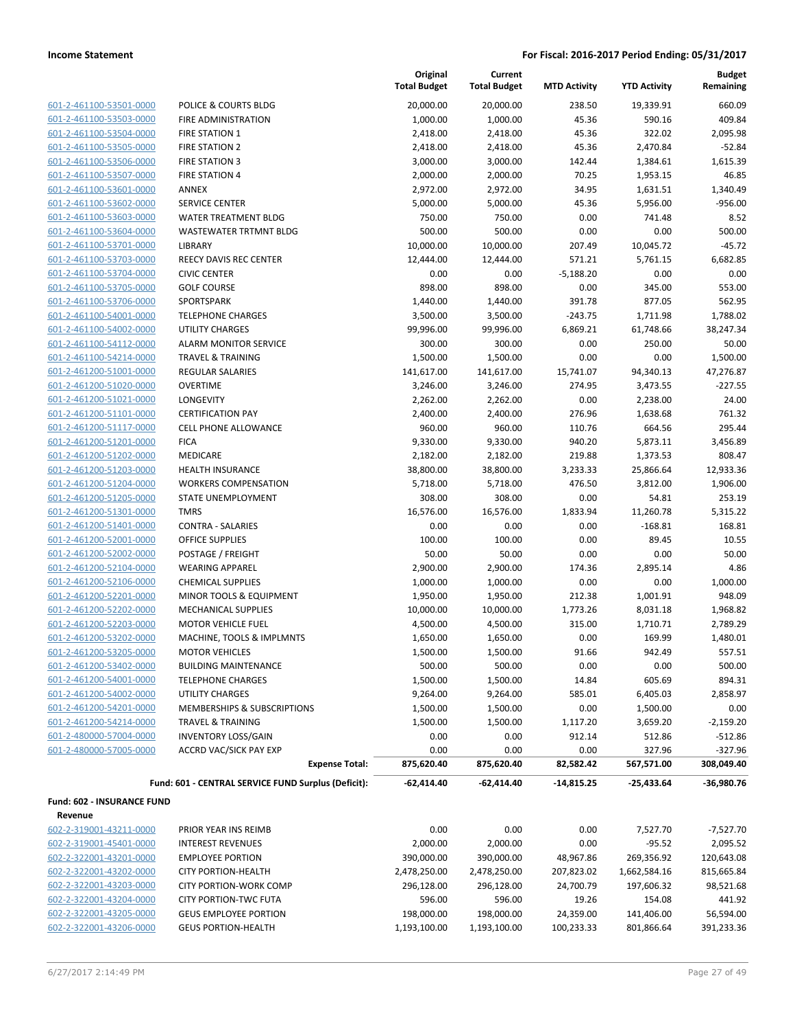| 601-2-461100-53501-0000 |
|-------------------------|
| 601-2-461100-53503-0000 |
| 601-2-461100-53504-0000 |
| 601-2-461100-53505-0000 |
| 601-2-461100-53506-0000 |
| 601-2-461100-53507-0000 |
| 601-2-461100-53601-0000 |
| 601-2-461100-53602-0000 |
| 601-2-461100-53603-0000 |
| 601-2-461100-53604-0000 |
| 601-2-461100-53701-0000 |
| 601-2-461100-53703-0000 |
|                         |
| 601-2-461100-53704-0000 |
| 601-2-461100-53705-0000 |
| 601-2-461100-53706-0000 |
| 601-2-461100-54001-0000 |
| 601-2-461100-54002-0000 |
| 601-2-461100-54112-0000 |
| 601-2-461100-54214-0000 |
| 601-2-461200-51001-0000 |
| 601-2-461200-51020-0000 |
| 601-2-461200-51021-0000 |
| 601-2-461200-51101-0000 |
| 601-2-461200-51117-0000 |
| 601-2-461200-51201-0000 |
| 601-2-461200-51202-0000 |
| 601-2-461200-51203-0000 |
| 601-2-461200-51204-0000 |
| 601-2-461200-51205-0000 |
| 601-2-461200-51301-0000 |
| 601-2-461200-51401-0000 |
| 601-2-461200-52001-0000 |
| 601-2-461200-52002-0000 |
| 601-2-461200-52104-0000 |
| 601-2-461200-52106-0000 |
|                         |
| 601-2-461200-52201-0000 |
| 601-2-461200-52202-0000 |
| 601-2-461200-52203-0000 |
| 601-2-461200-53202-0000 |
| 601-2-461200-53205-0000 |
| 601-2-461200-53402-0000 |
| 601-2-461200-54001-0000 |
| 601-2-461200-54002-0000 |
| 601-2-461200-54201-0000 |
| 601-2-461200-54214-0000 |
| 601-2-480000-57004-0000 |
| 601-2-480000-57005-0000 |
|                         |

|                                                    |                                                     | Original<br><b>Total Budget</b> | Current<br><b>Total Budget</b> | <b>MTD Activity</b> | <b>YTD Activity</b> | <b>Budget</b><br>Remaining |
|----------------------------------------------------|-----------------------------------------------------|---------------------------------|--------------------------------|---------------------|---------------------|----------------------------|
| 601-2-461100-53501-0000                            | POLICE & COURTS BLDG                                | 20,000.00                       | 20,000.00                      | 238.50              | 19,339.91           | 660.09                     |
| 601-2-461100-53503-0000                            | FIRE ADMINISTRATION                                 | 1,000.00                        | 1,000.00                       | 45.36               | 590.16              | 409.84                     |
| 601-2-461100-53504-0000                            | <b>FIRE STATION 1</b>                               | 2,418.00                        | 2,418.00                       | 45.36               | 322.02              | 2,095.98                   |
| 601-2-461100-53505-0000                            | <b>FIRE STATION 2</b>                               | 2,418.00                        | 2,418.00                       | 45.36               | 2,470.84            | $-52.84$                   |
| 601-2-461100-53506-0000                            | <b>FIRE STATION 3</b>                               | 3,000.00                        | 3,000.00                       | 142.44              | 1,384.61            | 1,615.39                   |
| 601-2-461100-53507-0000                            | <b>FIRE STATION 4</b>                               | 2,000.00                        | 2,000.00                       | 70.25               | 1,953.15            | 46.85                      |
| 601-2-461100-53601-0000                            | ANNEX                                               | 2,972.00                        | 2,972.00                       | 34.95               | 1,631.51            | 1,340.49                   |
| 601-2-461100-53602-0000                            | <b>SERVICE CENTER</b>                               | 5,000.00                        | 5,000.00                       | 45.36               | 5,956.00            | $-956.00$                  |
| 601-2-461100-53603-0000                            | <b>WATER TREATMENT BLDG</b>                         | 750.00                          | 750.00                         | 0.00                | 741.48              | 8.52                       |
| 601-2-461100-53604-0000                            | <b>WASTEWATER TRTMNT BLDG</b>                       | 500.00                          | 500.00                         | 0.00                | 0.00                | 500.00                     |
| 601-2-461100-53701-0000                            | LIBRARY                                             | 10,000.00                       | 10,000.00                      | 207.49              | 10,045.72           | $-45.72$                   |
| 601-2-461100-53703-0000                            | REECY DAVIS REC CENTER                              | 12,444.00                       | 12,444.00                      | 571.21              | 5,761.15            | 6,682.85                   |
| 601-2-461100-53704-0000                            | <b>CIVIC CENTER</b>                                 | 0.00                            | 0.00                           | $-5,188.20$         | 0.00                | 0.00                       |
| 601-2-461100-53705-0000                            | <b>GOLF COURSE</b>                                  | 898.00                          | 898.00                         | 0.00                | 345.00              | 553.00                     |
| 601-2-461100-53706-0000                            | SPORTSPARK                                          | 1,440.00                        | 1,440.00                       | 391.78              | 877.05              | 562.95                     |
| 601-2-461100-54001-0000                            | <b>TELEPHONE CHARGES</b>                            | 3,500.00                        | 3,500.00                       | $-243.75$           | 1,711.98            | 1,788.02                   |
| 601-2-461100-54002-0000                            | <b>UTILITY CHARGES</b>                              | 99,996.00                       | 99,996.00                      | 6,869.21            | 61,748.66           | 38,247.34                  |
| 601-2-461100-54112-0000                            | <b>ALARM MONITOR SERVICE</b>                        | 300.00                          | 300.00                         | 0.00                | 250.00              | 50.00                      |
| 601-2-461100-54214-0000                            | <b>TRAVEL &amp; TRAINING</b>                        | 1,500.00                        | 1,500.00                       | 0.00                | 0.00                | 1,500.00                   |
| 601-2-461200-51001-0000                            | <b>REGULAR SALARIES</b>                             | 141,617.00                      | 141,617.00                     | 15,741.07           | 94,340.13           | 47,276.87                  |
| 601-2-461200-51020-0000                            | <b>OVERTIME</b>                                     | 3,246.00                        | 3,246.00                       | 274.95              | 3,473.55            | $-227.55$                  |
| 601-2-461200-51021-0000                            | LONGEVITY                                           | 2,262.00                        | 2,262.00                       | 0.00                | 2,238.00            | 24.00                      |
| 601-2-461200-51101-0000                            | <b>CERTIFICATION PAY</b>                            | 2,400.00                        | 2,400.00                       | 276.96              | 1,638.68            | 761.32                     |
| 601-2-461200-51117-0000                            | <b>CELL PHONE ALLOWANCE</b>                         | 960.00                          | 960.00                         | 110.76              | 664.56              | 295.44                     |
| 601-2-461200-51201-0000                            | <b>FICA</b>                                         | 9,330.00                        | 9,330.00                       | 940.20              | 5,873.11            | 3,456.89                   |
| 601-2-461200-51202-0000                            | MEDICARE                                            | 2,182.00                        | 2,182.00                       | 219.88              | 1,373.53            | 808.47                     |
| 601-2-461200-51203-0000                            | <b>HEALTH INSURANCE</b>                             | 38,800.00                       | 38,800.00                      | 3,233.33            | 25,866.64           | 12,933.36                  |
| 601-2-461200-51204-0000                            | <b>WORKERS COMPENSATION</b>                         | 5,718.00                        | 5,718.00                       | 476.50              | 3,812.00            | 1,906.00                   |
| 601-2-461200-51205-0000                            | STATE UNEMPLOYMENT                                  | 308.00                          | 308.00                         | 0.00                | 54.81               | 253.19                     |
| 601-2-461200-51301-0000                            | <b>TMRS</b>                                         | 16,576.00                       | 16,576.00                      | 1,833.94            | 11,260.78           | 5,315.22                   |
| 601-2-461200-51401-0000                            | <b>CONTRA - SALARIES</b>                            | 0.00                            | 0.00                           | 0.00                | $-168.81$           | 168.81                     |
| 601-2-461200-52001-0000                            | <b>OFFICE SUPPLIES</b>                              | 100.00                          | 100.00                         | 0.00                | 89.45<br>0.00       | 10.55<br>50.00             |
| 601-2-461200-52002-0000<br>601-2-461200-52104-0000 | POSTAGE / FREIGHT<br><b>WEARING APPAREL</b>         | 50.00<br>2,900.00               | 50.00<br>2,900.00              | 0.00<br>174.36      | 2,895.14            | 4.86                       |
| 601-2-461200-52106-0000                            | <b>CHEMICAL SUPPLIES</b>                            | 1,000.00                        | 1,000.00                       | 0.00                | 0.00                | 1,000.00                   |
| 601-2-461200-52201-0000                            | MINOR TOOLS & EQUIPMENT                             | 1,950.00                        | 1,950.00                       | 212.38              | 1,001.91            | 948.09                     |
| 601-2-461200-52202-0000                            | <b>MECHANICAL SUPPLIES</b>                          | 10,000.00                       | 10,000.00                      | 1,773.26            | 8,031.18            | 1,968.82                   |
| 601-2-461200-52203-0000                            | <b>MOTOR VEHICLE FUEL</b>                           | 4,500.00                        | 4,500.00                       | 315.00              | 1,710.71            | 2,789.29                   |
| 601-2-461200-53202-0000                            | MACHINE, TOOLS & IMPLMNTS                           | 1,650.00                        | 1,650.00                       | 0.00                | 169.99              | 1,480.01                   |
| 601-2-461200-53205-0000                            | <b>MOTOR VEHICLES</b>                               | 1,500.00                        | 1,500.00                       | 91.66               | 942.49              | 557.51                     |
| 601-2-461200-53402-0000                            | <b>BUILDING MAINTENANCE</b>                         | 500.00                          | 500.00                         | 0.00                | 0.00                | 500.00                     |
| 601-2-461200-54001-0000                            | <b>TELEPHONE CHARGES</b>                            | 1,500.00                        | 1,500.00                       | 14.84               | 605.69              | 894.31                     |
| 601-2-461200-54002-0000                            | <b>UTILITY CHARGES</b>                              | 9,264.00                        | 9,264.00                       | 585.01              | 6,405.03            | 2,858.97                   |
| 601-2-461200-54201-0000                            | MEMBERSHIPS & SUBSCRIPTIONS                         | 1,500.00                        | 1,500.00                       | 0.00                | 1,500.00            | 0.00                       |
| 601-2-461200-54214-0000                            | <b>TRAVEL &amp; TRAINING</b>                        | 1,500.00                        | 1,500.00                       | 1,117.20            | 3,659.20            | $-2,159.20$                |
| 601-2-480000-57004-0000                            | <b>INVENTORY LOSS/GAIN</b>                          | 0.00                            | 0.00                           | 912.14              | 512.86              | $-512.86$                  |
| 601-2-480000-57005-0000                            | <b>ACCRD VAC/SICK PAY EXP</b>                       | 0.00                            | 0.00                           | 0.00                | 327.96              | $-327.96$                  |
|                                                    | <b>Expense Total:</b>                               | 875,620.40                      | 875,620.40                     | 82,582.42           | 567,571.00          | 308,049.40                 |
|                                                    | Fund: 601 - CENTRAL SERVICE FUND Surplus (Deficit): | $-62,414.40$                    | $-62,414.40$                   | $-14,815.25$        | $-25,433.64$        | $-36,980.76$               |
| Fund: 602 - INSURANCE FUND                         |                                                     |                                 |                                |                     |                     |                            |
| Revenue                                            |                                                     |                                 |                                |                     |                     |                            |
| 602-2-319001-43211-0000                            | PRIOR YEAR INS REIMB                                | 0.00                            | 0.00                           | 0.00                | 7,527.70            | $-7,527.70$                |
| 602-2-319001-45401-0000                            | <b>INTEREST REVENUES</b>                            | 2,000.00                        | 2,000.00                       | 0.00                | $-95.52$            | 2,095.52                   |
| 602-2-322001-43201-0000                            | <b>EMPLOYEE PORTION</b>                             | 390,000.00                      | 390,000.00                     | 48,967.86           | 269,356.92          | 120,643.08                 |
| 602-2-322001-43202-0000                            | <b>CITY PORTION-HEALTH</b>                          | 2,478,250.00                    | 2,478,250.00                   | 207,823.02          | 1,662,584.16        | 815,665.84                 |
| 602-2-322001-43203-0000                            | <b>CITY PORTION-WORK COMP</b>                       | 296,128.00                      | 296,128.00                     | 24,700.79           | 197,606.32          | 98,521.68                  |
| 602-2-322001-43204-0000                            | <b>CITY PORTION-TWC FUTA</b>                        | 596.00                          | 596.00                         | 19.26               | 154.08              | 441.92                     |
| 602-2-322001-43205-0000                            | <b>GEUS EMPLOYEE PORTION</b>                        | 198,000.00                      | 198,000.00                     | 24,359.00           | 141,406.00          | 56,594.00                  |

602-2-322001-43206-0000 GEUS PORTION-HEALTH 1,193,100.00 1,193,100.00 100,233.33 801,866.64 391,233.36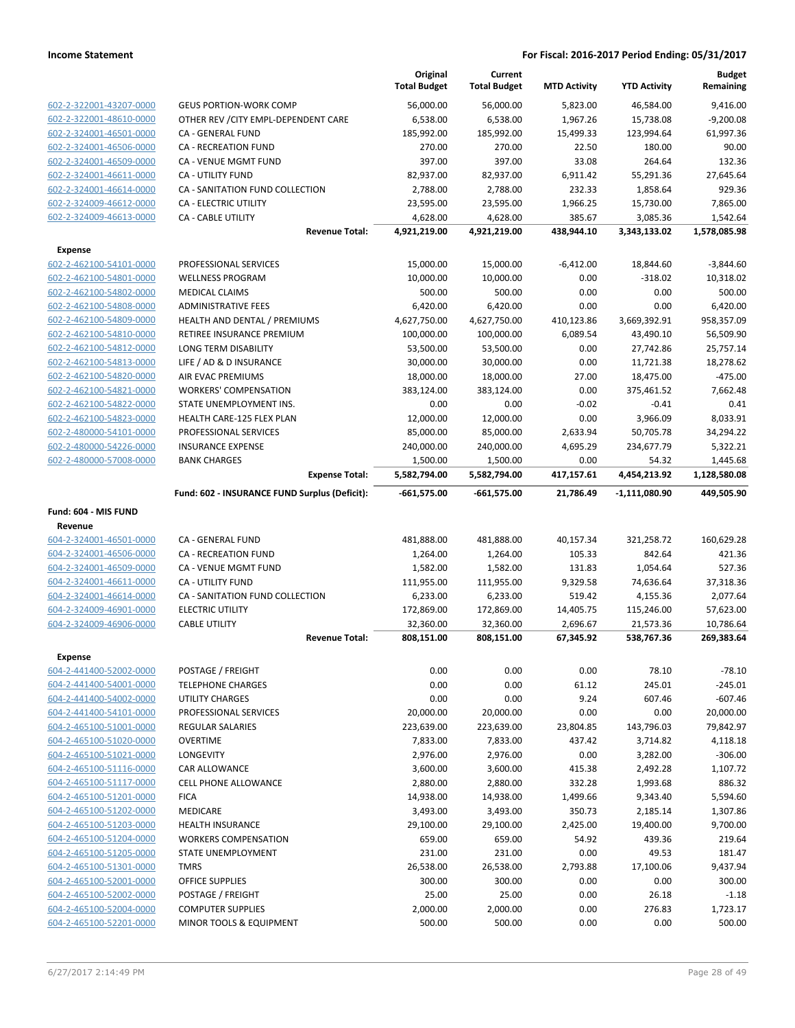|                         |                                               | Original<br><b>Total Budget</b> | Current<br><b>Total Budget</b> | <b>MTD Activity</b> | <b>YTD Activity</b>     | <b>Budget</b><br>Remaining |
|-------------------------|-----------------------------------------------|---------------------------------|--------------------------------|---------------------|-------------------------|----------------------------|
| 602-2-322001-43207-0000 | <b>GEUS PORTION-WORK COMP</b>                 | 56,000.00                       | 56,000.00                      | 5,823.00            | 46,584.00               | 9,416.00                   |
| 602-2-322001-48610-0000 | OTHER REV / CITY EMPL-DEPENDENT CARE          | 6,538.00                        | 6,538.00                       | 1,967.26            | 15,738.08               | $-9,200.08$                |
| 602-2-324001-46501-0000 | CA - GENERAL FUND                             | 185,992.00                      | 185,992.00                     | 15,499.33           | 123,994.64              | 61,997.36                  |
| 602-2-324001-46506-0000 | <b>CA - RECREATION FUND</b>                   | 270.00                          | 270.00                         | 22.50               | 180.00                  | 90.00                      |
| 602-2-324001-46509-0000 | CA - VENUE MGMT FUND                          | 397.00                          | 397.00                         | 33.08               | 264.64                  | 132.36                     |
| 602-2-324001-46611-0000 | CA - UTILITY FUND                             | 82,937.00                       | 82,937.00                      | 6,911.42            | 55,291.36               | 27,645.64                  |
| 602-2-324001-46614-0000 | CA - SANITATION FUND COLLECTION               | 2,788.00                        | 2,788.00                       | 232.33              | 1,858.64                | 929.36                     |
| 602-2-324009-46612-0000 | CA - ELECTRIC UTILITY                         | 23,595.00                       | 23,595.00                      | 1,966.25            | 15,730.00               | 7,865.00                   |
| 602-2-324009-46613-0000 | CA - CABLE UTILITY                            | 4,628.00                        | 4,628.00                       | 385.67              | 3,085.36                | 1,542.64                   |
|                         | <b>Revenue Total:</b>                         | 4,921,219.00                    | 4,921,219.00                   | 438,944.10          | 3,343,133.02            | 1,578,085.98               |
| <b>Expense</b>          |                                               |                                 |                                |                     |                         |                            |
| 602-2-462100-54101-0000 | PROFESSIONAL SERVICES                         | 15,000.00                       | 15,000.00                      | $-6,412.00$         | 18,844.60               | $-3,844.60$                |
| 602-2-462100-54801-0000 | <b>WELLNESS PROGRAM</b>                       | 10,000.00                       | 10,000.00                      | 0.00                | $-318.02$               | 10,318.02                  |
| 602-2-462100-54802-0000 | <b>MEDICAL CLAIMS</b>                         | 500.00                          | 500.00                         | 0.00                | 0.00                    | 500.00                     |
| 602-2-462100-54808-0000 | <b>ADMINISTRATIVE FEES</b>                    | 6,420.00                        | 6,420.00                       | 0.00                | 0.00                    | 6,420.00                   |
| 602-2-462100-54809-0000 | HEALTH AND DENTAL / PREMIUMS                  | 4,627,750.00                    | 4,627,750.00                   | 410,123.86          | 3,669,392.91            | 958,357.09                 |
| 602-2-462100-54810-0000 | RETIREE INSURANCE PREMIUM                     | 100,000.00                      | 100,000.00                     | 6,089.54            | 43,490.10               | 56,509.90                  |
| 602-2-462100-54812-0000 | LONG TERM DISABILITY                          | 53,500.00                       | 53,500.00                      | 0.00                | 27,742.86               | 25,757.14                  |
| 602-2-462100-54813-0000 | LIFE / AD & D INSURANCE                       | 30,000.00                       | 30,000.00                      | 0.00                | 11,721.38               | 18,278.62                  |
| 602-2-462100-54820-0000 | AIR EVAC PREMIUMS                             | 18,000.00                       | 18,000.00                      | 27.00               | 18,475.00               | $-475.00$                  |
| 602-2-462100-54821-0000 | <b>WORKERS' COMPENSATION</b>                  | 383,124.00                      | 383,124.00                     | 0.00                | 375,461.52              | 7,662.48                   |
| 602-2-462100-54822-0000 | STATE UNEMPLOYMENT INS.                       | 0.00                            | 0.00                           | $-0.02$             | $-0.41$                 | 0.41                       |
| 602-2-462100-54823-0000 | HEALTH CARE-125 FLEX PLAN                     | 12,000.00                       | 12,000.00                      | 0.00                | 3,966.09                | 8,033.91                   |
| 602-2-480000-54101-0000 | PROFESSIONAL SERVICES                         | 85,000.00                       | 85,000.00                      | 2,633.94            | 50,705.78               | 34,294.22                  |
| 602-2-480000-54226-0000 | <b>INSURANCE EXPENSE</b>                      | 240,000.00                      | 240,000.00                     | 4,695.29            | 234,677.79              | 5,322.21                   |
| 602-2-480000-57008-0000 | <b>BANK CHARGES</b><br><b>Expense Total:</b>  | 1,500.00<br>5,582,794.00        | 1,500.00<br>5,582,794.00       | 0.00<br>417,157.61  | 54.32<br>4,454,213.92   | 1,445.68                   |
|                         | Fund: 602 - INSURANCE FUND Surplus (Deficit): | $-661,575.00$                   | $-661,575.00$                  | 21,786.49           |                         | 1,128,580.08<br>449,505.90 |
|                         |                                               |                                 |                                |                     | -1,111,080.90           |                            |
| Fund: 604 - MIS FUND    |                                               |                                 |                                |                     |                         |                            |
| Revenue                 |                                               |                                 |                                |                     |                         |                            |
| 604-2-324001-46501-0000 | CA - GENERAL FUND                             | 481,888.00                      | 481,888.00                     | 40,157.34           | 321,258.72              | 160,629.28                 |
| 604-2-324001-46506-0000 | <b>CA - RECREATION FUND</b>                   | 1,264.00                        | 1,264.00                       | 105.33              | 842.64                  | 421.36                     |
| 604-2-324001-46509-0000 | CA - VENUE MGMT FUND                          | 1,582.00                        | 1,582.00                       | 131.83              | 1,054.64                | 527.36                     |
| 604-2-324001-46611-0000 | CA - UTILITY FUND                             | 111,955.00                      | 111,955.00                     | 9,329.58            | 74,636.64               | 37,318.36                  |
| 604-2-324001-46614-0000 | CA - SANITATION FUND COLLECTION               | 6,233.00                        | 6,233.00                       | 519.42              | 4,155.36                | 2,077.64                   |
| 604-2-324009-46901-0000 | <b>ELECTRIC UTILITY</b>                       | 172,869.00                      | 172,869.00                     | 14,405.75           | 115,246.00              | 57,623.00                  |
| 604-2-324009-46906-0000 | <b>CABLE UTILITY</b>                          | 32,360.00                       | 32,360.00<br>808,151.00        | 2,696.67            | 21,573.36<br>538,767.36 | 10,786.64                  |
|                         | <b>Revenue Total:</b>                         | 808,151.00                      |                                | 67,345.92           |                         | 269,383.64                 |
| <b>Expense</b>          |                                               |                                 |                                |                     |                         |                            |
| 604-2-441400-52002-0000 | POSTAGE / FREIGHT                             | 0.00                            | 0.00                           | 0.00                | 78.10                   | $-78.10$                   |
| 604-2-441400-54001-0000 | <b>TELEPHONE CHARGES</b>                      | 0.00                            | 0.00                           | 61.12               | 245.01                  | -245.01                    |
| 604-2-441400-54002-0000 | UTILITY CHARGES                               | 0.00                            | 0.00                           | 9.24                | 607.46                  | $-607.46$                  |
| 604-2-441400-54101-0000 | PROFESSIONAL SERVICES                         | 20,000.00                       | 20,000.00                      | 0.00                | 0.00                    | 20,000.00                  |
| 604-2-465100-51001-0000 | <b>REGULAR SALARIES</b>                       | 223,639.00                      | 223,639.00                     | 23,804.85           | 143,796.03              | 79,842.97                  |
| 604-2-465100-51020-0000 | <b>OVERTIME</b>                               | 7,833.00                        | 7,833.00                       | 437.42              | 3,714.82                | 4,118.18                   |
| 604-2-465100-51021-0000 | LONGEVITY                                     | 2,976.00                        | 2,976.00                       | 0.00                | 3,282.00                | $-306.00$                  |
| 604-2-465100-51116-0000 | CAR ALLOWANCE                                 | 3,600.00                        | 3,600.00                       | 415.38              | 2,492.28                | 1,107.72                   |
| 604-2-465100-51117-0000 | CELL PHONE ALLOWANCE                          | 2,880.00                        | 2,880.00                       | 332.28              | 1,993.68                | 886.32                     |
| 604-2-465100-51201-0000 | <b>FICA</b>                                   | 14,938.00                       | 14,938.00                      | 1,499.66            | 9,343.40                | 5,594.60                   |
| 604-2-465100-51202-0000 | MEDICARE                                      | 3,493.00                        | 3,493.00                       | 350.73              | 2,185.14                | 1,307.86                   |
| 604-2-465100-51203-0000 | <b>HEALTH INSURANCE</b>                       | 29,100.00                       | 29,100.00                      | 2,425.00            | 19,400.00               | 9,700.00                   |
| 604-2-465100-51204-0000 | <b>WORKERS COMPENSATION</b>                   | 659.00                          | 659.00                         | 54.92               | 439.36                  | 219.64                     |
| 604-2-465100-51205-0000 | STATE UNEMPLOYMENT                            | 231.00                          | 231.00                         | 0.00                | 49.53                   | 181.47                     |
| 604-2-465100-51301-0000 | <b>TMRS</b>                                   | 26,538.00                       | 26,538.00                      | 2,793.88            | 17,100.06               | 9,437.94                   |
| 604-2-465100-52001-0000 | <b>OFFICE SUPPLIES</b>                        | 300.00                          | 300.00                         | 0.00                | 0.00                    | 300.00                     |
| 604-2-465100-52002-0000 | POSTAGE / FREIGHT                             | 25.00                           | 25.00                          | 0.00                | 26.18                   | $-1.18$                    |
| 604-2-465100-52004-0000 | <b>COMPUTER SUPPLIES</b>                      | 2,000.00                        | 2,000.00                       | 0.00                | 276.83                  | 1,723.17                   |
| 604-2-465100-52201-0000 | MINOR TOOLS & EQUIPMENT                       | 500.00                          | 500.00                         | 0.00                | 0.00                    | 500.00                     |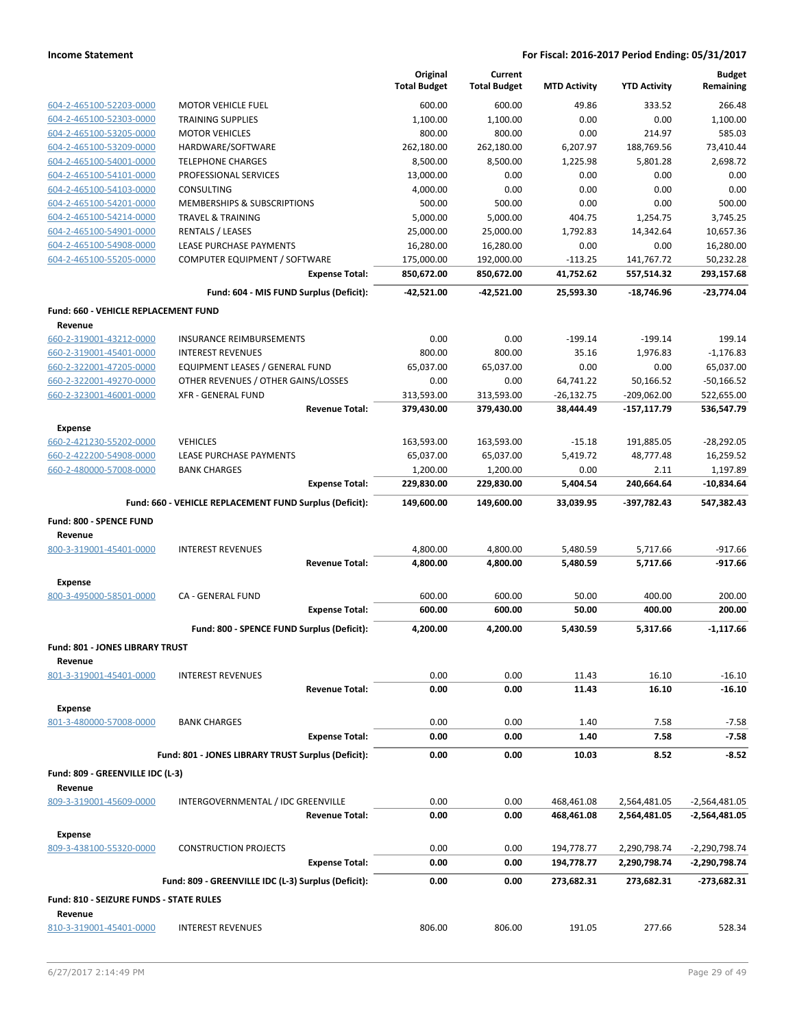|                                                        |                                                         | Original<br><b>Total Budget</b> | Current<br><b>Total Budget</b> | <b>MTD Activity</b> | <b>YTD Activity</b> | <b>Budget</b><br>Remaining |
|--------------------------------------------------------|---------------------------------------------------------|---------------------------------|--------------------------------|---------------------|---------------------|----------------------------|
| 604-2-465100-52203-0000                                | <b>MOTOR VEHICLE FUEL</b>                               | 600.00                          | 600.00                         | 49.86               | 333.52              | 266.48                     |
| 604-2-465100-52303-0000                                | <b>TRAINING SUPPLIES</b>                                | 1,100.00                        | 1,100.00                       | 0.00                | 0.00                | 1,100.00                   |
| 604-2-465100-53205-0000                                | <b>MOTOR VEHICLES</b>                                   | 800.00                          | 800.00                         | 0.00                | 214.97              | 585.03                     |
| 604-2-465100-53209-0000                                | HARDWARE/SOFTWARE                                       | 262,180.00                      | 262,180.00                     | 6,207.97            | 188,769.56          | 73,410.44                  |
| 604-2-465100-54001-0000                                | <b>TELEPHONE CHARGES</b>                                | 8,500.00                        | 8,500.00                       | 1,225.98            | 5,801.28            | 2,698.72                   |
| 604-2-465100-54101-0000                                | PROFESSIONAL SERVICES                                   | 13,000.00                       | 0.00                           | 0.00                | 0.00                | 0.00                       |
| 604-2-465100-54103-0000                                | <b>CONSULTING</b>                                       | 4,000.00                        | 0.00                           | 0.00                | 0.00                | 0.00                       |
| 604-2-465100-54201-0000                                | MEMBERSHIPS & SUBSCRIPTIONS                             | 500.00                          | 500.00                         | 0.00                | 0.00                | 500.00                     |
| 604-2-465100-54214-0000                                | <b>TRAVEL &amp; TRAINING</b>                            | 5,000.00                        | 5,000.00                       | 404.75              | 1,254.75            | 3.745.25                   |
| 604-2-465100-54901-0000                                | <b>RENTALS / LEASES</b>                                 | 25,000.00                       | 25,000.00                      | 1,792.83            | 14,342.64           | 10,657.36                  |
| 604-2-465100-54908-0000                                | LEASE PURCHASE PAYMENTS                                 | 16,280.00                       | 16,280.00                      | 0.00                | 0.00                | 16,280.00                  |
| 604-2-465100-55205-0000                                | COMPUTER EQUIPMENT / SOFTWARE                           | 175,000.00                      | 192,000.00                     | $-113.25$           | 141,767.72          | 50,232.28                  |
|                                                        | <b>Expense Total:</b>                                   | 850,672.00                      | 850,672.00                     | 41,752.62           | 557,514.32          | 293,157.68                 |
|                                                        | Fund: 604 - MIS FUND Surplus (Deficit):                 | -42,521.00                      | -42,521.00                     | 25,593.30           | $-18,746.96$        | $-23,774.04$               |
| <b>Fund: 660 - VEHICLE REPLACEMENT FUND</b><br>Revenue |                                                         |                                 |                                |                     |                     |                            |
| 660-2-319001-43212-0000                                | <b>INSURANCE REIMBURSEMENTS</b>                         | 0.00                            | 0.00                           | $-199.14$           | $-199.14$           | 199.14                     |
| 660-2-319001-45401-0000                                | <b>INTEREST REVENUES</b>                                | 800.00                          | 800.00                         | 35.16               | 1,976.83            | $-1,176.83$                |
| 660-2-322001-47205-0000                                | EQUIPMENT LEASES / GENERAL FUND                         | 65.037.00                       | 65,037.00                      | 0.00                | 0.00                | 65,037.00                  |
| 660-2-322001-49270-0000                                | OTHER REVENUES / OTHER GAINS/LOSSES                     | 0.00                            | 0.00                           | 64,741.22           | 50,166.52           | $-50,166.52$               |
| 660-2-323001-46001-0000                                | <b>XFR - GENERAL FUND</b>                               | 313,593.00                      | 313,593.00                     | $-26,132.75$        | $-209,062.00$       | 522,655.00                 |
|                                                        | <b>Revenue Total:</b>                                   | 379,430.00                      | 379,430.00                     | 38,444.49           | $-157, 117.79$      | 536,547.79                 |
| <b>Expense</b>                                         |                                                         |                                 |                                |                     |                     |                            |
| 660-2-421230-55202-0000                                | <b>VEHICLES</b>                                         | 163,593.00                      | 163,593.00                     | $-15.18$            | 191,885.05          | $-28,292.05$               |
| 660-2-422200-54908-0000                                | LEASE PURCHASE PAYMENTS                                 | 65,037.00                       | 65,037.00                      | 5,419.72            | 48,777.48           | 16,259.52                  |
| 660-2-480000-57008-0000                                | <b>BANK CHARGES</b>                                     | 1,200.00                        | 1,200.00                       | 0.00                | 2.11                | 1,197.89                   |
|                                                        | <b>Expense Total:</b>                                   | 229,830.00                      | 229,830.00                     | 5,404.54            | 240,664.64          | $-10,834.64$               |
|                                                        | Fund: 660 - VEHICLE REPLACEMENT FUND Surplus (Deficit): | 149,600.00                      | 149,600.00                     | 33,039.95           | $-397,782.43$       | 547,382.43                 |
| Fund: 800 - SPENCE FUND                                |                                                         |                                 |                                |                     |                     |                            |
| Revenue<br>800-3-319001-45401-0000                     | <b>INTEREST REVENUES</b>                                | 4,800.00                        | 4,800.00                       | 5,480.59            | 5,717.66            | $-917.66$                  |
|                                                        | <b>Revenue Total:</b>                                   | 4,800.00                        | 4,800.00                       | 5,480.59            | 5,717.66            | $-917.66$                  |
|                                                        |                                                         |                                 |                                |                     |                     |                            |
| <b>Expense</b><br>800-3-495000-58501-0000              | CA - GENERAL FUND                                       | 600.00                          | 600.00                         | 50.00               | 400.00              | 200.00                     |
|                                                        | <b>Expense Total:</b>                                   | 600.00                          | 600.00                         | 50.00               | 400.00              | 200.00                     |
|                                                        | Fund: 800 - SPENCE FUND Surplus (Deficit):              | 4,200.00                        | 4,200.00                       | 5.430.59            | 5,317.66            | $-1,117.66$                |
| Fund: 801 - JONES LIBRARY TRUST                        |                                                         |                                 |                                |                     |                     |                            |
| Revenue                                                |                                                         |                                 |                                |                     |                     |                            |
| 801-3-319001-45401-0000                                | <b>INTEREST REVENUES</b>                                | 0.00                            | 0.00                           | 11.43               | 16.10               | $-16.10$                   |
|                                                        | <b>Revenue Total:</b>                                   | 0.00                            | 0.00                           | 11.43               | 16.10               | $-16.10$                   |
| <b>Expense</b>                                         |                                                         |                                 |                                |                     |                     |                            |
| 801-3-480000-57008-0000                                | <b>BANK CHARGES</b>                                     | 0.00                            | 0.00                           | 1.40                | 7.58                | $-7.58$                    |
|                                                        | <b>Expense Total:</b>                                   | 0.00                            | 0.00                           | 1.40                | 7.58                | -7.58                      |
|                                                        | Fund: 801 - JONES LIBRARY TRUST Surplus (Deficit):      | 0.00                            | 0.00                           | 10.03               | 8.52                | $-8.52$                    |
| Fund: 809 - GREENVILLE IDC (L-3)                       |                                                         |                                 |                                |                     |                     |                            |
| Revenue                                                |                                                         |                                 |                                |                     |                     |                            |
| 809-3-319001-45609-0000                                | INTERGOVERNMENTAL / IDC GREENVILLE                      | 0.00                            | 0.00                           | 468,461.08          | 2,564,481.05        | $-2,564,481.05$            |
|                                                        | <b>Revenue Total:</b>                                   | 0.00                            | 0.00                           | 468,461.08          | 2,564,481.05        | -2,564,481.05              |
| <b>Expense</b>                                         |                                                         |                                 |                                |                     |                     |                            |
| 809-3-438100-55320-0000                                | <b>CONSTRUCTION PROJECTS</b>                            | 0.00                            | 0.00                           | 194,778.77          | 2,290,798.74        | -2,290,798.74              |
|                                                        | <b>Expense Total:</b>                                   | 0.00                            | 0.00                           | 194,778.77          | 2,290,798.74        | -2,290,798.74              |
|                                                        |                                                         |                                 |                                |                     |                     |                            |
|                                                        | Fund: 809 - GREENVILLE IDC (L-3) Surplus (Deficit):     | 0.00                            | 0.00                           | 273,682.31          | 273,682.31          | $-273,682.31$              |
| Fund: 810 - SEIZURE FUNDS - STATE RULES<br>Revenue     |                                                         |                                 |                                |                     |                     |                            |
| 810-3-319001-45401-0000                                | <b>INTEREST REVENUES</b>                                | 806.00                          | 806.00                         | 191.05              | 277.66              | 528.34                     |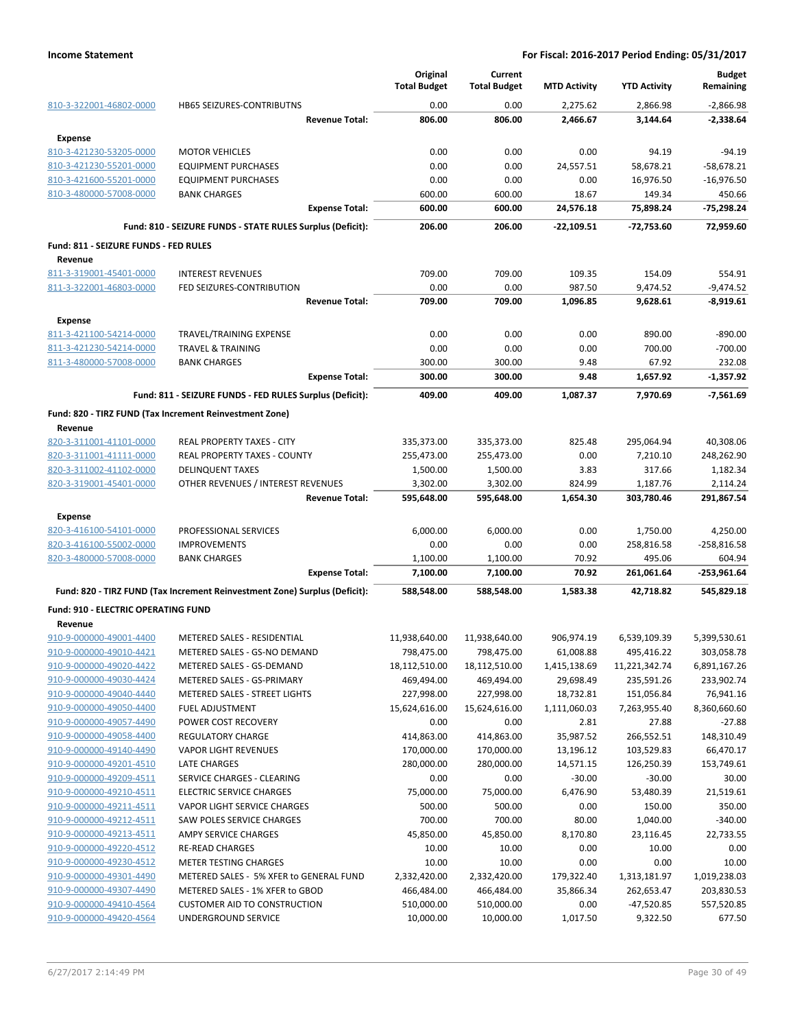|                                                    |                                                                            | Original<br><b>Total Budget</b> | Current<br><b>Total Budget</b> | <b>MTD Activity</b>  | <b>YTD Activity</b> | <b>Budget</b><br>Remaining |
|----------------------------------------------------|----------------------------------------------------------------------------|---------------------------------|--------------------------------|----------------------|---------------------|----------------------------|
|                                                    | HB65 SEIZURES-CONTRIBUTNS                                                  | 0.00                            | 0.00                           |                      | 2,866.98            |                            |
| 810-3-322001-46802-0000                            | <b>Revenue Total:</b>                                                      | 806.00                          | 806.00                         | 2,275.62<br>2,466.67 | 3,144.64            | $-2,866.98$<br>-2,338.64   |
|                                                    |                                                                            |                                 |                                |                      |                     |                            |
| Expense                                            |                                                                            |                                 |                                |                      |                     |                            |
| 810-3-421230-53205-0000                            | <b>MOTOR VEHICLES</b>                                                      | 0.00                            | 0.00                           | 0.00                 | 94.19               | $-94.19$                   |
| 810-3-421230-55201-0000                            | <b>EQUIPMENT PURCHASES</b>                                                 | 0.00<br>0.00                    | 0.00<br>0.00                   | 24,557.51<br>0.00    | 58,678.21           | $-58,678.21$               |
| 810-3-421600-55201-0000<br>810-3-480000-57008-0000 | <b>EQUIPMENT PURCHASES</b><br><b>BANK CHARGES</b>                          | 600.00                          | 600.00                         | 18.67                | 16,976.50<br>149.34 | $-16,976.50$<br>450.66     |
|                                                    | <b>Expense Total:</b>                                                      | 600.00                          | 600.00                         | 24,576.18            | 75,898.24           | -75,298.24                 |
|                                                    | Fund: 810 - SEIZURE FUNDS - STATE RULES Surplus (Deficit):                 | 206.00                          | 206.00                         | $-22,109.51$         | -72,753.60          | 72,959.60                  |
| Fund: 811 - SEIZURE FUNDS - FED RULES              |                                                                            |                                 |                                |                      |                     |                            |
| Revenue                                            |                                                                            |                                 |                                |                      |                     |                            |
| 811-3-319001-45401-0000                            | <b>INTEREST REVENUES</b>                                                   | 709.00                          | 709.00                         | 109.35               | 154.09              | 554.91                     |
| 811-3-322001-46803-0000                            | FED SEIZURES-CONTRIBUTION                                                  | 0.00                            | 0.00                           | 987.50               | 9,474.52            | $-9,474.52$                |
|                                                    | <b>Revenue Total:</b>                                                      | 709.00                          | 709.00                         | 1,096.85             | 9,628.61            | $-8,919.61$                |
| <b>Expense</b>                                     |                                                                            |                                 |                                |                      |                     |                            |
| 811-3-421100-54214-0000                            | TRAVEL/TRAINING EXPENSE                                                    | 0.00                            | 0.00                           | 0.00                 | 890.00              | $-890.00$                  |
| 811-3-421230-54214-0000                            | <b>TRAVEL &amp; TRAINING</b>                                               | 0.00                            | 0.00                           | 0.00                 | 700.00              | $-700.00$                  |
| 811-3-480000-57008-0000                            | <b>BANK CHARGES</b>                                                        | 300.00                          | 300.00                         | 9.48                 | 67.92               | 232.08                     |
|                                                    | <b>Expense Total:</b>                                                      | 300.00                          | 300.00                         | 9.48                 | 1,657.92            | $-1,357.92$                |
|                                                    | Fund: 811 - SEIZURE FUNDS - FED RULES Surplus (Deficit):                   | 409.00                          | 409.00                         | 1,087.37             | 7,970.69            | $-7,561.69$                |
|                                                    | Fund: 820 - TIRZ FUND (Tax Increment Reinvestment Zone)                    |                                 |                                |                      |                     |                            |
| Revenue                                            |                                                                            |                                 |                                |                      |                     |                            |
| 820-3-311001-41101-0000                            | <b>REAL PROPERTY TAXES - CITY</b>                                          | 335,373.00                      | 335,373.00                     | 825.48               | 295,064.94          | 40,308.06                  |
| 820-3-311001-41111-0000                            | REAL PROPERTY TAXES - COUNTY                                               | 255,473.00                      | 255,473.00                     | 0.00                 | 7,210.10            | 248,262.90                 |
| 820-3-311002-41102-0000                            | <b>DELINQUENT TAXES</b>                                                    | 1,500.00                        | 1,500.00                       | 3.83                 | 317.66              | 1,182.34                   |
| 820-3-319001-45401-0000                            | OTHER REVENUES / INTEREST REVENUES                                         | 3,302.00                        | 3,302.00                       | 824.99               | 1,187.76            | 2,114.24                   |
|                                                    | <b>Revenue Total:</b>                                                      | 595,648.00                      | 595,648.00                     | 1,654.30             | 303,780.46          | 291,867.54                 |
| <b>Expense</b>                                     |                                                                            |                                 |                                |                      |                     |                            |
| 820-3-416100-54101-0000                            | PROFESSIONAL SERVICES                                                      | 6,000.00                        | 6,000.00                       | 0.00                 | 1,750.00            | 4,250.00                   |
| 820-3-416100-55002-0000                            | <b>IMPROVEMENTS</b>                                                        | 0.00                            | 0.00                           | 0.00                 | 258,816.58          | $-258,816.58$              |
| 820-3-480000-57008-0000                            | <b>BANK CHARGES</b>                                                        | 1,100.00                        | 1,100.00                       | 70.92                | 495.06              | 604.94                     |
|                                                    | <b>Expense Total:</b>                                                      | 7,100.00                        | 7,100.00                       | 70.92                | 261,061.64          | $-253,961.64$              |
|                                                    | Fund: 820 - TIRZ FUND (Tax Increment Reinvestment Zone) Surplus (Deficit): | 588,548.00                      | 588,548.00                     | 1,583.38             | 42,718.82           | 545,829.18                 |
| <b>Fund: 910 - ELECTRIC OPERATING FUND</b>         |                                                                            |                                 |                                |                      |                     |                            |
| Revenue<br>910-9-000000-49001-4400                 | METERED SALES - RESIDENTIAL                                                | 11,938,640.00                   | 11,938,640.00                  | 906,974.19           | 6,539,109.39        | 5,399,530.61               |
| 910-9-000000-49010-4421                            | METERED SALES - GS-NO DEMAND                                               | 798,475.00                      | 798,475.00                     | 61,008.88            | 495,416.22          | 303,058.78                 |
| 910-9-000000-49020-4422                            | METERED SALES - GS-DEMAND                                                  | 18,112,510.00                   | 18,112,510.00                  | 1,415,138.69         | 11,221,342.74       | 6,891,167.26               |
| 910-9-000000-49030-4424                            | METERED SALES - GS-PRIMARY                                                 | 469,494.00                      | 469,494.00                     | 29,698.49            | 235,591.26          | 233,902.74                 |
| 910-9-000000-49040-4440                            | METERED SALES - STREET LIGHTS                                              | 227,998.00                      | 227,998.00                     | 18,732.81            | 151,056.84          | 76,941.16                  |
| 910-9-000000-49050-4400                            | <b>FUEL ADJUSTMENT</b>                                                     | 15,624,616.00                   | 15,624,616.00                  | 1,111,060.03         | 7,263,955.40        | 8,360,660.60               |
| 910-9-000000-49057-4490                            | POWER COST RECOVERY                                                        | 0.00                            | 0.00                           | 2.81                 | 27.88               | $-27.88$                   |
| 910-9-000000-49058-4400                            | <b>REGULATORY CHARGE</b>                                                   | 414,863.00                      | 414,863.00                     | 35,987.52            | 266,552.51          | 148,310.49                 |
| 910-9-000000-49140-4490                            | <b>VAPOR LIGHT REVENUES</b>                                                | 170,000.00                      | 170,000.00                     | 13,196.12            | 103,529.83          | 66,470.17                  |
| 910-9-000000-49201-4510                            | LATE CHARGES                                                               | 280,000.00                      | 280,000.00                     | 14,571.15            | 126,250.39          | 153,749.61                 |
| 910-9-000000-49209-4511                            | SERVICE CHARGES - CLEARING                                                 | 0.00                            | 0.00                           | $-30.00$             | $-30.00$            | 30.00                      |
| 910-9-000000-49210-4511                            | <b>ELECTRIC SERVICE CHARGES</b>                                            | 75,000.00                       | 75,000.00                      | 6,476.90             | 53,480.39           | 21,519.61                  |
| 910-9-000000-49211-4511                            | VAPOR LIGHT SERVICE CHARGES                                                | 500.00                          | 500.00                         | 0.00                 | 150.00              | 350.00                     |
| 910-9-000000-49212-4511                            | SAW POLES SERVICE CHARGES                                                  | 700.00                          | 700.00                         | 80.00                | 1,040.00            | $-340.00$                  |
| 910-9-000000-49213-4511                            | AMPY SERVICE CHARGES                                                       | 45,850.00                       | 45,850.00                      | 8,170.80             | 23,116.45           | 22,733.55                  |
| 910-9-000000-49220-4512                            | <b>RE-READ CHARGES</b>                                                     | 10.00                           | 10.00                          | 0.00                 | 10.00               | 0.00                       |
| 910-9-000000-49230-4512                            | METER TESTING CHARGES                                                      | 10.00                           | 10.00                          | 0.00                 | 0.00                | 10.00                      |
| 910-9-000000-49301-4490                            | METERED SALES - 5% XFER to GENERAL FUND                                    | 2,332,420.00                    | 2,332,420.00                   | 179,322.40           | 1,313,181.97        | 1,019,238.03               |
| 910-9-000000-49307-4490                            | METERED SALES - 1% XFER to GBOD                                            | 466,484.00                      | 466,484.00                     | 35,866.34            | 262,653.47          | 203,830.53                 |
| 910-9-000000-49410-4564                            | <b>CUSTOMER AID TO CONSTRUCTION</b>                                        | 510,000.00                      | 510,000.00                     | 0.00                 | $-47,520.85$        | 557,520.85                 |
| 910-9-000000-49420-4564                            | UNDERGROUND SERVICE                                                        | 10,000.00                       | 10,000.00                      | 1,017.50             | 9,322.50            | 677.50                     |
|                                                    |                                                                            |                                 |                                |                      |                     |                            |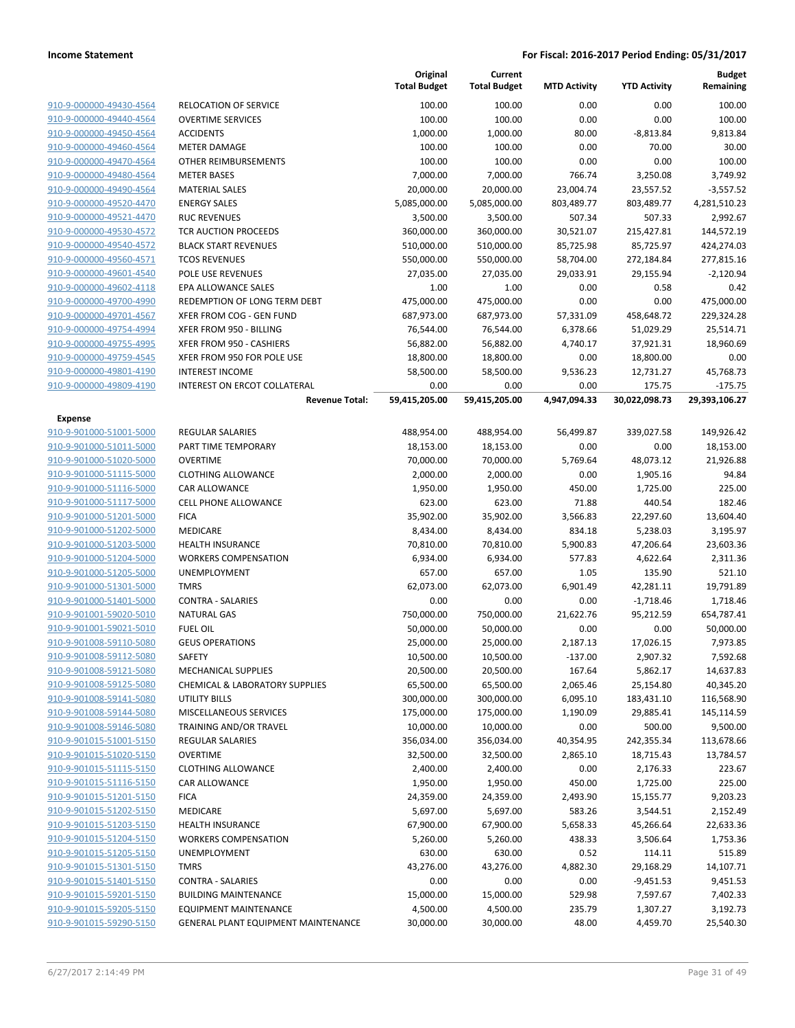|                                                    |                                                     | Original<br><b>Total Budget</b> | Current<br><b>Total Budget</b> | <b>MTD Activity</b>   | <b>YTD Activity</b>     | <b>Budget</b><br>Remaining |
|----------------------------------------------------|-----------------------------------------------------|---------------------------------|--------------------------------|-----------------------|-------------------------|----------------------------|
| 910-9-000000-49430-4564                            | RELOCATION OF SERVICE                               | 100.00                          | 100.00                         | 0.00                  | 0.00                    | 100.00                     |
| 910-9-000000-49440-4564                            | <b>OVERTIME SERVICES</b>                            | 100.00                          | 100.00                         | 0.00                  | 0.00                    | 100.00                     |
| 910-9-000000-49450-4564                            | <b>ACCIDENTS</b>                                    | 1,000.00                        | 1,000.00                       | 80.00                 | $-8,813.84$             | 9,813.84                   |
| 910-9-000000-49460-4564                            | <b>METER DAMAGE</b>                                 | 100.00                          | 100.00                         | 0.00                  | 70.00                   | 30.00                      |
| 910-9-000000-49470-4564                            | OTHER REIMBURSEMENTS                                | 100.00                          | 100.00                         | 0.00                  | 0.00                    | 100.00                     |
| 910-9-000000-49480-4564                            | <b>METER BASES</b>                                  | 7,000.00                        | 7,000.00                       | 766.74                | 3,250.08                | 3,749.92                   |
| 910-9-000000-49490-4564                            | <b>MATERIAL SALES</b>                               | 20,000.00                       | 20,000.00                      | 23,004.74             | 23,557.52               | $-3,557.52$                |
| 910-9-000000-49520-4470                            | <b>ENERGY SALES</b>                                 | 5,085,000.00                    | 5,085,000.00                   | 803,489.77            | 803,489.77              | 4,281,510.23               |
| 910-9-000000-49521-4470                            | <b>RUC REVENUES</b>                                 | 3,500.00                        | 3,500.00                       | 507.34                | 507.33                  | 2,992.67                   |
| 910-9-000000-49530-4572                            | TCR AUCTION PROCEEDS                                | 360,000.00                      | 360,000.00                     | 30,521.07             | 215,427.81              | 144,572.19                 |
| 910-9-000000-49540-4572                            | <b>BLACK START REVENUES</b>                         | 510,000.00                      | 510,000.00                     | 85,725.98             | 85,725.97               | 424,274.03                 |
| 910-9-000000-49560-4571                            | <b>TCOS REVENUES</b>                                | 550,000.00                      | 550,000.00                     | 58,704.00             | 272,184.84              | 277,815.16                 |
| 910-9-000000-49601-4540                            | POLE USE REVENUES                                   | 27,035.00                       | 27,035.00                      | 29,033.91             | 29,155.94               | $-2,120.94$                |
| 910-9-000000-49602-4118                            | EPA ALLOWANCE SALES                                 | 1.00                            | 1.00                           | 0.00                  | 0.58                    | 0.42                       |
| 910-9-000000-49700-4990                            | REDEMPTION OF LONG TERM DEBT                        | 475,000.00                      | 475,000.00                     | 0.00                  | 0.00                    | 475,000.00                 |
| 910-9-000000-49701-4567<br>910-9-000000-49754-4994 | XFER FROM COG - GEN FUND<br>XFER FROM 950 - BILLING | 687,973.00<br>76,544.00         | 687,973.00                     | 57,331.09<br>6,378.66 | 458,648.72              | 229,324.28                 |
| 910-9-000000-49755-4995                            | XFER FROM 950 - CASHIERS                            | 56,882.00                       | 76,544.00<br>56,882.00         | 4,740.17              | 51,029.29<br>37,921.31  | 25,514.71<br>18,960.69     |
| 910-9-000000-49759-4545                            | XFER FROM 950 FOR POLE USE                          | 18,800.00                       | 18,800.00                      | 0.00                  | 18,800.00               | 0.00                       |
| 910-9-000000-49801-4190                            | <b>INTEREST INCOME</b>                              | 58,500.00                       | 58,500.00                      | 9,536.23              | 12,731.27               | 45,768.73                  |
| 910-9-000000-49809-4190                            | INTEREST ON ERCOT COLLATERAL                        | 0.00                            | 0.00                           | 0.00                  | 175.75                  | $-175.75$                  |
|                                                    | <b>Revenue Total:</b>                               | 59,415,205.00                   | 59,415,205.00                  | 4,947,094.33          | 30,022,098.73           | 29,393,106.27              |
| <b>Expense</b>                                     |                                                     |                                 |                                |                       |                         |                            |
| 910-9-901000-51001-5000                            | REGULAR SALARIES                                    | 488,954.00                      | 488,954.00                     | 56,499.87             | 339,027.58              | 149,926.42                 |
| 910-9-901000-51011-5000                            | PART TIME TEMPORARY                                 | 18,153.00                       | 18,153.00                      | 0.00                  | 0.00                    | 18,153.00                  |
| 910-9-901000-51020-5000                            | <b>OVERTIME</b>                                     | 70,000.00                       | 70,000.00                      | 5,769.64              | 48,073.12               | 21,926.88                  |
| 910-9-901000-51115-5000                            | <b>CLOTHING ALLOWANCE</b>                           | 2,000.00                        | 2,000.00                       | 0.00                  | 1,905.16                | 94.84                      |
| 910-9-901000-51116-5000                            | CAR ALLOWANCE                                       | 1,950.00                        | 1,950.00                       | 450.00                | 1,725.00                | 225.00                     |
| 910-9-901000-51117-5000                            | CELL PHONE ALLOWANCE                                | 623.00                          | 623.00                         | 71.88                 | 440.54                  | 182.46                     |
| 910-9-901000-51201-5000                            | <b>FICA</b>                                         | 35,902.00                       | 35,902.00                      | 3,566.83              | 22,297.60               | 13,604.40                  |
| 910-9-901000-51202-5000                            | MEDICARE                                            | 8,434.00                        | 8,434.00                       | 834.18                | 5,238.03                | 3,195.97                   |
| 910-9-901000-51203-5000                            | <b>HEALTH INSURANCE</b>                             | 70,810.00                       | 70,810.00                      | 5,900.83              | 47,206.64               | 23,603.36                  |
| 910-9-901000-51204-5000                            | <b>WORKERS COMPENSATION</b>                         | 6,934.00                        | 6,934.00                       | 577.83                | 4,622.64                | 2,311.36                   |
| 910-9-901000-51205-5000                            | UNEMPLOYMENT                                        | 657.00                          | 657.00                         | 1.05                  | 135.90                  | 521.10                     |
| 910-9-901000-51301-5000                            | <b>TMRS</b>                                         | 62,073.00                       | 62,073.00                      | 6,901.49              | 42,281.11               | 19,791.89                  |
| 910-9-901000-51401-5000                            | <b>CONTRA - SALARIES</b>                            | 0.00                            | 0.00                           | 0.00                  | $-1,718.46$             | 1,718.46                   |
| 910-9-901001-59020-5010                            | <b>NATURAL GAS</b>                                  | 750,000.00                      | 750,000.00                     | 21,622.76             | 95,212.59               | 654,787.41                 |
| 910-9-901001-59021-5010                            | <b>FUEL OIL</b>                                     | 50,000.00                       | 50,000.00                      | 0.00                  | 0.00                    | 50,000.00                  |
| 910-9-901008-59110-5080                            | <b>GEUS OPERATIONS</b>                              | 25,000.00                       | 25,000.00                      | 2,187.13              | 17,026.15               | 7,973.85                   |
| 910-9-901008-59112-5080                            | SAFETY                                              | 10,500.00                       | 10,500.00                      | $-137.00$             | 2,907.32                | 7,592.68                   |
| 910-9-901008-59121-5080                            | MECHANICAL SUPPLIES                                 | 20,500.00                       | 20,500.00                      | 167.64                | 5,862.17                | 14,637.83                  |
| 910-9-901008-59125-5080                            | <b>CHEMICAL &amp; LABORATORY SUPPLIES</b>           | 65,500.00                       | 65,500.00                      | 2,065.46              | 25,154.80               | 40,345.20                  |
| 910-9-901008-59141-5080                            | UTILITY BILLS                                       | 300,000.00                      | 300,000.00                     | 6,095.10              | 183,431.10              | 116,568.90                 |
| 910-9-901008-59144-5080                            | MISCELLANEOUS SERVICES                              | 175,000.00                      | 175,000.00                     | 1,190.09              | 29,885.41               | 145,114.59                 |
| 910-9-901008-59146-5080                            | TRAINING AND/OR TRAVEL                              | 10,000.00<br>356,034.00         | 10,000.00<br>356,034.00        | 0.00                  | 500.00                  | 9,500.00                   |
| 910-9-901015-51001-5150<br>910-9-901015-51020-5150 | REGULAR SALARIES<br><b>OVERTIME</b>                 | 32,500.00                       | 32,500.00                      | 40,354.95<br>2,865.10 | 242,355.34<br>18,715.43 | 113,678.66<br>13,784.57    |
| 910-9-901015-51115-5150                            | <b>CLOTHING ALLOWANCE</b>                           | 2,400.00                        | 2,400.00                       | 0.00                  | 2,176.33                | 223.67                     |
| 910-9-901015-51116-5150                            | CAR ALLOWANCE                                       | 1,950.00                        | 1,950.00                       | 450.00                | 1,725.00                | 225.00                     |
| 910-9-901015-51201-5150                            | <b>FICA</b>                                         | 24,359.00                       | 24,359.00                      | 2,493.90              | 15,155.77               | 9,203.23                   |
| 910-9-901015-51202-5150                            | MEDICARE                                            | 5,697.00                        | 5,697.00                       | 583.26                | 3,544.51                | 2,152.49                   |
| 910-9-901015-51203-5150                            | <b>HEALTH INSURANCE</b>                             | 67,900.00                       | 67,900.00                      | 5,658.33              | 45,266.64               | 22,633.36                  |
| 910-9-901015-51204-5150                            | <b>WORKERS COMPENSATION</b>                         | 5,260.00                        | 5,260.00                       | 438.33                | 3,506.64                | 1,753.36                   |
| 910-9-901015-51205-5150                            | UNEMPLOYMENT                                        | 630.00                          | 630.00                         | 0.52                  | 114.11                  | 515.89                     |
| 910-9-901015-51301-5150                            | <b>TMRS</b>                                         | 43,276.00                       | 43,276.00                      | 4,882.30              | 29,168.29               | 14,107.71                  |
| 910-9-901015-51401-5150                            | <b>CONTRA - SALARIES</b>                            | 0.00                            | 0.00                           | 0.00                  | $-9,451.53$             | 9,451.53                   |
| 910-9-901015-59201-5150                            | <b>BUILDING MAINTENANCE</b>                         | 15,000.00                       | 15,000.00                      | 529.98                | 7,597.67                | 7,402.33                   |
| 910-9-901015-59205-5150                            | <b>EQUIPMENT MAINTENANCE</b>                        | 4,500.00                        | 4,500.00                       | 235.79                | 1,307.27                | 3,192.73                   |
| 910-9-901015-59290-5150                            | GENERAL PLANT EQUIPMENT MAINTENANCE                 | 30,000.00                       | 30,000.00                      | 48.00                 | 4,459.70                | 25,540.30                  |
|                                                    |                                                     |                                 |                                |                       |                         |                            |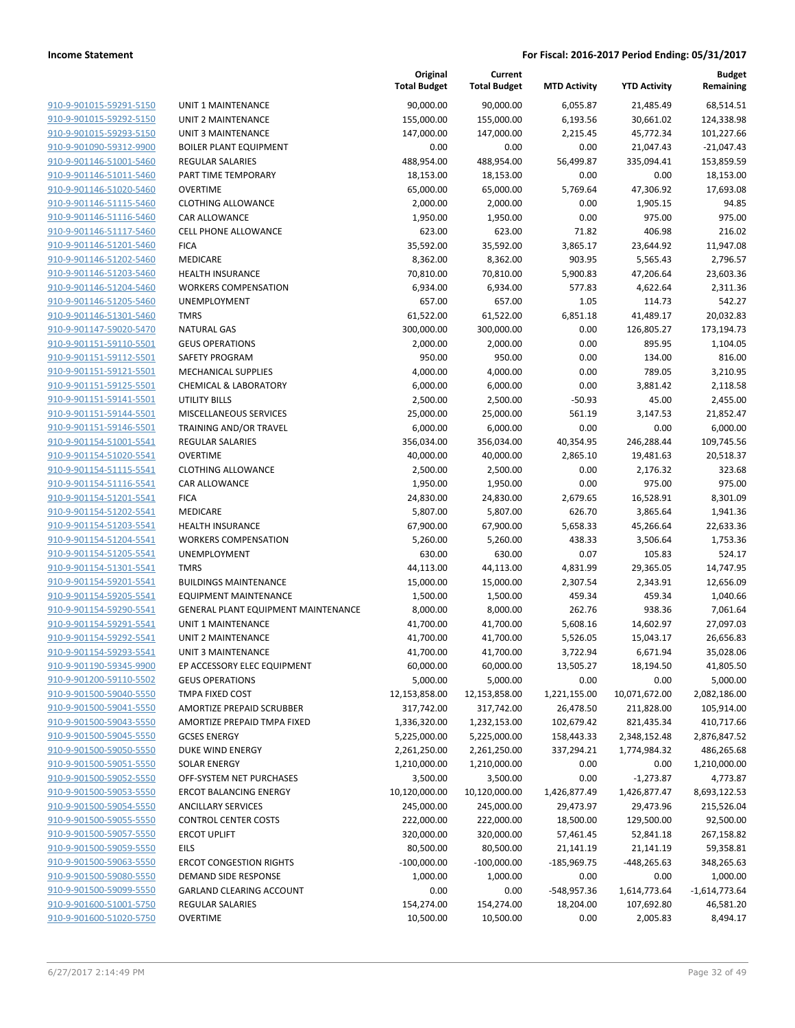| 910-9-901015-59291-5150                          |
|--------------------------------------------------|
| 910-9-901015-59292-5150                          |
| 910-9-901015-59293-5150                          |
| 910-9-901090-59312-9900                          |
| 910-9-901146-51001-5460                          |
| 910-9-901146-51011-5460                          |
|                                                  |
| 910-9-901146-51020-5460                          |
| 910-9-901146-51115-5460                          |
| 910-9-901146-51116-5460                          |
| 910-9-901146-51117-5460                          |
| 910-9-901146-51201-5460                          |
| 910-9-901146-51202-5460                          |
| 910-9-901146-51203-5460                          |
| 910-9-901146-51204-5460                          |
|                                                  |
| 910-9-901146-51205-5460                          |
| 910-9-901146-51301-5460                          |
| 910-9-901147-59020-5470                          |
| 910-9-901151-59110-5501                          |
| 910-9-901151-59112-5501                          |
| 910-9-901151-59121-5501                          |
| 910-9-901151-59125-5501                          |
| 910-9-901151-59141-5501                          |
| 910-9-901151-59144-5501                          |
|                                                  |
| 910-9-901151-59146-5501                          |
| 910-9-901154-51001-5541                          |
| 910-9-901154-51020-5541                          |
| 910-9-901154-51115-5541                          |
| 910-9-901154-51116-5541                          |
| 910-9-901154-51201 <sup>.</sup><br>-55 <u>41</u> |
| 910-9-901154-51202-5541                          |
| 910-9-901154-51203-5541                          |
| 910-9-901154-51204-5541                          |
| 910-9-901154-51205-5541                          |
|                                                  |
| 910-9-901154-51301-5541                          |
| 910-9-901154-59201-5541                          |
| 910-9-901154-59205-5541                          |
| 910-9-901154-59290-5541                          |
| 910-9-901154-59291-5541                          |
| 910-9-901154-59292-5541                          |
| 910-9-901154-59293-5541                          |
| 910-9-901190-59345-9900                          |
| <u>910-9-901200-59110-5502</u>                   |
| 910-9-901500-59040-5550                          |
|                                                  |
| 910-9-901500-59041-5550                          |
| 910-9-901500-59043-5550                          |
| 910-9-901500-59045-5550                          |
|                                                  |
| 910-9-901500-59050-5550                          |
| 910-9-901500-59051-5550                          |
| 910-9-901500-59052-5550                          |
| 910-9-901500-59053-5550                          |
|                                                  |
| 910-9-901500-59054-5550                          |
| 910-9-901500-59055-5550                          |
| 910-9-901500-59057-5550                          |
| 910-9-901500-59059-5550                          |
| 910-9-901500-59063-5550                          |
| 910-9-901500-59080-5550                          |
| 910-9-901500-59099-5550                          |
| 910-9-901600-51001-5750                          |
| 910-9-901600-51020-5750                          |

| JNIT 1 MAINTENANCE                         |
|--------------------------------------------|
| JNIT 2 MAINTENANCE                         |
| JNIT 3 MAINTENANCE                         |
| <b>BOILER PLANT EQUIPMENT</b>              |
| REGULAR SALARIES                           |
| PART TIME TEMPORARY                        |
| <b>DVERTIME</b>                            |
| CLOTHING ALLOWANCE                         |
| CAR ALLOWANCE                              |
| CELL PHONE ALLOWANCE                       |
| <b>ICA</b>                                 |
| MEDICARE                                   |
| HEALTH INSURANCE                           |
| WORKERS COMPENSATION                       |
| JNEMPLOYMENT                               |
| <b>MRS</b>                                 |
| JATURAL GAS                                |
| <b>GEUS OPERATIONS</b>                     |
| AFETY PROGRAM                              |
| MECHANICAL SUPPLIES                        |
| <b>CHEMICAL &amp; LABORATORY</b>           |
| <b>JTILITY BILLS</b>                       |
| <b>MISCELLANEOUS SERVICES</b>              |
| <b>RAINING AND/OR TRAVEL</b>               |
| REGULAR SALARIES<br><b>DVERTIME</b>        |
| CLOTHING ALLOWANCE                         |
| CAR ALLOWANCE                              |
| <b>ICA</b>                                 |
| <b>MEDICARE</b>                            |
| HEALTH INSURANCE                           |
| <b>NORKERS COMPENSATION</b>                |
| JNEMPLOYMENT                               |
| <b>MRS</b>                                 |
| BUILDINGS MAINTENANCE                      |
| :QUIPMENT MAINTENANCE                      |
| GENERAL PLANT EQUIPMENT MAINTENANCE        |
| JNIT 1 MAINTENANCE                         |
| JNIT 2 MAINTENANCE                         |
| JNIT 3 MAINTENANCE                         |
| P ACCESSORY ELEC EQUIPMENT                 |
| GEUS OPERATIONS                            |
| <b>MPA FIXED COST</b>                      |
| <b>MORTIZE PREPAID SCRUBBER</b>            |
| AMORTIZE PREPAID TMPA FIXED                |
| GCSES ENERGY                               |
| <b>DUKE WIND ENERGY</b>                    |
| OLAR ENERGY                                |
| <b>DFF-SYSTEM NET PURCHASES</b>            |
| <b>RCOT BALANCING ENERGY</b>               |
| <b>INCILLARY SERVICES</b>                  |
| CONTROL CENTER COSTS<br><b>RCOT UPLIFT</b> |
| EILS.                                      |
| <b>RCOT CONGESTION RIGHTS</b>              |
| DEMAND SIDE RESPONSE                       |
| GARLAND CLEARING ACCOUNT                   |
| REGULAR SALARIES                           |
| <b>OVERTIME</b>                            |
|                                            |

|                                                    |                                                                  | Original<br><b>Total Budget</b> | Current<br><b>Total Budget</b> | <b>MTD Activity</b>  | <b>YTD Activity</b>    | <b>Budget</b><br>Remaining |
|----------------------------------------------------|------------------------------------------------------------------|---------------------------------|--------------------------------|----------------------|------------------------|----------------------------|
| 910-9-901015-59291-5150                            | <b>UNIT 1 MAINTENANCE</b>                                        | 90,000.00                       | 90,000.00                      | 6,055.87             | 21,485.49              | 68,514.51                  |
| 910-9-901015-59292-5150                            | UNIT 2 MAINTENANCE                                               | 155,000.00                      | 155,000.00                     | 6,193.56             | 30,661.02              | 124,338.98                 |
| 910-9-901015-59293-5150                            | <b>UNIT 3 MAINTENANCE</b>                                        | 147,000.00                      | 147,000.00                     | 2,215.45             | 45,772.34              | 101,227.66                 |
| 910-9-901090-59312-9900                            | <b>BOILER PLANT EQUIPMENT</b>                                    | 0.00                            | 0.00                           | 0.00                 | 21,047.43              | $-21,047.43$               |
| 910-9-901146-51001-5460                            | REGULAR SALARIES                                                 | 488,954.00                      | 488,954.00                     | 56,499.87            | 335,094.41             | 153,859.59                 |
| 910-9-901146-51011-5460                            | PART TIME TEMPORARY                                              | 18,153.00                       | 18,153.00                      | 0.00                 | 0.00                   | 18,153.00                  |
| 910-9-901146-51020-5460                            | <b>OVERTIME</b>                                                  | 65,000.00                       | 65,000.00                      | 5,769.64             | 47,306.92              | 17,693.08                  |
| 910-9-901146-51115-5460                            | <b>CLOTHING ALLOWANCE</b>                                        | 2,000.00                        | 2,000.00                       | 0.00                 | 1,905.15               | 94.85                      |
| 910-9-901146-51116-5460                            | CAR ALLOWANCE                                                    | 1,950.00                        | 1,950.00                       | 0.00                 | 975.00                 | 975.00                     |
| 910-9-901146-51117-5460                            | CELL PHONE ALLOWANCE                                             | 623.00                          | 623.00                         | 71.82                | 406.98                 | 216.02                     |
| 910-9-901146-51201-5460                            | <b>FICA</b>                                                      | 35,592.00                       | 35,592.00                      | 3,865.17             | 23,644.92              | 11,947.08                  |
| 910-9-901146-51202-5460                            | MEDICARE                                                         | 8,362.00                        | 8,362.00                       | 903.95               | 5,565.43               | 2,796.57                   |
| 910-9-901146-51203-5460                            | <b>HEALTH INSURANCE</b>                                          | 70,810.00                       | 70,810.00                      | 5,900.83             | 47,206.64              | 23,603.36                  |
| 910-9-901146-51204-5460                            | <b>WORKERS COMPENSATION</b>                                      | 6,934.00                        | 6,934.00                       | 577.83               | 4,622.64               | 2,311.36                   |
| 910-9-901146-51205-5460                            | UNEMPLOYMENT                                                     | 657.00                          | 657.00                         | 1.05                 | 114.73                 | 542.27                     |
| 910-9-901146-51301-5460                            | <b>TMRS</b>                                                      | 61,522.00                       | 61,522.00                      | 6,851.18             | 41,489.17              | 20,032.83                  |
| 910-9-901147-59020-5470                            | <b>NATURAL GAS</b>                                               | 300,000.00                      | 300,000.00                     | 0.00                 | 126,805.27             | 173,194.73                 |
| 910-9-901151-59110-5501                            | <b>GEUS OPERATIONS</b>                                           | 2,000.00                        | 2,000.00                       | 0.00                 | 895.95                 | 1,104.05                   |
| 910-9-901151-59112-5501                            | SAFETY PROGRAM                                                   | 950.00                          | 950.00                         | 0.00                 | 134.00                 | 816.00                     |
| 910-9-901151-59121-5501                            | MECHANICAL SUPPLIES                                              | 4,000.00                        | 4,000.00                       | 0.00                 | 789.05                 | 3,210.95                   |
| 910-9-901151-59125-5501                            | <b>CHEMICAL &amp; LABORATORY</b>                                 | 6,000.00                        | 6,000.00                       | 0.00                 | 3,881.42               | 2,118.58                   |
| 910-9-901151-59141-5501                            | <b>UTILITY BILLS</b>                                             | 2,500.00                        | 2,500.00                       | $-50.93$             | 45.00                  | 2,455.00                   |
| 910-9-901151-59144-5501                            | MISCELLANEOUS SERVICES                                           | 25,000.00                       | 25,000.00                      | 561.19               | 3,147.53               | 21,852.47                  |
| 910-9-901151-59146-5501                            | TRAINING AND/OR TRAVEL                                           | 6,000.00                        | 6,000.00                       | 0.00                 | 0.00                   | 6,000.00                   |
| 910-9-901154-51001-5541                            | <b>REGULAR SALARIES</b>                                          | 356,034.00                      | 356,034.00                     | 40,354.95            | 246,288.44             | 109,745.56                 |
| 910-9-901154-51020-5541                            | <b>OVERTIME</b>                                                  | 40,000.00                       | 40,000.00                      | 2,865.10             | 19,481.63              | 20,518.37                  |
| 910-9-901154-51115-5541                            | <b>CLOTHING ALLOWANCE</b>                                        | 2,500.00                        | 2,500.00                       | 0.00                 | 2,176.32               | 323.68                     |
| 910-9-901154-51116-5541                            | <b>CAR ALLOWANCE</b>                                             | 1,950.00                        | 1,950.00                       | 0.00                 | 975.00                 | 975.00                     |
| 910-9-901154-51201-5541                            | <b>FICA</b>                                                      | 24,830.00                       | 24,830.00                      | 2,679.65             | 16,528.91              | 8,301.09                   |
| 910-9-901154-51202-5541                            | MEDICARE                                                         | 5,807.00                        | 5,807.00                       | 626.70               | 3,865.64               | 1,941.36                   |
| 910-9-901154-51203-5541                            | <b>HEALTH INSURANCE</b>                                          | 67,900.00                       | 67,900.00                      | 5,658.33             | 45,266.64              | 22,633.36                  |
| 910-9-901154-51204-5541                            | <b>WORKERS COMPENSATION</b>                                      | 5,260.00                        | 5,260.00                       | 438.33               | 3,506.64               | 1,753.36                   |
| 910-9-901154-51205-5541                            | UNEMPLOYMENT                                                     | 630.00                          | 630.00                         | 0.07                 | 105.83                 | 524.17                     |
| 910-9-901154-51301-5541                            | <b>TMRS</b>                                                      | 44,113.00                       | 44,113.00                      | 4,831.99             | 29,365.05              | 14,747.95                  |
| 910-9-901154-59201-5541                            | <b>BUILDINGS MAINTENANCE</b>                                     | 15,000.00                       | 15,000.00                      | 2,307.54             | 2,343.91               | 12,656.09                  |
| 910-9-901154-59205-5541                            | <b>EQUIPMENT MAINTENANCE</b>                                     | 1,500.00                        | 1,500.00                       | 459.34               | 459.34                 | 1,040.66                   |
| 910-9-901154-59290-5541<br>910-9-901154-59291-5541 | GENERAL PLANT EQUIPMENT MAINTENANCE<br><b>UNIT 1 MAINTENANCE</b> | 8,000.00<br>41,700.00           | 8,000.00<br>41,700.00          | 262.76               | 938.36                 | 7,061.64                   |
| 910-9-901154-59292-5541                            | UNIT 2 MAINTENANCE                                               | 41,700.00                       | 41,700.00                      | 5,608.16<br>5,526.05 | 14,602.97<br>15,043.17 | 27,097.03<br>26,656.83     |
| 910-9-901154-59293-5541                            | <b>UNIT 3 MAINTENANCE</b>                                        | 41,700.00                       | 41,700.00                      | 3,722.94             | 6,671.94               | 35,028.06                  |
| 910-9-901190-59345-9900                            | EP ACCESSORY ELEC EQUIPMENT                                      | 60,000.00                       | 60,000.00                      | 13,505.27            | 18,194.50              | 41,805.50                  |
| 910-9-901200-59110-5502                            | <b>GEUS OPERATIONS</b>                                           | 5,000.00                        | 5,000.00                       | 0.00                 | 0.00                   | 5,000.00                   |
| 910-9-901500-59040-5550                            | TMPA FIXED COST                                                  | 12,153,858.00                   | 12,153,858.00                  | 1,221,155.00         | 10,071,672.00          | 2,082,186.00               |
| 910-9-901500-59041-5550                            | AMORTIZE PREPAID SCRUBBER                                        | 317,742.00                      | 317,742.00                     | 26,478.50            | 211,828.00             | 105,914.00                 |
| 910-9-901500-59043-5550                            | AMORTIZE PREPAID TMPA FIXED                                      | 1,336,320.00                    | 1,232,153.00                   | 102,679.42           | 821,435.34             | 410,717.66                 |
| 910-9-901500-59045-5550                            | <b>GCSES ENERGY</b>                                              | 5,225,000.00                    | 5,225,000.00                   | 158,443.33           | 2,348,152.48           | 2,876,847.52               |
| 910-9-901500-59050-5550                            | DUKE WIND ENERGY                                                 | 2,261,250.00                    | 2,261,250.00                   | 337,294.21           | 1,774,984.32           | 486,265.68                 |
| 910-9-901500-59051-5550                            | <b>SOLAR ENERGY</b>                                              | 1,210,000.00                    | 1,210,000.00                   | 0.00                 | 0.00                   | 1,210,000.00               |
| 910-9-901500-59052-5550                            | OFF-SYSTEM NET PURCHASES                                         | 3,500.00                        | 3,500.00                       | 0.00                 | $-1,273.87$            | 4,773.87                   |
| 910-9-901500-59053-5550                            | <b>ERCOT BALANCING ENERGY</b>                                    | 10,120,000.00                   | 10,120,000.00                  | 1,426,877.49         | 1,426,877.47           | 8,693,122.53               |
| 910-9-901500-59054-5550                            | <b>ANCILLARY SERVICES</b>                                        | 245,000.00                      | 245,000.00                     | 29,473.97            | 29,473.96              | 215,526.04                 |
| 910-9-901500-59055-5550                            | <b>CONTROL CENTER COSTS</b>                                      | 222,000.00                      | 222,000.00                     | 18,500.00            | 129,500.00             | 92,500.00                  |
| 910-9-901500-59057-5550                            | <b>ERCOT UPLIFT</b>                                              | 320,000.00                      | 320,000.00                     | 57,461.45            | 52,841.18              | 267,158.82                 |
| 910-9-901500-59059-5550                            | <b>EILS</b>                                                      | 80,500.00                       | 80,500.00                      | 21,141.19            | 21,141.19              | 59,358.81                  |
| 910-9-901500-59063-5550                            | <b>ERCOT CONGESTION RIGHTS</b>                                   | $-100,000.00$                   | $-100,000.00$                  | $-185,969.75$        | -448,265.63            | 348,265.63                 |
| 910-9-901500-59080-5550                            | DEMAND SIDE RESPONSE                                             | 1,000.00                        | 1,000.00                       | 0.00                 | 0.00                   | 1,000.00                   |
| 910-9-901500-59099-5550                            | GARLAND CLEARING ACCOUNT                                         | 0.00                            | 0.00                           | -548,957.36          | 1,614,773.64           | $-1,614,773.64$            |
| 910-9-901600-51001-5750                            | <b>REGULAR SALARIES</b>                                          | 154,274.00                      | 154,274.00                     | 18,204.00            | 107,692.80             | 46,581.20                  |
| 910-9-901600-51020-5750                            | <b>OVERTIME</b>                                                  | 10,500.00                       | 10,500.00                      | 0.00                 | 2,005.83               | 8,494.17                   |
|                                                    |                                                                  |                                 |                                |                      |                        |                            |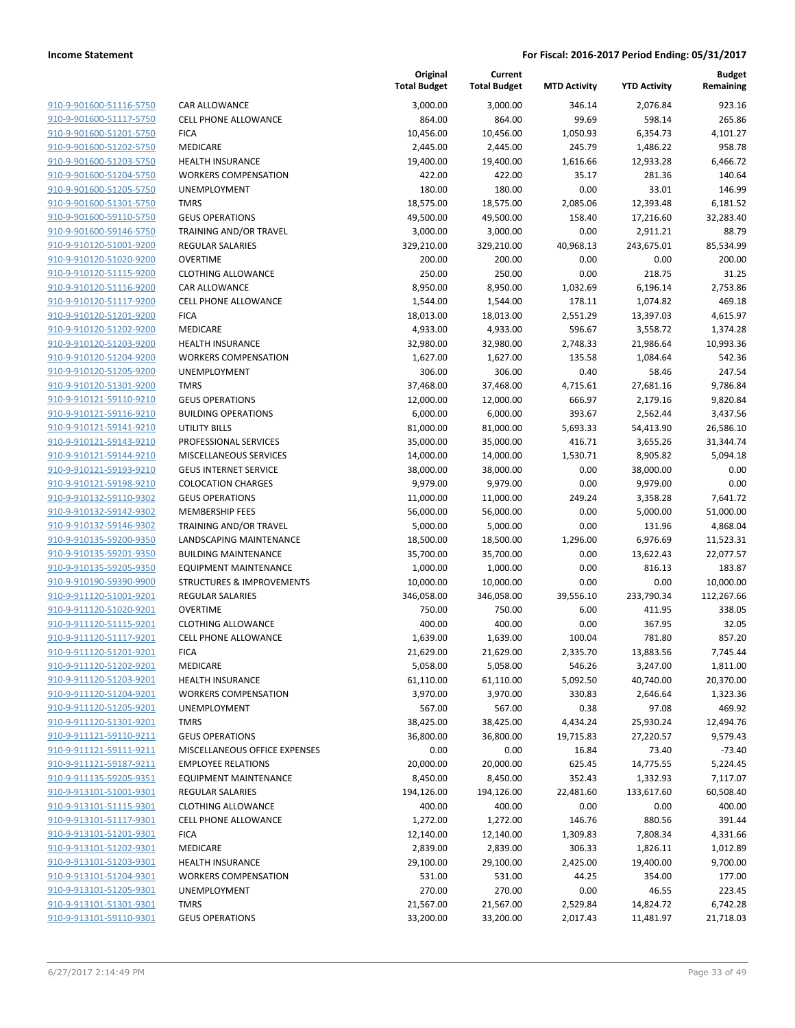| 910-9-901600-51116-5750        | C               |
|--------------------------------|-----------------|
| 910-9-901600-51117-5750        | CE              |
| 910-9-901600-51201-5750        | FI <sub>I</sub> |
| 910-9-901600-51202-5750        | M               |
| 910-9-901600-51203-5750        | HI              |
| 910-9-901600-51204-5750        | W               |
| 910-9-901600-51205-5750        | U               |
| 910-9-901600-51301-5750        | T٨              |
| 910-9-901600-59110-5750        | GI              |
| 910-9-901600-59146-5750        | ТF              |
| 910-9-910120-51001-9200        | RE              |
| 910-9-910120-51020-9200        | O١              |
| 910-9-910120-51115-9200        | СL              |
| 910-9-910120-51116-9200        | CA              |
| 910-9-910120-51117-9200        | СE              |
| 910-9-910120-51201-9200        | F١              |
| 910-9-910120-51202-9200        | M               |
| 910-9-910120-51203-9200        | HI              |
| 910-9-910120-51204-9200        | W               |
| 910-9-910120-51205-9200        | U               |
| 910-9-910120-51301-9200        | T٨              |
| 910-9-910121-59110-9210        | GI              |
| 910-9-910121-59116-9210        | Вι              |
| 910-9-910121-59141-9210        | U1              |
| <u>910-9-910121-59143-9210</u> | PF              |
| 910-9-910121-59144-9210        | M               |
| 910-9-910121-59193-9210        | GI              |
| 910-9-910121-59198-9210        | C               |
| 910-9-910132-59110-9302        | GI              |
| 910-9-910132-59142-9302        | M               |
| 910-9-910132-59146-9302        | ТF              |
| 910-9-910135-59200-9350        | LA              |
| 910-9-910135-59201-9350        | Вι              |
| 910-9-910135-59205-9350        | E               |
| 910-9-910190-59390-9900        | ST              |
| 910-9-911120-51001-9201        | RE              |
| 910-9-911120-51020-9201        | O١              |
| 910-9-911120-51115-9201        | СL              |
| 910-9-911120-51117-9201        | СE              |
| 910-9-911120-51201-9201        | FI <sub>I</sub> |
| 910-9-911120-51202-9201        | М               |
| 910-9-911120-51203-9201        | Hŀ              |
| 910-9-911120-51204-9201        | W               |
| 910-9-911120-51205-9201        | UI              |
| <u>910-9-911120-51301-9201</u> | T٨              |
| 910-9-911121-59110-9211        | GI              |
| 910-9-911121-59111-9211        | М               |
| 910-9-911121-59187-9211        | E١              |
| <u>910-9-911135-59205-9351</u> | EC              |
| <u>910-9-913101-51001-9301</u> | RE              |
| 910-9-913101-51115-9301        | СL              |
| 910-9-913101-51117-9301        | СE              |
| 910-9-913101-51201-9301        | F١              |
| <u>910-9-913101-51202-9301</u> | M               |
| <u>910-9-913101-51203-9301</u> | HI              |
| 910-9-913101-51204-9301        | W               |
| 910-9-913101-51205-9301        | UI              |
| 910-9-913101-51301-9301        | T٨              |
| 910-9-913101-59110-9301        | GI              |
|                                |                 |

|                                                    | Total Budget           | тотаг в      |
|----------------------------------------------------|------------------------|--------------|
| CAR ALLOWANCE                                      | 3,000.00               | 3,0          |
| <b>CELL PHONE ALLOWANCE</b>                        | 864.00                 | 8            |
| <b>FICA</b>                                        | 10,456.00              | 10,4         |
| <b>MEDICARE</b>                                    | 2,445.00               | 2,4          |
| <b>HEALTH INSURANCE</b>                            | 19,400.00              | 19,4         |
| <b>WORKERS COMPENSATION</b>                        | 422.00                 | 4            |
| UNEMPLOYMENT                                       | 180.00                 | 1            |
| <b>TMRS</b>                                        | 18,575.00              | 18,5         |
| <b>GEUS OPERATIONS</b>                             | 49,500.00              | 49,5         |
| <b>TRAINING AND/OR TRAVEL</b>                      | 3,000.00               | 3,0          |
| <b>REGULAR SALARIES</b>                            | 329,210.00             | 329,2        |
| <b>OVERTIME</b>                                    | 200.00                 | 2            |
| <b>CLOTHING ALLOWANCE</b>                          | 250.00                 | 2            |
| CAR ALLOWANCE                                      | 8,950.00               | 8,9          |
| <b>CELL PHONE ALLOWANCE</b>                        | 1,544.00               | 1,5          |
| <b>FICA</b>                                        | 18,013.00              | 18,0         |
| MEDICARE                                           | 4,933.00               | 4,9          |
| <b>HEALTH INSURANCE</b>                            | 32,980.00              | 32,9         |
| <b>WORKERS COMPENSATION</b><br><b>UNEMPLOYMENT</b> | 1,627.00               | 1,6          |
|                                                    | 306.00                 | 3            |
| <b>TMRS</b>                                        | 37,468.00              | 37,4         |
| <b>GEUS OPERATIONS</b>                             | 12,000.00              | 12,0         |
| <b>BUILDING OPERATIONS</b><br>UTILITY BILLS        | 6,000.00               | 6,0          |
| PROFESSIONAL SERVICES                              | 81,000.00              | 81,0         |
| <b>MISCELLANEOUS SERVICES</b>                      | 35,000.00<br>14,000.00 | 35,0         |
| <b>GEUS INTERNET SERVICE</b>                       | 38,000.00              | 14,0<br>38,0 |
| <b>COLOCATION CHARGES</b>                          | 9,979.00               | 9,9          |
| <b>GEUS OPERATIONS</b>                             | 11,000.00              | 11,0         |
| <b>MEMBERSHIP FEES</b>                             | 56,000.00              | 56,0         |
| TRAINING AND/OR TRAVEL                             | 5,000.00               | 5,0          |
| LANDSCAPING MAINTENANCE                            | 18,500.00              | 18,5         |
| <b>BUILDING MAINTENANCE</b>                        | 35,700.00              | 35,7         |
| <b>EQUIPMENT MAINTENANCE</b>                       | 1,000.00               | 1,0          |
| <b>STRUCTURES &amp; IMPROVEMENTS</b>               | 10,000.00              | 10,0         |
| <b>REGULAR SALARIES</b>                            | 346,058.00             | 346,0        |
| <b>OVERTIME</b>                                    | 750.00                 | 7            |
| <b>CLOTHING ALLOWANCE</b>                          | 400.00                 | 4            |
| <b>CELL PHONE ALLOWANCE</b>                        | 1,639.00               | 1,6          |
| <b>FICA</b>                                        | 21,629.00              | 21,6         |
| <b>MEDICARE</b>                                    | 5,058.00               | 5,0          |
| <b>HEALTH INSURANCE</b>                            | 61,110.00              | 61,1         |
| <b>WORKERS COMPENSATION</b>                        | 3,970.00               | 3,9          |
| UNEMPLOYMENT                                       | 567.00                 | 5            |
| <b>TMRS</b>                                        | 38,425.00              | 38,4         |
| <b>GEUS OPERATIONS</b>                             | 36,800.00              | 36,8         |
| MISCELLANEOUS OFFICE EXPENSES                      | 0.00                   |              |
| <b>EMPLOYEE RELATIONS</b>                          | 20,000.00              | 20,0         |
| <b>EQUIPMENT MAINTENANCE</b>                       | 8,450.00               | 8,4          |
| <b>REGULAR SALARIES</b>                            | 194,126.00             | 194,1        |
| <b>CLOTHING ALLOWANCE</b>                          | 400.00                 | 4            |
| <b>CELL PHONE ALLOWANCE</b>                        | 1,272.00               | 1,2          |
| <b>FICA</b>                                        | 12,140.00              | 12,1         |
| MEDICARE                                           | 2,839.00               | 2,8          |
| <b>HEALTH INSURANCE</b>                            | 29,100.00              | 29,1         |
| <b>WORKERS COMPENSATION</b>                        | 531.00                 | 5            |
| UNEMPLOYMENT                                       | 270.00                 | 2            |
| <b>TMRS</b>                                        | 21,567.00              | 21,5         |
| <b>GEUS OPERATIONS</b>                             | 33.200.00              | 33.2         |

|                                                    |                                            | Original<br><b>Total Budget</b> | Current<br><b>Total Budget</b> | <b>MTD Activity</b> | <b>YTD Activity</b>   | <b>Budget</b><br>Remaining |
|----------------------------------------------------|--------------------------------------------|---------------------------------|--------------------------------|---------------------|-----------------------|----------------------------|
| 910-9-901600-51116-5750                            | CAR ALLOWANCE                              | 3,000.00                        | 3.000.00                       | 346.14              | 2,076.84              | 923.16                     |
| 910-9-901600-51117-5750                            | <b>CELL PHONE ALLOWANCE</b>                | 864.00                          | 864.00                         | 99.69               | 598.14                | 265.86                     |
| 910-9-901600-51201-5750                            | <b>FICA</b>                                | 10,456.00                       | 10,456.00                      | 1,050.93            | 6,354.73              | 4,101.27                   |
| 910-9-901600-51202-5750                            | <b>MEDICARE</b>                            | 2,445.00                        | 2,445.00                       | 245.79              | 1,486.22              | 958.78                     |
| 910-9-901600-51203-5750                            | <b>HEALTH INSURANCE</b>                    | 19,400.00                       | 19,400.00                      | 1,616.66            | 12,933.28             | 6,466.72                   |
| 910-9-901600-51204-5750                            | <b>WORKERS COMPENSATION</b>                | 422.00                          | 422.00                         | 35.17               | 281.36                | 140.64                     |
| 910-9-901600-51205-5750                            | UNEMPLOYMENT                               | 180.00                          | 180.00                         | 0.00                | 33.01                 | 146.99                     |
| 910-9-901600-51301-5750                            | <b>TMRS</b>                                | 18,575.00                       | 18,575.00                      | 2,085.06            | 12,393.48             | 6,181.52                   |
| 910-9-901600-59110-5750                            | <b>GEUS OPERATIONS</b>                     | 49,500.00                       | 49,500.00                      | 158.40              | 17,216.60             | 32,283.40                  |
| 910-9-901600-59146-5750                            | TRAINING AND/OR TRAVEL                     | 3,000.00                        | 3,000.00                       | 0.00                | 2,911.21              | 88.79                      |
| 910-9-910120-51001-9200                            | <b>REGULAR SALARIES</b>                    | 329,210.00                      | 329,210.00                     | 40,968.13           | 243,675.01            | 85,534.99                  |
| 910-9-910120-51020-9200                            | <b>OVERTIME</b>                            | 200.00                          | 200.00                         | 0.00                | 0.00                  | 200.00                     |
| 910-9-910120-51115-9200                            | <b>CLOTHING ALLOWANCE</b>                  | 250.00                          | 250.00                         | 0.00                | 218.75                | 31.25                      |
| 910-9-910120-51116-9200                            | CAR ALLOWANCE                              | 8,950.00                        | 8,950.00                       | 1,032.69            | 6,196.14              | 2,753.86                   |
| 910-9-910120-51117-9200                            | CELL PHONE ALLOWANCE                       | 1,544.00                        | 1,544.00                       | 178.11              | 1,074.82              | 469.18                     |
| 910-9-910120-51201-9200                            | <b>FICA</b>                                | 18,013.00                       | 18,013.00                      | 2,551.29            | 13,397.03             | 4,615.97                   |
| 910-9-910120-51202-9200                            | <b>MEDICARE</b><br><b>HEALTH INSURANCE</b> | 4,933.00                        | 4,933.00<br>32,980.00          | 596.67              | 3,558.72              | 1,374.28<br>10,993.36      |
| 910-9-910120-51203-9200<br>910-9-910120-51204-9200 | <b>WORKERS COMPENSATION</b>                | 32,980.00<br>1,627.00           | 1,627.00                       | 2,748.33<br>135.58  | 21,986.64<br>1,084.64 | 542.36                     |
| 910-9-910120-51205-9200                            | UNEMPLOYMENT                               | 306.00                          | 306.00                         | 0.40                | 58.46                 | 247.54                     |
| 910-9-910120-51301-9200                            | <b>TMRS</b>                                | 37,468.00                       | 37,468.00                      | 4,715.61            | 27,681.16             | 9,786.84                   |
| 910-9-910121-59110-9210                            | <b>GEUS OPERATIONS</b>                     | 12,000.00                       | 12,000.00                      | 666.97              | 2,179.16              | 9,820.84                   |
| 910-9-910121-59116-9210                            | <b>BUILDING OPERATIONS</b>                 | 6,000.00                        | 6,000.00                       | 393.67              | 2,562.44              | 3,437.56                   |
| 910-9-910121-59141-9210                            | <b>UTILITY BILLS</b>                       | 81,000.00                       | 81,000.00                      | 5,693.33            | 54,413.90             | 26,586.10                  |
| 910-9-910121-59143-9210                            | PROFESSIONAL SERVICES                      | 35,000.00                       | 35,000.00                      | 416.71              | 3,655.26              | 31,344.74                  |
| 910-9-910121-59144-9210                            | MISCELLANEOUS SERVICES                     | 14,000.00                       | 14,000.00                      | 1,530.71            | 8,905.82              | 5,094.18                   |
| 910-9-910121-59193-9210                            | <b>GEUS INTERNET SERVICE</b>               | 38,000.00                       | 38,000.00                      | 0.00                | 38,000.00             | 0.00                       |
| 910-9-910121-59198-9210                            | <b>COLOCATION CHARGES</b>                  | 9,979.00                        | 9,979.00                       | 0.00                | 9,979.00              | 0.00                       |
| 910-9-910132-59110-9302                            | <b>GEUS OPERATIONS</b>                     | 11,000.00                       | 11,000.00                      | 249.24              | 3,358.28              | 7,641.72                   |
| 910-9-910132-59142-9302                            | <b>MEMBERSHIP FEES</b>                     | 56,000.00                       | 56,000.00                      | 0.00                | 5,000.00              | 51,000.00                  |
| 910-9-910132-59146-9302                            | TRAINING AND/OR TRAVEL                     | 5,000.00                        | 5,000.00                       | 0.00                | 131.96                | 4,868.04                   |
| 910-9-910135-59200-9350                            | LANDSCAPING MAINTENANCE                    | 18,500.00                       | 18,500.00                      | 1,296.00            | 6,976.69              | 11,523.31                  |
| 910-9-910135-59201-9350                            | <b>BUILDING MAINTENANCE</b>                | 35,700.00                       | 35,700.00                      | 0.00                | 13,622.43             | 22,077.57                  |
| 910-9-910135-59205-9350                            | <b>EQUIPMENT MAINTENANCE</b>               | 1,000.00                        | 1,000.00                       | 0.00                | 816.13                | 183.87                     |
| 910-9-910190-59390-9900                            | <b>STRUCTURES &amp; IMPROVEMENTS</b>       | 10,000.00                       | 10,000.00                      | 0.00                | 0.00                  | 10,000.00                  |
| 910-9-911120-51001-9201                            | <b>REGULAR SALARIES</b>                    | 346,058.00                      | 346,058.00                     | 39,556.10           | 233,790.34            | 112,267.66                 |
| 910-9-911120-51020-9201                            | <b>OVERTIME</b>                            | 750.00                          | 750.00                         | 6.00                | 411.95                | 338.05                     |
| 910-9-911120-51115-9201                            | <b>CLOTHING ALLOWANCE</b>                  | 400.00                          | 400.00                         | 0.00                | 367.95                | 32.05                      |
| 910-9-911120-51117-9201                            | <b>CELL PHONE ALLOWANCE</b>                | 1,639.00                        | 1,639.00                       | 100.04              | 781.80                | 857.20                     |
| 910-9-911120-51201-9201                            | <b>FICA</b>                                | 21,629.00                       | 21,629.00                      | 2,335.70            | 13,883.56             | 7,745.44                   |
| 910-9-911120-51202-9201<br>910-9-911120-51203-9201 | MEDICARE<br><b>HEALTH INSURANCE</b>        | 5,058.00                        | 5,058.00                       | 546.26              | 3,247.00<br>40,740.00 | 1,811.00                   |
| 910-9-911120-51204-9201                            | <b>WORKERS COMPENSATION</b>                | 61,110.00<br>3,970.00           | 61,110.00<br>3,970.00          | 5,092.50<br>330.83  | 2,646.64              | 20,370.00<br>1,323.36      |
| 910-9-911120-51205-9201                            | UNEMPLOYMENT                               | 567.00                          | 567.00                         | 0.38                | 97.08                 | 469.92                     |
| 910-9-911120-51301-9201                            | <b>TMRS</b>                                | 38,425.00                       | 38,425.00                      | 4,434.24            | 25,930.24             | 12,494.76                  |
| 910-9-911121-59110-9211                            | <b>GEUS OPERATIONS</b>                     | 36,800.00                       | 36,800.00                      | 19,715.83           | 27,220.57             | 9,579.43                   |
| 910-9-911121-59111-9211                            | MISCELLANEOUS OFFICE EXPENSES              | 0.00                            | 0.00                           | 16.84               | 73.40                 | $-73.40$                   |
| 910-9-911121-59187-9211                            | <b>EMPLOYEE RELATIONS</b>                  | 20,000.00                       | 20,000.00                      | 625.45              | 14,775.55             | 5,224.45                   |
| 910-9-911135-59205-9351                            | <b>EQUIPMENT MAINTENANCE</b>               | 8,450.00                        | 8,450.00                       | 352.43              | 1,332.93              | 7,117.07                   |
| 910-9-913101-51001-9301                            | <b>REGULAR SALARIES</b>                    | 194,126.00                      | 194,126.00                     | 22,481.60           | 133,617.60            | 60,508.40                  |
| 910-9-913101-51115-9301                            | <b>CLOTHING ALLOWANCE</b>                  | 400.00                          | 400.00                         | 0.00                | 0.00                  | 400.00                     |
| 910-9-913101-51117-9301                            | <b>CELL PHONE ALLOWANCE</b>                | 1,272.00                        | 1,272.00                       | 146.76              | 880.56                | 391.44                     |
| 910-9-913101-51201-9301                            | <b>FICA</b>                                | 12,140.00                       | 12,140.00                      | 1,309.83            | 7,808.34              | 4,331.66                   |
| 910-9-913101-51202-9301                            | MEDICARE                                   | 2,839.00                        | 2,839.00                       | 306.33              | 1,826.11              | 1,012.89                   |
| 910-9-913101-51203-9301                            | <b>HEALTH INSURANCE</b>                    | 29,100.00                       | 29,100.00                      | 2,425.00            | 19,400.00             | 9,700.00                   |
| 910-9-913101-51204-9301                            | <b>WORKERS COMPENSATION</b>                | 531.00                          | 531.00                         | 44.25               | 354.00                | 177.00                     |
| 910-9-913101-51205-9301                            | UNEMPLOYMENT                               | 270.00                          | 270.00                         | 0.00                | 46.55                 | 223.45                     |
| 910-9-913101-51301-9301                            | <b>TMRS</b>                                | 21,567.00                       | 21,567.00                      | 2,529.84            | 14,824.72             | 6,742.28                   |
| 910-9-913101-59110-9301                            | <b>GEUS OPERATIONS</b>                     | 33,200.00                       | 33,200.00                      | 2,017.43            | 11,481.97             | 21,718.03                  |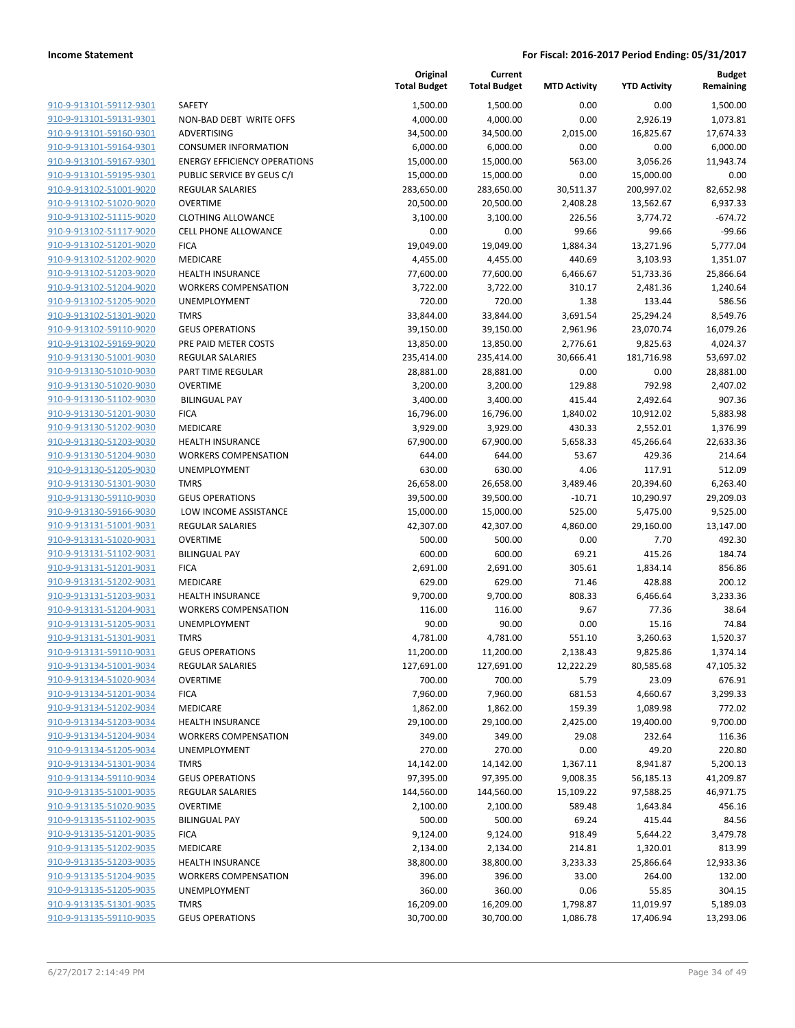|                         |                                     | Original<br><b>Total Budget</b> | Current<br><b>Total Budget</b> | <b>MTD Activity</b> | <b>YTD Activity</b> | Budget<br>Remaining |
|-------------------------|-------------------------------------|---------------------------------|--------------------------------|---------------------|---------------------|---------------------|
| 910-9-913101-59112-9301 | <b>SAFETY</b>                       | 1,500.00                        | 1,500.00                       | 0.00                | 0.00                | 1,500.00            |
| 910-9-913101-59131-9301 | NON-BAD DEBT WRITE OFFS             | 4,000.00                        | 4,000.00                       | 0.00                | 2,926.19            | 1,073.81            |
| 910-9-913101-59160-9301 | ADVERTISING                         | 34,500.00                       | 34,500.00                      | 2,015.00            | 16,825.67           | 17,674.33           |
| 910-9-913101-59164-9301 | <b>CONSUMER INFORMATION</b>         | 6,000.00                        | 6,000.00                       | 0.00                | 0.00                | 6,000.00            |
| 910-9-913101-59167-9301 | <b>ENERGY EFFICIENCY OPERATIONS</b> | 15,000.00                       | 15,000.00                      | 563.00              | 3,056.26            | 11,943.74           |
| 910-9-913101-59195-9301 | PUBLIC SERVICE BY GEUS C/I          | 15,000.00                       | 15,000.00                      | 0.00                | 15,000.00           | 0.00                |
| 910-9-913102-51001-9020 | <b>REGULAR SALARIES</b>             | 283,650.00                      | 283,650.00                     | 30,511.37           | 200,997.02          | 82,652.98           |
| 910-9-913102-51020-9020 | <b>OVERTIME</b>                     | 20,500.00                       | 20,500.00                      | 2,408.28            | 13,562.67           | 6,937.33            |
| 910-9-913102-51115-9020 | <b>CLOTHING ALLOWANCE</b>           | 3,100.00                        | 3,100.00                       | 226.56              | 3,774.72            | $-674.72$           |
| 910-9-913102-51117-9020 | <b>CELL PHONE ALLOWANCE</b>         | 0.00                            | 0.00                           | 99.66               | 99.66               | $-99.66$            |
| 910-9-913102-51201-9020 | <b>FICA</b>                         | 19,049.00                       | 19,049.00                      | 1,884.34            | 13,271.96           | 5,777.04            |
| 910-9-913102-51202-9020 | MEDICARE                            | 4,455.00                        | 4,455.00                       | 440.69              | 3,103.93            | 1,351.07            |
| 910-9-913102-51203-9020 | <b>HEALTH INSURANCE</b>             | 77,600.00                       | 77,600.00                      | 6,466.67            | 51,733.36           | 25,866.64           |
| 910-9-913102-51204-9020 | <b>WORKERS COMPENSATION</b>         | 3,722.00                        | 3,722.00                       | 310.17              | 2,481.36            | 1,240.64            |
| 910-9-913102-51205-9020 | UNEMPLOYMENT                        | 720.00                          | 720.00                         | 1.38                | 133.44              | 586.56              |
| 910-9-913102-51301-9020 | <b>TMRS</b>                         | 33,844.00                       | 33,844.00                      | 3,691.54            | 25,294.24           | 8,549.76            |
| 910-9-913102-59110-9020 | <b>GEUS OPERATIONS</b>              | 39,150.00                       | 39,150.00                      | 2,961.96            | 23,070.74           | 16,079.26           |
| 910-9-913102-59169-9020 | PRE PAID METER COSTS                | 13,850.00                       | 13,850.00                      | 2,776.61            | 9,825.63            | 4,024.37            |
| 910-9-913130-51001-9030 | <b>REGULAR SALARIES</b>             | 235,414.00                      | 235,414.00                     | 30,666.41           | 181,716.98          | 53,697.02           |
| 910-9-913130-51010-9030 | PART TIME REGULAR                   | 28,881.00                       | 28,881.00                      | 0.00                | 0.00                | 28,881.00           |
| 910-9-913130-51020-9030 | <b>OVERTIME</b>                     | 3,200.00                        | 3,200.00                       | 129.88              | 792.98              | 2,407.02            |
| 910-9-913130-51102-9030 | <b>BILINGUAL PAY</b>                | 3,400.00                        | 3,400.00                       | 415.44              | 2,492.64            | 907.36              |
| 910-9-913130-51201-9030 | <b>FICA</b>                         | 16,796.00                       | 16,796.00                      | 1,840.02            | 10,912.02           | 5,883.98            |
| 910-9-913130-51202-9030 | MEDICARE                            | 3,929.00                        | 3,929.00                       | 430.33              | 2,552.01            | 1,376.99            |
| 910-9-913130-51203-9030 | <b>HEALTH INSURANCE</b>             | 67,900.00                       | 67,900.00                      | 5,658.33            | 45,266.64           | 22,633.36           |
| 910-9-913130-51204-9030 | <b>WORKERS COMPENSATION</b>         | 644.00                          | 644.00                         | 53.67               | 429.36              | 214.64              |
| 910-9-913130-51205-9030 | UNEMPLOYMENT                        | 630.00                          | 630.00                         | 4.06                | 117.91              | 512.09              |
| 910-9-913130-51301-9030 | <b>TMRS</b>                         | 26,658.00                       | 26,658.00                      | 3,489.46            | 20,394.60           | 6,263.40            |
| 910-9-913130-59110-9030 | <b>GEUS OPERATIONS</b>              | 39,500.00                       | 39,500.00                      | $-10.71$            | 10,290.97           | 29,209.03           |
| 910-9-913130-59166-9030 | LOW INCOME ASSISTANCE               | 15,000.00                       | 15,000.00                      | 525.00              | 5,475.00            | 9,525.00            |
| 910-9-913131-51001-9031 | <b>REGULAR SALARIES</b>             | 42,307.00                       | 42,307.00                      | 4,860.00            | 29,160.00           | 13,147.00           |
| 910-9-913131-51020-9031 | <b>OVERTIME</b>                     | 500.00                          | 500.00                         | 0.00                | 7.70                | 492.30              |
| 910-9-913131-51102-9031 | <b>BILINGUAL PAY</b>                | 600.00                          | 600.00                         | 69.21               | 415.26              | 184.74              |
| 910-9-913131-51201-9031 | <b>FICA</b>                         | 2,691.00                        | 2,691.00                       | 305.61              | 1,834.14            | 856.86              |
| 910-9-913131-51202-9031 | MEDICARE                            | 629.00                          | 629.00                         | 71.46               | 428.88              | 200.12              |
| 910-9-913131-51203-9031 | <b>HEALTH INSURANCE</b>             | 9,700.00                        | 9,700.00                       | 808.33              | 6,466.64            | 3,233.36            |
| 910-9-913131-51204-9031 | <b>WORKERS COMPENSATION</b>         | 116.00                          | 116.00                         | 9.67                | 77.36               | 38.64               |
| 910-9-913131-51205-9031 | UNEMPLOYMENT                        | 90.00                           | 90.00                          | 0.00                | 15.16               | 74.84               |
| 910-9-913131-51301-9031 | <b>TMRS</b>                         | 4,781.00                        | 4,781.00                       | 551.10              | 3,260.63            | 1,520.37            |
| 910-9-913131-59110-9031 | <b>GEUS OPERATIONS</b>              | 11,200.00                       | 11,200.00                      | 2,138.43            | 9,825.86            | 1,374.14            |
| 910-9-913134-51001-9034 | REGULAR SALARIES                    | 127,691.00                      | 127,691.00                     | 12,222.29           | 80,585.68           | 47,105.32           |
| 910-9-913134-51020-9034 | <b>OVERTIME</b>                     | 700.00                          | 700.00                         | 5.79                | 23.09               | 676.91              |
| 910-9-913134-51201-9034 | <b>FICA</b>                         | 7,960.00                        | 7,960.00                       | 681.53              | 4,660.67            | 3,299.33            |
| 910-9-913134-51202-9034 | MEDICARE                            | 1,862.00                        | 1,862.00                       | 159.39              | 1,089.98            | 772.02              |
| 910-9-913134-51203-9034 | <b>HEALTH INSURANCE</b>             | 29,100.00                       | 29,100.00                      | 2,425.00            | 19,400.00           | 9,700.00            |
| 910-9-913134-51204-9034 | <b>WORKERS COMPENSATION</b>         | 349.00                          | 349.00                         | 29.08               | 232.64              | 116.36              |
| 910-9-913134-51205-9034 | <b>UNEMPLOYMENT</b>                 | 270.00                          | 270.00                         | 0.00                | 49.20               | 220.80              |
| 910-9-913134-51301-9034 | <b>TMRS</b>                         | 14,142.00                       | 14,142.00                      | 1,367.11            | 8,941.87            | 5,200.13            |
| 910-9-913134-59110-9034 | <b>GEUS OPERATIONS</b>              | 97,395.00                       | 97,395.00                      | 9,008.35            | 56,185.13           | 41,209.87           |
| 910-9-913135-51001-9035 | REGULAR SALARIES                    | 144,560.00                      | 144,560.00                     | 15,109.22           | 97,588.25           | 46,971.75           |
| 910-9-913135-51020-9035 | <b>OVERTIME</b>                     | 2,100.00                        | 2,100.00                       | 589.48              | 1,643.84            | 456.16              |
| 910-9-913135-51102-9035 | <b>BILINGUAL PAY</b>                | 500.00                          | 500.00                         | 69.24               | 415.44              | 84.56               |
| 910-9-913135-51201-9035 | <b>FICA</b>                         | 9,124.00                        | 9,124.00                       | 918.49              | 5,644.22            | 3,479.78            |
| 910-9-913135-51202-9035 | MEDICARE                            | 2,134.00                        | 2,134.00                       | 214.81              | 1,320.01            | 813.99              |
| 910-9-913135-51203-9035 | <b>HEALTH INSURANCE</b>             | 38,800.00                       | 38,800.00                      | 3,233.33            | 25,866.64           | 12,933.36           |
| 910-9-913135-51204-9035 | <b>WORKERS COMPENSATION</b>         | 396.00                          | 396.00                         | 33.00               | 264.00              | 132.00              |
| 910-9-913135-51205-9035 | UNEMPLOYMENT                        | 360.00                          | 360.00                         | 0.06                | 55.85               | 304.15              |
| 910-9-913135-51301-9035 | <b>TMRS</b>                         | 16,209.00                       | 16,209.00                      | 1,798.87            | 11,019.97           | 5,189.03            |
| 910-9-913135-59110-9035 | <b>GEUS OPERATIONS</b>              | 30,700.00                       | 30,700.00                      | 1,086.78            | 17,406.94           | 13,293.06           |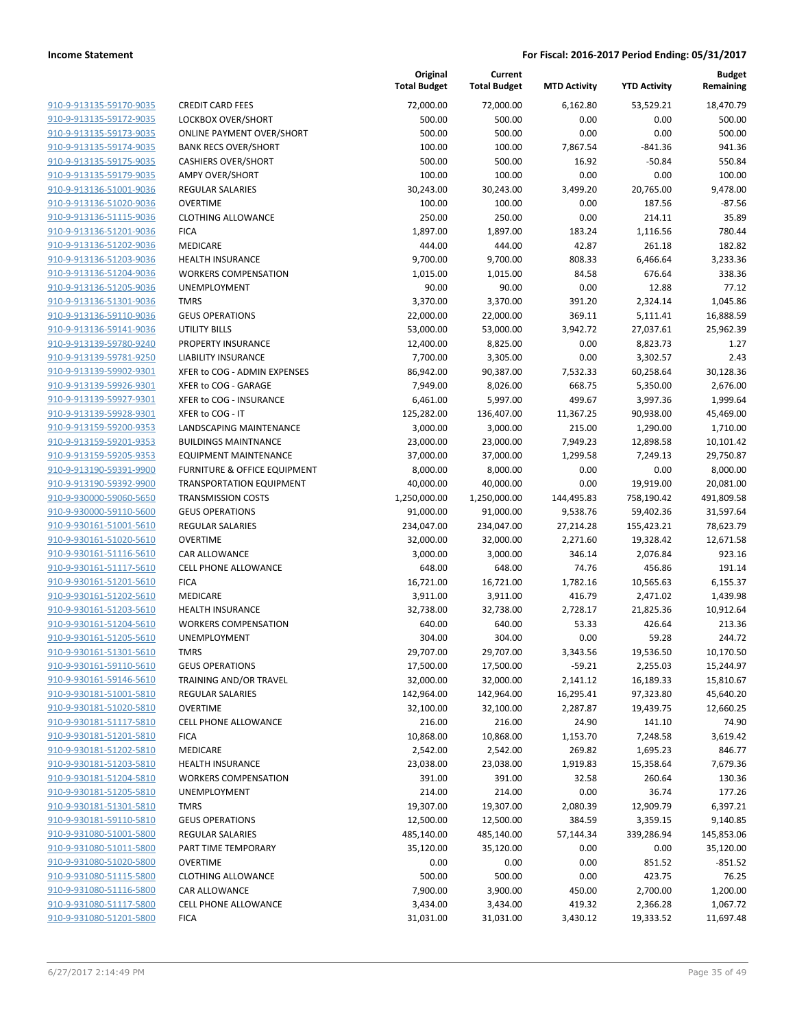|                                                    |                                                  | Original<br><b>Total Budget</b> | Current<br><b>Total Budget</b> | <b>MTD Activity</b>   | <b>YTD Activity</b>    | Budget<br>Remaining    |
|----------------------------------------------------|--------------------------------------------------|---------------------------------|--------------------------------|-----------------------|------------------------|------------------------|
| 910-9-913135-59170-9035                            | <b>CREDIT CARD FEES</b>                          | 72,000.00                       | 72,000.00                      | 6,162.80              | 53,529.21              | 18,470.79              |
| 910-9-913135-59172-9035                            | LOCKBOX OVER/SHORT                               | 500.00                          | 500.00                         | 0.00                  | 0.00                   | 500.00                 |
| 910-9-913135-59173-9035                            | <b>ONLINE PAYMENT OVER/SHORT</b>                 | 500.00                          | 500.00                         | 0.00                  | 0.00                   | 500.00                 |
| 910-9-913135-59174-9035                            | <b>BANK RECS OVER/SHORT</b>                      | 100.00                          | 100.00                         | 7,867.54              | $-841.36$              | 941.36                 |
| 910-9-913135-59175-9035                            | <b>CASHIERS OVER/SHORT</b>                       | 500.00                          | 500.00                         | 16.92                 | $-50.84$               | 550.84                 |
| 910-9-913135-59179-9035                            | <b>AMPY OVER/SHORT</b>                           | 100.00                          | 100.00                         | 0.00                  | 0.00                   | 100.00                 |
| 910-9-913136-51001-9036                            | <b>REGULAR SALARIES</b>                          | 30,243.00                       | 30,243.00                      | 3,499.20              | 20,765.00              | 9,478.00               |
| 910-9-913136-51020-9036                            | <b>OVERTIME</b>                                  | 100.00                          | 100.00                         | 0.00                  | 187.56                 | $-87.56$               |
| 910-9-913136-51115-9036                            | <b>CLOTHING ALLOWANCE</b>                        | 250.00                          | 250.00                         | 0.00                  | 214.11                 | 35.89                  |
| 910-9-913136-51201-9036                            | <b>FICA</b>                                      | 1,897.00                        | 1,897.00                       | 183.24                | 1,116.56               | 780.44                 |
| 910-9-913136-51202-9036                            | MEDICARE                                         | 444.00                          | 444.00                         | 42.87                 | 261.18                 | 182.82                 |
| 910-9-913136-51203-9036                            | <b>HEALTH INSURANCE</b>                          | 9,700.00                        | 9,700.00                       | 808.33                | 6,466.64               | 3,233.36               |
| 910-9-913136-51204-9036                            | <b>WORKERS COMPENSATION</b>                      | 1,015.00                        | 1,015.00                       | 84.58                 | 676.64                 | 338.36                 |
| 910-9-913136-51205-9036<br>910-9-913136-51301-9036 | UNEMPLOYMENT<br><b>TMRS</b>                      | 90.00<br>3,370.00               | 90.00<br>3,370.00              | 0.00<br>391.20        | 12.88<br>2,324.14      | 77.12<br>1,045.86      |
| 910-9-913136-59110-9036                            | <b>GEUS OPERATIONS</b>                           | 22,000.00                       | 22,000.00                      | 369.11                | 5,111.41               | 16,888.59              |
| 910-9-913136-59141-9036                            | <b>UTILITY BILLS</b>                             | 53,000.00                       | 53,000.00                      | 3,942.72              | 27,037.61              | 25,962.39              |
| 910-9-913139-59780-9240                            | PROPERTY INSURANCE                               | 12,400.00                       | 8,825.00                       | 0.00                  | 8,823.73               | 1.27                   |
| 910-9-913139-59781-9250                            | <b>LIABILITY INSURANCE</b>                       | 7,700.00                        | 3,305.00                       | 0.00                  | 3,302.57               | 2.43                   |
| 910-9-913139-59902-9301                            | XFER to COG - ADMIN EXPENSES                     | 86,942.00                       | 90,387.00                      | 7,532.33              | 60,258.64              | 30,128.36              |
| 910-9-913139-59926-9301                            | XFER to COG - GARAGE                             | 7,949.00                        | 8,026.00                       | 668.75                | 5,350.00               | 2,676.00               |
| 910-9-913139-59927-9301                            | XFER to COG - INSURANCE                          | 6,461.00                        | 5,997.00                       | 499.67                | 3,997.36               | 1,999.64               |
| 910-9-913139-59928-9301                            | XFER to COG - IT                                 | 125,282.00                      | 136,407.00                     | 11,367.25             | 90,938.00              | 45,469.00              |
| 910-9-913159-59200-9353                            | LANDSCAPING MAINTENANCE                          | 3,000.00                        | 3,000.00                       | 215.00                | 1,290.00               | 1,710.00               |
| 910-9-913159-59201-9353                            | <b>BUILDINGS MAINTNANCE</b>                      | 23,000.00                       | 23,000.00                      | 7,949.23              | 12,898.58              | 10,101.42              |
| 910-9-913159-59205-9353                            | <b>EQUIPMENT MAINTENANCE</b>                     | 37,000.00                       | 37,000.00                      | 1,299.58              | 7,249.13               | 29,750.87              |
| 910-9-913190-59391-9900                            | FURNITURE & OFFICE EQUIPMENT                     | 8,000.00                        | 8,000.00                       | 0.00                  | 0.00                   | 8,000.00               |
| 910-9-913190-59392-9900                            | <b>TRANSPORTATION EQUIPMENT</b>                  | 40,000.00                       | 40,000.00                      | 0.00                  | 19,919.00              | 20,081.00              |
| 910-9-930000-59060-5650                            | <b>TRANSMISSION COSTS</b>                        | 1,250,000.00                    | 1,250,000.00                   | 144,495.83            | 758,190.42             | 491,809.58             |
| 910-9-930000-59110-5600                            | <b>GEUS OPERATIONS</b>                           | 91,000.00                       | 91,000.00                      | 9,538.76              | 59,402.36              | 31,597.64              |
| 910-9-930161-51001-5610                            | <b>REGULAR SALARIES</b>                          | 234,047.00                      | 234,047.00                     | 27,214.28             | 155,423.21             | 78,623.79              |
| 910-9-930161-51020-5610                            | <b>OVERTIME</b>                                  | 32,000.00                       | 32,000.00                      | 2,271.60              | 19,328.42              | 12,671.58              |
| 910-9-930161-51116-5610                            | CAR ALLOWANCE                                    | 3,000.00                        | 3,000.00                       | 346.14                | 2,076.84               | 923.16                 |
| 910-9-930161-51117-5610                            | <b>CELL PHONE ALLOWANCE</b>                      | 648.00                          | 648.00                         | 74.76                 | 456.86                 | 191.14                 |
| 910-9-930161-51201-5610                            | <b>FICA</b>                                      | 16,721.00                       | 16,721.00                      | 1,782.16              | 10,565.63              | 6,155.37               |
| 910-9-930161-51202-5610                            | MEDICARE                                         | 3,911.00                        | 3,911.00                       | 416.79                | 2,471.02               | 1,439.98               |
| 910-9-930161-51203-5610                            | <b>HEALTH INSURANCE</b>                          | 32,738.00                       | 32,738.00                      | 2,728.17              | 21,825.36              | 10,912.64              |
| 910-9-930161-51204-5610                            | <b>WORKERS COMPENSATION</b>                      | 640.00                          | 640.00                         | 53.33                 | 426.64                 | 213.36                 |
| 910-9-930161-51205-5610                            | UNEMPLOYMENT                                     | 304.00                          | 304.00                         | 0.00                  | 59.28                  | 244.72                 |
| 910-9-930161-51301-5610<br>910-9-930161-59110-5610 | TMRS                                             | 29,707.00                       | 29,707.00                      | 3,343.56              | 19,536.50              | 10,170.50              |
| 910-9-930161-59146-5610                            | <b>GEUS OPERATIONS</b><br>TRAINING AND/OR TRAVEL | 17,500.00<br>32,000.00          | 17,500.00                      | $-59.21$              | 2,255.03               | 15,244.97<br>15,810.67 |
| 910-9-930181-51001-5810                            | REGULAR SALARIES                                 | 142,964.00                      | 32,000.00<br>142,964.00        | 2,141.12<br>16,295.41 | 16,189.33<br>97,323.80 | 45,640.20              |
| 910-9-930181-51020-5810                            | <b>OVERTIME</b>                                  | 32,100.00                       | 32,100.00                      | 2,287.87              | 19,439.75              | 12,660.25              |
| 910-9-930181-51117-5810                            | CELL PHONE ALLOWANCE                             | 216.00                          | 216.00                         | 24.90                 | 141.10                 | 74.90                  |
| 910-9-930181-51201-5810                            | <b>FICA</b>                                      | 10,868.00                       | 10,868.00                      | 1,153.70              | 7,248.58               | 3,619.42               |
| 910-9-930181-51202-5810                            | MEDICARE                                         | 2,542.00                        | 2,542.00                       | 269.82                | 1,695.23               | 846.77                 |
| 910-9-930181-51203-5810                            | <b>HEALTH INSURANCE</b>                          | 23,038.00                       | 23,038.00                      | 1,919.83              | 15,358.64              | 7,679.36               |
| 910-9-930181-51204-5810                            | <b>WORKERS COMPENSATION</b>                      | 391.00                          | 391.00                         | 32.58                 | 260.64                 | 130.36                 |
| 910-9-930181-51205-5810                            | <b>UNEMPLOYMENT</b>                              | 214.00                          | 214.00                         | 0.00                  | 36.74                  | 177.26                 |
| 910-9-930181-51301-5810                            | <b>TMRS</b>                                      | 19,307.00                       | 19,307.00                      | 2,080.39              | 12,909.79              | 6,397.21               |
| 910-9-930181-59110-5810                            | <b>GEUS OPERATIONS</b>                           | 12,500.00                       | 12,500.00                      | 384.59                | 3,359.15               | 9,140.85               |
| 910-9-931080-51001-5800                            | REGULAR SALARIES                                 | 485,140.00                      | 485,140.00                     | 57,144.34             | 339,286.94             | 145,853.06             |
| 910-9-931080-51011-5800                            | PART TIME TEMPORARY                              | 35,120.00                       | 35,120.00                      | 0.00                  | 0.00                   | 35,120.00              |
| 910-9-931080-51020-5800                            | <b>OVERTIME</b>                                  | 0.00                            | 0.00                           | 0.00                  | 851.52                 | $-851.52$              |
| 910-9-931080-51115-5800                            | <b>CLOTHING ALLOWANCE</b>                        | 500.00                          | 500.00                         | 0.00                  | 423.75                 | 76.25                  |
| 910-9-931080-51116-5800                            | CAR ALLOWANCE                                    | 7,900.00                        | 3,900.00                       | 450.00                | 2,700.00               | 1,200.00               |
| 910-9-931080-51117-5800                            | CELL PHONE ALLOWANCE                             | 3,434.00                        | 3,434.00                       | 419.32                | 2,366.28               | 1,067.72               |
| 910-9-931080-51201-5800                            | <b>FICA</b>                                      | 31,031.00                       | 31,031.00                      | 3,430.12              | 19,333.52              | 11,697.48              |
|                                                    |                                                  |                                 |                                |                       |                        |                        |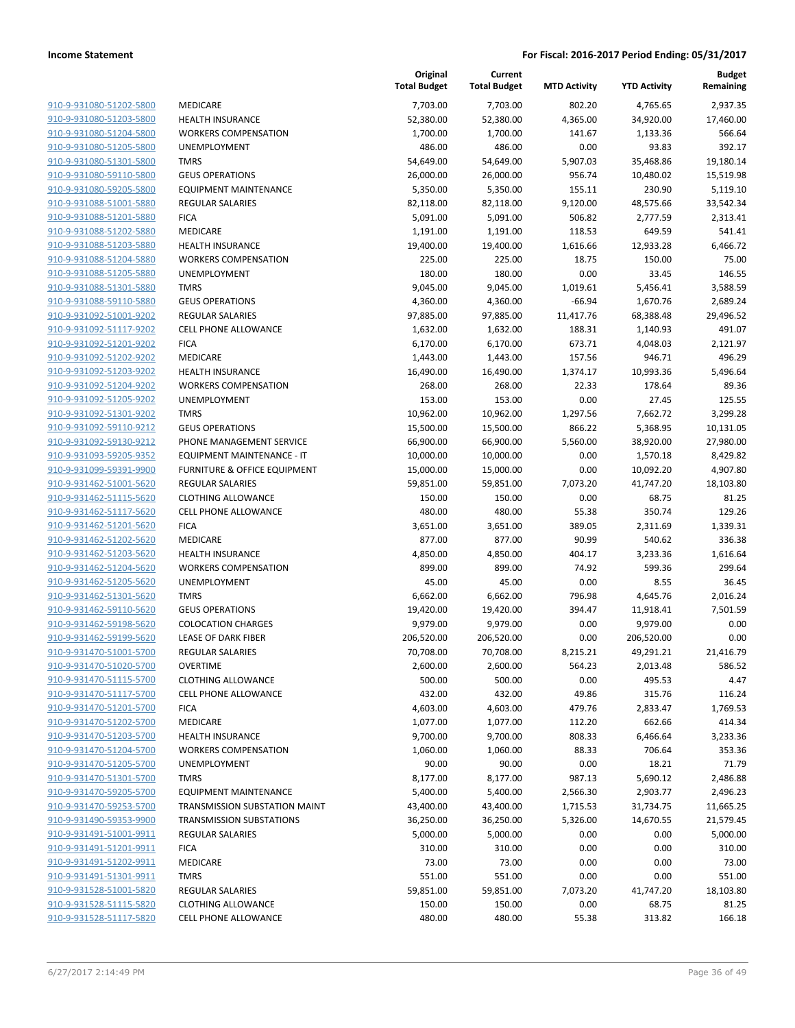|                                                    |                                                        | Original<br><b>Total Budget</b> | Current<br><b>Total Budget</b> | <b>MTD Activity</b> | <b>YTD Activity</b> | <b>Budget</b><br>Remaining |
|----------------------------------------------------|--------------------------------------------------------|---------------------------------|--------------------------------|---------------------|---------------------|----------------------------|
| 910-9-931080-51202-5800                            | MEDICARE                                               | 7,703.00                        | 7,703.00                       | 802.20              | 4,765.65            | 2,937.35                   |
| 910-9-931080-51203-5800                            | <b>HEALTH INSURANCE</b>                                | 52,380.00                       | 52,380.00                      | 4,365.00            | 34,920.00           | 17,460.00                  |
| 910-9-931080-51204-5800                            | <b>WORKERS COMPENSATION</b>                            | 1,700.00                        | 1,700.00                       | 141.67              | 1,133.36            | 566.64                     |
| 910-9-931080-51205-5800                            | UNEMPLOYMENT                                           | 486.00                          | 486.00                         | 0.00                | 93.83               | 392.17                     |
| 910-9-931080-51301-5800                            | <b>TMRS</b>                                            | 54,649.00                       | 54,649.00                      | 5,907.03            | 35,468.86           | 19,180.14                  |
| 910-9-931080-59110-5800                            | <b>GEUS OPERATIONS</b>                                 | 26,000.00                       | 26,000.00                      | 956.74              | 10,480.02           | 15,519.98                  |
| 910-9-931080-59205-5800                            | <b>EQUIPMENT MAINTENANCE</b>                           | 5,350.00                        | 5,350.00                       | 155.11              | 230.90              | 5,119.10                   |
| 910-9-931088-51001-5880                            | <b>REGULAR SALARIES</b>                                | 82,118.00                       | 82,118.00                      | 9,120.00            | 48,575.66           | 33,542.34                  |
| 910-9-931088-51201-5880                            | <b>FICA</b>                                            | 5,091.00                        | 5,091.00                       | 506.82              | 2,777.59            | 2,313.41                   |
| 910-9-931088-51202-5880                            | MEDICARE                                               | 1,191.00                        | 1,191.00                       | 118.53              | 649.59              | 541.41                     |
| 910-9-931088-51203-5880                            | <b>HEALTH INSURANCE</b>                                | 19,400.00                       | 19,400.00                      | 1,616.66            | 12,933.28           | 6,466.72                   |
| 910-9-931088-51204-5880                            | <b>WORKERS COMPENSATION</b>                            | 225.00                          | 225.00                         | 18.75               | 150.00              | 75.00                      |
| 910-9-931088-51205-5880                            | UNEMPLOYMENT                                           | 180.00                          | 180.00                         | 0.00                | 33.45               | 146.55                     |
| 910-9-931088-51301-5880                            | <b>TMRS</b>                                            | 9,045.00                        | 9,045.00                       | 1,019.61            | 5,456.41            | 3,588.59                   |
| 910-9-931088-59110-5880                            | <b>GEUS OPERATIONS</b>                                 | 4,360.00                        | 4,360.00                       | $-66.94$            | 1,670.76            | 2,689.24                   |
| 910-9-931092-51001-9202                            | <b>REGULAR SALARIES</b>                                | 97,885.00                       | 97,885.00                      | 11,417.76           | 68,388.48           | 29,496.52                  |
| 910-9-931092-51117-9202                            | <b>CELL PHONE ALLOWANCE</b>                            | 1,632.00                        | 1,632.00                       | 188.31              | 1,140.93            | 491.07                     |
| 910-9-931092-51201-9202                            | <b>FICA</b>                                            | 6,170.00                        | 6,170.00                       | 673.71              | 4,048.03            | 2,121.97                   |
| 910-9-931092-51202-9202<br>910-9-931092-51203-9202 | MEDICARE                                               | 1,443.00                        | 1,443.00                       | 157.56              | 946.71<br>10,993.36 | 496.29                     |
| 910-9-931092-51204-9202                            | <b>HEALTH INSURANCE</b><br><b>WORKERS COMPENSATION</b> | 16,490.00                       | 16,490.00                      | 1,374.17            |                     | 5,496.64<br>89.36          |
| 910-9-931092-51205-9202                            | UNEMPLOYMENT                                           | 268.00<br>153.00                | 268.00<br>153.00               | 22.33<br>0.00       | 178.64<br>27.45     | 125.55                     |
| 910-9-931092-51301-9202                            | <b>TMRS</b>                                            | 10,962.00                       | 10,962.00                      | 1,297.56            | 7,662.72            | 3,299.28                   |
| 910-9-931092-59110-9212                            | <b>GEUS OPERATIONS</b>                                 | 15,500.00                       | 15,500.00                      | 866.22              | 5,368.95            | 10,131.05                  |
| 910-9-931092-59130-9212                            | PHONE MANAGEMENT SERVICE                               | 66,900.00                       | 66,900.00                      | 5,560.00            | 38,920.00           | 27,980.00                  |
| 910-9-931093-59205-9352                            | EQUIPMENT MAINTENANCE - IT                             | 10,000.00                       | 10,000.00                      | 0.00                | 1,570.18            | 8,429.82                   |
| 910-9-931099-59391-9900                            | FURNITURE & OFFICE EQUIPMENT                           | 15,000.00                       | 15,000.00                      | 0.00                | 10,092.20           | 4,907.80                   |
| 910-9-931462-51001-5620                            | <b>REGULAR SALARIES</b>                                | 59,851.00                       | 59,851.00                      | 7,073.20            | 41,747.20           | 18,103.80                  |
| 910-9-931462-51115-5620                            | <b>CLOTHING ALLOWANCE</b>                              | 150.00                          | 150.00                         | 0.00                | 68.75               | 81.25                      |
| 910-9-931462-51117-5620                            | <b>CELL PHONE ALLOWANCE</b>                            | 480.00                          | 480.00                         | 55.38               | 350.74              | 129.26                     |
| 910-9-931462-51201-5620                            | <b>FICA</b>                                            | 3,651.00                        | 3,651.00                       | 389.05              | 2,311.69            | 1,339.31                   |
| 910-9-931462-51202-5620                            | MEDICARE                                               | 877.00                          | 877.00                         | 90.99               | 540.62              | 336.38                     |
| 910-9-931462-51203-5620                            | <b>HEALTH INSURANCE</b>                                | 4,850.00                        | 4,850.00                       | 404.17              | 3,233.36            | 1,616.64                   |
| 910-9-931462-51204-5620                            | <b>WORKERS COMPENSATION</b>                            | 899.00                          | 899.00                         | 74.92               | 599.36              | 299.64                     |
| 910-9-931462-51205-5620                            | UNEMPLOYMENT                                           | 45.00                           | 45.00                          | 0.00                | 8.55                | 36.45                      |
| 910-9-931462-51301-5620                            | <b>TMRS</b>                                            | 6,662.00                        | 6,662.00                       | 796.98              | 4,645.76            | 2,016.24                   |
| 910-9-931462-59110-5620                            | <b>GEUS OPERATIONS</b>                                 | 19,420.00                       | 19,420.00                      | 394.47              | 11,918.41           | 7,501.59                   |
| 910-9-931462-59198-5620                            | <b>COLOCATION CHARGES</b>                              | 9,979.00                        | 9,979.00                       | 0.00                | 9,979.00            | 0.00                       |
| 910-9-931462-59199-5620                            | <b>LEASE OF DARK FIBER</b>                             | 206,520.00                      | 206,520.00                     | 0.00                | 206,520.00          | 0.00                       |
| 910-9-931470-51001-5700                            | <b>REGULAR SALARIES</b>                                | 70,708.00                       | 70,708.00                      | 8,215.21            | 49,291.21           | 21,416.79                  |
| 910-9-931470-51020-5700                            | <b>OVERTIME</b>                                        | 2,600.00                        | 2,600.00                       | 564.23              | 2,013.48            | 586.52                     |
| 910-9-931470-51115-5700                            | <b>CLOTHING ALLOWANCE</b>                              | 500.00                          | 500.00                         | 0.00                | 495.53              | 4.47                       |
| 910-9-931470-51117-5700                            | <b>CELL PHONE ALLOWANCE</b>                            | 432.00                          | 432.00                         | 49.86               | 315.76              | 116.24                     |
| 910-9-931470-51201-5700                            | <b>FICA</b>                                            | 4,603.00                        | 4,603.00                       | 479.76              | 2,833.47            | 1,769.53                   |
| 910-9-931470-51202-5700                            | MEDICARE                                               | 1,077.00                        | 1,077.00                       | 112.20              | 662.66              | 414.34                     |
| 910-9-931470-51203-5700                            | HEALTH INSURANCE                                       | 9,700.00                        | 9,700.00                       | 808.33              | 6,466.64            | 3,233.36                   |
| 910-9-931470-51204-5700                            | <b>WORKERS COMPENSATION</b>                            | 1,060.00                        | 1,060.00                       | 88.33               | 706.64              | 353.36                     |
| 910-9-931470-51205-5700                            | UNEMPLOYMENT                                           | 90.00                           | 90.00                          | 0.00                | 18.21               | 71.79                      |
| 910-9-931470-51301-5700                            | <b>TMRS</b>                                            | 8,177.00                        | 8,177.00                       | 987.13              | 5,690.12            | 2,486.88                   |
| 910-9-931470-59205-5700                            | <b>EQUIPMENT MAINTENANCE</b>                           | 5,400.00                        | 5,400.00                       | 2,566.30            | 2,903.77            | 2,496.23                   |
| 910-9-931470-59253-5700                            | TRANSMISSION SUBSTATION MAINT                          | 43,400.00                       | 43,400.00                      | 1,715.53            | 31,734.75           | 11,665.25                  |
| 910-9-931490-59353-9900                            | <b>TRANSMISSION SUBSTATIONS</b>                        | 36,250.00                       | 36,250.00                      | 5,326.00            | 14,670.55           | 21,579.45                  |
| 910-9-931491-51001-9911                            | REGULAR SALARIES                                       | 5,000.00                        | 5,000.00                       | 0.00                | 0.00                | 5,000.00                   |
| 910-9-931491-51201-9911                            | <b>FICA</b>                                            | 310.00                          | 310.00                         | 0.00                | 0.00                | 310.00                     |
| 910-9-931491-51202-9911                            | MEDICARE                                               | 73.00                           | 73.00                          | 0.00                | 0.00                | 73.00                      |
| 910-9-931491-51301-9911                            | <b>TMRS</b>                                            | 551.00                          | 551.00                         | 0.00                | 0.00                | 551.00                     |
| 910-9-931528-51001-5820                            | REGULAR SALARIES                                       | 59,851.00                       | 59,851.00                      | 7,073.20            | 41,747.20           | 18,103.80                  |
| 910-9-931528-51115-5820                            | <b>CLOTHING ALLOWANCE</b>                              | 150.00                          | 150.00                         | 0.00                | 68.75               | 81.25                      |
| 910-9-931528-51117-5820                            | <b>CELL PHONE ALLOWANCE</b>                            | 480.00                          | 480.00                         | 55.38               | 313.82              | 166.18                     |
|                                                    |                                                        |                                 |                                |                     |                     |                            |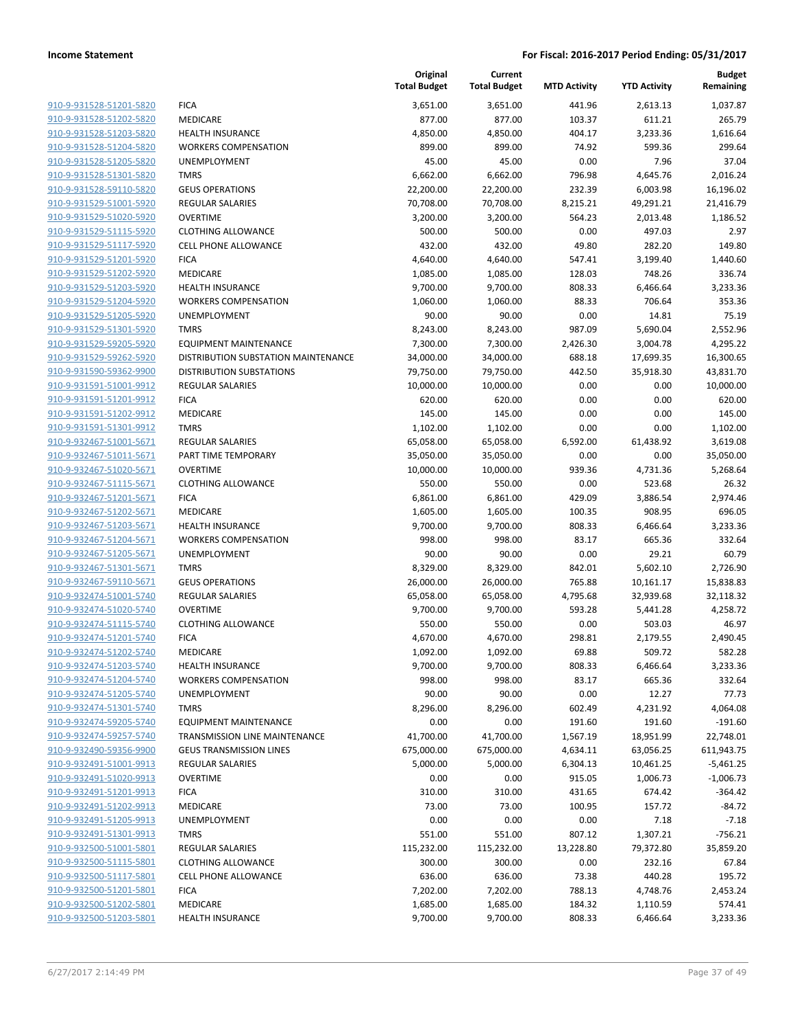|                         |                                      | Original<br><b>Total Budget</b> | Current<br><b>Total Budget</b> | <b>MTD Activity</b> | <b>YTD Activity</b> | <b>Budget</b><br>Remaining |
|-------------------------|--------------------------------------|---------------------------------|--------------------------------|---------------------|---------------------|----------------------------|
| 910-9-931528-51201-5820 | <b>FICA</b>                          | 3,651.00                        | 3,651.00                       | 441.96              | 2,613.13            | 1,037.87                   |
| 910-9-931528-51202-5820 | MEDICARE                             | 877.00                          | 877.00                         | 103.37              | 611.21              | 265.79                     |
| 910-9-931528-51203-5820 | <b>HEALTH INSURANCE</b>              | 4,850.00                        | 4,850.00                       | 404.17              | 3,233.36            | 1,616.64                   |
| 910-9-931528-51204-5820 | <b>WORKERS COMPENSATION</b>          | 899.00                          | 899.00                         | 74.92               | 599.36              | 299.64                     |
| 910-9-931528-51205-5820 | UNEMPLOYMENT                         | 45.00                           | 45.00                          | 0.00                | 7.96                | 37.04                      |
| 910-9-931528-51301-5820 | <b>TMRS</b>                          | 6,662.00                        | 6,662.00                       | 796.98              | 4,645.76            | 2,016.24                   |
| 910-9-931528-59110-5820 | <b>GEUS OPERATIONS</b>               | 22,200.00                       | 22,200.00                      | 232.39              | 6,003.98            | 16,196.02                  |
| 910-9-931529-51001-5920 | <b>REGULAR SALARIES</b>              | 70,708.00                       | 70,708.00                      | 8,215.21            | 49,291.21           | 21,416.79                  |
| 910-9-931529-51020-5920 | <b>OVERTIME</b>                      | 3,200.00                        | 3,200.00                       | 564.23              | 2,013.48            | 1,186.52                   |
| 910-9-931529-51115-5920 | <b>CLOTHING ALLOWANCE</b>            | 500.00                          | 500.00                         | 0.00                | 497.03              | 2.97                       |
| 910-9-931529-51117-5920 | <b>CELL PHONE ALLOWANCE</b>          | 432.00                          | 432.00                         | 49.80               | 282.20              | 149.80                     |
| 910-9-931529-51201-5920 | <b>FICA</b>                          | 4,640.00                        | 4,640.00                       | 547.41              | 3,199.40            | 1,440.60                   |
| 910-9-931529-51202-5920 | MEDICARE                             | 1,085.00                        | 1,085.00                       | 128.03              | 748.26              | 336.74                     |
| 910-9-931529-51203-5920 | <b>HEALTH INSURANCE</b>              | 9,700.00                        | 9,700.00                       | 808.33              | 6,466.64            | 3,233.36                   |
| 910-9-931529-51204-5920 | <b>WORKERS COMPENSATION</b>          | 1,060.00                        | 1,060.00                       | 88.33               | 706.64              | 353.36                     |
| 910-9-931529-51205-5920 | UNEMPLOYMENT                         | 90.00                           | 90.00                          | 0.00                | 14.81               | 75.19                      |
| 910-9-931529-51301-5920 | <b>TMRS</b>                          | 8,243.00                        | 8,243.00                       | 987.09              | 5,690.04            | 2,552.96                   |
| 910-9-931529-59205-5920 | <b>EQUIPMENT MAINTENANCE</b>         | 7,300.00                        | 7,300.00                       | 2,426.30            | 3,004.78            | 4,295.22                   |
| 910-9-931529-59262-5920 | DISTRIBUTION SUBSTATION MAINTENANCE  | 34,000.00                       | 34,000.00                      | 688.18              | 17,699.35           | 16,300.65                  |
| 910-9-931590-59362-9900 | <b>DISTRIBUTION SUBSTATIONS</b>      | 79,750.00                       | 79,750.00                      | 442.50              | 35,918.30           | 43,831.70                  |
| 910-9-931591-51001-9912 | <b>REGULAR SALARIES</b>              | 10,000.00                       | 10,000.00                      | 0.00                | 0.00                | 10,000.00                  |
| 910-9-931591-51201-9912 | <b>FICA</b>                          | 620.00                          | 620.00                         | 0.00                | 0.00                | 620.00                     |
| 910-9-931591-51202-9912 | MEDICARE                             | 145.00                          | 145.00                         | 0.00                | 0.00                | 145.00                     |
| 910-9-931591-51301-9912 | <b>TMRS</b>                          | 1,102.00                        | 1,102.00                       | 0.00                | 0.00                | 1,102.00                   |
| 910-9-932467-51001-5671 | <b>REGULAR SALARIES</b>              | 65,058.00                       | 65,058.00                      | 6,592.00            | 61,438.92           | 3,619.08                   |
| 910-9-932467-51011-5671 | PART TIME TEMPORARY                  | 35,050.00                       | 35,050.00                      | 0.00                | 0.00                | 35,050.00                  |
| 910-9-932467-51020-5671 | <b>OVERTIME</b>                      | 10,000.00                       | 10,000.00                      | 939.36              | 4,731.36            | 5,268.64                   |
| 910-9-932467-51115-5671 | <b>CLOTHING ALLOWANCE</b>            | 550.00                          | 550.00                         | 0.00                | 523.68              | 26.32                      |
| 910-9-932467-51201-5671 | <b>FICA</b>                          | 6,861.00                        | 6,861.00                       | 429.09              | 3,886.54            | 2,974.46                   |
| 910-9-932467-51202-5671 | MEDICARE                             | 1,605.00                        | 1,605.00                       | 100.35              | 908.95              | 696.05                     |
| 910-9-932467-51203-5671 | <b>HEALTH INSURANCE</b>              | 9,700.00                        | 9,700.00                       | 808.33              | 6,466.64            | 3,233.36                   |
| 910-9-932467-51204-5671 | <b>WORKERS COMPENSATION</b>          | 998.00                          | 998.00                         | 83.17               | 665.36              | 332.64                     |
| 910-9-932467-51205-5671 | UNEMPLOYMENT                         | 90.00                           | 90.00                          | 0.00                | 29.21               | 60.79                      |
| 910-9-932467-51301-5671 | <b>TMRS</b>                          | 8,329.00                        | 8,329.00                       | 842.01              | 5,602.10            | 2,726.90                   |
| 910-9-932467-59110-5671 | <b>GEUS OPERATIONS</b>               | 26,000.00                       | 26,000.00                      | 765.88              | 10,161.17           | 15,838.83                  |
| 910-9-932474-51001-5740 | <b>REGULAR SALARIES</b>              | 65,058.00                       | 65,058.00                      | 4,795.68            | 32,939.68           | 32,118.32                  |
| 910-9-932474-51020-5740 | <b>OVERTIME</b>                      | 9,700.00                        | 9,700.00                       | 593.28              | 5,441.28            | 4,258.72                   |
| 910-9-932474-51115-5740 | <b>CLOTHING ALLOWANCE</b>            | 550.00                          | 550.00                         | 0.00                | 503.03              | 46.97                      |
| 910-9-932474-51201-5740 | <b>FICA</b>                          | 4,670.00                        | 4,670.00                       | 298.81              | 2,179.55            | 2,490.45                   |
| 910-9-932474-51202-5740 | MEDICARE                             | 1,092.00                        | 1,092.00                       | 69.88               | 509.72              | 582.28                     |
| 910-9-932474-51203-5740 | HEALTH INSURANCE                     | 9,700.00                        | 9,700.00                       | 808.33              | 6,466.64            | 3,233.36                   |
| 910-9-932474-51204-5740 | <b>WORKERS COMPENSATION</b>          | 998.00                          | 998.00                         | 83.17               | 665.36              | 332.64                     |
| 910-9-932474-51205-5740 | UNEMPLOYMENT                         | 90.00                           | 90.00                          | 0.00                | 12.27               | 77.73                      |
| 910-9-932474-51301-5740 | <b>TMRS</b>                          | 8,296.00                        | 8,296.00                       | 602.49              | 4,231.92            | 4,064.08                   |
| 910-9-932474-59205-5740 | <b>EQUIPMENT MAINTENANCE</b>         | 0.00                            | 0.00                           | 191.60              | 191.60              | $-191.60$                  |
| 910-9-932474-59257-5740 | <b>TRANSMISSION LINE MAINTENANCE</b> | 41,700.00                       | 41,700.00                      | 1,567.19            | 18,951.99           | 22,748.01                  |
| 910-9-932490-59356-9900 | <b>GEUS TRANSMISSION LINES</b>       | 675,000.00                      | 675,000.00                     | 4,634.11            | 63,056.25           | 611,943.75                 |
| 910-9-932491-51001-9913 | <b>REGULAR SALARIES</b>              | 5,000.00                        | 5,000.00                       | 6,304.13            | 10,461.25           | $-5,461.25$                |
| 910-9-932491-51020-9913 | <b>OVERTIME</b>                      | 0.00                            | 0.00                           | 915.05              | 1,006.73            | $-1,006.73$                |
| 910-9-932491-51201-9913 | <b>FICA</b>                          | 310.00                          | 310.00                         | 431.65              | 674.42              | $-364.42$                  |
| 910-9-932491-51202-9913 | MEDICARE                             | 73.00                           | 73.00                          | 100.95              | 157.72              | $-84.72$                   |
| 910-9-932491-51205-9913 | UNEMPLOYMENT                         | 0.00                            | 0.00                           | 0.00                | 7.18                | $-7.18$                    |
| 910-9-932491-51301-9913 | <b>TMRS</b>                          | 551.00                          | 551.00                         | 807.12              | 1,307.21            | $-756.21$                  |
| 910-9-932500-51001-5801 | <b>REGULAR SALARIES</b>              | 115,232.00                      | 115,232.00                     | 13,228.80           | 79,372.80           | 35,859.20                  |
| 910-9-932500-51115-5801 | <b>CLOTHING ALLOWANCE</b>            | 300.00                          | 300.00                         | 0.00                | 232.16              | 67.84                      |
| 910-9-932500-51117-5801 | <b>CELL PHONE ALLOWANCE</b>          | 636.00                          | 636.00                         | 73.38               | 440.28              | 195.72                     |
| 910-9-932500-51201-5801 | <b>FICA</b>                          | 7,202.00                        | 7,202.00                       | 788.13              | 4,748.76            | 2,453.24                   |
| 910-9-932500-51202-5801 | MEDICARE                             | 1,685.00                        | 1,685.00                       | 184.32              | 1,110.59            | 574.41                     |
| 910-9-932500-51203-5801 | <b>HEALTH INSURANCE</b>              | 9,700.00                        | 9,700.00                       | 808.33              |                     | 3,233.36                   |
|                         |                                      |                                 |                                |                     | 6,466.64            |                            |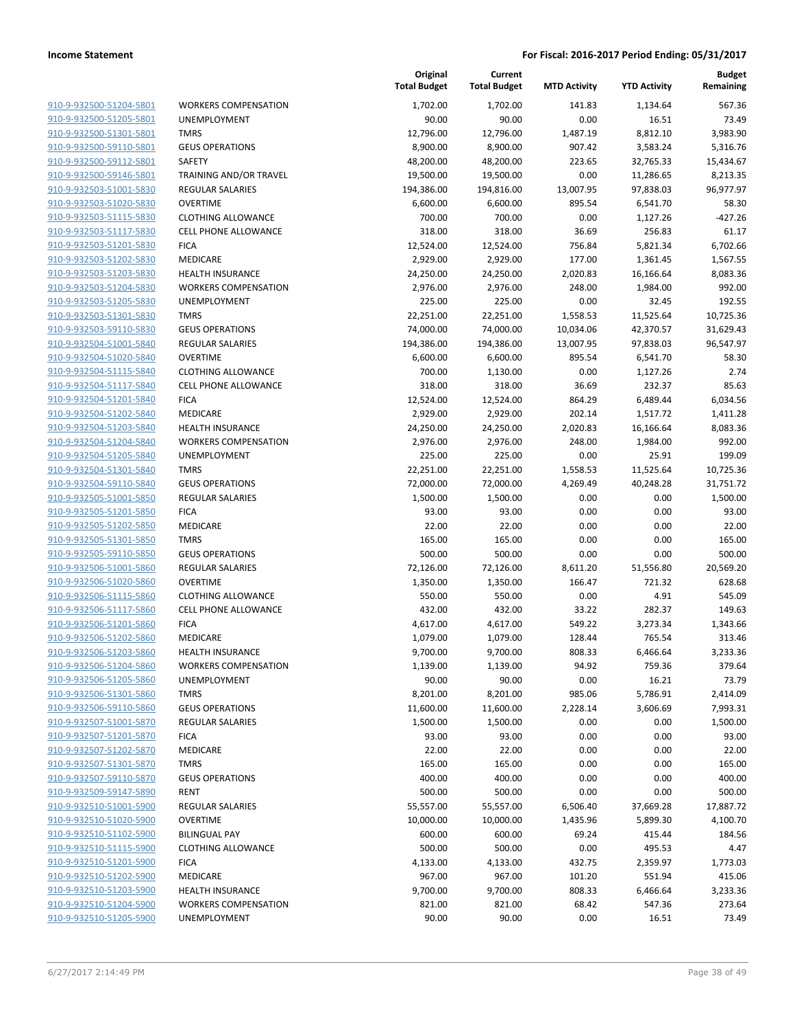| 910-9-932500-51204-5801                            |
|----------------------------------------------------|
| 910-9-932500-51205-5801                            |
| 910-9-932500-51301-5801                            |
| 910-9-932500-59110-5801                            |
| <u>910-9-932500-59112-5801</u>                     |
| 910-9-932500-59146-5801                            |
| 910-9-932503-51001-5830                            |
| 910-9-932503-51020-5830                            |
| 910-9-932503-51115-5830                            |
| 910-9-932503-51117-5830                            |
| 910-9-932503-51201-5830                            |
| 910-9-932503-51202-5830                            |
|                                                    |
| 910-9-932503-51203-5830                            |
| 910-9-932503-51204-5830                            |
| <u>910-9-932503-51205-5830</u>                     |
| 910-9-932503-51301-5830                            |
| 910-9-932503-59110-5830                            |
| 910-9-932504-51001-5840                            |
| 910-9-932504-51020-5840                            |
| 910-9-932504-51115-5840                            |
| 910-9-932504-51117-5840                            |
| 910-9-932504-51201-5840                            |
| 910-9-932504-51202-5840                            |
| 910-9-932504-51203-5840                            |
| 910-9-932504-51204-5840                            |
|                                                    |
| 910-9-932504-51205-5840                            |
| 910-9-932504-51301-5840                            |
| 910-9-932504-59110-5840                            |
| 910-9-932505-51001-5850                            |
| 910-9-932505-51201-5850                            |
| 910-9-932505-51202-5850                            |
| 910-9-932505-51301-5850                            |
| 910-9-932505-59110-5850                            |
| 910-9-932506-51001-5860                            |
| 910-9-932506-51020-5860                            |
| 910-9-932506-51115-5860                            |
| 910-9-932506-51117-5860                            |
| 910-9-932506-51201-5860                            |
| 910-9-932506-51202-5860                            |
| 910-9-932506-51203-5860                            |
| 910-9-932506-51204-5860                            |
|                                                    |
| 910-9-932506-51205-5860                            |
| 910-9-932506-51301-5860                            |
| 910-9-932506-59110-5860                            |
|                                                    |
| <u>910-9-932507-51001-5870</u>                     |
| 910-9-932507-51201-5870                            |
| 910-9-932507-51202-5870                            |
| 910-9-932507-51301-5870                            |
| 910-9-932507-59110-5870                            |
| <u>910-9-932509-59147-5890</u>                     |
|                                                    |
| 910-9-932510-51001-5900                            |
| <u>910-9-932510-51020-5900</u>                     |
| 910-9-932510-51102-5900                            |
| 910-9-932510-51115-5900                            |
| <u>910-9-932510-51201-5900</u>                     |
| 910-9-932510-51202-5900                            |
| 910-9-932510-51203-5900                            |
| 910-9-932510-51204-5900<br>910-9-932510-51205-5900 |

| WORKERS COMPENSATION                        |
|---------------------------------------------|
| <b>JNEMPLOYMENT</b>                         |
| <b>MRS</b>                                  |
| <b>GEUS OPERATIONS</b>                      |
| <b>AFETY</b>                                |
| <b>RAINING AND/OR TRAVEL</b>                |
| <b>REGULAR SALARIES</b>                     |
| <b>DVERTIME</b>                             |
| <b>LOTHING ALLOWANCE</b>                    |
| <b>CELL PHONE ALLOWANCE</b>                 |
| <b>ICA</b>                                  |
| <b>MEDICARE</b>                             |
| <b>IEALTH INSURANCE</b>                     |
| VORKERS COMPENSATION<br><b>JNEMPLOYMENT</b> |
| <b>MRS</b>                                  |
| SEUS OPERATIONS                             |
| <b>REGULAR SALARIES</b>                     |
| <b>OVERTIME</b>                             |
| LLOTHING ALLOWANCE                          |
| <b>ELL PHONE ALLOWANCE</b>                  |
| <b>ICA</b>                                  |
| MEDICARE                                    |
| HEALTH INSURANCE                            |
| <b>NORKERS COMPENSATION</b>                 |
| JNEMPLOYMENT                                |
| <b>MRS</b>                                  |
| <b>GEUS OPERATIONS</b>                      |
| REGULAR SALARIES                            |
| <b>ICA</b>                                  |
| MEDICARE                                    |
| <b>MRS</b><br><b>GEUS OPERATIONS</b>        |
| REGULAR SALARIES                            |
| <b>DVERTIME</b>                             |
| CLOTHING ALLOWANCE                          |
| CELL PHONE ALLOWANCE                        |
| <b>ICA</b>                                  |
| <b>MEDICARE</b>                             |
| <b>IEALTH INSURANCE</b>                     |
| <b>NORKERS COMPENSATION</b>                 |
| JNEMPLOYMENT                                |
| <b>MRS</b>                                  |
| <b>GEUS OPERATIONS</b>                      |
| <b>REGULAR SALARIES</b>                     |
| <b>ICA</b>                                  |
| MEDICARE                                    |
| <b>MRS</b>                                  |
| <b>GEUS OPERATIONS</b>                      |
| <b>RENT</b>                                 |
| REGULAR SALARIES                            |
| <b>OVERTIME</b>                             |
| <b>BILINGUAL PAY</b>                        |
| LLOTHING ALLOWANCE<br><b>ICA</b>            |
| <b>MEDICARE</b>                             |
| <b>IEALTH INSURANCE</b>                     |
| <b>NORKERS COMPENSATION</b>                 |
|                                             |

|                                                    |                                       | Original<br><b>Total Budget</b> | Current<br><b>Total Budget</b> | <b>MTD Activity</b> | <b>YTD Activity</b> | <b>Budget</b><br>Remaining |
|----------------------------------------------------|---------------------------------------|---------------------------------|--------------------------------|---------------------|---------------------|----------------------------|
| 910-9-932500-51204-5801                            | <b>WORKERS COMPENSATION</b>           | 1,702.00                        | 1,702.00                       | 141.83              | 1,134.64            | 567.36                     |
| 910-9-932500-51205-5801                            | UNEMPLOYMENT                          | 90.00                           | 90.00                          | 0.00                | 16.51               | 73.49                      |
| 910-9-932500-51301-5801                            | <b>TMRS</b>                           | 12,796.00                       | 12,796.00                      | 1,487.19            | 8,812.10            | 3,983.90                   |
| 910-9-932500-59110-5801                            | <b>GEUS OPERATIONS</b>                | 8,900.00                        | 8,900.00                       | 907.42              | 3,583.24            | 5,316.76                   |
| 910-9-932500-59112-5801                            | <b>SAFETY</b>                         | 48,200.00                       | 48,200.00                      | 223.65              | 32,765.33           | 15,434.67                  |
| 910-9-932500-59146-5801                            | TRAINING AND/OR TRAVEL                | 19,500.00                       | 19,500.00                      | 0.00                | 11,286.65           | 8,213.35                   |
| 910-9-932503-51001-5830                            | REGULAR SALARIES                      | 194,386.00                      | 194,816.00                     | 13,007.95           | 97,838.03           | 96,977.97                  |
| 910-9-932503-51020-5830                            | <b>OVERTIME</b>                       | 6,600.00                        | 6,600.00                       | 895.54              | 6,541.70            | 58.30                      |
| 910-9-932503-51115-5830                            | <b>CLOTHING ALLOWANCE</b>             | 700.00                          | 700.00                         | 0.00                | 1,127.26            | $-427.26$                  |
| 910-9-932503-51117-5830                            | <b>CELL PHONE ALLOWANCE</b>           | 318.00                          | 318.00                         | 36.69               | 256.83              | 61.17                      |
| 910-9-932503-51201-5830                            | <b>FICA</b>                           | 12,524.00                       | 12,524.00                      | 756.84              | 5,821.34            | 6,702.66                   |
| 910-9-932503-51202-5830                            | MEDICARE                              | 2,929.00                        | 2,929.00                       | 177.00              | 1,361.45            | 1,567.55                   |
| 910-9-932503-51203-5830                            | <b>HEALTH INSURANCE</b>               | 24,250.00                       | 24,250.00                      | 2,020.83            | 16,166.64           | 8,083.36                   |
| 910-9-932503-51204-5830                            | <b>WORKERS COMPENSATION</b>           | 2,976.00                        | 2,976.00                       | 248.00              | 1,984.00            | 992.00                     |
| 910-9-932503-51205-5830                            | UNEMPLOYMENT                          | 225.00                          | 225.00                         | 0.00                | 32.45               | 192.55                     |
| 910-9-932503-51301-5830                            | <b>TMRS</b>                           | 22,251.00                       | 22,251.00                      | 1,558.53            | 11,525.64           | 10,725.36                  |
| 910-9-932503-59110-5830                            | <b>GEUS OPERATIONS</b>                | 74,000.00                       | 74,000.00                      | 10,034.06           | 42,370.57           | 31,629.43                  |
| 910-9-932504-51001-5840                            | REGULAR SALARIES                      | 194,386.00                      | 194,386.00                     | 13,007.95           | 97,838.03           | 96,547.97                  |
| 910-9-932504-51020-5840                            | <b>OVERTIME</b>                       | 6,600.00                        | 6,600.00                       | 895.54              | 6,541.70            | 58.30                      |
| 910-9-932504-51115-5840                            | <b>CLOTHING ALLOWANCE</b>             | 700.00                          | 1,130.00                       | 0.00                | 1,127.26            | 2.74                       |
| 910-9-932504-51117-5840                            | <b>CELL PHONE ALLOWANCE</b>           | 318.00                          | 318.00                         | 36.69               | 232.37              | 85.63                      |
| 910-9-932504-51201-5840                            | <b>FICA</b>                           | 12,524.00                       | 12,524.00                      | 864.29              | 6,489.44            | 6,034.56                   |
| 910-9-932504-51202-5840                            | MEDICARE                              | 2,929.00                        | 2,929.00                       | 202.14              | 1,517.72            | 1,411.28                   |
| 910-9-932504-51203-5840<br>910-9-932504-51204-5840 | <b>HEALTH INSURANCE</b>               | 24,250.00                       | 24,250.00                      | 2,020.83            | 16,166.64           | 8,083.36                   |
|                                                    | <b>WORKERS COMPENSATION</b>           | 2,976.00                        | 2,976.00                       | 248.00              | 1,984.00            | 992.00                     |
| 910-9-932504-51205-5840                            | UNEMPLOYMENT                          | 225.00                          | 225.00                         | 0.00                | 25.91               | 199.09                     |
| 910-9-932504-51301-5840<br>910-9-932504-59110-5840 | <b>TMRS</b><br><b>GEUS OPERATIONS</b> | 22,251.00                       | 22,251.00                      | 1,558.53            | 11,525.64           | 10,725.36                  |
| 910-9-932505-51001-5850                            | <b>REGULAR SALARIES</b>               | 72,000.00<br>1,500.00           | 72,000.00<br>1,500.00          | 4,269.49<br>0.00    | 40,248.28<br>0.00   | 31,751.72<br>1,500.00      |
| 910-9-932505-51201-5850                            | <b>FICA</b>                           | 93.00                           | 93.00                          | 0.00                | 0.00                | 93.00                      |
| 910-9-932505-51202-5850                            | <b>MEDICARE</b>                       | 22.00                           | 22.00                          | 0.00                | 0.00                | 22.00                      |
| 910-9-932505-51301-5850                            | <b>TMRS</b>                           | 165.00                          | 165.00                         | 0.00                | 0.00                | 165.00                     |
| 910-9-932505-59110-5850                            | <b>GEUS OPERATIONS</b>                | 500.00                          | 500.00                         | 0.00                | 0.00                | 500.00                     |
| 910-9-932506-51001-5860                            | <b>REGULAR SALARIES</b>               | 72,126.00                       | 72,126.00                      | 8,611.20            | 51,556.80           | 20,569.20                  |
| 910-9-932506-51020-5860                            | <b>OVERTIME</b>                       | 1,350.00                        | 1,350.00                       | 166.47              | 721.32              | 628.68                     |
| 910-9-932506-51115-5860                            | <b>CLOTHING ALLOWANCE</b>             | 550.00                          | 550.00                         | 0.00                | 4.91                | 545.09                     |
| 910-9-932506-51117-5860                            | <b>CELL PHONE ALLOWANCE</b>           | 432.00                          | 432.00                         | 33.22               | 282.37              | 149.63                     |
| 910-9-932506-51201-5860                            | <b>FICA</b>                           | 4,617.00                        | 4,617.00                       | 549.22              | 3,273.34            | 1,343.66                   |
| 910-9-932506-51202-5860                            | MEDICARE                              | 1,079.00                        | 1,079.00                       | 128.44              | 765.54              | 313.46                     |
| 910-9-932506-51203-5860                            | <b>HEALTH INSURANCE</b>               | 9,700.00                        | 9,700.00                       | 808.33              | 6,466.64            | 3,233.36                   |
| 910-9-932506-51204-5860                            | <b>WORKERS COMPENSATION</b>           | 1,139.00                        | 1,139.00                       | 94.92               | 759.36              | 379.64                     |
| 910-9-932506-51205-5860                            | UNEMPLOYMENT                          | 90.00                           | 90.00                          | 0.00                | 16.21               | 73.79                      |
| 910-9-932506-51301-5860                            | <b>TMRS</b>                           | 8,201.00                        | 8,201.00                       | 985.06              | 5,786.91            | 2,414.09                   |
| 910-9-932506-59110-5860                            | <b>GEUS OPERATIONS</b>                | 11,600.00                       | 11,600.00                      | 2,228.14            | 3,606.69            | 7,993.31                   |
| 910-9-932507-51001-5870                            | REGULAR SALARIES                      | 1,500.00                        | 1,500.00                       | 0.00                | 0.00                | 1,500.00                   |
| 910-9-932507-51201-5870                            | <b>FICA</b>                           | 93.00                           | 93.00                          | 0.00                | 0.00                | 93.00                      |
| 910-9-932507-51202-5870                            | MEDICARE                              | 22.00                           | 22.00                          | 0.00                | 0.00                | 22.00                      |
| 910-9-932507-51301-5870                            | <b>TMRS</b>                           | 165.00                          | 165.00                         | 0.00                | 0.00                | 165.00                     |
| 910-9-932507-59110-5870                            | <b>GEUS OPERATIONS</b>                | 400.00                          | 400.00                         | 0.00                | 0.00                | 400.00                     |
| 910-9-932509-59147-5890                            | <b>RENT</b>                           | 500.00                          | 500.00                         | 0.00                | 0.00                | 500.00                     |
| 910-9-932510-51001-5900                            | REGULAR SALARIES                      | 55,557.00                       | 55,557.00                      | 6,506.40            | 37,669.28           | 17,887.72                  |
| 910-9-932510-51020-5900                            | <b>OVERTIME</b>                       | 10,000.00                       | 10,000.00                      | 1,435.96            | 5,899.30            | 4,100.70                   |
| 910-9-932510-51102-5900                            | <b>BILINGUAL PAY</b>                  | 600.00                          | 600.00                         | 69.24               | 415.44              | 184.56                     |
| 910-9-932510-51115-5900                            | <b>CLOTHING ALLOWANCE</b>             | 500.00                          | 500.00                         | 0.00                | 495.53              | 4.47                       |
| 910-9-932510-51201-5900                            | <b>FICA</b>                           | 4,133.00                        | 4,133.00                       | 432.75              | 2,359.97            | 1,773.03                   |
| 910-9-932510-51202-5900                            | MEDICARE                              | 967.00                          | 967.00                         | 101.20              | 551.94              | 415.06                     |
| 910-9-932510-51203-5900                            | <b>HEALTH INSURANCE</b>               | 9,700.00                        | 9,700.00                       | 808.33              | 6,466.64            | 3,233.36                   |
| 910-9-932510-51204-5900                            | <b>WORKERS COMPENSATION</b>           | 821.00                          | 821.00                         | 68.42               | 547.36              | 273.64                     |
| 910-9-932510-51205-5900                            | UNEMPLOYMENT                          | 90.00                           | 90.00                          | 0.00                | 16.51               | 73.49                      |
|                                                    |                                       |                                 |                                |                     |                     |                            |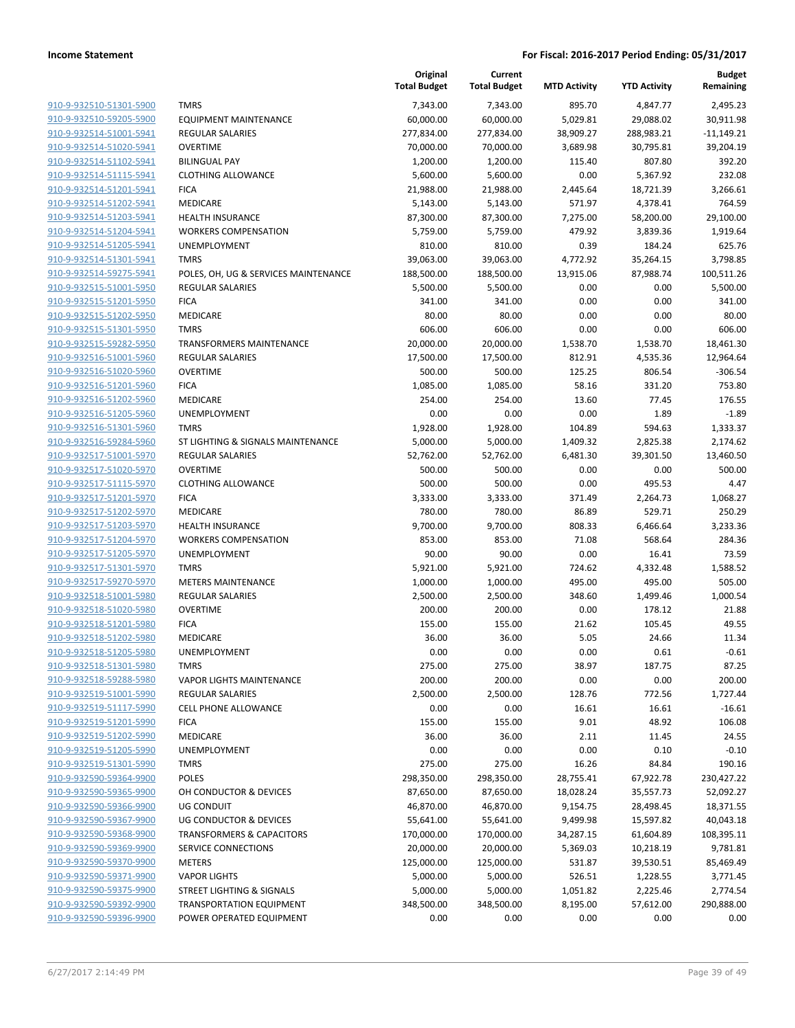| 910-9-932510-51301-5900                            |
|----------------------------------------------------|
| 910-9-932510-59205-5900                            |
| 910-9-932514-51001-5941                            |
| 910-9-932514-51020-5941                            |
| <u>910-9-932514-51102-5941</u>                     |
| 910-9-932514-51115-5941                            |
| 910-9-932514-51201-5941                            |
| 910-9-932514-51202-5941                            |
| 910-9-932514-51203-5941                            |
| <u>910-9-932514-51204-5941</u>                     |
| 910-9-932514-51205-5941                            |
| 910-9-932514-51301-5941                            |
| 910-9-932514-59275-5941                            |
| 910-9-932515-51001-5950                            |
| 910-9-932515-51201-5950                            |
| 910-9-932515-51202-5950                            |
| 910-9-932515-51301-5950                            |
| 910-9-932515-59282-5950                            |
| 910-9-932516-51001-5960                            |
| <u>910-9-932516-51020-5960</u>                     |
| 910-9-932516-51201-5960                            |
| 910-9-932516-51202-5960                            |
| 910-9-932516-51205-5960                            |
|                                                    |
| 910-9-932516-51301-5960                            |
| <u>910-9-932516-59284-5960</u>                     |
| 910-9-932517-51001-5970                            |
| 910-9-932517-51020-5970                            |
| 910-9-932517-51115-5970                            |
| 910-9-932517-51201-5970                            |
| 910-9-932517-51202-5970                            |
| 910-9-932517-51203-5970                            |
| 910-9-932517-51204-5970                            |
| 910-9-932517-51205-5970                            |
| 910-9-932517-51301-5970                            |
| <u>910-9-932517-59270-5970</u>                     |
| 910-9-932518-51001-5980                            |
| 910-9-932518-51020-5980                            |
| 910-9-932518-51201-5980                            |
| 910-9-932518-51202-5980                            |
| 910-9-932518-51205-5980                            |
| 910-9-932518-51301-5980                            |
| 910-9-932518-59288-5980                            |
| 910-9-932519-51001-5990                            |
| 910-9-932519-51117-5990                            |
| 910-9-932519-51201-5990                            |
| 910-9-932519-51202-5990                            |
| 910-9-932519-51205-5990                            |
| 910-9-932519-51301-5990                            |
| 910-9-932590-59364-9900                            |
| 910-9-932590-59365-9900                            |
| 910-9-932590-59366-9900                            |
| 910-9-932590-59367-9900                            |
| 910-9-932590-59368-9900                            |
| <u>910-9-932590-59369-9900</u>                     |
| 910-9-932590-59370-9900                            |
| 910-9-932590-59371-9900                            |
|                                                    |
| 910-9-932590-59375-9900                            |
| 910-9-932590-59392-9900<br>910-9-932590-59396-9900 |
|                                                    |

|                         |                                      | Original<br><b>Total Budget</b> | Current<br><b>Total Budget</b> | <b>MTD Activity</b> | <b>YTD Activity</b> | <b>Budget</b><br>Remaining |
|-------------------------|--------------------------------------|---------------------------------|--------------------------------|---------------------|---------------------|----------------------------|
| 910-9-932510-51301-5900 | <b>TMRS</b>                          | 7,343.00                        | 7,343.00                       | 895.70              | 4,847.77            | 2.495.23                   |
| 910-9-932510-59205-5900 | <b>EQUIPMENT MAINTENANCE</b>         | 60,000.00                       | 60,000.00                      | 5,029.81            | 29,088.02           | 30,911.98                  |
| 910-9-932514-51001-5941 | <b>REGULAR SALARIES</b>              | 277,834.00                      | 277,834.00                     | 38,909.27           | 288,983.21          | $-11,149.21$               |
| 910-9-932514-51020-5941 | <b>OVERTIME</b>                      | 70,000.00                       | 70,000.00                      | 3,689.98            | 30,795.81           | 39,204.19                  |
| 910-9-932514-51102-5941 | <b>BILINGUAL PAY</b>                 | 1,200.00                        | 1,200.00                       | 115.40              | 807.80              | 392.20                     |
| 910-9-932514-51115-5941 | <b>CLOTHING ALLOWANCE</b>            | 5,600.00                        | 5,600.00                       | 0.00                | 5,367.92            | 232.08                     |
| 910-9-932514-51201-5941 | <b>FICA</b>                          | 21,988.00                       | 21,988.00                      | 2,445.64            | 18,721.39           | 3,266.61                   |
| 910-9-932514-51202-5941 | <b>MEDICARE</b>                      | 5,143.00                        | 5,143.00                       | 571.97              | 4,378.41            | 764.59                     |
| 910-9-932514-51203-5941 | <b>HEALTH INSURANCE</b>              | 87,300.00                       | 87,300.00                      | 7,275.00            | 58,200.00           | 29,100.00                  |
| 910-9-932514-51204-5941 | <b>WORKERS COMPENSATION</b>          | 5,759.00                        | 5,759.00                       | 479.92              | 3,839.36            | 1,919.64                   |
| 910-9-932514-51205-5941 | <b>UNEMPLOYMENT</b>                  | 810.00                          | 810.00                         | 0.39                | 184.24              | 625.76                     |
| 910-9-932514-51301-5941 | <b>TMRS</b>                          | 39,063.00                       | 39,063.00                      | 4,772.92            | 35,264.15           | 3,798.85                   |
| 910-9-932514-59275-5941 | POLES, OH, UG & SERVICES MAINTENANCE | 188,500.00                      | 188,500.00                     | 13,915.06           | 87,988.74           | 100,511.26                 |
| 910-9-932515-51001-5950 | <b>REGULAR SALARIES</b>              | 5,500.00                        | 5,500.00                       | 0.00                | 0.00                | 5,500.00                   |
| 910-9-932515-51201-5950 | <b>FICA</b>                          | 341.00                          | 341.00                         | 0.00                | 0.00                | 341.00                     |
| 910-9-932515-51202-5950 | MEDICARE                             | 80.00                           | 80.00                          | 0.00                | 0.00                | 80.00                      |
| 910-9-932515-51301-5950 | <b>TMRS</b>                          | 606.00                          | 606.00                         | 0.00                | 0.00                | 606.00                     |
| 910-9-932515-59282-5950 | <b>TRANSFORMERS MAINTENANCE</b>      | 20,000.00                       | 20,000.00                      | 1,538.70            | 1,538.70            | 18,461.30                  |
| 910-9-932516-51001-5960 | <b>REGULAR SALARIES</b>              | 17,500.00                       | 17,500.00                      | 812.91              | 4,535.36            | 12,964.64                  |
| 910-9-932516-51020-5960 | <b>OVERTIME</b>                      | 500.00                          | 500.00                         | 125.25              | 806.54              | $-306.54$                  |
| 910-9-932516-51201-5960 | <b>FICA</b>                          | 1,085.00                        | 1,085.00                       | 58.16               | 331.20              | 753.80                     |
| 910-9-932516-51202-5960 | MEDICARE                             | 254.00                          | 254.00                         | 13.60               | 77.45               | 176.55                     |
| 910-9-932516-51205-5960 | UNEMPLOYMENT                         | 0.00                            | 0.00                           | 0.00                | 1.89                | $-1.89$                    |
| 910-9-932516-51301-5960 | <b>TMRS</b>                          | 1,928.00                        | 1,928.00                       | 104.89              | 594.63              | 1,333.37                   |
| 910-9-932516-59284-5960 | ST LIGHTING & SIGNALS MAINTENANCE    | 5,000.00                        | 5,000.00                       | 1,409.32            | 2,825.38            | 2,174.62                   |
| 910-9-932517-51001-5970 | <b>REGULAR SALARIES</b>              | 52,762.00                       | 52,762.00                      | 6,481.30            | 39,301.50           | 13,460.50                  |
| 910-9-932517-51020-5970 | <b>OVERTIME</b>                      | 500.00                          | 500.00                         | 0.00                | 0.00                | 500.00                     |
| 910-9-932517-51115-5970 | <b>CLOTHING ALLOWANCE</b>            | 500.00                          | 500.00                         | 0.00                | 495.53              | 4.47                       |
| 910-9-932517-51201-5970 | <b>FICA</b>                          | 3,333.00                        | 3,333.00                       | 371.49              | 2,264.73            | 1,068.27                   |
| 910-9-932517-51202-5970 | MEDICARE                             | 780.00                          | 780.00                         | 86.89               | 529.71              | 250.29                     |
| 910-9-932517-51203-5970 | <b>HEALTH INSURANCE</b>              | 9,700.00                        | 9,700.00                       | 808.33              | 6,466.64            | 3,233.36                   |
| 910-9-932517-51204-5970 | <b>WORKERS COMPENSATION</b>          | 853.00                          | 853.00                         | 71.08               | 568.64              | 284.36                     |
| 910-9-932517-51205-5970 | UNEMPLOYMENT                         | 90.00                           | 90.00                          | 0.00                | 16.41               | 73.59                      |
| 910-9-932517-51301-5970 | <b>TMRS</b>                          | 5,921.00                        | 5,921.00                       | 724.62              | 4,332.48            | 1,588.52                   |
| 910-9-932517-59270-5970 | <b>METERS MAINTENANCE</b>            | 1,000.00                        | 1,000.00                       | 495.00              | 495.00              | 505.00                     |
| 910-9-932518-51001-5980 | <b>REGULAR SALARIES</b>              | 2,500.00                        | 2,500.00                       | 348.60              | 1,499.46            | 1,000.54                   |
| 910-9-932518-51020-5980 | <b>OVERTIME</b>                      | 200.00                          | 200.00                         | 0.00                | 178.12              | 21.88                      |
| 910-9-932518-51201-5980 | <b>FICA</b>                          | 155.00                          | 155.00                         | 21.62               | 105.45              | 49.55                      |
| 910-9-932518-51202-5980 | MEDICARE                             | 36.00                           | 36.00                          | 5.05                | 24.66               | 11.34                      |
| 910-9-932518-51205-5980 | UNEMPLOYMENT                         | 0.00                            | 0.00                           | 0.00                | 0.61                | $-0.61$                    |
| 910-9-932518-51301-5980 | <b>TMRS</b>                          | 275.00                          | 275.00                         | 38.97               | 187.75              | 87.25                      |
| 910-9-932518-59288-5980 | <b>VAPOR LIGHTS MAINTENANCE</b>      | 200.00                          | 200.00                         | 0.00                | 0.00                | 200.00                     |
| 910-9-932519-51001-5990 | <b>REGULAR SALARIES</b>              | 2,500.00                        | 2,500.00                       | 128.76              | 772.56              | 1,727.44                   |
| 910-9-932519-51117-5990 | <b>CELL PHONE ALLOWANCE</b>          | 0.00                            | 0.00                           | 16.61               | 16.61               | $-16.61$                   |
| 910-9-932519-51201-5990 | <b>FICA</b>                          | 155.00                          | 155.00                         | 9.01                | 48.92               | 106.08                     |
| 910-9-932519-51202-5990 | MEDICARE                             | 36.00                           | 36.00                          | 2.11                | 11.45               | 24.55                      |
| 910-9-932519-51205-5990 | UNEMPLOYMENT                         | 0.00                            | 0.00                           | 0.00                | 0.10                | $-0.10$                    |
| 910-9-932519-51301-5990 | <b>TMRS</b>                          | 275.00                          | 275.00                         | 16.26               | 84.84               | 190.16                     |
| 910-9-932590-59364-9900 | POLES                                | 298,350.00                      | 298,350.00                     | 28,755.41           | 67,922.78           | 230,427.22                 |
| 910-9-932590-59365-9900 | OH CONDUCTOR & DEVICES               | 87,650.00                       | 87,650.00                      | 18,028.24           | 35,557.73           | 52,092.27                  |
| 910-9-932590-59366-9900 | <b>UG CONDUIT</b>                    | 46,870.00                       | 46,870.00                      | 9,154.75            | 28,498.45           | 18,371.55                  |
| 910-9-932590-59367-9900 | UG CONDUCTOR & DEVICES               | 55,641.00                       | 55,641.00                      | 9,499.98            | 15,597.82           | 40,043.18                  |
| 910-9-932590-59368-9900 | <b>TRANSFORMERS &amp; CAPACITORS</b> | 170,000.00                      | 170,000.00                     | 34,287.15           | 61,604.89           | 108,395.11                 |
| 910-9-932590-59369-9900 | SERVICE CONNECTIONS                  | 20,000.00                       | 20,000.00                      | 5,369.03            | 10,218.19           | 9,781.81                   |
| 910-9-932590-59370-9900 | <b>METERS</b>                        | 125,000.00                      | 125,000.00                     | 531.87              | 39,530.51           | 85,469.49                  |
| 910-9-932590-59371-9900 | <b>VAPOR LIGHTS</b>                  | 5,000.00                        | 5,000.00                       | 526.51              | 1,228.55            | 3,771.45                   |
| 910-9-932590-59375-9900 | STREET LIGHTING & SIGNALS            | 5,000.00                        | 5,000.00                       | 1,051.82            | 2,225.46            | 2,774.54                   |
| 910-9-932590-59392-9900 | <b>TRANSPORTATION EQUIPMENT</b>      | 348,500.00                      | 348,500.00                     | 8,195.00            | 57,612.00           | 290,888.00                 |
| 910-9-932590-59396-9900 | POWER OPERATED EQUIPMENT             | 0.00                            | 0.00                           | 0.00                | 0.00                | 0.00                       |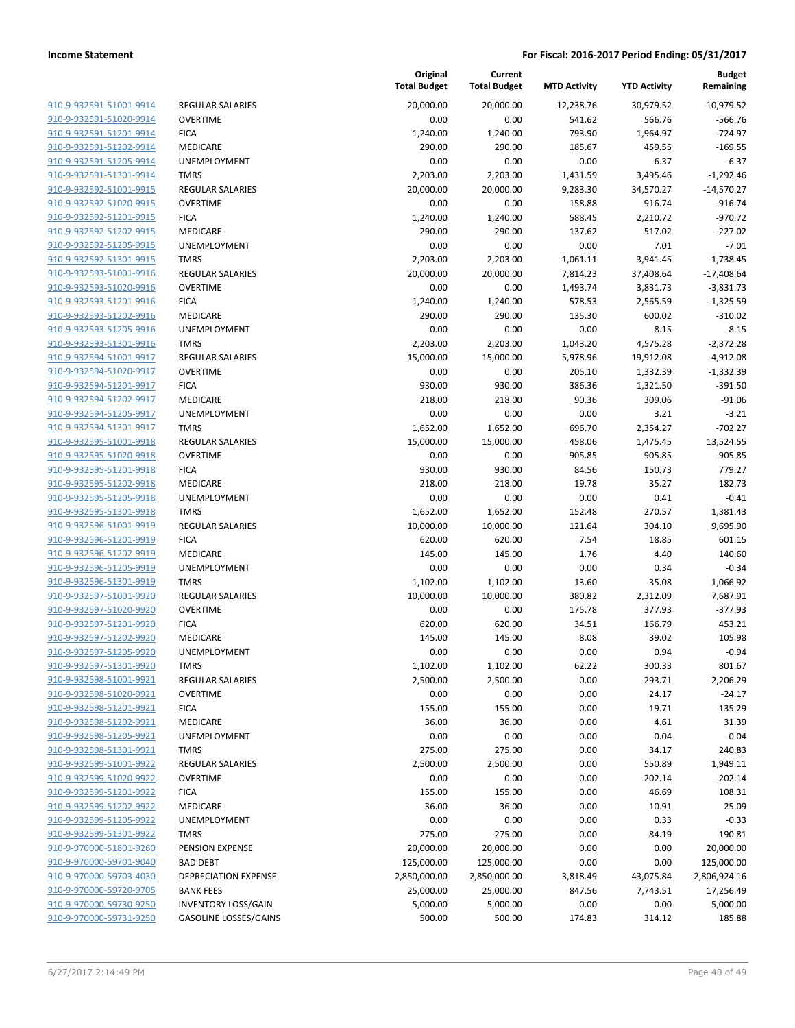| 910-9-932591-51001-9914        |
|--------------------------------|
| 910-9-932591-51020-9914        |
| 910-9-932591-51201-9914        |
| 910-9-932591-51202-9914        |
| 910-9-932591-51205-9914        |
| 910-9-932591-51301-9914        |
| 910-9-932592-51001-9915        |
| 910-9-932592-51020-9915        |
| 910-9-932592-51201-9915        |
| 910-9-932592-51202-9915        |
| 910-9-932592-51205-9915        |
| 910-9-932592-51301-9915        |
| 910-9-932593-51001-9916        |
| 910-9-932593-51020-9916        |
| 910-9-932593-51201-9916        |
| 910-9-932593-51202-9916        |
| 910-9-932593-51205-9916        |
| 910-9-932593-51301-9916        |
| 910-9-932594-51001-9917        |
| 910-9-932594-51020-9917        |
| 910-9-932594-51201-9917        |
| 910-9-932594-51202-9917        |
| 910-9-932594-51205-9917        |
| 910-9-932594-51301-9917        |
| 910-9-932595-51001-9918        |
| 910-9-932595-51020-9918        |
| 910-9-932595-51201-9918        |
| 910-9-932595-51202-9918        |
| 910-9-932595-51205-9918        |
| 910-9-932595-51301-9918        |
| 910-9-932596-51001-9919        |
| 910-9-932596-51201-9919        |
| 910-9-932596-51202-9919        |
| 910-9-932596-51205-9919        |
| 910-9-932596-51301-9919        |
| 910-9-932597-51001-9920        |
| 910-9-932597-51020-9920        |
| 910-9-932597-51201-9920        |
| 910-9-932597-51202-9920        |
| 910-9-932597-51205-9920        |
| 910-9-932597-51301-9920        |
| 910-9-932598-51001-9921        |
| 910-9-932598-51020-9921        |
| <u>910-9-932598-51201-9921</u> |
| <u>910-9-932598-51202-9921</u> |
| 910-9-932598-51205-9921        |
| 910-9-932598-51301-9921        |
| 910-9-932599-51001-9922        |
| 910-9-932599-51020-9922        |
| 910-9-932599-51201-9922        |
| <u>910-9-932599-51202-9922</u> |
| <u>910-9-932599-51205-9922</u> |
| <u>910-9-932599-51301-9922</u> |
| <u>910-9-970000-51801-9260</u> |
| <u>910-9-970000-59701-9040</u> |
| 910-9-970000-59703-4030        |
| <u>910-9-970000-59720-9705</u> |
| <u>910-9-970000-59730-9250</u> |
| <u>910-9-970000-59731-9250</u> |
|                                |

|                            | Original<br><b>Total Budget</b> | Current<br><b>Total Budget</b> | <b>MTD Activity</b> | <b>YTD Activity</b> | <b>Budget</b><br>Remaining |
|----------------------------|---------------------------------|--------------------------------|---------------------|---------------------|----------------------------|
| <b>REGULAR SALARIES</b>    | 20.000.00                       | 20.000.00                      | 12,238.76           | 30,979.52           | $-10,979.52$               |
| <b>OVERTIME</b>            | 0.00                            | 0.00                           | 541.62              | 566.76              | $-566.76$                  |
| <b>FICA</b>                | 1,240.00                        | 1,240.00                       | 793.90              | 1,964.97            | $-724.97$                  |
| MEDICARE                   | 290.00                          | 290.00                         | 185.67              | 459.55              | $-169.55$                  |
| UNEMPLOYMENT               | 0.00                            | 0.00                           | 0.00                | 6.37                | $-6.37$                    |
| <b>TMRS</b>                | 2,203.00                        | 2,203.00                       | 1,431.59            | 3,495.46            | $-1,292.46$                |
| <b>REGULAR SALARIES</b>    | 20,000.00                       | 20,000.00                      | 9,283.30            | 34,570.27           | $-14,570.27$               |
| <b>OVERTIME</b>            | 0.00                            | 0.00                           | 158.88              | 916.74              | $-916.74$                  |
| <b>FICA</b>                | 1,240.00                        | 1,240.00                       | 588.45              | 2,210.72            | $-970.72$                  |
| MEDICARE                   | 290.00                          | 290.00                         | 137.62              | 517.02              | $-227.02$                  |
| UNEMPLOYMENT               | 0.00                            | 0.00                           | 0.00                | 7.01                | $-7.01$                    |
| <b>TMRS</b>                | 2,203.00                        | 2,203.00                       | 1,061.11            | 3,941.45            | $-1,738.45$                |
| <b>REGULAR SALARIES</b>    | 20,000.00                       | 20,000.00                      | 7,814.23            | 37,408.64           | $-17,408.64$               |
| <b>OVERTIME</b>            | 0.00                            | 0.00                           | 1,493.74            | 3,831.73            | $-3,831.73$                |
| <b>FICA</b>                | 1,240.00                        | 1,240.00                       | 578.53              | 2,565.59            | $-1,325.59$                |
| MEDICARE                   | 290.00                          | 290.00                         | 135.30              | 600.02              | $-310.02$                  |
| UNEMPLOYMENT               | 0.00                            | 0.00                           | 0.00                | 8.15                | $-8.15$                    |
| <b>TMRS</b>                | 2,203.00                        | 2,203.00                       | 1,043.20            | 4,575.28            | $-2,372.28$                |
| REGULAR SALARIES           | 15,000.00                       | 15,000.00                      | 5,978.96            | 19,912.08           | $-4,912.08$                |
| <b>OVERTIME</b>            | 0.00                            | 0.00                           | 205.10              | 1,332.39            | $-1,332.39$                |
| <b>FICA</b>                | 930.00                          | 930.00                         | 386.36              | 1,321.50            | $-391.50$                  |
| MEDICARE                   | 218.00                          | 218.00                         | 90.36               | 309.06              | $-91.06$                   |
| UNEMPLOYMENT               | 0.00                            | 0.00                           | 0.00                | 3.21                | $-3.21$                    |
| <b>TMRS</b>                | 1,652.00                        | 1,652.00                       | 696.70              | 2,354.27            | $-702.27$                  |
| REGULAR SALARIES           | 15,000.00                       | 15,000.00                      | 458.06              | 1,475.45            | 13,524.55                  |
| <b>OVERTIME</b>            | 0.00                            | 0.00                           | 905.85              | 905.85              | $-905.85$                  |
| <b>FICA</b>                | 930.00                          | 930.00                         | 84.56               | 150.73              | 779.27                     |
| MEDICARE                   | 218.00                          | 218.00                         | 19.78               | 35.27               | 182.73                     |
| UNEMPLOYMENT               | 0.00                            | 0.00                           | 0.00                | 0.41                | $-0.41$                    |
| <b>TMRS</b>                | 1,652.00                        | 1,652.00                       | 152.48              | 270.57              | 1,381.43                   |
| <b>REGULAR SALARIES</b>    | 10,000.00                       | 10,000.00                      | 121.64              | 304.10              | 9,695.90                   |
| <b>FICA</b>                | 620.00                          | 620.00                         | 7.54                | 18.85               | 601.15                     |
| MEDICARE                   | 145.00                          | 145.00                         | 1.76                | 4.40                | 140.60                     |
| UNEMPLOYMENT               | 0.00                            | 0.00                           | 0.00                | 0.34                | $-0.34$                    |
| <b>TMRS</b>                | 1,102.00                        | 1,102.00                       | 13.60               | 35.08               | 1,066.92                   |
| REGULAR SALARIES           | 10,000.00                       | 10,000.00                      | 380.82              | 2,312.09            | 7,687.91                   |
| <b>OVERTIME</b>            | 0.00                            | 0.00                           | 175.78              | 377.93              | $-377.93$                  |
| <b>FICA</b>                | 620.00                          | 620.00                         | 34.51               | 166.79              | 453.21                     |
| MEDICARE                   | 145.00                          | 145.00                         | 8.08                | 39.02               | 105.98                     |
| UNEMPLOYMENT               | 0.00                            | 0.00                           | 0.00                | 0.94                | $-0.94$                    |
| <b>TMRS</b>                | 1,102.00                        | 1,102.00                       | 62.22               | 300.33              | 801.67                     |
| <b>REGULAR SALARIES</b>    | 2,500.00                        | 2,500.00                       | 0.00                | 293.71              | 2,206.29                   |
| <b>OVERTIME</b>            | 0.00                            | 0.00                           | 0.00                | 24.17               | $-24.17$                   |
| <b>FICA</b>                | 155.00                          | 155.00                         | 0.00                | 19.71               | 135.29                     |
| MEDICARE                   | 36.00                           | 36.00                          | 0.00                | 4.61                | 31.39                      |
| UNEMPLOYMENT               | 0.00                            | 0.00                           | 0.00                | 0.04                | $-0.04$                    |
| <b>TMRS</b>                | 275.00                          | 275.00                         | 0.00                | 34.17               | 240.83                     |
| <b>REGULAR SALARIES</b>    | 2,500.00                        | 2,500.00                       | 0.00                | 550.89              | 1,949.11                   |
| <b>OVERTIME</b>            | 0.00                            | 0.00                           | 0.00                | 202.14              | $-202.14$                  |
| <b>FICA</b>                | 155.00                          | 155.00                         | 0.00                | 46.69               | 108.31                     |
| <b>MEDICARE</b>            | 36.00                           | 36.00                          | 0.00                | 10.91               | 25.09                      |
| UNEMPLOYMENT               | 0.00                            | 0.00                           | 0.00                | 0.33                | $-0.33$                    |
| <b>TMRS</b>                | 275.00                          | 275.00                         | 0.00                | 84.19               | 190.81                     |
| PENSION EXPENSE            | 20,000.00                       | 20,000.00                      | 0.00                | 0.00                | 20,000.00                  |
| <b>BAD DEBT</b>            | 125,000.00                      | 125,000.00                     | 0.00                | 0.00                | 125,000.00                 |
| DEPRECIATION EXPENSE       | 2,850,000.00                    | 2,850,000.00                   | 3,818.49            | 43,075.84           | 2,806,924.16               |
| <b>BANK FEES</b>           | 25,000.00                       | 25,000.00                      | 847.56              | 7,743.51            | 17,256.49                  |
| <b>INVENTORY LOSS/GAIN</b> | 5,000.00                        | 5,000.00                       | 0.00                | 0.00                | 5,000.00                   |
| GASOLINE LOSSES/GAINS      | 500.00                          | 500.00                         | 174.83              | 314.12              | 185.88                     |
|                            |                                 |                                |                     |                     |                            |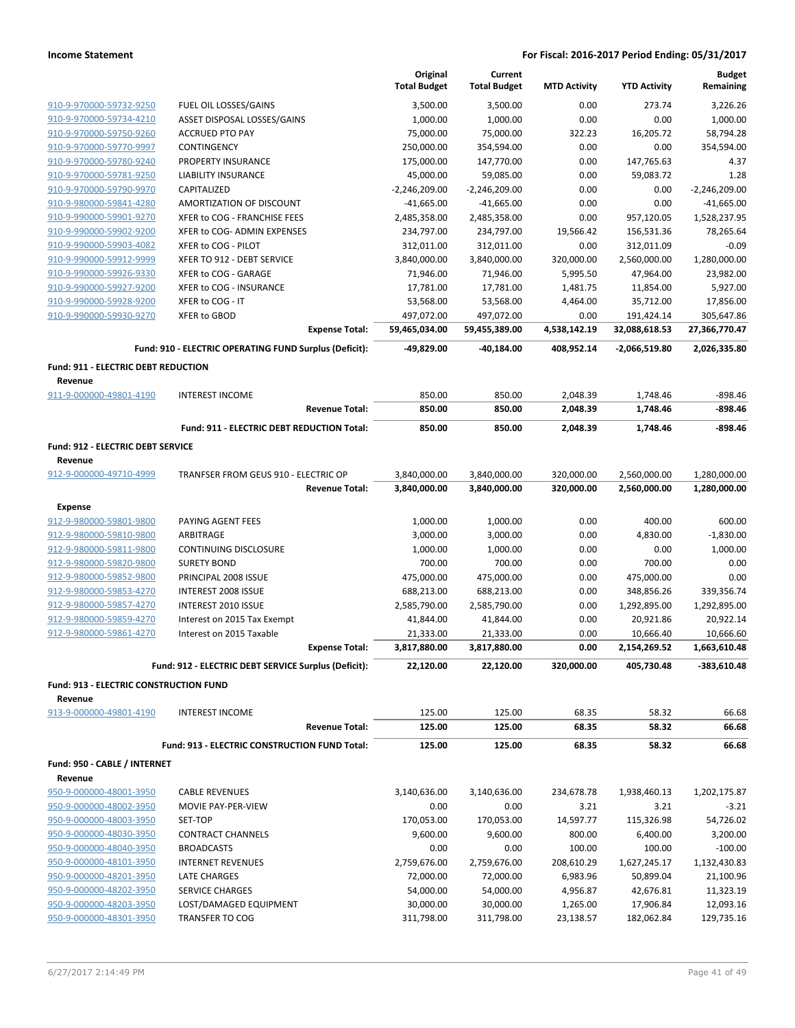|                                               |                                                        |                       | Original<br><b>Total Budget</b> | Current<br><b>Total Budget</b> | <b>MTD Activity</b> | <b>YTD Activity</b> | <b>Budget</b><br>Remaining |
|-----------------------------------------------|--------------------------------------------------------|-----------------------|---------------------------------|--------------------------------|---------------------|---------------------|----------------------------|
| 910-9-970000-59732-9250                       | FUEL OIL LOSSES/GAINS                                  |                       | 3,500.00                        | 3,500.00                       | 0.00                | 273.74              | 3,226.26                   |
| 910-9-970000-59734-4210                       | ASSET DISPOSAL LOSSES/GAINS                            |                       | 1,000.00                        | 1,000.00                       | 0.00                | 0.00                | 1,000.00                   |
| 910-9-970000-59750-9260                       | <b>ACCRUED PTO PAY</b>                                 |                       | 75,000.00                       | 75,000.00                      | 322.23              | 16,205.72           | 58,794.28                  |
| 910-9-970000-59770-9997                       | CONTINGENCY                                            |                       | 250,000.00                      | 354,594.00                     | 0.00                | 0.00                | 354,594.00                 |
| 910-9-970000-59780-9240                       | PROPERTY INSURANCE                                     |                       | 175,000.00                      | 147,770.00                     | 0.00                | 147,765.63          | 4.37                       |
| 910-9-970000-59781-9250                       | LIABILITY INSURANCE                                    |                       | 45,000.00                       | 59,085.00                      | 0.00                | 59,083.72           | 1.28                       |
| 910-9-970000-59790-9970                       | CAPITALIZED                                            |                       | $-2,246,209.00$                 | $-2,246,209.00$                | 0.00                | 0.00                | $-2,246,209.00$            |
| 910-9-980000-59841-4280                       | AMORTIZATION OF DISCOUNT                               |                       | $-41,665.00$                    | $-41,665.00$                   | 0.00                | 0.00                | $-41,665.00$               |
| 910-9-990000-59901-9270                       | XFER to COG - FRANCHISE FEES                           |                       | 2,485,358.00                    | 2,485,358.00                   | 0.00                | 957,120.05          | 1,528,237.95               |
| 910-9-990000-59902-9200                       | XFER to COG- ADMIN EXPENSES                            |                       | 234,797.00                      | 234,797.00                     | 19,566.42           | 156,531.36          | 78,265.64                  |
| 910-9-990000-59903-4082                       | XFER to COG - PILOT                                    |                       | 312,011.00                      | 312,011.00                     | 0.00                | 312,011.09          | $-0.09$                    |
| 910-9-990000-59912-9999                       | XFER TO 912 - DEBT SERVICE                             |                       | 3,840,000.00                    | 3,840,000.00                   | 320,000.00          | 2,560,000.00        | 1,280,000.00               |
| 910-9-990000-59926-9330                       | XFER to COG - GARAGE                                   |                       | 71,946.00                       | 71,946.00                      | 5,995.50            | 47,964.00           | 23,982.00                  |
| 910-9-990000-59927-9200                       | XFER to COG - INSURANCE                                |                       | 17,781.00                       | 17,781.00                      | 1,481.75            | 11,854.00           | 5,927.00                   |
| 910-9-990000-59928-9200                       | XFER to COG - IT                                       |                       | 53,568.00                       | 53,568.00                      | 4,464.00            | 35,712.00           | 17,856.00                  |
| 910-9-990000-59930-9270                       | XFER to GBOD                                           |                       | 497,072.00                      | 497,072.00                     | 0.00                | 191,424.14          | 305,647.86                 |
|                                               |                                                        | <b>Expense Total:</b> | 59,465,034.00                   | 59,455,389.00                  | 4,538,142.19        | 32,088,618.53       | 27,366,770.47              |
|                                               | Fund: 910 - ELECTRIC OPERATING FUND Surplus (Deficit): |                       | -49,829.00                      | -40,184.00                     | 408,952.14          | -2,066,519.80       | 2,026,335.80               |
| Fund: 911 - ELECTRIC DEBT REDUCTION           |                                                        |                       |                                 |                                |                     |                     |                            |
| Revenue                                       |                                                        |                       |                                 |                                |                     |                     |                            |
| 911-9-000000-49801-4190                       | <b>INTEREST INCOME</b>                                 |                       | 850.00                          | 850.00                         | 2,048.39            | 1,748.46            | $-898.46$                  |
|                                               |                                                        | <b>Revenue Total:</b> | 850.00                          | 850.00                         | 2,048.39            | 1,748.46            | -898.46                    |
|                                               | Fund: 911 - ELECTRIC DEBT REDUCTION Total:             |                       | 850.00                          | 850.00                         | 2,048.39            | 1,748.46            | -898.46                    |
| Fund: 912 - ELECTRIC DEBT SERVICE             |                                                        |                       |                                 |                                |                     |                     |                            |
| Revenue                                       |                                                        |                       |                                 |                                |                     |                     |                            |
| 912-9-000000-49710-4999                       | TRANFSER FROM GEUS 910 - ELECTRIC OP                   |                       | 3,840,000.00                    | 3,840,000.00                   | 320,000.00          | 2,560,000.00        | 1,280,000.00               |
|                                               |                                                        | <b>Revenue Total:</b> | 3,840,000.00                    | 3,840,000.00                   | 320,000.00          | 2,560,000.00        | 1,280,000.00               |
| <b>Expense</b>                                |                                                        |                       |                                 |                                |                     |                     |                            |
| 912-9-980000-59801-9800                       | PAYING AGENT FEES                                      |                       | 1,000.00                        | 1,000.00                       | 0.00                | 400.00              | 600.00                     |
| 912-9-980000-59810-9800                       | ARBITRAGE                                              |                       | 3,000.00                        | 3,000.00                       | 0.00                | 4,830.00            | $-1,830.00$                |
| 912-9-980000-59811-9800                       | <b>CONTINUING DISCLOSURE</b>                           |                       | 1,000.00                        | 1,000.00                       | 0.00                | 0.00                | 1,000.00                   |
| 912-9-980000-59820-9800                       | <b>SURETY BOND</b>                                     |                       | 700.00                          | 700.00                         | 0.00                | 700.00              | 0.00                       |
| 912-9-980000-59852-9800                       | PRINCIPAL 2008 ISSUE                                   |                       | 475,000.00                      | 475,000.00                     | 0.00                | 475,000.00          | 0.00                       |
| 912-9-980000-59853-4270                       | <b>INTEREST 2008 ISSUE</b>                             |                       | 688,213.00                      | 688,213.00                     | 0.00                | 348,856.26          | 339,356.74                 |
| 912-9-980000-59857-4270                       | INTEREST 2010 ISSUE                                    |                       | 2,585,790.00                    | 2,585,790.00                   | 0.00                | 1,292,895.00        | 1,292,895.00               |
| 912-9-980000-59859-4270                       | Interest on 2015 Tax Exempt                            |                       | 41,844.00                       | 41,844.00                      | 0.00                | 20,921.86           | 20,922.14                  |
| 912-9-980000-59861-4270                       | Interest on 2015 Taxable                               |                       | 21,333.00                       | 21,333.00                      | 0.00                | 10,666.40           | 10,666.60                  |
|                                               |                                                        | <b>Expense Total:</b> | 3,817,880.00                    | 3,817,880.00                   | 0.00                | 2,154,269.52        | 1,663,610.48               |
|                                               | Fund: 912 - ELECTRIC DEBT SERVICE Surplus (Deficit):   |                       | 22,120.00                       | 22,120.00                      | 320,000.00          | 405,730.48          | $-383,610.48$              |
| <b>Fund: 913 - ELECTRIC CONSTRUCTION FUND</b> |                                                        |                       |                                 |                                |                     |                     |                            |
| Revenue                                       |                                                        |                       |                                 |                                |                     |                     |                            |
| 913-9-000000-49801-4190                       | <b>INTEREST INCOME</b>                                 | <b>Revenue Total:</b> | 125.00                          | 125.00                         | 68.35               | 58.32               | 66.68                      |
|                                               |                                                        |                       | 125.00                          | 125.00                         | 68.35               | 58.32               | 66.68                      |
|                                               | Fund: 913 - ELECTRIC CONSTRUCTION FUND Total:          |                       | 125.00                          | 125.00                         | 68.35               | 58.32               | 66.68                      |
| Fund: 950 - CABLE / INTERNET<br>Revenue       |                                                        |                       |                                 |                                |                     |                     |                            |
| 950-9-000000-48001-3950                       | <b>CABLE REVENUES</b>                                  |                       | 3,140,636.00                    | 3,140,636.00                   | 234,678.78          | 1,938,460.13        | 1,202,175.87               |
| 950-9-000000-48002-3950                       | MOVIE PAY-PER-VIEW                                     |                       | 0.00                            | 0.00                           | 3.21                | 3.21                | $-3.21$                    |
| 950-9-000000-48003-3950                       | SET-TOP                                                |                       | 170,053.00                      | 170,053.00                     | 14,597.77           | 115,326.98          | 54,726.02                  |
| 950-9-000000-48030-3950                       | <b>CONTRACT CHANNELS</b>                               |                       | 9,600.00                        | 9,600.00                       | 800.00              | 6,400.00            | 3,200.00                   |
| 950-9-000000-48040-3950                       | <b>BROADCASTS</b>                                      |                       | 0.00                            | 0.00                           | 100.00              | 100.00              | $-100.00$                  |
| 950-9-000000-48101-3950                       | <b>INTERNET REVENUES</b>                               |                       | 2,759,676.00                    | 2,759,676.00                   | 208,610.29          | 1,627,245.17        | 1,132,430.83               |
| 950-9-000000-48201-3950                       | LATE CHARGES                                           |                       | 72,000.00                       | 72,000.00                      | 6,983.96            | 50,899.04           | 21,100.96                  |
| 950-9-000000-48202-3950                       | SERVICE CHARGES                                        |                       | 54,000.00                       | 54,000.00                      | 4,956.87            | 42,676.81           | 11,323.19                  |
| 950-9-000000-48203-3950                       | LOST/DAMAGED EQUIPMENT                                 |                       | 30,000.00                       | 30,000.00                      | 1,265.00            | 17,906.84           | 12,093.16                  |
| 950-9-000000-48301-3950                       | <b>TRANSFER TO COG</b>                                 |                       | 311,798.00                      | 311,798.00                     | 23,138.57           | 182,062.84          | 129,735.16                 |
|                                               |                                                        |                       |                                 |                                |                     |                     |                            |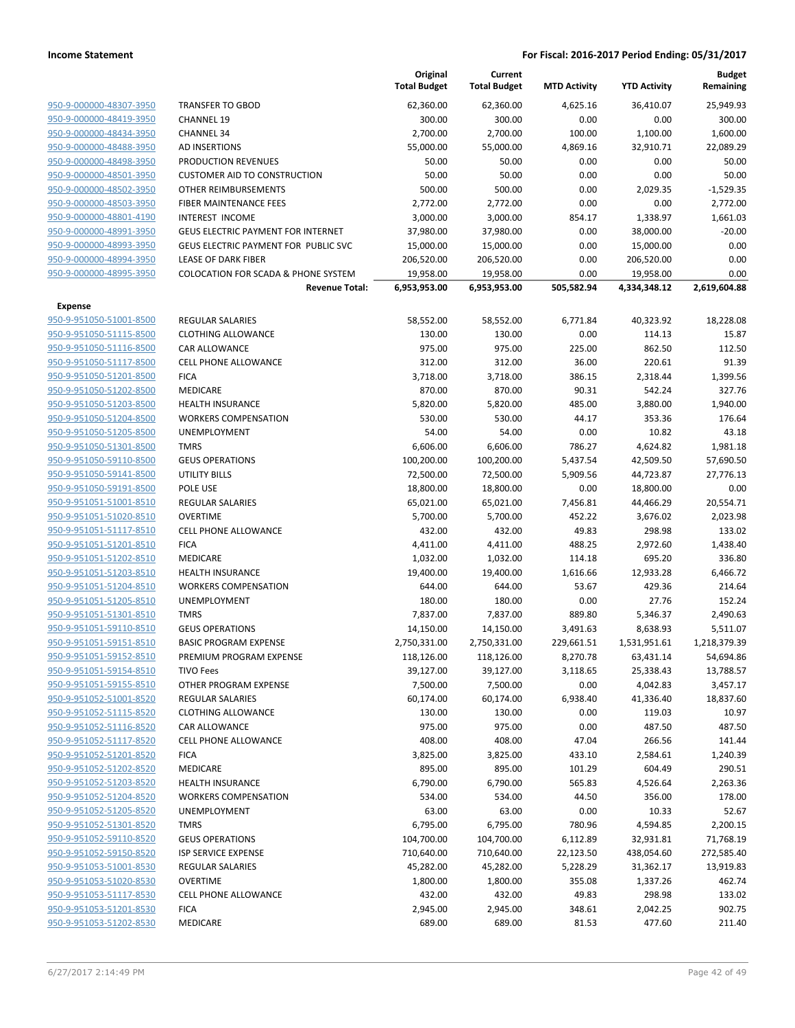|                                                    |                                                | Original<br><b>Total Budget</b> | Current<br><b>Total Budget</b> | <b>MTD Activity</b> | <b>YTD Activity</b> | <b>Budget</b><br>Remaining |
|----------------------------------------------------|------------------------------------------------|---------------------------------|--------------------------------|---------------------|---------------------|----------------------------|
| 950-9-000000-48307-3950                            | <b>TRANSFER TO GBOD</b>                        | 62,360.00                       | 62,360.00                      | 4,625.16            | 36,410.07           | 25,949.93                  |
| 950-9-000000-48419-3950                            | <b>CHANNEL 19</b>                              | 300.00                          | 300.00                         | 0.00                | 0.00                | 300.00                     |
| 950-9-000000-48434-3950                            | <b>CHANNEL 34</b>                              | 2,700.00                        | 2,700.00                       | 100.00              | 1,100.00            | 1,600.00                   |
| 950-9-000000-48488-3950                            | <b>AD INSERTIONS</b>                           | 55,000.00                       | 55,000.00                      | 4,869.16            | 32,910.71           | 22,089.29                  |
| 950-9-000000-48498-3950                            | <b>PRODUCTION REVENUES</b>                     | 50.00                           | 50.00                          | 0.00                | 0.00                | 50.00                      |
| 950-9-000000-48501-3950                            | <b>CUSTOMER AID TO CONSTRUCTION</b>            | 50.00                           | 50.00                          | 0.00                | 0.00                | 50.00                      |
| 950-9-000000-48502-3950                            | OTHER REIMBURSEMENTS                           | 500.00                          | 500.00                         | 0.00                | 2,029.35            | $-1,529.35$                |
| 950-9-000000-48503-3950                            | FIBER MAINTENANCE FEES                         | 2,772.00                        | 2,772.00                       | 0.00                | 0.00                | 2,772.00                   |
| 950-9-000000-48801-4190                            | <b>INTEREST INCOME</b>                         | 3,000.00                        | 3,000.00                       | 854.17              | 1,338.97            | 1,661.03                   |
| 950-9-000000-48991-3950                            | <b>GEUS ELECTRIC PAYMENT FOR INTERNET</b>      | 37,980.00                       | 37,980.00                      | 0.00                | 38,000.00           | $-20.00$                   |
| 950-9-000000-48993-3950                            | GEUS ELECTRIC PAYMENT FOR PUBLIC SVC           | 15,000.00                       | 15,000.00                      | 0.00                | 15,000.00           | 0.00                       |
| 950-9-000000-48994-3950                            | <b>LEASE OF DARK FIBER</b>                     | 206,520.00                      | 206,520.00                     | 0.00                | 206,520.00          | 0.00                       |
| 950-9-000000-48995-3950                            | <b>COLOCATION FOR SCADA &amp; PHONE SYSTEM</b> | 19,958.00                       | 19,958.00                      | 0.00                | 19,958.00           | 0.00                       |
|                                                    | <b>Revenue Total:</b>                          | 6,953,953.00                    | 6,953,953.00                   | 505,582.94          | 4,334,348.12        | 2,619,604.88               |
| Expense                                            |                                                |                                 |                                |                     |                     |                            |
| 950-9-951050-51001-8500                            | <b>REGULAR SALARIES</b>                        | 58,552.00                       | 58,552.00                      | 6,771.84            | 40,323.92           | 18,228.08                  |
| 950-9-951050-51115-8500                            | <b>CLOTHING ALLOWANCE</b>                      | 130.00                          | 130.00                         | 0.00                | 114.13              | 15.87                      |
| 950-9-951050-51116-8500                            | <b>CAR ALLOWANCE</b>                           | 975.00                          | 975.00                         | 225.00              | 862.50              | 112.50                     |
| 950-9-951050-51117-8500                            | <b>CELL PHONE ALLOWANCE</b>                    | 312.00                          | 312.00                         | 36.00               | 220.61              | 91.39                      |
| 950-9-951050-51201-8500                            | <b>FICA</b>                                    | 3,718.00                        | 3,718.00                       | 386.15              | 2,318.44            | 1,399.56                   |
| 950-9-951050-51202-8500                            | MEDICARE                                       | 870.00                          | 870.00                         | 90.31               | 542.24              | 327.76                     |
| 950-9-951050-51203-8500                            | <b>HEALTH INSURANCE</b>                        | 5,820.00                        | 5,820.00                       | 485.00              | 3,880.00            | 1,940.00                   |
| 950-9-951050-51204-8500                            | <b>WORKERS COMPENSATION</b>                    | 530.00                          | 530.00                         | 44.17               | 353.36              | 176.64                     |
| 950-9-951050-51205-8500                            | UNEMPLOYMENT                                   | 54.00                           | 54.00                          | 0.00                | 10.82               | 43.18                      |
| 950-9-951050-51301-8500                            | <b>TMRS</b>                                    | 6,606.00                        | 6,606.00                       | 786.27              | 4,624.82            | 1,981.18                   |
| 950-9-951050-59110-8500                            | <b>GEUS OPERATIONS</b>                         | 100,200.00                      | 100,200.00                     | 5,437.54            | 42,509.50           | 57,690.50                  |
| 950-9-951050-59141-8500                            | <b>UTILITY BILLS</b>                           | 72,500.00                       | 72,500.00                      | 5,909.56            | 44,723.87           | 27,776.13                  |
| 950-9-951050-59191-8500                            | POLE USE                                       | 18,800.00                       | 18,800.00                      | 0.00                | 18,800.00           | 0.00                       |
| 950-9-951051-51001-8510                            | REGULAR SALARIES                               | 65,021.00                       | 65,021.00                      | 7,456.81            | 44,466.29           | 20,554.71                  |
| 950-9-951051-51020-8510                            | <b>OVERTIME</b>                                | 5,700.00                        | 5,700.00                       | 452.22              | 3,676.02            | 2,023.98                   |
| 950-9-951051-51117-8510                            | <b>CELL PHONE ALLOWANCE</b>                    | 432.00                          | 432.00                         | 49.83               | 298.98              | 133.02                     |
| 950-9-951051-51201-8510                            | <b>FICA</b>                                    | 4,411.00                        | 4,411.00                       | 488.25              | 2,972.60            | 1,438.40                   |
| 950-9-951051-51202-8510                            | MEDICARE                                       | 1,032.00                        | 1,032.00                       | 114.18              | 695.20              | 336.80                     |
| 950-9-951051-51203-8510                            | <b>HEALTH INSURANCE</b>                        | 19,400.00                       | 19,400.00                      | 1,616.66            | 12,933.28           | 6,466.72                   |
| 950-9-951051-51204-8510                            | <b>WORKERS COMPENSATION</b>                    | 644.00                          | 644.00                         | 53.67               | 429.36              | 214.64                     |
| 950-9-951051-51205-8510                            | <b>UNEMPLOYMENT</b>                            | 180.00                          | 180.00                         | 0.00                | 27.76               | 152.24                     |
| 950-9-951051-51301-8510                            | <b>TMRS</b>                                    | 7,837.00                        | 7,837.00                       | 889.80              | 5,346.37            | 2,490.63                   |
| 950-9-951051-59110-8510                            | <b>GEUS OPERATIONS</b>                         | 14,150.00                       | 14,150.00                      | 3,491.63            | 8,638.93            | 5,511.07                   |
| 950-9-951051-59151-8510                            | <b>BASIC PROGRAM EXPENSE</b>                   | 2,750,331.00                    | 2,750,331.00                   | 229,661.51          | 1,531,951.61        | 1,218,379.39               |
| 950-9-951051-59152-8510                            | PREMIUM PROGRAM EXPENSE                        | 118,126.00                      | 118,126.00                     | 8,270.78            | 63,431.14           | 54,694.86                  |
| 950-9-951051-59154-8510                            | <b>TIVO Fees</b>                               | 39,127.00                       | 39,127.00                      | 3,118.65            | 25,338.43           | 13,788.57                  |
| 950-9-951051-59155-8510                            | OTHER PROGRAM EXPENSE                          | 7,500.00                        | 7,500.00                       | 0.00                | 4,042.83            | 3,457.17                   |
| 950-9-951052-51001-8520                            | REGULAR SALARIES                               | 60,174.00                       | 60,174.00                      | 6,938.40            | 41,336.40           | 18,837.60                  |
| 950-9-951052-51115-8520                            | <b>CLOTHING ALLOWANCE</b>                      | 130.00                          | 130.00                         | 0.00                | 119.03              | 10.97                      |
| 950-9-951052-51116-8520                            | CAR ALLOWANCE                                  | 975.00                          | 975.00                         | 0.00                | 487.50              | 487.50                     |
| 950-9-951052-51117-8520                            | <b>CELL PHONE ALLOWANCE</b>                    | 408.00                          | 408.00                         | 47.04               | 266.56              | 141.44                     |
| 950-9-951052-51201-8520<br>950-9-951052-51202-8520 | <b>FICA</b>                                    | 3,825.00                        | 3,825.00                       | 433.10              | 2,584.61            | 1,240.39                   |
|                                                    | MEDICARE                                       | 895.00<br>6,790.00              | 895.00                         | 101.29              | 604.49              | 290.51                     |
| 950-9-951052-51203-8520<br>950-9-951052-51204-8520 | <b>HEALTH INSURANCE</b>                        |                                 | 6,790.00                       | 565.83              | 4,526.64            | 2,263.36                   |
|                                                    | <b>WORKERS COMPENSATION</b>                    | 534.00                          | 534.00                         | 44.50               | 356.00              | 178.00                     |
| 950-9-951052-51205-8520<br>950-9-951052-51301-8520 | <b>UNEMPLOYMENT</b>                            | 63.00                           | 63.00                          | 0.00                | 10.33               | 52.67                      |
| 950-9-951052-59110-8520                            | <b>TMRS</b>                                    | 6,795.00                        | 6,795.00                       | 780.96              | 4,594.85            | 2,200.15                   |
|                                                    | <b>GEUS OPERATIONS</b>                         | 104,700.00                      | 104,700.00                     | 6,112.89            | 32,931.81           | 71,768.19                  |
| 950-9-951052-59150-8520                            | ISP SERVICE EXPENSE                            | 710,640.00                      | 710,640.00                     | 22,123.50           | 438,054.60          | 272,585.40                 |
| 950-9-951053-51001-8530                            | <b>REGULAR SALARIES</b>                        | 45,282.00                       | 45,282.00                      | 5,228.29            | 31,362.17           | 13,919.83                  |
| 950-9-951053-51020-8530<br>950-9-951053-51117-8530 | <b>OVERTIME</b>                                | 1,800.00                        | 1,800.00                       | 355.08              | 1,337.26            | 462.74                     |
| 950-9-951053-51201-8530                            | <b>CELL PHONE ALLOWANCE</b>                    | 432.00                          | 432.00                         | 49.83               | 298.98              | 133.02                     |
|                                                    | <b>FICA</b>                                    | 2,945.00                        | 2,945.00                       | 348.61              | 2,042.25            | 902.75                     |
| 950-9-951053-51202-8530                            | MEDICARE                                       | 689.00                          | 689.00                         | 81.53               | 477.60              | 211.40                     |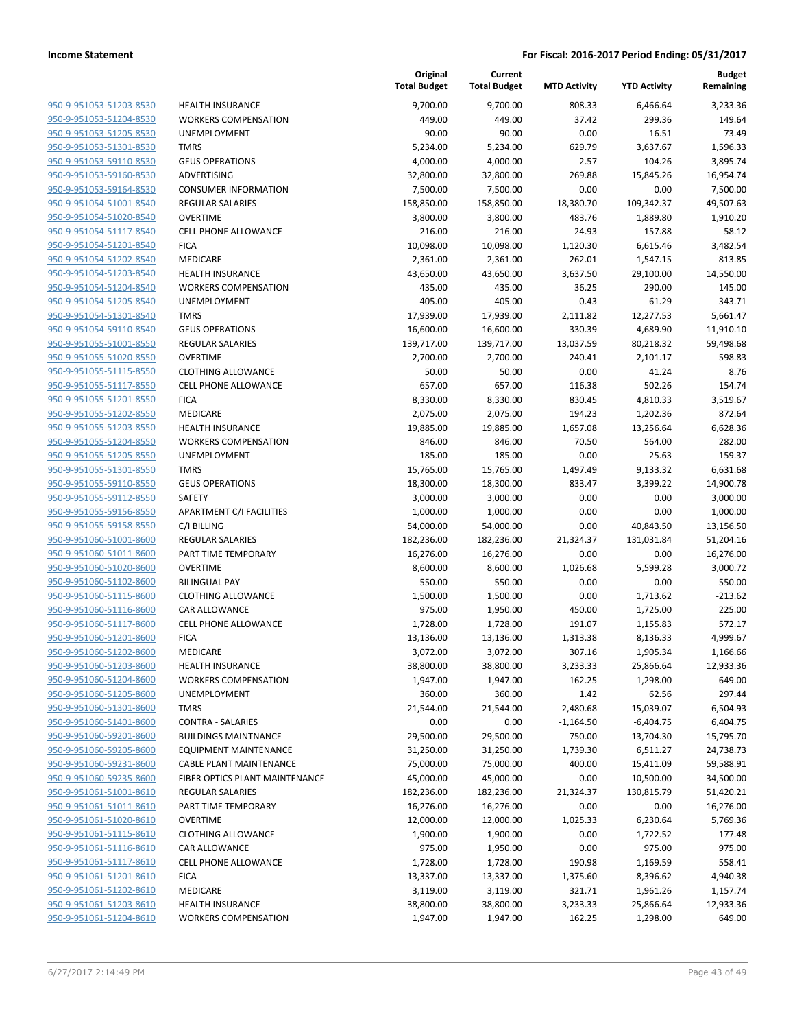| 950-9-951053-51203-8530        |
|--------------------------------|
| 950-9-951053-51204-8530        |
| 950-9-951053-51205-8530        |
| 950-9-951053-51301-8530        |
| 950-9-951053-59110-8530        |
| 950-9-951053-59160-8530        |
| 950-9-951053-59164-8530        |
| 950-9-951054-51001-8540        |
| 950-9-951054-51020-8540        |
| 950-9-951054-51117-8540        |
| 950-9-951054-51201-8540        |
| 950-9-951054-51202-8540        |
| 950-9-951054-51203-8540        |
| <u>950-9-951054-51204-8540</u> |
| 950-9-951054-51205-8540        |
| 950-9-951054-51301-8540        |
| 950-9-951054-59110-8540        |
| 950-9-951055-51001-8550        |
| 950-9-951055-51020-8550        |
| 950-9-951055-51115-8550        |
| 950-9-951055-51117-8550        |
| 950-9-951055-51201-8550        |
| 950-9-951055-51202-8550        |
| 950-9-951055-51203-8550        |
| 950-9-951055-51204-8550        |
| 950-9-951055-51205-8550        |
| 950-9-951055-51301-8550        |
| 950-9-951055-59110-8550        |
| 950-9-951055-59112-8550        |
| 950-9-951055-59156-8550        |
| 950-9-951055-59158-8550        |
| 950-9-951060-51001-8600        |
| 950-9-951060-51011-8600        |
| <u>950-9-951060-51020-8600</u> |
| 950-9-951060-51102-8600        |
| 950-9-951060-51115-8600        |
| 950-9-951060-51116-8600        |
| 950-9-951060-51117-8600        |
| <u>950-9-951060-51201-8600</u> |
| 950-9-951060-51202-8600        |
| 950-9-951060-51203-8600        |
| 950-9-951060-51204-8600        |
| 950-9-951060-51205-8600        |
| 950-9-951060-51301-8600        |
| 950-9-951060-51401-8600        |
| 950-9-951060-59201-8600        |
| 950-9-951060-59205-8600        |
| 950-9-951060-59231-8600        |
| <u>950-9-951060-59235-8600</u> |
| 950-9-951061-51001-8610        |
| 950-9-951061-51011-8610        |
| 950-9-951061-51020-8610        |
| 950-9-951061-51115-8610        |
| 950-9-951061-51116-8610        |
| 950-9-951061-51117-8610        |
| 950-9-951061-51201-8610        |
| 950-9-951061-51202-8610        |
| <u>950-9-951061-51203-8610</u> |
| 950-9-951061-51204-8610        |

| <b>HEALTH INSURANCE</b>                 |
|-----------------------------------------|
| <b>WORKERS COMPENSATION</b>             |
| <b>UNEMPLOYMENT</b>                     |
| <b>TMRS</b>                             |
| <b>GEUS OPERATIONS</b>                  |
| <b>ADVERTISING</b>                      |
| <b>CONSUMER INFORMATION</b>             |
| <b>REGULAR SALARIES</b>                 |
| <b>OVERTIME</b>                         |
| <b>CELL PHONE ALLOWANCE</b>             |
| <b>FICA</b>                             |
| <b>MEDICARE</b>                         |
| <b>HEALTH INSURANCE</b>                 |
| <b>WORKERS COMPENSATION</b>             |
| <b>UNEMPLOYMENT</b>                     |
| <b>TMRS</b>                             |
| <b>GEUS OPERATIONS</b>                  |
| <b>REGULAR SALARIES</b>                 |
| <b>OVERTIME</b>                         |
| <b>CLOTHING ALLOWANCE</b>               |
| <b>CELL PHONE ALLOWANCE</b>             |
| <b>FICA</b>                             |
| <b>MEDICARE</b>                         |
| <b>HEALTH INSURANCE</b>                 |
| <b>WORKERS COMPENSATION</b>             |
| <b>UNEMPLOYMENT</b>                     |
| <b>TMRS</b>                             |
| <b>GEUS OPERATIONS</b>                  |
| SAFETY                                  |
| <b>APARTMENT C/I FACILITIES</b>         |
| C/I BILLING                             |
| <b>REGULAR SALARIES</b>                 |
| PART TIME TEMPORARY                     |
| OVERTIME                                |
| <b>BILINGUAL PAY</b>                    |
| <b>CLOTHING ALLOWANCE</b>               |
| <b>CAR ALLOWANCE</b>                    |
| CELL PHONE ALLOWANCE                    |
| <b>FICA</b>                             |
| <b>MEDICARE</b>                         |
| <b>HEALTH INSURANCE</b>                 |
| <b>WORKERS COMPENSATION</b>             |
| <b>UNEMPLOYMENT</b>                     |
| <b>TMRS</b><br><b>CONTRA - SALARIES</b> |
| <b>BUILDINGS MAINTNANCE</b>             |
| <b>EQUIPMENT MAINTENANCE</b>            |
| <b>CABLE PLANT MAINTENANCE</b>          |
| FIBER OPTICS PLANT MAINTENANCE          |
| <b>REGULAR SALARIES</b>                 |
| PART TIME TEMPORARY                     |
| <b>OVERTIME</b>                         |
| <b>CLOTHING ALLOWANCE</b>               |
| CAR ALLOWANCE                           |
| <b>CELL PHONE ALLOWANCE</b>             |
| <b>FICA</b>                             |
| <b>MEDICARE</b>                         |
| <b>HEALTH INSURANCE</b>                 |
| <b>WORKERS COMPENSATION</b>             |

|                                                    |                                              | Original<br><b>Total Budget</b> | Current<br><b>Total Budget</b> | <b>MTD Activity</b> | <b>YTD Activity</b>   | <b>Budget</b><br>Remaining |
|----------------------------------------------------|----------------------------------------------|---------------------------------|--------------------------------|---------------------|-----------------------|----------------------------|
| 950-9-951053-51203-8530                            | <b>HEALTH INSURANCE</b>                      | 9,700.00                        | 9,700.00                       | 808.33              | 6,466.64              | 3,233.36                   |
| 950-9-951053-51204-8530                            | <b>WORKERS COMPENSATION</b>                  | 449.00                          | 449.00                         | 37.42               | 299.36                | 149.64                     |
| 950-9-951053-51205-8530                            | UNEMPLOYMENT                                 | 90.00                           | 90.00                          | 0.00                | 16.51                 | 73.49                      |
| 950-9-951053-51301-8530                            | <b>TMRS</b>                                  | 5,234.00                        | 5,234.00                       | 629.79              | 3,637.67              | 1,596.33                   |
| 950-9-951053-59110-8530                            | <b>GEUS OPERATIONS</b>                       | 4,000.00                        | 4,000.00                       | 2.57                | 104.26                | 3,895.74                   |
| 950-9-951053-59160-8530                            | ADVERTISING                                  | 32,800.00                       | 32,800.00                      | 269.88              | 15,845.26             | 16,954.74                  |
| 950-9-951053-59164-8530                            | <b>CONSUMER INFORMATION</b>                  | 7,500.00                        | 7,500.00                       | 0.00                | 0.00                  | 7,500.00                   |
| 950-9-951054-51001-8540                            | <b>REGULAR SALARIES</b>                      | 158,850.00                      | 158,850.00                     | 18,380.70           | 109,342.37            | 49,507.63                  |
| 950-9-951054-51020-8540                            | <b>OVERTIME</b>                              | 3,800.00                        | 3,800.00                       | 483.76              | 1,889.80              | 1,910.20                   |
| 950-9-951054-51117-8540                            | <b>CELL PHONE ALLOWANCE</b>                  | 216.00                          | 216.00                         | 24.93               | 157.88                | 58.12                      |
| 950-9-951054-51201-8540                            | <b>FICA</b>                                  | 10,098.00                       | 10,098.00                      | 1,120.30            | 6,615.46              | 3,482.54                   |
| 950-9-951054-51202-8540                            | MEDICARE                                     | 2,361.00                        | 2,361.00                       | 262.01              | 1,547.15              | 813.85                     |
| 950-9-951054-51203-8540                            | <b>HEALTH INSURANCE</b>                      | 43,650.00                       | 43,650.00                      | 3,637.50            | 29,100.00             | 14,550.00                  |
| 950-9-951054-51204-8540                            | <b>WORKERS COMPENSATION</b>                  | 435.00                          | 435.00                         | 36.25               | 290.00                | 145.00                     |
| 950-9-951054-51205-8540                            | <b>UNEMPLOYMENT</b>                          | 405.00                          | 405.00                         | 0.43                | 61.29                 | 343.71                     |
| 950-9-951054-51301-8540                            | <b>TMRS</b>                                  | 17,939.00                       | 17,939.00                      | 2,111.82            | 12,277.53             | 5,661.47                   |
| 950-9-951054-59110-8540                            | <b>GEUS OPERATIONS</b>                       | 16,600.00                       | 16,600.00                      | 330.39              | 4,689.90              | 11,910.10                  |
| 950-9-951055-51001-8550                            | <b>REGULAR SALARIES</b>                      | 139,717.00                      | 139,717.00                     | 13,037.59           | 80,218.32             | 59,498.68                  |
| 950-9-951055-51020-8550                            | <b>OVERTIME</b>                              | 2,700.00                        | 2,700.00                       | 240.41              | 2,101.17              | 598.83                     |
| 950-9-951055-51115-8550                            | <b>CLOTHING ALLOWANCE</b>                    | 50.00                           | 50.00                          | 0.00                | 41.24                 | 8.76                       |
| 950-9-951055-51117-8550                            | <b>CELL PHONE ALLOWANCE</b>                  | 657.00                          | 657.00                         | 116.38              | 502.26                | 154.74                     |
| 950-9-951055-51201-8550                            | <b>FICA</b>                                  | 8,330.00                        | 8,330.00                       | 830.45              | 4,810.33              | 3,519.67                   |
| 950-9-951055-51202-8550                            | MEDICARE                                     | 2,075.00                        | 2,075.00                       | 194.23              | 1,202.36              | 872.64                     |
| 950-9-951055-51203-8550                            | <b>HEALTH INSURANCE</b>                      | 19,885.00                       | 19,885.00                      | 1,657.08            | 13,256.64             | 6,628.36                   |
| 950-9-951055-51204-8550                            | <b>WORKERS COMPENSATION</b>                  | 846.00                          | 846.00                         | 70.50               | 564.00                | 282.00                     |
| 950-9-951055-51205-8550                            | UNEMPLOYMENT                                 | 185.00                          | 185.00                         | 0.00                | 25.63                 | 159.37                     |
| 950-9-951055-51301-8550                            | <b>TMRS</b>                                  | 15,765.00                       | 15,765.00                      | 1,497.49            | 9,133.32              | 6,631.68                   |
| 950-9-951055-59110-8550                            | <b>GEUS OPERATIONS</b>                       | 18,300.00                       | 18,300.00                      | 833.47              | 3,399.22              | 14,900.78                  |
| 950-9-951055-59112-8550                            | <b>SAFETY</b>                                | 3,000.00                        | 3,000.00                       | 0.00                | 0.00                  | 3,000.00                   |
| 950-9-951055-59156-8550                            | APARTMENT C/I FACILITIES                     | 1,000.00                        | 1,000.00                       | 0.00                | 0.00                  | 1,000.00                   |
| 950-9-951055-59158-8550                            | C/I BILLING                                  | 54,000.00                       | 54,000.00                      | 0.00                | 40,843.50             | 13,156.50                  |
| 950-9-951060-51001-8600                            | <b>REGULAR SALARIES</b>                      | 182,236.00                      | 182,236.00                     | 21,324.37           | 131,031.84            | 51,204.16                  |
| 950-9-951060-51011-8600                            | PART TIME TEMPORARY                          | 16,276.00                       | 16,276.00                      | 0.00                | 0.00                  | 16,276.00                  |
| 950-9-951060-51020-8600                            | <b>OVERTIME</b>                              | 8,600.00                        | 8,600.00                       | 1,026.68            | 5,599.28              | 3,000.72                   |
| 950-9-951060-51102-8600                            | <b>BILINGUAL PAY</b>                         | 550.00                          | 550.00                         | 0.00                | 0.00                  | 550.00                     |
| 950-9-951060-51115-8600                            | <b>CLOTHING ALLOWANCE</b>                    | 1,500.00                        | 1,500.00                       | 0.00                | 1,713.62              | $-213.62$                  |
| 950-9-951060-51116-8600                            | <b>CAR ALLOWANCE</b>                         | 975.00                          | 1,950.00                       | 450.00              | 1,725.00              | 225.00                     |
| 950-9-951060-51117-8600                            | <b>CELL PHONE ALLOWANCE</b>                  | 1,728.00                        | 1,728.00                       | 191.07              | 1,155.83              | 572.17                     |
| 950-9-951060-51201-8600                            | <b>FICA</b>                                  | 13,136.00                       | 13,136.00                      | 1,313.38            | 8,136.33              | 4,999.67                   |
| 950-9-951060-51202-8600                            | MEDICARE                                     | 3,072.00                        | 3,072.00                       | 307.16              | 1,905.34              | 1,166.66                   |
| 950-9-951060-51203-8600                            | <b>HEALTH INSURANCE</b>                      | 38,800.00                       | 38,800.00                      | 3,233.33            | 25,866.64             | 12,933.36                  |
| 950-9-951060-51204-8600                            | <b>WORKERS COMPENSATION</b>                  | 1,947.00                        | 1,947.00                       | 162.25              | 1,298.00              | 649.00                     |
| 950-9-951060-51205-8600                            | UNEMPLOYMENT                                 | 360.00                          | 360.00                         | 1.42                | 62.56                 | 297.44                     |
| 950-9-951060-51301-8600                            | <b>TMRS</b>                                  | 21,544.00                       | 21,544.00                      | 2,480.68            | 15,039.07             | 6,504.93                   |
| 950-9-951060-51401-8600                            | <b>CONTRA - SALARIES</b>                     | 0.00                            | 0.00                           | $-1,164.50$         | $-6,404.75$           | 6,404.75                   |
| 950-9-951060-59201-8600                            | <b>BUILDINGS MAINTNANCE</b>                  | 29,500.00                       | 29,500.00                      | 750.00              | 13,704.30             | 15,795.70                  |
| 950-9-951060-59205-8600                            | <b>EQUIPMENT MAINTENANCE</b>                 | 31,250.00                       | 31,250.00                      | 1,739.30            | 6,511.27              | 24,738.73                  |
| 950-9-951060-59231-8600                            | <b>CABLE PLANT MAINTENANCE</b>               | 75,000.00                       | 75,000.00                      | 400.00              | 15,411.09             | 59,588.91                  |
| 950-9-951060-59235-8600                            | FIBER OPTICS PLANT MAINTENANCE               | 45,000.00                       | 45,000.00                      | 0.00                | 10,500.00             | 34,500.00                  |
| 950-9-951061-51001-8610                            | <b>REGULAR SALARIES</b>                      | 182,236.00                      | 182,236.00                     | 21,324.37           | 130,815.79            | 51,420.21                  |
| 950-9-951061-51011-8610                            | PART TIME TEMPORARY                          | 16,276.00                       | 16,276.00                      | 0.00                | 0.00                  | 16,276.00                  |
| 950-9-951061-51020-8610                            | <b>OVERTIME</b>                              | 12,000.00                       | 12,000.00                      | 1,025.33            | 6,230.64              | 5,769.36                   |
| 950-9-951061-51115-8610<br>950-9-951061-51116-8610 | <b>CLOTHING ALLOWANCE</b>                    | 1,900.00                        | 1,900.00                       | 0.00                | 1,722.52              | 177.48                     |
| 950-9-951061-51117-8610                            | <b>CAR ALLOWANCE</b><br>CELL PHONE ALLOWANCE | 975.00                          | 1,950.00                       | 0.00<br>190.98      | 975.00                | 975.00<br>558.41           |
|                                                    | <b>FICA</b>                                  | 1,728.00                        | 1,728.00                       |                     | 1,169.59              |                            |
| 950-9-951061-51201-8610<br>950-9-951061-51202-8610 | MEDICARE                                     | 13,337.00                       | 13,337.00                      | 1,375.60<br>321.71  | 8,396.62              | 4,940.38                   |
| 950-9-951061-51203-8610                            | <b>HEALTH INSURANCE</b>                      | 3,119.00<br>38,800.00           | 3,119.00                       | 3,233.33            | 1,961.26              | 1,157.74<br>12,933.36      |
| 950-9-951061-51204-8610                            | <b>WORKERS COMPENSATION</b>                  | 1,947.00                        | 38,800.00<br>1,947.00          | 162.25              | 25,866.64<br>1,298.00 | 649.00                     |
|                                                    |                                              |                                 |                                |                     |                       |                            |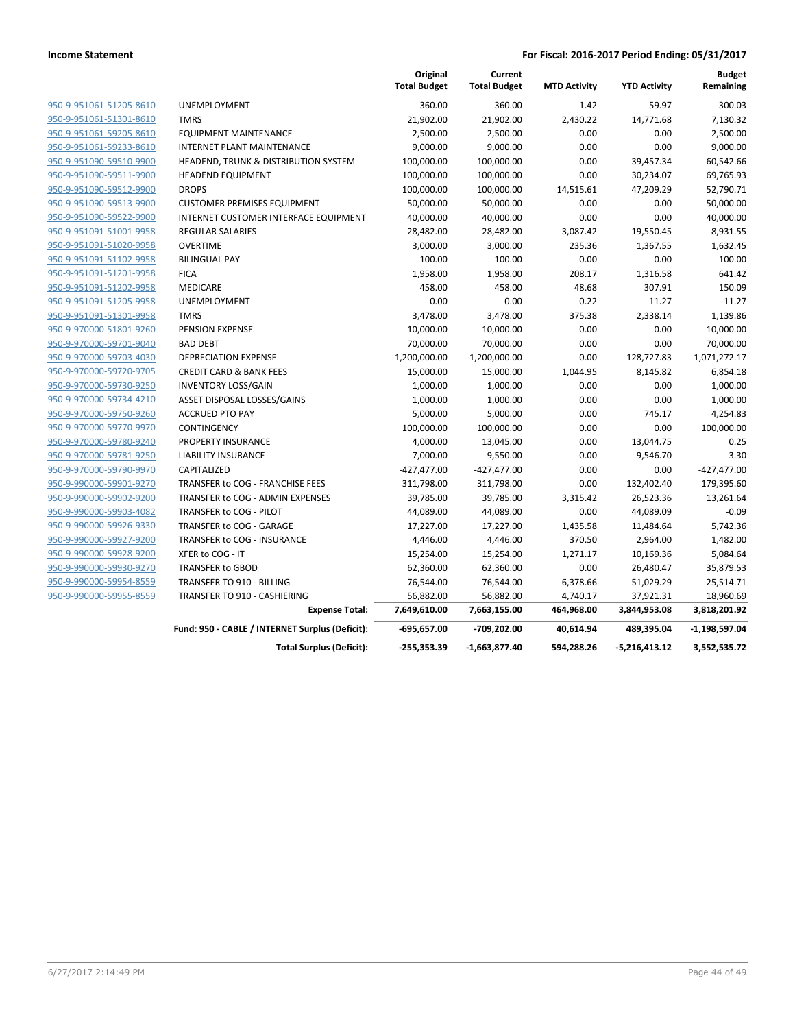|                         |                                                 | Original<br><b>Total Budget</b> | Current<br><b>Total Budget</b> | <b>MTD Activity</b> | <b>YTD Activity</b> | <b>Budget</b><br>Remaining |
|-------------------------|-------------------------------------------------|---------------------------------|--------------------------------|---------------------|---------------------|----------------------------|
| 950-9-951061-51205-8610 | <b>UNEMPLOYMENT</b>                             | 360.00                          | 360.00                         | 1.42                | 59.97               | 300.03                     |
| 950-9-951061-51301-8610 | <b>TMRS</b>                                     | 21,902.00                       | 21,902.00                      | 2,430.22            | 14,771.68           | 7,130.32                   |
| 950-9-951061-59205-8610 | <b>EQUIPMENT MAINTENANCE</b>                    | 2,500.00                        | 2,500.00                       | 0.00                | 0.00                | 2,500.00                   |
| 950-9-951061-59233-8610 | INTERNET PLANT MAINTENANCE                      | 9,000.00                        | 9,000.00                       | 0.00                | 0.00                | 9,000.00                   |
| 950-9-951090-59510-9900 | HEADEND, TRUNK & DISTRIBUTION SYSTEM            | 100,000.00                      | 100,000.00                     | 0.00                | 39,457.34           | 60,542.66                  |
| 950-9-951090-59511-9900 | <b>HEADEND EQUIPMENT</b>                        | 100,000.00                      | 100,000.00                     | 0.00                | 30,234.07           | 69,765.93                  |
| 950-9-951090-59512-9900 | <b>DROPS</b>                                    | 100,000.00                      | 100,000.00                     | 14,515.61           | 47,209.29           | 52,790.71                  |
| 950-9-951090-59513-9900 | <b>CUSTOMER PREMISES EQUIPMENT</b>              | 50,000.00                       | 50,000.00                      | 0.00                | 0.00                | 50,000.00                  |
| 950-9-951090-59522-9900 | INTERNET CUSTOMER INTERFACE EQUIPMENT           | 40,000.00                       | 40,000.00                      | 0.00                | 0.00                | 40,000.00                  |
| 950-9-951091-51001-9958 | <b>REGULAR SALARIES</b>                         | 28,482.00                       | 28,482.00                      | 3,087.42            | 19,550.45           | 8,931.55                   |
| 950-9-951091-51020-9958 | <b>OVERTIME</b>                                 | 3,000.00                        | 3,000.00                       | 235.36              | 1,367.55            | 1,632.45                   |
| 950-9-951091-51102-9958 | <b>BILINGUAL PAY</b>                            | 100.00                          | 100.00                         | 0.00                | 0.00                | 100.00                     |
| 950-9-951091-51201-9958 | <b>FICA</b>                                     | 1,958.00                        | 1,958.00                       | 208.17              | 1,316.58            | 641.42                     |
| 950-9-951091-51202-9958 | MEDICARE                                        | 458.00                          | 458.00                         | 48.68               | 307.91              | 150.09                     |
| 950-9-951091-51205-9958 | <b>UNEMPLOYMENT</b>                             | 0.00                            | 0.00                           | 0.22                | 11.27               | $-11.27$                   |
| 950-9-951091-51301-9958 | <b>TMRS</b>                                     | 3,478.00                        | 3,478.00                       | 375.38              | 2,338.14            | 1,139.86                   |
| 950-9-970000-51801-9260 | PENSION EXPENSE                                 | 10,000.00                       | 10,000.00                      | 0.00                | 0.00                | 10,000.00                  |
| 950-9-970000-59701-9040 | <b>BAD DEBT</b>                                 | 70,000.00                       | 70,000.00                      | 0.00                | 0.00                | 70,000.00                  |
| 950-9-970000-59703-4030 | <b>DEPRECIATION EXPENSE</b>                     | 1,200,000.00                    | 1,200,000.00                   | 0.00                | 128,727.83          | 1,071,272.17               |
| 950-9-970000-59720-9705 | <b>CREDIT CARD &amp; BANK FEES</b>              | 15,000.00                       | 15,000.00                      | 1,044.95            | 8,145.82            | 6,854.18                   |
| 950-9-970000-59730-9250 | <b>INVENTORY LOSS/GAIN</b>                      | 1,000.00                        | 1,000.00                       | 0.00                | 0.00                | 1,000.00                   |
| 950-9-970000-59734-4210 | ASSET DISPOSAL LOSSES/GAINS                     | 1,000.00                        | 1,000.00                       | 0.00                | 0.00                | 1,000.00                   |
| 950-9-970000-59750-9260 | <b>ACCRUED PTO PAY</b>                          | 5,000.00                        | 5,000.00                       | 0.00                | 745.17              | 4,254.83                   |
| 950-9-970000-59770-9970 | CONTINGENCY                                     | 100,000.00                      | 100,000.00                     | 0.00                | 0.00                | 100,000.00                 |
| 950-9-970000-59780-9240 | PROPERTY INSURANCE                              | 4,000.00                        | 13,045.00                      | 0.00                | 13,044.75           | 0.25                       |
| 950-9-970000-59781-9250 | <b>LIABILITY INSURANCE</b>                      | 7,000.00                        | 9,550.00                       | 0.00                | 9,546.70            | 3.30                       |
| 950-9-970000-59790-9970 | CAPITALIZED                                     | $-427,477.00$                   | $-427,477.00$                  | 0.00                | 0.00                | $-427,477.00$              |
| 950-9-990000-59901-9270 | TRANSFER to COG - FRANCHISE FEES                | 311,798.00                      | 311,798.00                     | 0.00                | 132,402.40          | 179,395.60                 |
| 950-9-990000-59902-9200 | TRANSFER to COG - ADMIN EXPENSES                | 39,785.00                       | 39,785.00                      | 3,315.42            | 26,523.36           | 13,261.64                  |
| 950-9-990000-59903-4082 | TRANSFER to COG - PILOT                         | 44,089.00                       | 44,089.00                      | 0.00                | 44,089.09           | $-0.09$                    |
| 950-9-990000-59926-9330 | TRANSFER to COG - GARAGE                        | 17,227.00                       | 17,227.00                      | 1,435.58            | 11,484.64           | 5,742.36                   |
| 950-9-990000-59927-9200 | TRANSFER to COG - INSURANCE                     | 4,446.00                        | 4,446.00                       | 370.50              | 2,964.00            | 1,482.00                   |
| 950-9-990000-59928-9200 | XFER to COG - IT                                | 15,254.00                       | 15,254.00                      | 1,271.17            | 10,169.36           | 5,084.64                   |
| 950-9-990000-59930-9270 | <b>TRANSFER to GBOD</b>                         | 62,360.00                       | 62,360.00                      | 0.00                | 26,480.47           | 35,879.53                  |
| 950-9-990000-59954-8559 | TRANSFER TO 910 - BILLING                       | 76,544.00                       | 76,544.00                      | 6,378.66            | 51,029.29           | 25,514.71                  |
| 950-9-990000-59955-8559 | TRANSFER TO 910 - CASHIERING                    | 56,882.00                       | 56,882.00                      | 4,740.17            | 37,921.31           | 18,960.69                  |
|                         | <b>Expense Total:</b>                           | 7,649,610.00                    | 7,663,155.00                   | 464,968.00          | 3,844,953.08        | 3,818,201.92               |
|                         | Fund: 950 - CABLE / INTERNET Surplus (Deficit): | $-695,657.00$                   | -709,202.00                    | 40,614.94           | 489,395.04          | $-1,198,597.04$            |
|                         | <b>Total Surplus (Deficit):</b>                 | $-255,353.39$                   | $-1,663,877.40$                | 594,288.26          | $-5,216,413.12$     | 3,552,535.72               |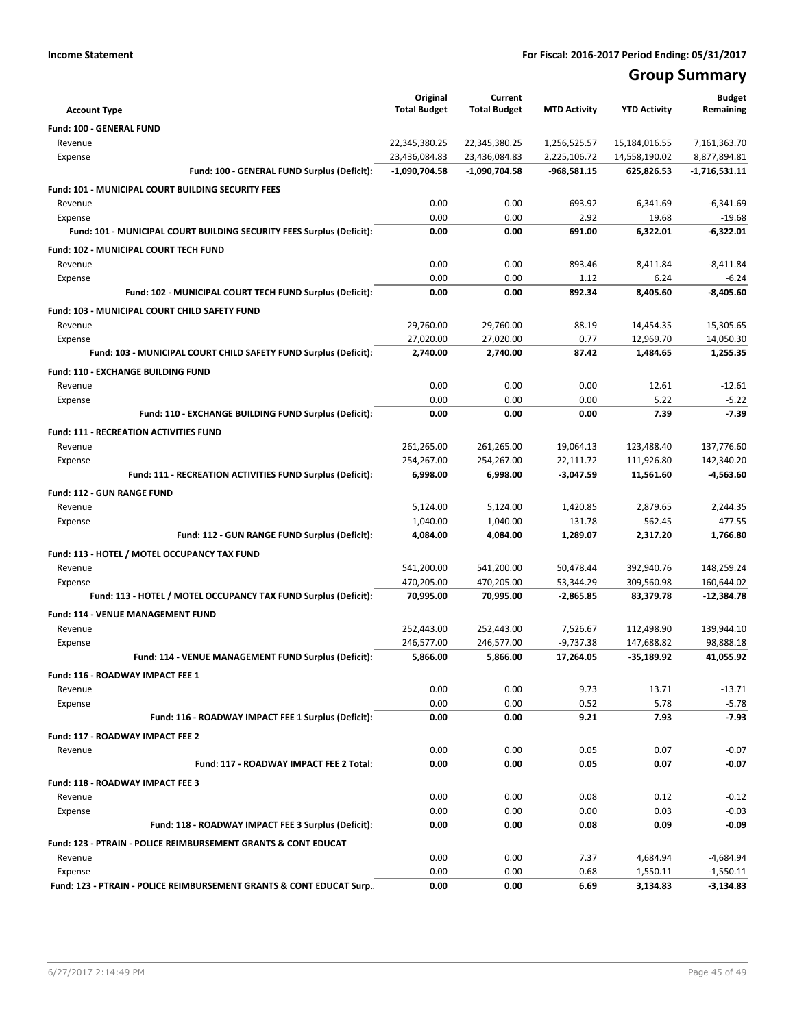# **Group Summary**

| <b>Account Type</b>                                                              | Original<br><b>Total Budget</b>  | Current<br><b>Total Budget</b>   | <b>MTD Activity</b>           | <b>YTD Activity</b>         | <b>Budget</b><br>Remaining      |
|----------------------------------------------------------------------------------|----------------------------------|----------------------------------|-------------------------------|-----------------------------|---------------------------------|
|                                                                                  |                                  |                                  |                               |                             |                                 |
| <b>Fund: 100 - GENERAL FUND</b>                                                  |                                  |                                  |                               |                             |                                 |
| Revenue<br>Expense                                                               | 22,345,380.25                    | 22,345,380.25                    | 1,256,525.57                  | 15,184,016.55               | 7,161,363.70                    |
| Fund: 100 - GENERAL FUND Surplus (Deficit):                                      | 23,436,084.83<br>$-1,090,704.58$ | 23,436,084.83<br>$-1,090,704.58$ | 2,225,106.72<br>$-968,581.15$ | 14,558,190.02<br>625,826.53 | 8,877,894.81<br>$-1,716,531.11$ |
|                                                                                  |                                  |                                  |                               |                             |                                 |
| <b>Fund: 101 - MUNICIPAL COURT BUILDING SECURITY FEES</b>                        |                                  |                                  |                               |                             |                                 |
| Revenue                                                                          | 0.00                             | 0.00                             | 693.92                        | 6,341.69                    | $-6,341.69$                     |
| Expense<br>Fund: 101 - MUNICIPAL COURT BUILDING SECURITY FEES Surplus (Deficit): | 0.00<br>0.00                     | 0.00<br>0.00                     | 2.92<br>691.00                | 19.68<br>6,322.01           | $-19.68$<br>$-6,322.01$         |
|                                                                                  |                                  |                                  |                               |                             |                                 |
| Fund: 102 - MUNICIPAL COURT TECH FUND                                            |                                  |                                  |                               |                             |                                 |
| Revenue                                                                          | 0.00                             | 0.00                             | 893.46                        | 8,411.84                    | $-8,411.84$                     |
| Expense                                                                          | 0.00                             | 0.00                             | 1.12                          | 6.24                        | $-6.24$                         |
| Fund: 102 - MUNICIPAL COURT TECH FUND Surplus (Deficit):                         | 0.00                             | 0.00                             | 892.34                        | 8,405.60                    | $-8,405.60$                     |
| Fund: 103 - MUNICIPAL COURT CHILD SAFETY FUND                                    |                                  |                                  |                               |                             |                                 |
| Revenue                                                                          | 29,760.00                        | 29,760.00                        | 88.19                         | 14,454.35                   | 15,305.65                       |
| Expense                                                                          | 27.020.00                        | 27,020.00                        | 0.77                          | 12,969.70                   | 14,050.30                       |
| Fund: 103 - MUNICIPAL COURT CHILD SAFETY FUND Surplus (Deficit):                 | 2,740.00                         | 2,740.00                         | 87.42                         | 1,484.65                    | 1,255.35                        |
| Fund: 110 - EXCHANGE BUILDING FUND                                               |                                  |                                  |                               |                             |                                 |
| Revenue                                                                          | 0.00                             | 0.00                             | 0.00                          | 12.61                       | $-12.61$                        |
| Expense                                                                          | 0.00                             | 0.00                             | 0.00                          | 5.22                        | $-5.22$                         |
| Fund: 110 - EXCHANGE BUILDING FUND Surplus (Deficit):                            | 0.00                             | 0.00                             | 0.00                          | 7.39                        | $-7.39$                         |
| <b>Fund: 111 - RECREATION ACTIVITIES FUND</b>                                    |                                  |                                  |                               |                             |                                 |
| Revenue                                                                          | 261,265.00                       | 261,265.00                       | 19,064.13                     | 123,488.40                  | 137,776.60                      |
| Expense                                                                          | 254,267.00                       | 254,267.00                       | 22,111.72                     | 111,926.80                  | 142,340.20                      |
| Fund: 111 - RECREATION ACTIVITIES FUND Surplus (Deficit):                        | 6,998.00                         | 6,998.00                         | $-3,047.59$                   | 11,561.60                   | $-4,563.60$                     |
| <b>Fund: 112 - GUN RANGE FUND</b>                                                |                                  |                                  |                               |                             |                                 |
| Revenue                                                                          | 5,124.00                         | 5,124.00                         | 1,420.85                      | 2,879.65                    | 2,244.35                        |
| Expense                                                                          | 1,040.00                         | 1,040.00                         | 131.78                        | 562.45                      | 477.55                          |
| Fund: 112 - GUN RANGE FUND Surplus (Deficit):                                    | 4,084.00                         | 4,084.00                         | 1,289.07                      | 2,317.20                    | 1,766.80                        |
|                                                                                  |                                  |                                  |                               |                             |                                 |
| Fund: 113 - HOTEL / MOTEL OCCUPANCY TAX FUND<br>Revenue                          | 541,200.00                       | 541,200.00                       | 50,478.44                     | 392,940.76                  | 148,259.24                      |
| Expense                                                                          | 470,205.00                       | 470,205.00                       | 53,344.29                     | 309,560.98                  | 160,644.02                      |
| Fund: 113 - HOTEL / MOTEL OCCUPANCY TAX FUND Surplus (Deficit):                  | 70,995.00                        | 70,995.00                        | $-2,865.85$                   | 83,379.78                   | $-12,384.78$                    |
|                                                                                  |                                  |                                  |                               |                             |                                 |
| Fund: 114 - VENUE MANAGEMENT FUND                                                |                                  |                                  |                               |                             |                                 |
| Revenue                                                                          | 252,443.00                       | 252,443.00                       | 7,526.67                      | 112,498.90                  | 139,944.10<br>98.888.18         |
| Expense                                                                          | 246,577.00                       | 246,577.00<br>5,866.00           | $-9,737.38$<br>17,264.05      | 147,688.82<br>$-35,189.92$  | 41,055.92                       |
| Fund: 114 - VENUE MANAGEMENT FUND Surplus (Deficit):                             | 5,866.00                         |                                  |                               |                             |                                 |
| Fund: 116 - ROADWAY IMPACT FEE 1                                                 |                                  |                                  |                               |                             |                                 |
| Revenue                                                                          | 0.00                             | 0.00                             | 9.73                          | 13.71                       | $-13.71$                        |
| Expense                                                                          | 0.00                             | 0.00                             | 0.52                          | 5.78                        | $-5.78$                         |
| Fund: 116 - ROADWAY IMPACT FEE 1 Surplus (Deficit):                              | 0.00                             | 0.00                             | 9.21                          | 7.93                        | $-7.93$                         |
| Fund: 117 - ROADWAY IMPACT FEE 2                                                 |                                  |                                  |                               |                             |                                 |
| Revenue                                                                          | 0.00                             | 0.00                             | 0.05                          | 0.07                        | $-0.07$                         |
| Fund: 117 - ROADWAY IMPACT FEE 2 Total:                                          | 0.00                             | 0.00                             | 0.05                          | 0.07                        | $-0.07$                         |
| Fund: 118 - ROADWAY IMPACT FEE 3                                                 |                                  |                                  |                               |                             |                                 |
| Revenue                                                                          | 0.00                             | 0.00                             | 0.08                          | 0.12                        | $-0.12$                         |
| Expense                                                                          | 0.00                             | 0.00                             | 0.00                          | 0.03                        | $-0.03$                         |
| Fund: 118 - ROADWAY IMPACT FEE 3 Surplus (Deficit):                              | 0.00                             | 0.00                             | 0.08                          | 0.09                        | $-0.09$                         |
| Fund: 123 - PTRAIN - POLICE REIMBURSEMENT GRANTS & CONT EDUCAT                   |                                  |                                  |                               |                             |                                 |
| Revenue                                                                          | 0.00                             | 0.00                             | 7.37                          | 4,684.94                    | $-4,684.94$                     |
| Expense                                                                          | 0.00                             | 0.00                             | 0.68                          | 1,550.11                    | $-1,550.11$                     |
| Fund: 123 - PTRAIN - POLICE REIMBURSEMENT GRANTS & CONT EDUCAT Surp              | 0.00                             | 0.00                             | 6.69                          | 3,134.83                    | $-3,134.83$                     |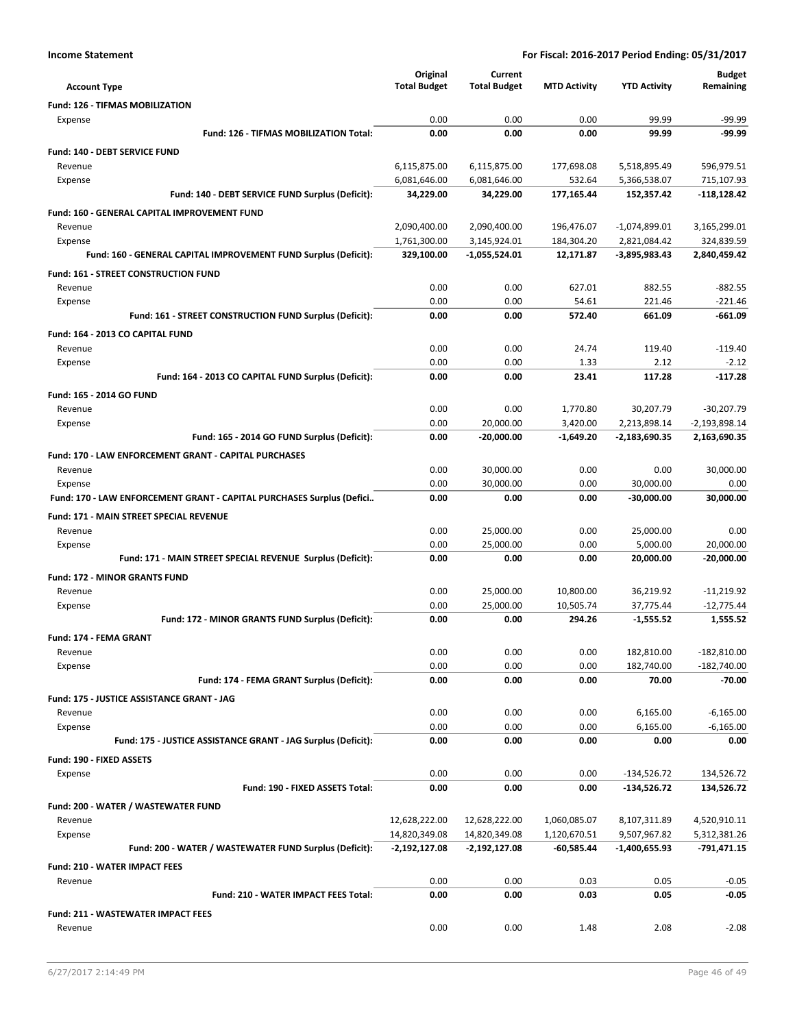| <b>Account Type</b>                                                   | Original<br><b>Total Budget</b>  | Current<br><b>Total Budget</b> | <b>MTD Activity</b>        | <b>YTD Activity</b>           | <b>Budget</b><br>Remaining  |
|-----------------------------------------------------------------------|----------------------------------|--------------------------------|----------------------------|-------------------------------|-----------------------------|
| <b>Fund: 126 - TIFMAS MOBILIZATION</b>                                |                                  |                                |                            |                               |                             |
| Expense                                                               | 0.00                             | 0.00                           | 0.00                       | 99.99                         | $-99.99$                    |
| Fund: 126 - TIFMAS MOBILIZATION Total:                                | 0.00                             | 0.00                           | 0.00                       | 99.99                         | $-99.99$                    |
| Fund: 140 - DEBT SERVICE FUND                                         |                                  |                                |                            |                               |                             |
| Revenue                                                               | 6,115,875.00                     | 6,115,875.00                   | 177,698.08                 | 5,518,895.49                  | 596,979.51                  |
| Expense                                                               | 6,081,646.00                     | 6,081,646.00                   | 532.64                     | 5,366,538.07                  | 715,107.93                  |
| Fund: 140 - DEBT SERVICE FUND Surplus (Deficit):                      | 34,229.00                        | 34,229.00                      | 177,165.44                 | 152,357.42                    | -118,128.42                 |
| Fund: 160 - GENERAL CAPITAL IMPROVEMENT FUND                          |                                  |                                |                            |                               |                             |
| Revenue                                                               | 2,090,400.00                     | 2,090,400.00                   | 196,476.07                 | $-1,074,899.01$               | 3,165,299.01                |
| Expense                                                               | 1,761,300.00                     | 3,145,924.01                   | 184,304.20                 | 2,821,084.42                  | 324,839.59                  |
| Fund: 160 - GENERAL CAPITAL IMPROVEMENT FUND Surplus (Deficit):       | 329,100.00                       | $-1,055,524.01$                | 12,171.87                  | -3,895,983.43                 | 2,840,459.42                |
| <b>Fund: 161 - STREET CONSTRUCTION FUND</b>                           |                                  |                                |                            |                               |                             |
| Revenue                                                               | 0.00                             | 0.00                           | 627.01                     | 882.55                        | $-882.55$                   |
| Expense                                                               | 0.00<br>0.00                     | 0.00<br>0.00                   | 54.61<br>572.40            | 221.46<br>661.09              | $-221.46$<br>$-661.09$      |
| Fund: 161 - STREET CONSTRUCTION FUND Surplus (Deficit):               |                                  |                                |                            |                               |                             |
| Fund: 164 - 2013 CO CAPITAL FUND                                      |                                  |                                |                            |                               |                             |
| Revenue                                                               | 0.00<br>0.00                     | 0.00<br>0.00                   | 24.74<br>1.33              | 119.40<br>2.12                | $-119.40$<br>$-2.12$        |
| Expense<br>Fund: 164 - 2013 CO CAPITAL FUND Surplus (Deficit):        | 0.00                             | 0.00                           | 23.41                      | 117.28                        | $-117.28$                   |
|                                                                       |                                  |                                |                            |                               |                             |
| Fund: 165 - 2014 GO FUND<br>Revenue                                   | 0.00                             | 0.00                           | 1,770.80                   | 30,207.79                     | $-30,207.79$                |
| Expense                                                               | 0.00                             | 20,000.00                      | 3,420.00                   | 2,213,898.14                  | $-2,193,898.14$             |
| Fund: 165 - 2014 GO FUND Surplus (Deficit):                           | 0.00                             | $-20,000.00$                   | $-1.649.20$                | $-2,183,690.35$               | 2,163,690.35                |
| Fund: 170 - LAW ENFORCEMENT GRANT - CAPITAL PURCHASES                 |                                  |                                |                            |                               |                             |
| Revenue                                                               | 0.00                             | 30,000.00                      | 0.00                       | 0.00                          | 30,000.00                   |
| Expense                                                               | 0.00                             | 30,000.00                      | 0.00                       | 30,000.00                     | 0.00                        |
| Fund: 170 - LAW ENFORCEMENT GRANT - CAPITAL PURCHASES Surplus (Defici | 0.00                             | 0.00                           | 0.00                       | $-30,000.00$                  | 30,000.00                   |
| Fund: 171 - MAIN STREET SPECIAL REVENUE                               |                                  |                                |                            |                               |                             |
| Revenue                                                               | 0.00                             | 25,000.00                      | 0.00                       | 25,000.00                     | 0.00                        |
| Expense                                                               | 0.00                             | 25,000.00                      | 0.00                       | 5,000.00                      | 20,000.00                   |
| Fund: 171 - MAIN STREET SPECIAL REVENUE Surplus (Deficit):            | 0.00                             | 0.00                           | 0.00                       | 20,000.00                     | -20,000.00                  |
| <b>Fund: 172 - MINOR GRANTS FUND</b>                                  |                                  |                                |                            |                               |                             |
| Revenue                                                               | 0.00                             | 25,000.00                      | 10,800.00                  | 36,219.92                     | $-11,219.92$                |
| Expense                                                               | 0.00                             | 25,000.00                      | 10,505.74                  | 37,775.44                     | $-12,775.44$                |
| Fund: 172 - MINOR GRANTS FUND Surplus (Deficit):                      | 0.00                             | 0.00                           | 294.26                     | $-1,555.52$                   | 1,555.52                    |
| <b>Fund: 174 - FEMA GRANT</b>                                         |                                  |                                |                            |                               |                             |
| Revenue                                                               | 0.00                             | 0.00                           | 0.00                       | 182,810.00                    | $-182,810.00$               |
| Expense                                                               | 0.00                             | 0.00                           | 0.00                       | 182,740.00                    | $-182,740.00$               |
| Fund: 174 - FEMA GRANT Surplus (Deficit):                             | 0.00                             | 0.00                           | 0.00                       | 70.00                         | $-70.00$                    |
| Fund: 175 - JUSTICE ASSISTANCE GRANT - JAG                            |                                  |                                |                            |                               |                             |
| Revenue                                                               | 0.00                             | 0.00                           | 0.00                       | 6,165.00                      | $-6,165.00$                 |
| Expense                                                               | 0.00                             | 0.00                           | 0.00                       | 6,165.00                      | $-6,165.00$                 |
| Fund: 175 - JUSTICE ASSISTANCE GRANT - JAG Surplus (Deficit):         | 0.00                             | 0.00                           | 0.00                       | 0.00                          | 0.00                        |
| Fund: 190 - FIXED ASSETS                                              |                                  |                                |                            |                               |                             |
| Expense                                                               | 0.00                             | 0.00                           | 0.00                       | $-134,526.72$                 | 134,526.72                  |
| Fund: 190 - FIXED ASSETS Total:                                       | 0.00                             | 0.00                           | 0.00                       | $-134,526.72$                 | 134,526.72                  |
| Fund: 200 - WATER / WASTEWATER FUND                                   |                                  |                                |                            |                               |                             |
| Revenue                                                               | 12,628,222.00                    | 12,628,222.00                  | 1,060,085.07               | 8,107,311.89                  | 4,520,910.11                |
| Expense<br>Fund: 200 - WATER / WASTEWATER FUND Surplus (Deficit):     | 14,820,349.08<br>$-2,192,127.08$ | 14,820,349.08<br>-2,192,127.08 | 1,120,670.51<br>-60,585.44 | 9,507,967.82<br>-1,400,655.93 | 5,312,381.26<br>-791,471.15 |
|                                                                       |                                  |                                |                            |                               |                             |
| Fund: 210 - WATER IMPACT FEES                                         |                                  |                                |                            |                               |                             |
| Revenue<br>Fund: 210 - WATER IMPACT FEES Total:                       | 0.00<br>0.00                     | 0.00<br>0.00                   | 0.03<br>0.03               | 0.05<br>0.05                  | $-0.05$<br>$-0.05$          |
|                                                                       |                                  |                                |                            |                               |                             |
| Fund: 211 - WASTEWATER IMPACT FEES                                    | 0.00                             |                                |                            |                               | $-2.08$                     |
| Revenue                                                               |                                  | 0.00                           | 1.48                       | 2.08                          |                             |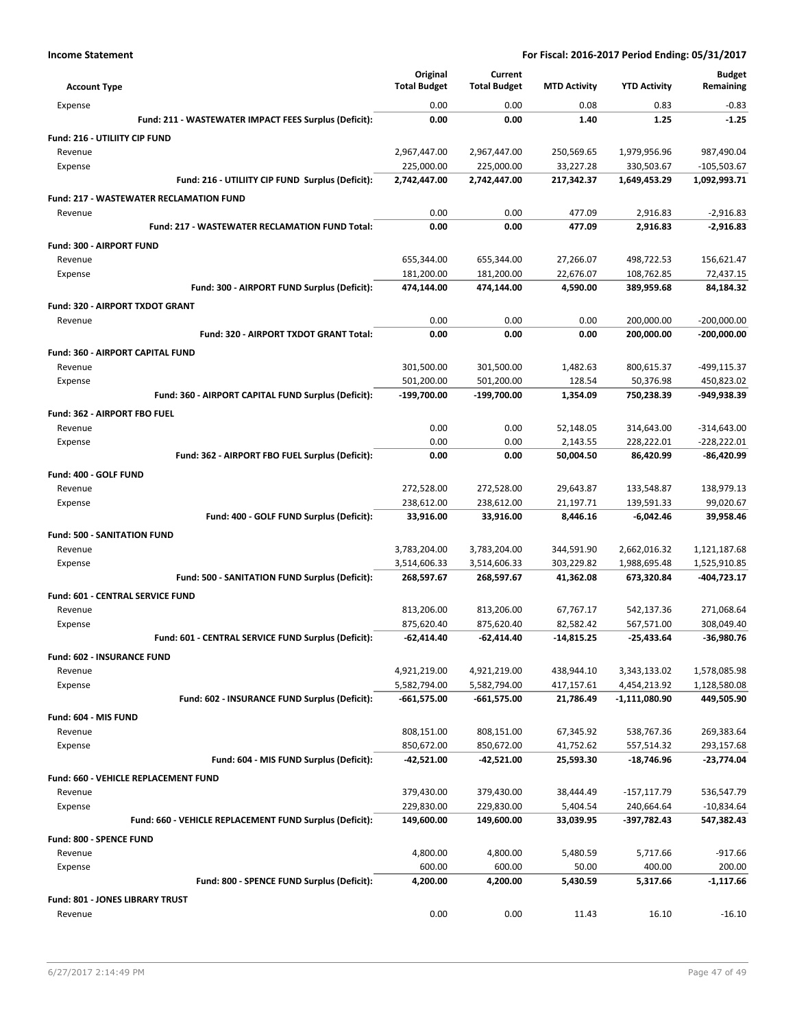| <b>Account Type</b>                                     | Original<br><b>Total Budget</b> | Current<br><b>Total Budget</b> | <b>MTD Activity</b> | <b>YTD Activity</b> | <b>Budget</b><br>Remaining |
|---------------------------------------------------------|---------------------------------|--------------------------------|---------------------|---------------------|----------------------------|
| Expense                                                 | 0.00                            | 0.00                           | 0.08                | 0.83                | $-0.83$                    |
| Fund: 211 - WASTEWATER IMPACT FEES Surplus (Deficit):   | 0.00                            | 0.00                           | 1.40                | 1.25                | $-1.25$                    |
| Fund: 216 - UTILIITY CIP FUND                           |                                 |                                |                     |                     |                            |
| Revenue                                                 | 2,967,447.00                    | 2,967,447.00                   | 250,569.65          | 1,979,956.96        | 987,490.04                 |
| Expense                                                 | 225,000.00                      | 225,000.00                     | 33,227.28           | 330,503.67          | $-105,503.67$              |
| Fund: 216 - UTILIITY CIP FUND Surplus (Deficit):        | 2,742,447.00                    | 2,742,447.00                   | 217,342.37          | 1,649,453.29        | 1,092,993.71               |
| <b>Fund: 217 - WASTEWATER RECLAMATION FUND</b>          |                                 |                                |                     |                     |                            |
| Revenue                                                 | 0.00                            | 0.00                           | 477.09              | 2.916.83            | $-2,916.83$                |
| <b>Fund: 217 - WASTEWATER RECLAMATION FUND Total:</b>   | 0.00                            | 0.00                           | 477.09              | 2,916.83            | $-2.916.83$                |
| Fund: 300 - AIRPORT FUND                                |                                 |                                |                     |                     |                            |
| Revenue                                                 | 655,344.00                      | 655,344.00                     | 27,266.07           | 498,722.53          | 156,621.47                 |
| Expense                                                 | 181,200.00                      | 181,200.00                     | 22,676.07           | 108,762.85          | 72,437.15                  |
| Fund: 300 - AIRPORT FUND Surplus (Deficit):             | 474,144.00                      | 474,144.00                     | 4,590.00            | 389,959.68          | 84,184.32                  |
| Fund: 320 - AIRPORT TXDOT GRANT                         |                                 |                                |                     |                     |                            |
| Revenue                                                 | 0.00                            | 0.00                           | 0.00                | 200,000.00          | $-200,000.00$              |
| Fund: 320 - AIRPORT TXDOT GRANT Total:                  | 0.00                            | 0.00                           | 0.00                | 200,000.00          | $-200,000.00$              |
| <b>Fund: 360 - AIRPORT CAPITAL FUND</b>                 |                                 |                                |                     |                     |                            |
| Revenue                                                 | 301,500.00                      | 301,500.00                     | 1,482.63            | 800,615.37          | -499,115.37                |
| Expense                                                 | 501,200.00                      | 501,200.00                     | 128.54              | 50,376.98           | 450,823.02                 |
| Fund: 360 - AIRPORT CAPITAL FUND Surplus (Deficit):     | -199,700.00                     | -199,700.00                    | 1,354.09            | 750,238.39          | -949,938.39                |
| Fund: 362 - AIRPORT FBO FUEL                            |                                 |                                |                     |                     |                            |
| Revenue                                                 | 0.00                            | 0.00                           | 52,148.05           | 314,643.00          | $-314,643.00$              |
| Expense                                                 | 0.00                            | 0.00                           | 2,143.55            | 228,222.01          | $-228,222.01$              |
| Fund: 362 - AIRPORT FBO FUEL Surplus (Deficit):         | 0.00                            | 0.00                           | 50,004.50           | 86,420.99           | -86,420.99                 |
| Fund: 400 - GOLF FUND                                   |                                 |                                |                     |                     |                            |
| Revenue                                                 | 272,528.00                      | 272,528.00                     | 29,643.87           | 133,548.87          | 138,979.13                 |
| Expense                                                 | 238,612.00                      | 238,612.00                     | 21,197.71           | 139,591.33          | 99,020.67                  |
| Fund: 400 - GOLF FUND Surplus (Deficit):                | 33,916.00                       | 33,916.00                      | 8,446.16            | -6,042.46           | 39,958.46                  |
| <b>Fund: 500 - SANITATION FUND</b>                      |                                 |                                |                     |                     |                            |
| Revenue                                                 | 3,783,204.00                    | 3,783,204.00                   | 344,591.90          | 2,662,016.32        | 1,121,187.68               |
| Expense                                                 | 3,514,606.33                    | 3,514,606.33                   | 303,229.82          | 1,988,695.48        | 1,525,910.85               |
| Fund: 500 - SANITATION FUND Surplus (Deficit):          | 268,597.67                      | 268,597.67                     | 41,362.08           | 673,320.84          | -404,723.17                |
| Fund: 601 - CENTRAL SERVICE FUND                        |                                 |                                |                     |                     |                            |
| Revenue                                                 | 813,206.00                      | 813,206.00                     | 67,767.17           | 542,137.36          | 271,068.64                 |
| Expense                                                 | 875,620.40                      | 875,620.40                     | 82,582.42           | 567,571.00          | 308,049.40                 |
| Fund: 601 - CENTRAL SERVICE FUND Surplus (Deficit):     | $-62,414.40$                    | $-62,414.40$                   | $-14,815.25$        | $-25,433.64$        | $-36,980.76$               |
| <b>Fund: 602 - INSURANCE FUND</b>                       |                                 |                                |                     |                     |                            |
| Revenue                                                 | 4,921,219.00                    | 4,921,219.00                   | 438,944.10          | 3,343,133.02        | 1,578,085.98               |
| Expense                                                 | 5,582,794.00                    | 5,582,794.00                   | 417,157.61          | 4,454,213.92        | 1,128,580.08               |
| Fund: 602 - INSURANCE FUND Surplus (Deficit):           | $-661,575.00$                   | $-661,575.00$                  | 21,786.49           | -1,111,080.90       | 449,505.90                 |
| Fund: 604 - MIS FUND                                    |                                 |                                |                     |                     |                            |
| Revenue                                                 | 808,151.00                      | 808,151.00                     | 67,345.92           | 538,767.36          | 269,383.64                 |
| Expense                                                 | 850,672.00                      | 850,672.00                     | 41,752.62           | 557,514.32          | 293,157.68                 |
| Fund: 604 - MIS FUND Surplus (Deficit):                 | $-42,521.00$                    | $-42,521.00$                   | 25,593.30           | $-18,746.96$        | $-23,774.04$               |
|                                                         |                                 |                                |                     |                     |                            |
| Fund: 660 - VEHICLE REPLACEMENT FUND<br>Revenue         | 379,430.00                      | 379,430.00                     | 38,444.49           | $-157, 117.79$      | 536,547.79                 |
| Expense                                                 | 229,830.00                      | 229,830.00                     | 5,404.54            | 240,664.64          | $-10,834.64$               |
| Fund: 660 - VEHICLE REPLACEMENT FUND Surplus (Deficit): | 149,600.00                      | 149,600.00                     | 33,039.95           | -397,782.43         | 547,382.43                 |
| Fund: 800 - SPENCE FUND                                 |                                 |                                |                     |                     |                            |
| Revenue                                                 | 4,800.00                        | 4,800.00                       | 5,480.59            | 5,717.66            | $-917.66$                  |
| Expense                                                 | 600.00                          | 600.00                         | 50.00               | 400.00              | 200.00                     |
| Fund: 800 - SPENCE FUND Surplus (Deficit):              | 4,200.00                        | 4,200.00                       | 5,430.59            | 5,317.66            | -1,117.66                  |
| <b>Fund: 801 - JONES LIBRARY TRUST</b>                  |                                 |                                |                     |                     |                            |
| Revenue                                                 | 0.00                            | 0.00                           | 11.43               | 16.10               | $-16.10$                   |
|                                                         |                                 |                                |                     |                     |                            |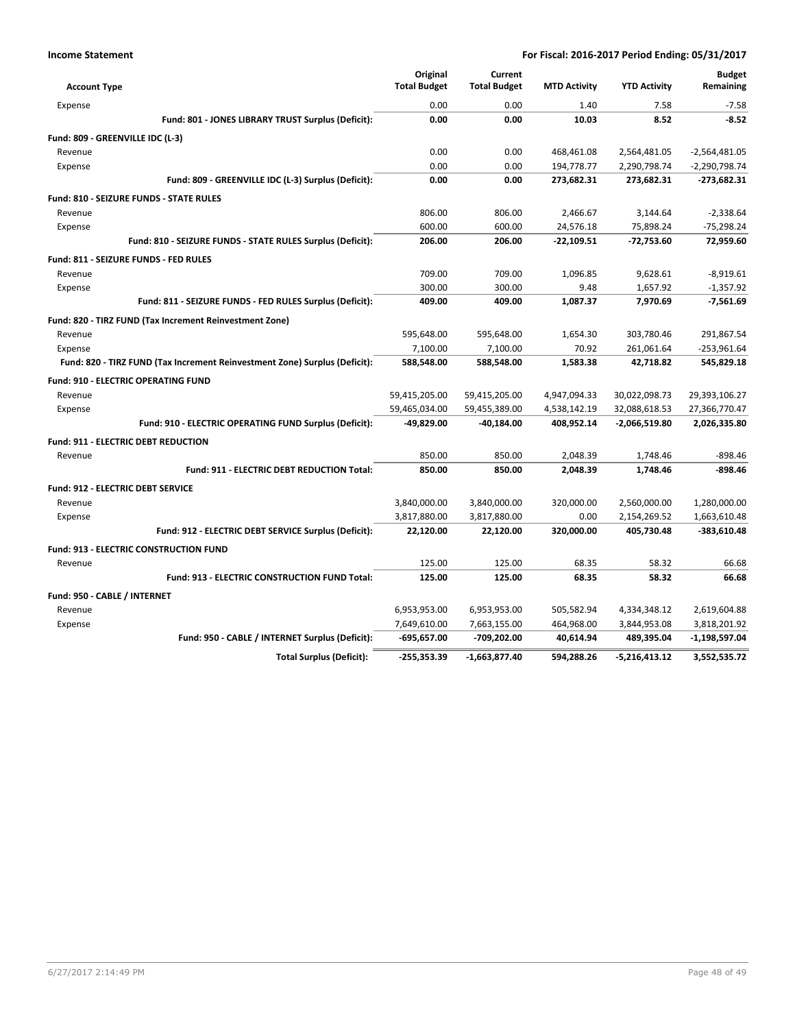| <b>Account Type</b>                                                        | Original<br><b>Total Budget</b> | Current<br><b>Total Budget</b> | <b>MTD Activity</b> | <b>YTD Activity</b> | <b>Budget</b><br>Remaining |
|----------------------------------------------------------------------------|---------------------------------|--------------------------------|---------------------|---------------------|----------------------------|
|                                                                            |                                 |                                |                     |                     |                            |
| Expense                                                                    | 0.00                            | 0.00                           | 1.40                | 7.58                | $-7.58$                    |
| Fund: 801 - JONES LIBRARY TRUST Surplus (Deficit):                         | 0.00                            | 0.00                           | 10.03               | 8.52                | $-8.52$                    |
| Fund: 809 - GREENVILLE IDC (L-3)                                           |                                 |                                |                     |                     |                            |
| Revenue                                                                    | 0.00                            | 0.00                           | 468,461.08          | 2,564,481.05        | $-2,564,481.05$            |
| Expense                                                                    | 0.00                            | 0.00                           | 194,778.77          | 2,290,798.74        | $-2,290,798.74$            |
| Fund: 809 - GREENVILLE IDC (L-3) Surplus (Deficit):                        | 0.00                            | 0.00                           | 273,682.31          | 273,682.31          | $-273,682.31$              |
| <b>Fund: 810 - SEIZURE FUNDS - STATE RULES</b>                             |                                 |                                |                     |                     |                            |
| Revenue                                                                    | 806.00                          | 806.00                         | 2,466.67            | 3,144.64            | $-2,338.64$                |
| Expense                                                                    | 600.00                          | 600.00                         | 24,576.18           | 75,898.24           | $-75,298.24$               |
| Fund: 810 - SEIZURE FUNDS - STATE RULES Surplus (Deficit):                 | 206.00                          | 206.00                         | $-22,109.51$        | $-72,753.60$        | 72,959.60                  |
| Fund: 811 - SEIZURE FUNDS - FED RULES                                      |                                 |                                |                     |                     |                            |
| Revenue                                                                    | 709.00                          | 709.00                         | 1,096.85            | 9,628.61            | $-8,919.61$                |
| Expense                                                                    | 300.00                          | 300.00                         | 9.48                | 1,657.92            | $-1,357.92$                |
| Fund: 811 - SEIZURE FUNDS - FED RULES Surplus (Deficit):                   | 409.00                          | 409.00                         | 1,087.37            | 7,970.69            | $-7,561.69$                |
| Fund: 820 - TIRZ FUND (Tax Increment Reinvestment Zone)                    |                                 |                                |                     |                     |                            |
| Revenue                                                                    | 595,648.00                      | 595,648.00                     | 1,654.30            | 303,780.46          | 291,867.54                 |
| Expense                                                                    | 7,100.00                        | 7,100.00                       | 70.92               | 261,061.64          | $-253,961.64$              |
| Fund: 820 - TIRZ FUND (Tax Increment Reinvestment Zone) Surplus (Deficit): | 588,548.00                      | 588,548.00                     | 1,583.38            | 42,718.82           | 545,829.18                 |
| <b>Fund: 910 - ELECTRIC OPERATING FUND</b>                                 |                                 |                                |                     |                     |                            |
| Revenue                                                                    | 59,415,205.00                   | 59,415,205.00                  | 4,947,094.33        | 30,022,098.73       | 29,393,106.27              |
| Expense                                                                    | 59,465,034.00                   | 59,455,389.00                  | 4,538,142.19        | 32,088,618.53       | 27,366,770.47              |
| Fund: 910 - ELECTRIC OPERATING FUND Surplus (Deficit):                     | -49,829.00                      | $-40,184.00$                   | 408,952.14          | $-2,066,519.80$     | 2,026,335.80               |
| <b>Fund: 911 - ELECTRIC DEBT REDUCTION</b>                                 |                                 |                                |                     |                     |                            |
| Revenue                                                                    | 850.00                          | 850.00                         | 2,048.39            | 1,748.46            | $-898.46$                  |
| <b>Fund: 911 - ELECTRIC DEBT REDUCTION Total:</b>                          | 850.00                          | 850.00                         | 2,048.39            | 1,748.46            | -898.46                    |
| <b>Fund: 912 - ELECTRIC DEBT SERVICE</b>                                   |                                 |                                |                     |                     |                            |
| Revenue                                                                    | 3,840,000.00                    | 3,840,000.00                   | 320,000.00          | 2,560,000.00        | 1,280,000.00               |
| Expense                                                                    | 3,817,880.00                    | 3,817,880.00                   | 0.00                | 2,154,269.52        | 1,663,610.48               |
| Fund: 912 - ELECTRIC DEBT SERVICE Surplus (Deficit):                       | 22,120.00                       | 22,120.00                      | 320,000.00          | 405,730.48          | $-383,610.48$              |
| <b>Fund: 913 - ELECTRIC CONSTRUCTION FUND</b>                              |                                 |                                |                     |                     |                            |
| Revenue                                                                    | 125.00                          | 125.00                         | 68.35               | 58.32               | 66.68                      |
| Fund: 913 - ELECTRIC CONSTRUCTION FUND Total:                              | 125.00                          | 125.00                         | 68.35               | 58.32               | 66.68                      |
|                                                                            |                                 |                                |                     |                     |                            |
| Fund: 950 - CABLE / INTERNET<br>Revenue                                    | 6,953,953.00                    | 6,953,953.00                   | 505,582.94          | 4,334,348.12        | 2,619,604.88               |
|                                                                            | 7,649,610.00                    | 7,663,155.00                   | 464,968.00          | 3,844,953.08        | 3,818,201.92               |
| Expense<br>Fund: 950 - CABLE / INTERNET Surplus (Deficit):                 | $-695,657.00$                   | -709,202.00                    | 40,614.94           | 489,395.04          | $-1,198,597.04$            |
|                                                                            |                                 |                                |                     |                     |                            |
| <b>Total Surplus (Deficit):</b>                                            | $-255,353.39$                   | -1,663,877.40                  | 594.288.26          | $-5,216,413.12$     | 3,552,535.72               |